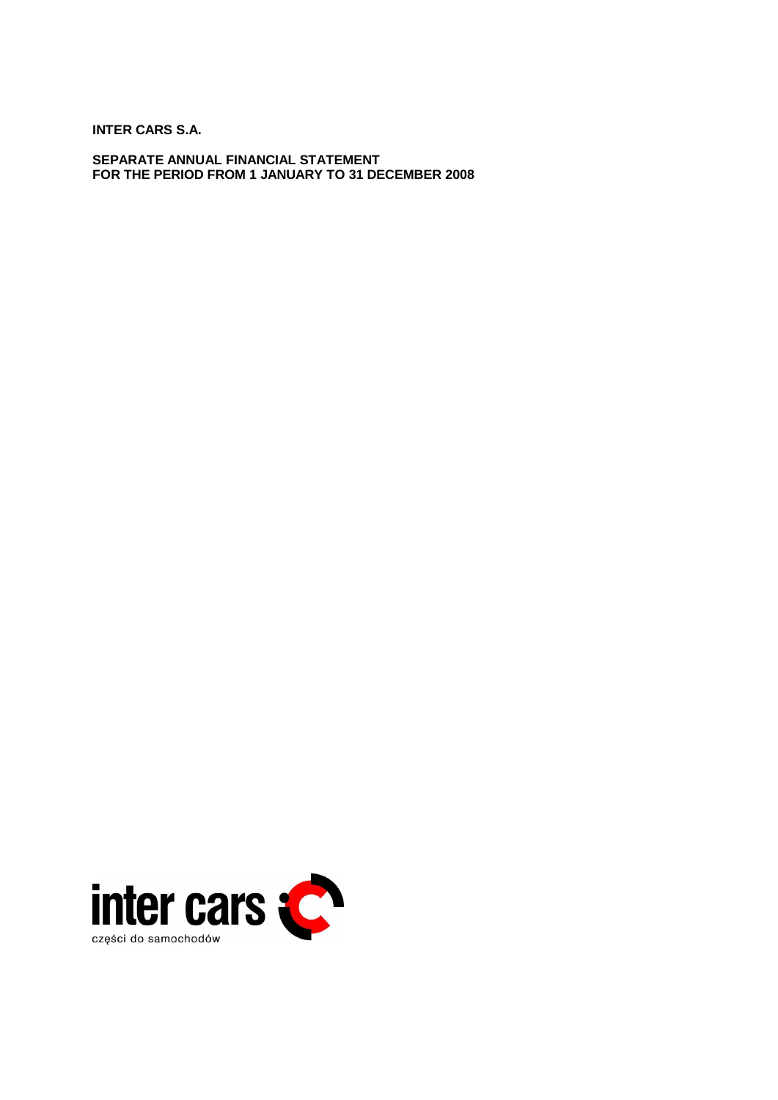**INTER CARS S.A.** 

**SEPARATE ANNUAL FINANCIAL STATEMENT FOR THE PERIOD FROM 1 JANUARY TO 31 DECEMBER 2008** 

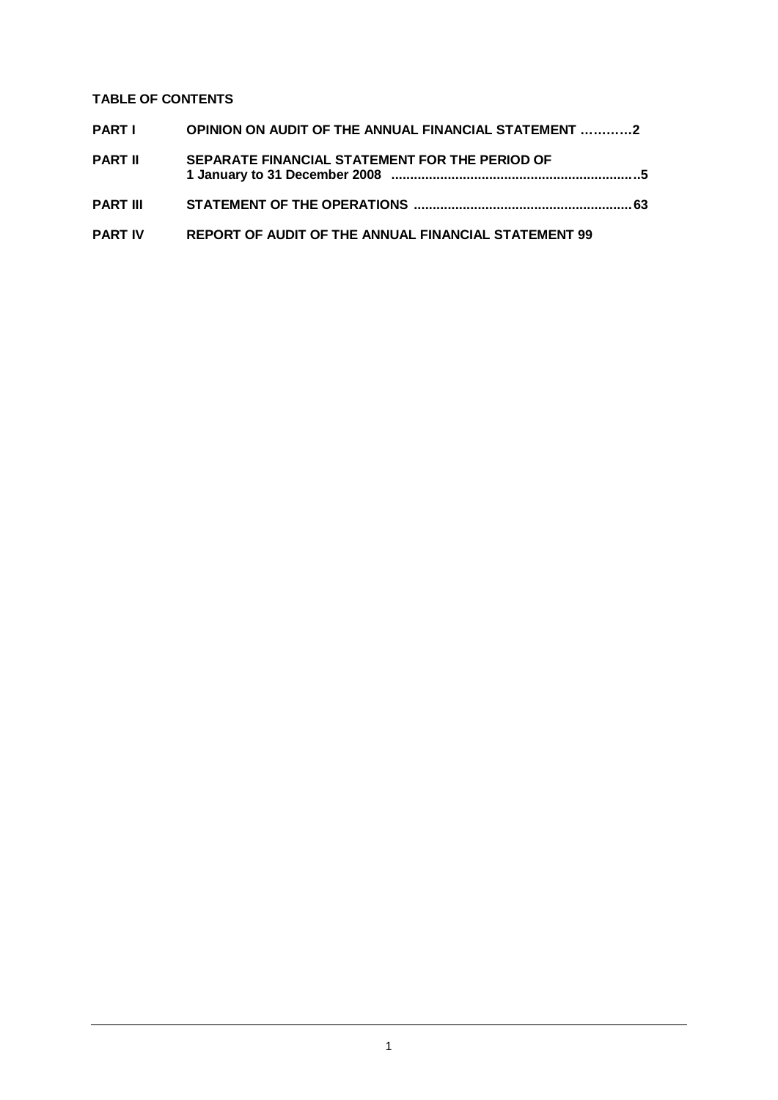# **TABLE OF CONTENTS**

| PARTI          | OPINION ON AUDIT OF THE ANNUAL FINANCIAL STATEMENT 2 |  |
|----------------|------------------------------------------------------|--|
| <b>PART II</b> | SEPARATE FINANCIAL STATEMENT FOR THE PERIOD OF       |  |
|                |                                                      |  |
| PART IV        | REPORT OF AUDIT OF THE ANNUAL FINANCIAL STATEMENT 99 |  |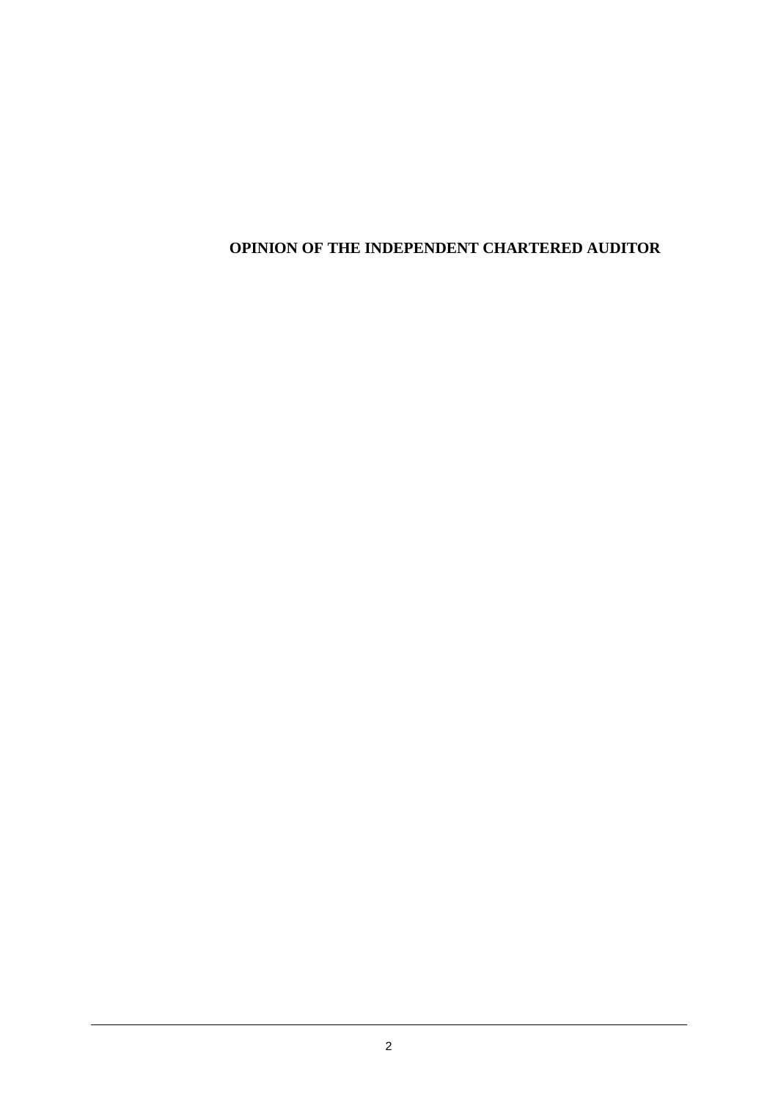# **OPINION OF THE INDEPENDENT CHARTERED AUDITOR**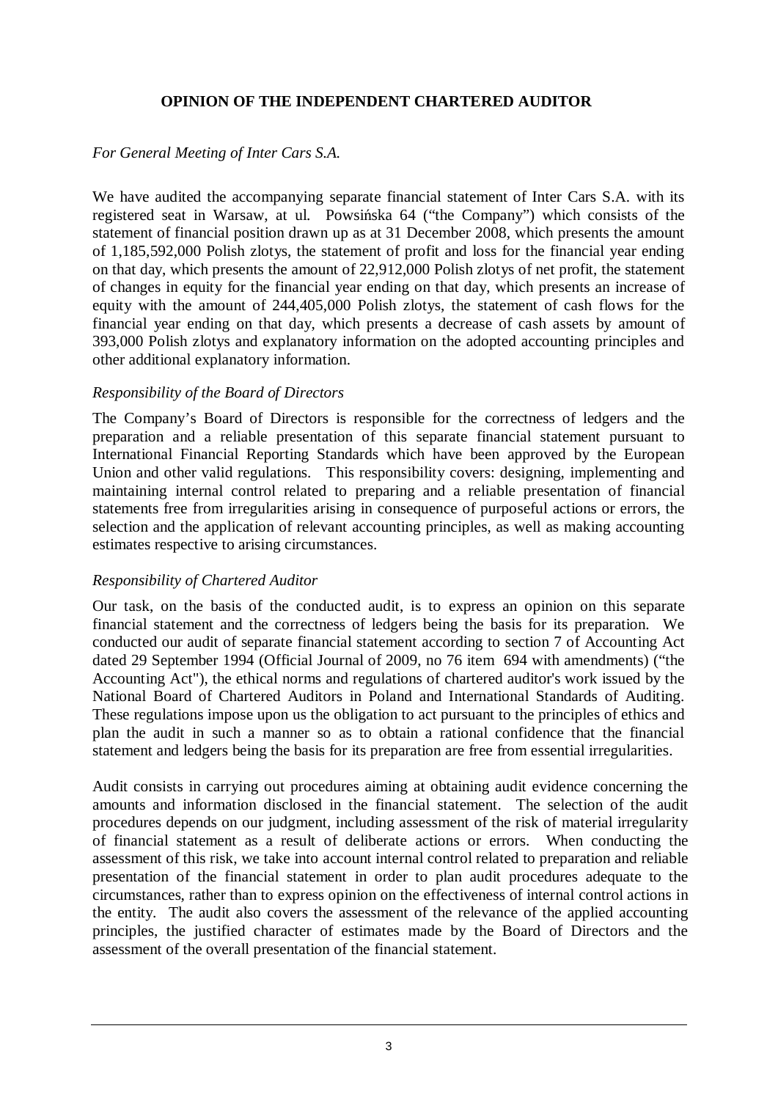# **OPINION OF THE INDEPENDENT CHARTERED AUDITOR**

# *For General Meeting of Inter Cars S.A.*

We have audited the accompanying separate financial statement of Inter Cars S.A. with its registered seat in Warsaw, at ul. Powsińska 64 ("the Company") which consists of the statement of financial position drawn up as at 31 December 2008, which presents the amount of 1,185,592,000 Polish zlotys, the statement of profit and loss for the financial year ending on that day, which presents the amount of 22,912,000 Polish zlotys of net profit, the statement of changes in equity for the financial year ending on that day, which presents an increase of equity with the amount of 244,405,000 Polish zlotys, the statement of cash flows for the financial year ending on that day, which presents a decrease of cash assets by amount of 393,000 Polish zlotys and explanatory information on the adopted accounting principles and other additional explanatory information.

# *Responsibility of the Board of Directors*

The Company's Board of Directors is responsible for the correctness of ledgers and the preparation and a reliable presentation of this separate financial statement pursuant to International Financial Reporting Standards which have been approved by the European Union and other valid regulations. This responsibility covers: designing, implementing and maintaining internal control related to preparing and a reliable presentation of financial statements free from irregularities arising in consequence of purposeful actions or errors, the selection and the application of relevant accounting principles, as well as making accounting estimates respective to arising circumstances.

# *Responsibility of Chartered Auditor*

Our task, on the basis of the conducted audit, is to express an opinion on this separate financial statement and the correctness of ledgers being the basis for its preparation. We conducted our audit of separate financial statement according to section 7 of Accounting Act dated 29 September 1994 (Official Journal of 2009, no 76 item 694 with amendments) ("the Accounting Act"), the ethical norms and regulations of chartered auditor's work issued by the National Board of Chartered Auditors in Poland and International Standards of Auditing. These regulations impose upon us the obligation to act pursuant to the principles of ethics and plan the audit in such a manner so as to obtain a rational confidence that the financial statement and ledgers being the basis for its preparation are free from essential irregularities.

Audit consists in carrying out procedures aiming at obtaining audit evidence concerning the amounts and information disclosed in the financial statement. The selection of the audit procedures depends on our judgment, including assessment of the risk of material irregularity of financial statement as a result of deliberate actions or errors. When conducting the assessment of this risk, we take into account internal control related to preparation and reliable presentation of the financial statement in order to plan audit procedures adequate to the circumstances, rather than to express opinion on the effectiveness of internal control actions in the entity. The audit also covers the assessment of the relevance of the applied accounting principles, the justified character of estimates made by the Board of Directors and the assessment of the overall presentation of the financial statement.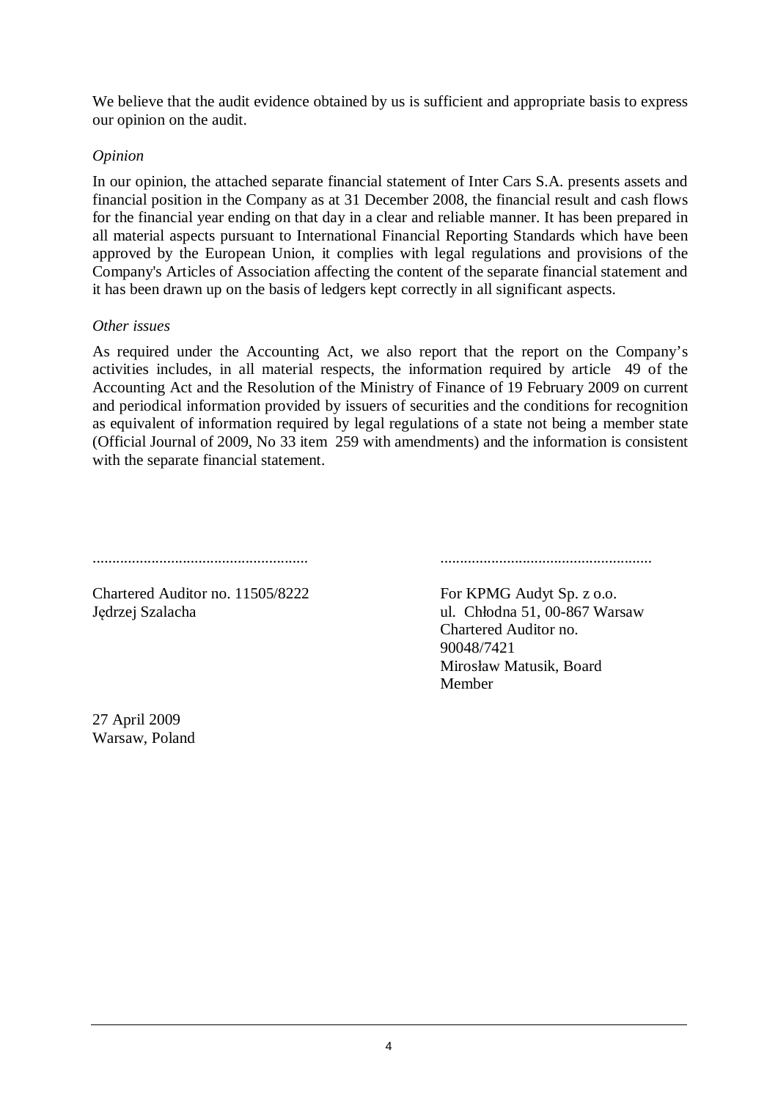We believe that the audit evidence obtained by us is sufficient and appropriate basis to express our opinion on the audit.

# *Opinion*

In our opinion, the attached separate financial statement of Inter Cars S.A. presents assets and financial position in the Company as at 31 December 2008, the financial result and cash flows for the financial year ending on that day in a clear and reliable manner. It has been prepared in all material aspects pursuant to International Financial Reporting Standards which have been approved by the European Union, it complies with legal regulations and provisions of the Company's Articles of Association affecting the content of the separate financial statement and it has been drawn up on the basis of ledgers kept correctly in all significant aspects.

# *Other issues*

As required under the Accounting Act, we also report that the report on the Company's activities includes, in all material respects, the information required by article 49 of the Accounting Act and the Resolution of the Ministry of Finance of 19 February 2009 on current and periodical information provided by issuers of securities and the conditions for recognition as equivalent of information required by legal regulations of a state not being a member state (Official Journal of 2009, No 33 item 259 with amendments) and the information is consistent with the separate financial statement.

# ....................................................... ......................................................

Chartered Auditor no. 11505/8222 Jedrzej Szalacha

For KPMG Audyt Sp. z o.o. ul. Chłodna 51, 00-867 Warsaw Chartered Auditor no. 90048/7421 Mirosáaw Matusik, Board Member

27 April 2009 Warsaw, Poland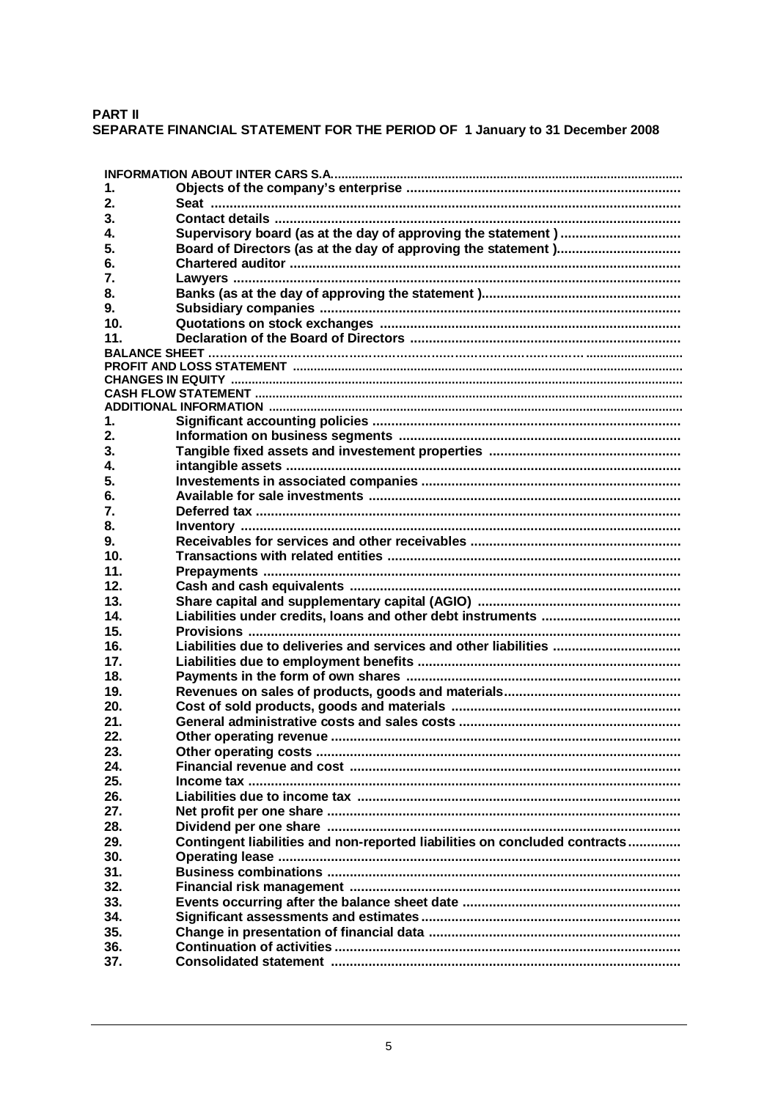## **PART II**

# SEPARATE FINANCIAL STATEMENT FOR THE PERIOD OF 1 January to 31 December 2008

| 1.              |                                                                            |
|-----------------|----------------------------------------------------------------------------|
| 2.              |                                                                            |
| 3.              |                                                                            |
| 4.              |                                                                            |
| 5.              |                                                                            |
| 6.              |                                                                            |
| 7.              |                                                                            |
| 8.              |                                                                            |
| 9.              |                                                                            |
| 10 <sub>1</sub> |                                                                            |
| 11.             |                                                                            |
|                 |                                                                            |
|                 |                                                                            |
|                 |                                                                            |
|                 |                                                                            |
| 1.              |                                                                            |
| 2.              |                                                                            |
| 3.              |                                                                            |
| 4.              |                                                                            |
| 5.              |                                                                            |
| 6.              |                                                                            |
| 7.              |                                                                            |
| 8.              |                                                                            |
| 9.              |                                                                            |
| 10 <sub>1</sub> |                                                                            |
| 11.             |                                                                            |
| 12.             |                                                                            |
| 13.             |                                                                            |
| 14.             |                                                                            |
| 15.             |                                                                            |
| 16.             | Liabilities due to deliveries and services and other liabilities           |
| 17.             |                                                                            |
| 18.             |                                                                            |
| 19.             |                                                                            |
| 20.             |                                                                            |
| 21.             |                                                                            |
| 22.             |                                                                            |
| 23.             |                                                                            |
| 24.             |                                                                            |
| 25.             |                                                                            |
| 26.             |                                                                            |
| 27.             |                                                                            |
| 28.             |                                                                            |
| 29.             | Contingent liabilities and non-reported liabilities on concluded contracts |
| 30.             |                                                                            |
| 31.             |                                                                            |
| 32.             |                                                                            |
| 33.             |                                                                            |
| 34.             |                                                                            |
| 35.             |                                                                            |
| 36.             |                                                                            |
| 37.             |                                                                            |
|                 |                                                                            |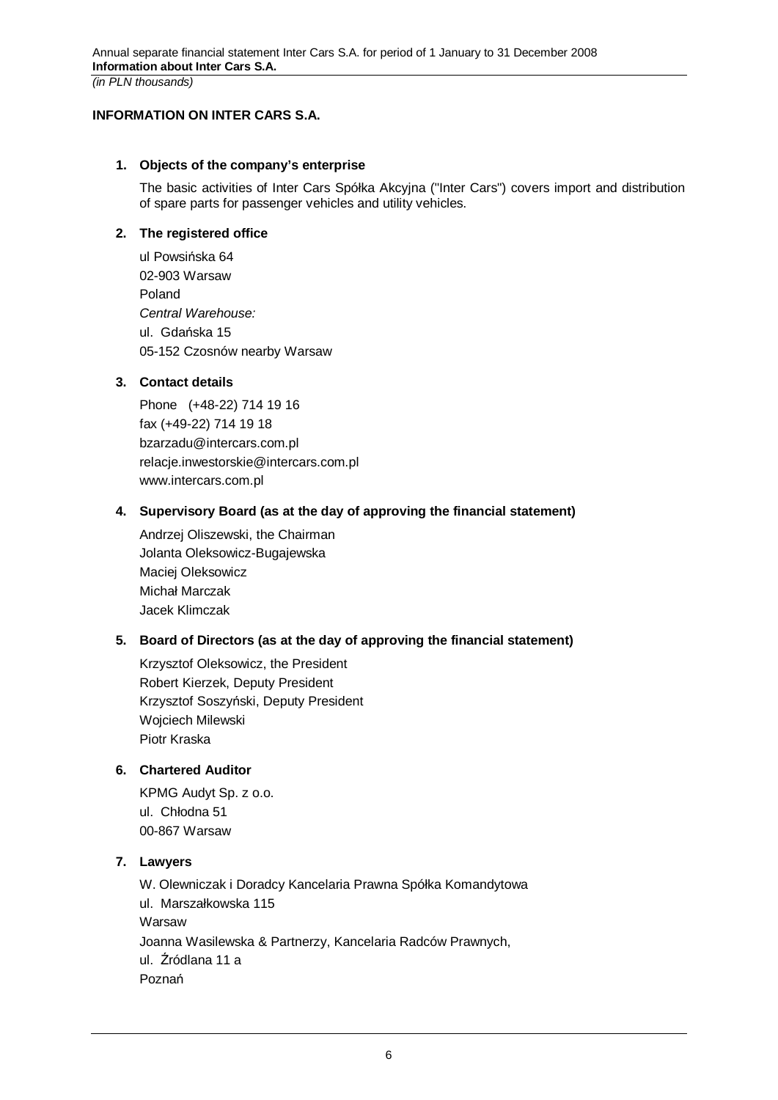*(in PLN thousands)* 

### **INFORMATION ON INTER CARS S.A.**

### **1. Objects of the company's enterprise**

The basic activities of Inter Cars Spółka Akcyjna ("Inter Cars") covers import and distribution of spare parts for passenger vehicles and utility vehicles.

### **2. The registered office**

ul Powsińska 64 02-903 Warsaw Poland *Central Warehouse:*  ul. Gdańska 15 05-152 Czosnów nearby Warsaw

## **3. Contact details**

Phone (+48-22) 714 19 16 fax (+49-22) 714 19 18 bzarzadu@intercars.com.pl relacje.inwestorskie@intercars.com.pl www.intercars.com.pl

## **4. Supervisory Board (as at the day of approving the financial statement)**

Andrzej Oliszewski, the Chairman Jolanta Oleksowicz-Bugajewska Maciej Oleksowicz Michaá Marczak Jacek Klimczak

# **5. Board of Directors (as at the day of approving the financial statement)**

Krzysztof Oleksowicz, the President Robert Kierzek, Deputy President Krzysztof Soszyński, Deputy President Wojciech Milewski Piotr Kraska

# **6. Chartered Auditor**

KPMG Audyt Sp. z o.o. ul. Chłodna 51 00-867 Warsaw

### **7. Lawyers**

W. Olewniczak i Doradcy Kancelaria Prawna Spółka Komandytowa ul. Marszałkowska 115 Warsaw Joanna Wasilewska & Partnerzy, Kancelaria Radców Prawnych, ul. Źródlana 11 a Poznań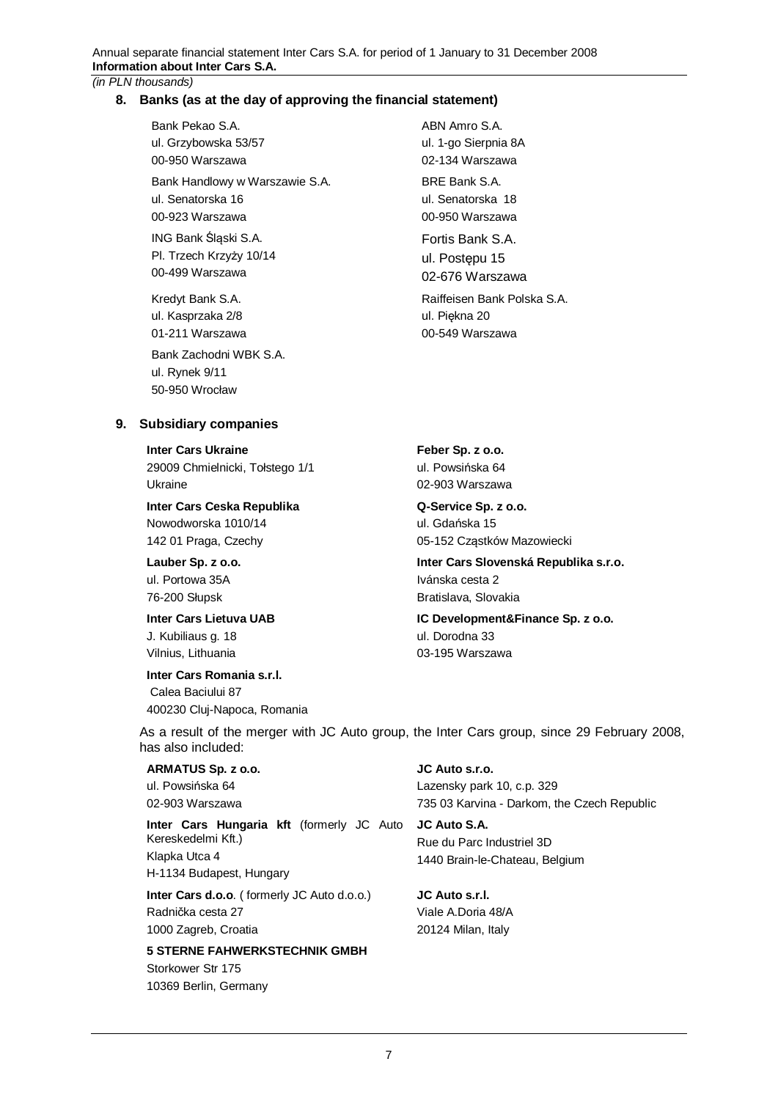### **8. Banks (as at the day of approving the financial statement)**

Bank Pekao S.A. ul. Grzybowska 53/57 00-950 Warszawa Bank Handlowy w Warszawie S.A. ul. Senatorska 16 00-923 Warszawa ING Bank Ślaski S.A.

Pl. Trzech Krzyży 10/14 00-499 Warszawa

Kredyt Bank S.A. ul. Kasprzaka 2/8 01-211 Warszawa

Bank Zachodni WBK S.A. ul. Rynek 9/11 50-950 Wrocáaw

ABN Amro S.A. ul. 1-go Sierpnia 8A 02-134 Warszawa

BRE Bank S.A. ul. Senatorska 18 00-950 Warszawa

Fortis Bank S.A. ul. Postepu 15 02-676 Warszawa

Raiffeisen Bank Polska S.A. ul. Piekna 20 00-549 Warszawa

**9. Subsidiary companies** 

**Inter Cars Ukraine** 

29009 Chmielnicki, Tołstego 1/1 Ukraine

**Inter Cars Ceska Republika**  Nowodworska 1010/14 142 01 Praga, Czechy

**Lauber Sp. z o.o.** 

ul. Portowa 35A 76-200 Słupsk

**Inter Cars Lietuva UAB**  J. Kubiliaus g. 18 Vilnius, Lithuania

#### **Inter Cars Romania s.r.l.**

Calea Baciului 87 400230 Cluj-Napoca, Romania **Feber Sp. z o.o.**  ul. Powsińska 64 02-903 Warszawa

**Q-Service Sp. z o.o.**  ul. Gdańska 15 05-152 Cząstków Mazowiecki

**Inter Cars Slovenská Republika s.r.o.**  Ivánska cesta 2 Bratislava, Slovakia

**IC Development&Finance Sp. z o.o.**  ul. Dorodna 33 03-195 Warszawa

As a result of the merger with JC Auto group, the Inter Cars group, since 29 February 2008, has also included:

### **ARMATUS Sp. z o.o.**

ul. Powsińska 64 02-903 Warszawa

**Inter Cars Hungaria kft** (formerly JC Auto Kereskedelmi Kft.) Klapka Utca 4

H-1134 Budapest, Hungary

**Inter Cars d.o.o**. ( formerly JC Auto d.o.o.) Radnička cesta 27 1000 Zagreb, Croatia

**5 STERNE FAHWERKSTECHNIK GMBH**  Storkower Str 175 10369 Berlin, Germany

**JC Auto s.r.o.**  Lazensky park 10, c.p. 329 735 03 Karvina - Darkom, the Czech Republic

**JC Auto S.A.**  Rue du Parc Industriel 3D 1440 Brain-le-Chateau, Belgium

**JC Auto s.r.l.**  Viale A.Doria 48/A 20124 Milan, Italy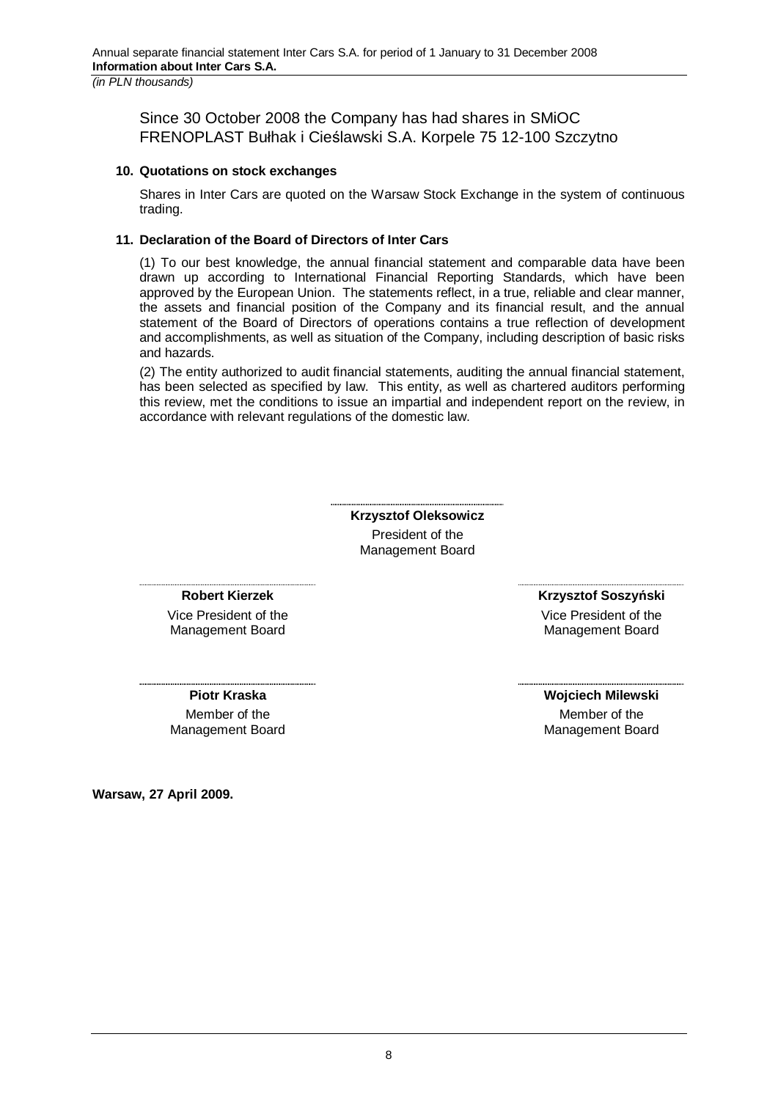Since 30 October 2008 the Company has had shares in SMiOC FRENOPLAST Bułhak i Cieślawski S.A. Korpele 75 12-100 Szczytno

### **10. Quotations on stock exchanges**

Shares in Inter Cars are quoted on the Warsaw Stock Exchange in the system of continuous trading.

### **11. Declaration of the Board of Directors of Inter Cars**

(1) To our best knowledge, the annual financial statement and comparable data have been drawn up according to International Financial Reporting Standards, which have been approved by the European Union. The statements reflect, in a true, reliable and clear manner, the assets and financial position of the Company and its financial result, and the annual statement of the Board of Directors of operations contains a true reflection of development and accomplishments, as well as situation of the Company, including description of basic risks and hazards.

(2) The entity authorized to audit financial statements, auditing the annual financial statement, has been selected as specified by law. This entity, as well as chartered auditors performing this review, met the conditions to issue an impartial and independent report on the review, in accordance with relevant regulations of the domestic law.

> **Krzysztof Oleksowicz**  President of the Management Board

**Robert Kierzek** 

Vice President of the Management Board

**Piotr Kraska**  Member of the Management Board **Krzysztof SoszyĔski** 

Vice President of the Management Board

**Wojciech Milewski** Member of the Management Board

**Warsaw, 27 April 2009.**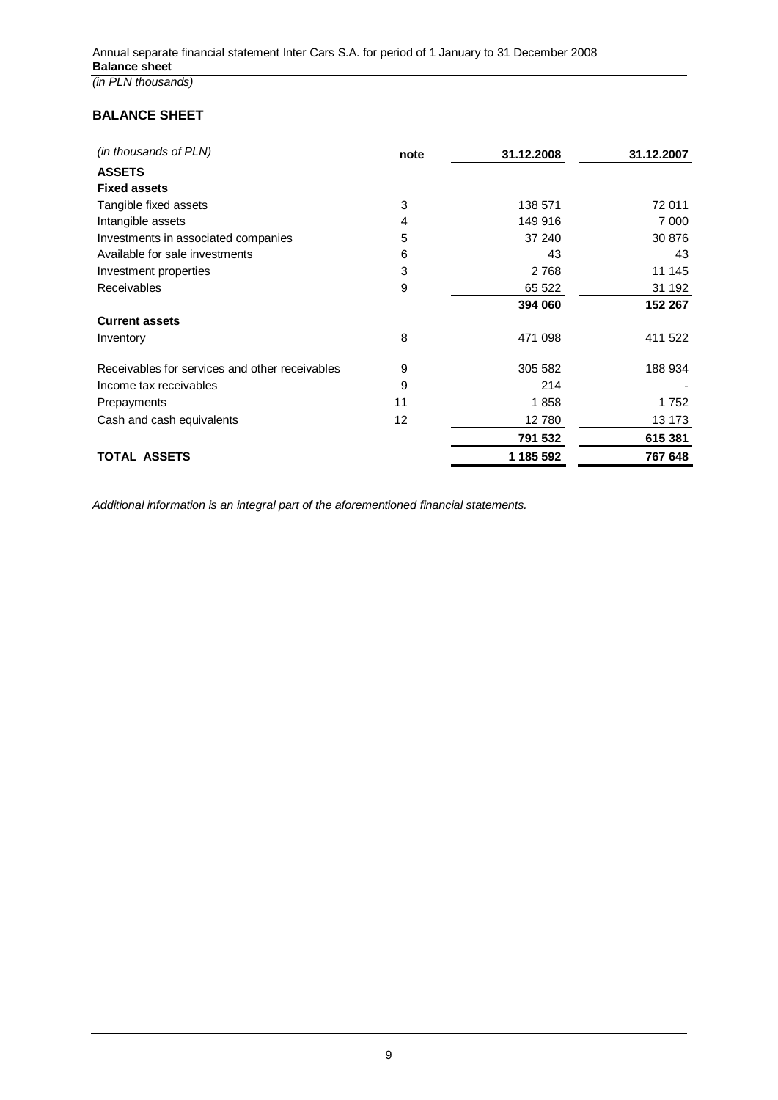# **BALANCE SHEET**

| (in thousands of PLN)                          | note | 31.12.2008 | 31.12.2007 |
|------------------------------------------------|------|------------|------------|
| <b>ASSETS</b>                                  |      |            |            |
| <b>Fixed assets</b>                            |      |            |            |
| Tangible fixed assets                          | 3    | 138 571    | 72 011     |
| Intangible assets                              | 4    | 149 916    | 7 0 0 0    |
| Investments in associated companies            | 5    | 37 240     | 30 876     |
| Available for sale investments                 | 6    | 43         | 43         |
| Investment properties                          | 3    | 2768       | 11 145     |
| Receivables                                    | 9    | 65 522     | 31 192     |
|                                                |      | 394 060    | 152 267    |
| <b>Current assets</b>                          |      |            |            |
| Inventory                                      | 8    | 471 098    | 411 522    |
| Receivables for services and other receivables | 9    | 305 582    | 188 934    |
| Income tax receivables                         | 9    | 214        |            |
| Prepayments                                    | 11   | 1858       | 1752       |
| Cash and cash equivalents                      | 12   | 12780      | 13 173     |
|                                                |      | 791 532    | 615 381    |
| TOTAL ASSETS                                   |      | 1 185 592  | 767 648    |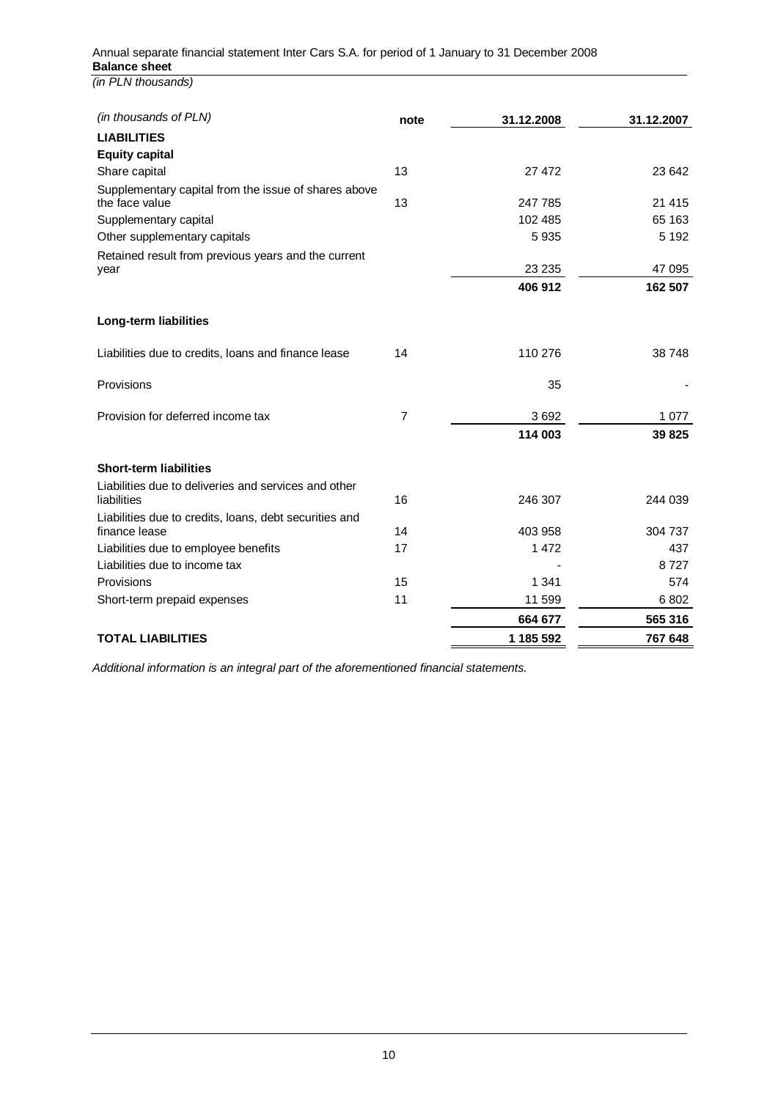| (in thousands of PLN)                                  | note           | 31.12.2008 | 31.12.2007 |
|--------------------------------------------------------|----------------|------------|------------|
| <b>LIABILITIES</b>                                     |                |            |            |
| <b>Equity capital</b>                                  |                |            |            |
| Share capital                                          | 13             | 27 472     | 23 642     |
| Supplementary capital from the issue of shares above   |                |            |            |
| the face value                                         | 13             | 247 785    | 21 4 15    |
| Supplementary capital                                  |                | 102 485    | 65 163     |
| Other supplementary capitals                           |                | 5935       | 5 1 9 2    |
| Retained result from previous years and the current    |                |            |            |
| year                                                   |                | 23 235     | 47 095     |
|                                                        |                | 406 912    | 162 507    |
| Long-term liabilities                                  |                |            |            |
|                                                        |                |            |            |
| Liabilities due to credits, loans and finance lease    | 14             | 110 276    | 38 748     |
| Provisions                                             |                | 35         |            |
| Provision for deferred income tax                      | $\overline{7}$ | 3692       | 1 0 7 7    |
|                                                        |                | 114 003    | 39 825     |
| <b>Short-term liabilities</b>                          |                |            |            |
| Liabilities due to deliveries and services and other   |                |            |            |
| liabilities                                            | 16             | 246 307    | 244 039    |
| Liabilities due to credits, loans, debt securities and |                |            |            |
| finance lease                                          | 14             | 403 958    | 304 737    |
| Liabilities due to employee benefits                   | 17             | 1 472      | 437        |
| Liabilities due to income tax                          |                |            | 8727       |
| Provisions                                             | 15             | 1 3 4 1    | 574        |
| Short-term prepaid expenses                            | 11             | 11 599     | 6802       |
|                                                        |                | 664 677    | 565 316    |
| <b>TOTAL LIABILITIES</b>                               |                | 1 185 592  | 767 648    |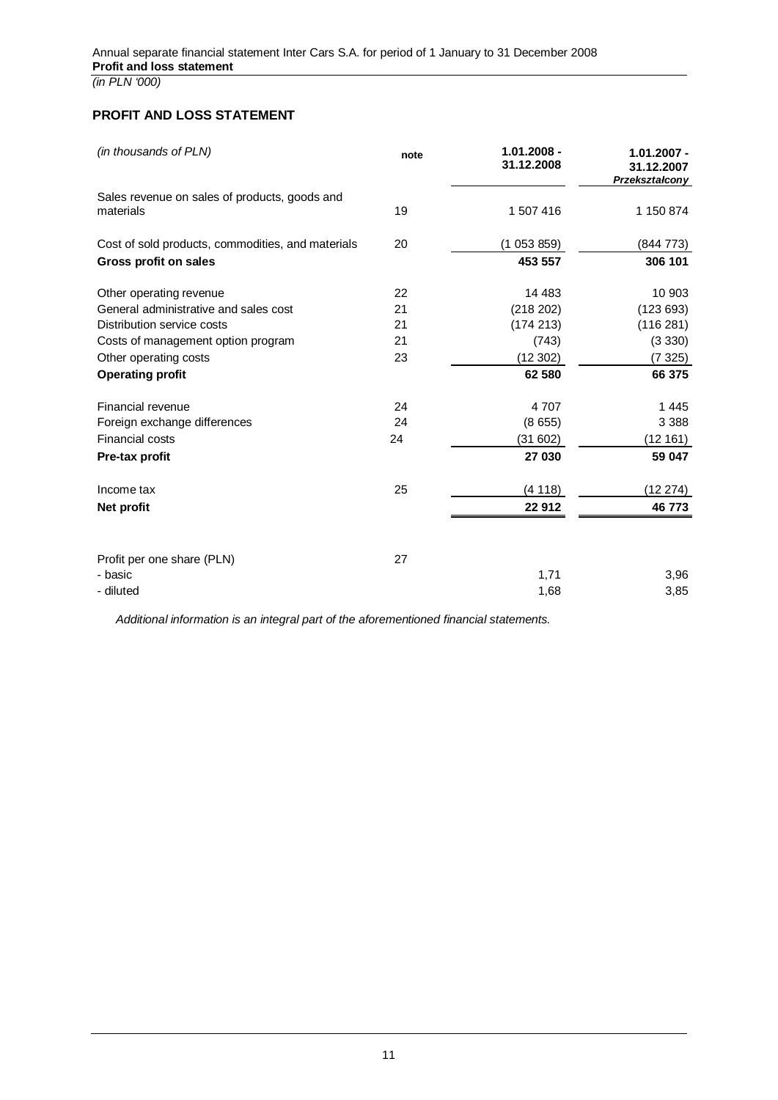## **PROFIT AND LOSS STATEMENT**

| (in thousands of PLN)                                      | note | $1.01.2008 -$<br>31.12.2008 | $1.01.2007 -$<br>31.12.2007<br>Przekształcony |
|------------------------------------------------------------|------|-----------------------------|-----------------------------------------------|
| Sales revenue on sales of products, goods and<br>materials | 19   | 1 507 416                   | 1 150 874                                     |
| Cost of sold products, commodities, and materials          | 20   | (1053859)                   | (844 773)                                     |
| <b>Gross profit on sales</b>                               |      | 453 557                     | 306 101                                       |
| Other operating revenue                                    | 22   | 14 483                      | 10 903                                        |
| General administrative and sales cost                      | 21   | (218 202)                   | (123693)                                      |
| Distribution service costs                                 | 21   | (174 213)                   | (116 281)                                     |
| Costs of management option program                         | 21   | (743)                       | (3330)                                        |
| Other operating costs                                      | 23   | (12302)                     | (7325)                                        |
| <b>Operating profit</b>                                    |      | 62 580                      | 66 375                                        |
| Financial revenue                                          | 24   | 4707                        | 1445                                          |
| Foreign exchange differences                               | 24   | (8655)                      | 3 3 8 8                                       |
| <b>Financial costs</b>                                     | 24   | (31602)                     | (12161)                                       |
| Pre-tax profit                                             |      | 27 030                      | 59 047                                        |
| Income tax                                                 | 25   | (4118)                      | (12 274)                                      |
| Net profit                                                 |      | 22 912                      | 46 773                                        |
|                                                            |      |                             |                                               |
| Profit per one share (PLN)                                 | 27   |                             |                                               |
| - basic                                                    |      | 1,71                        | 3,96                                          |
| - diluted                                                  |      | 1,68                        | 3,85                                          |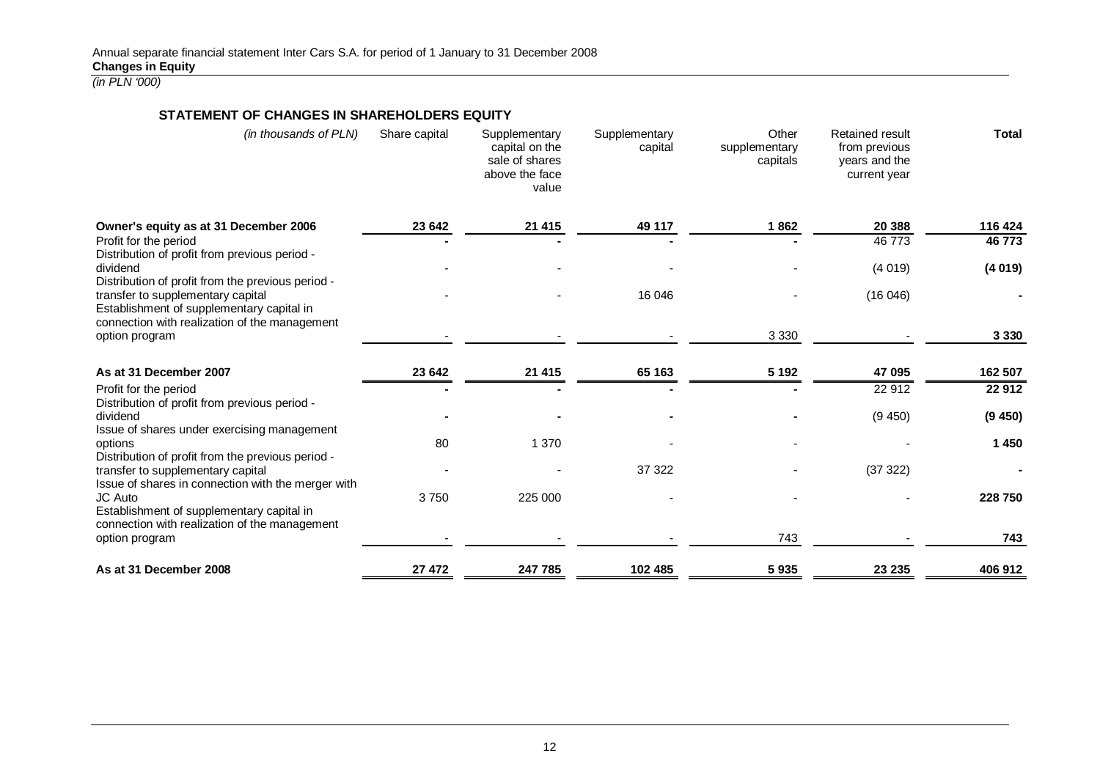### **STATEMENT OF CHANGES IN SHAREHOLDERS EQUITY**

| (in thousands of PLN)                                                                                                               | Share capital | Supplementary<br>capital on the<br>sale of shares<br>above the face<br>value | Supplementary<br>capital | Other<br>supplementary<br>capitals | <b>Retained result</b><br>from previous<br>years and the<br>current year | <b>Total</b> |
|-------------------------------------------------------------------------------------------------------------------------------------|---------------|------------------------------------------------------------------------------|--------------------------|------------------------------------|--------------------------------------------------------------------------|--------------|
| Owner's equity as at 31 December 2006                                                                                               | 23 642        | 21 415                                                                       | 49 117                   | 1862                               | 20 388                                                                   | 116 424      |
| Profit for the period<br>Distribution of profit from previous period -                                                              |               |                                                                              |                          |                                    | 46773                                                                    | 46773        |
| dividend                                                                                                                            |               |                                                                              |                          |                                    | (4019)                                                                   | (4019)       |
| Distribution of profit from the previous period -<br>transfer to supplementary capital<br>Establishment of supplementary capital in |               |                                                                              | 16 046                   |                                    | (16046)                                                                  |              |
| connection with realization of the management<br>option program                                                                     |               |                                                                              |                          | 3 3 3 0                            |                                                                          | 3 3 3 0      |
| As at 31 December 2007                                                                                                              | 23 642        | 21 4 15                                                                      | 65 163                   | 5 1 9 2                            | 47 095                                                                   | 162 507      |
| Profit for the period                                                                                                               |               |                                                                              |                          |                                    | 22 912                                                                   | 22 912       |
| Distribution of profit from previous period -<br>dividend<br>Issue of shares under exercising management                            |               |                                                                              |                          |                                    | (9450)                                                                   | (9450)       |
| options<br>Distribution of profit from the previous period -                                                                        | 80            | 1 370                                                                        |                          |                                    |                                                                          | 1 450        |
| transfer to supplementary capital<br>Issue of shares in connection with the merger with                                             |               |                                                                              | 37 322                   |                                    | (37322)                                                                  |              |
| JC Auto<br>Establishment of supplementary capital in<br>connection with realization of the management                               | 3750          | 225 000                                                                      |                          |                                    |                                                                          | 228 750      |
| option program                                                                                                                      |               |                                                                              |                          | 743                                |                                                                          | 743          |
| As at 31 December 2008                                                                                                              | 27 472        | 247 785                                                                      | 102 485                  | 5935                               | 23 235                                                                   | 406 912      |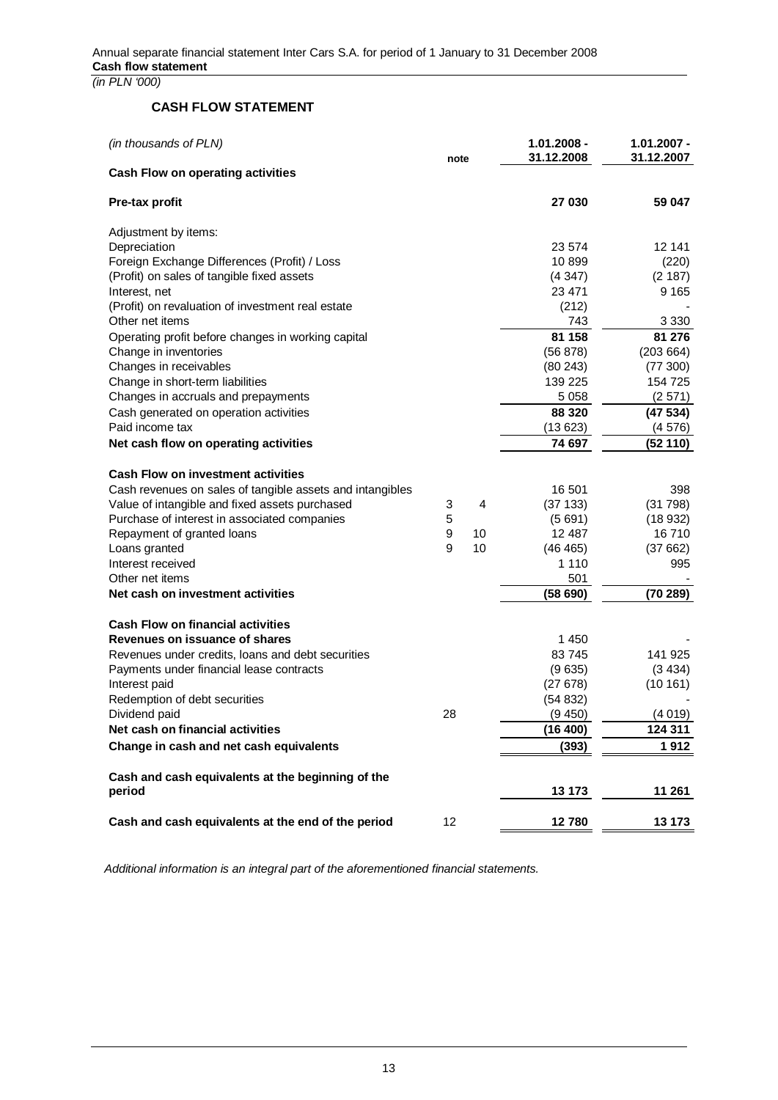## **CASH FLOW STATEMENT**

| (in thousands of PLN)                                                   | note | $1.01.2008 -$<br>31.12.2008 |                   | $1.01.2007 -$<br>31.12.2007 |  |
|-------------------------------------------------------------------------|------|-----------------------------|-------------------|-----------------------------|--|
| <b>Cash Flow on operating activities</b>                                |      |                             |                   |                             |  |
| Pre-tax profit                                                          |      |                             | 27 030            | 59 047                      |  |
| Adjustment by items:                                                    |      |                             |                   |                             |  |
| Depreciation                                                            |      |                             | 23 574            | 12 141                      |  |
| Foreign Exchange Differences (Profit) / Loss                            |      |                             | 10899             | (220)                       |  |
| (Profit) on sales of tangible fixed assets                              |      |                             | (4347)            | (2 187)                     |  |
| Interest, net                                                           |      |                             | 23 4 71           | 9 1 6 5                     |  |
| (Profit) on revaluation of investment real estate                       |      |                             | (212)             |                             |  |
| Other net items                                                         |      |                             | 743               | 3 3 3 0                     |  |
| Operating profit before changes in working capital                      |      |                             | 81 158            | 81 276                      |  |
| Change in inventories                                                   |      |                             | (56 878)          | (203664)                    |  |
| Changes in receivables                                                  |      |                             | (80243)           | (77300)                     |  |
| Change in short-term liabilities<br>Changes in accruals and prepayments |      |                             | 139 225           | 154 725                     |  |
|                                                                         |      |                             | 5 0 5 8<br>88 320 | (2571)                      |  |
| Cash generated on operation activities<br>Paid income tax               |      |                             |                   | (47534)                     |  |
|                                                                         |      |                             | (13623)           | (4576)                      |  |
| Net cash flow on operating activities                                   |      |                             | 74 697            | (52 110)                    |  |
| <b>Cash Flow on investment activities</b>                               |      |                             |                   |                             |  |
| Cash revenues on sales of tangible assets and intangibles               |      |                             | 16 501            | 398                         |  |
| Value of intangible and fixed assets purchased                          | 3    | 4                           | (37133)           | (31798)                     |  |
| Purchase of interest in associated companies                            | 5    |                             | (5691)            | (18932)                     |  |
| Repayment of granted loans                                              | 9    | 10                          | 12 4 8 7          | 16710                       |  |
| Loans granted                                                           | 9    | 10                          | (46 465)          | (37662)                     |  |
| Interest received                                                       |      |                             | 1 1 1 0           | 995                         |  |
| Other net items                                                         |      |                             | 501               |                             |  |
| Net cash on investment activities                                       |      |                             | (58690)           | (70289)                     |  |
| <b>Cash Flow on financial activities</b>                                |      |                             |                   |                             |  |
| Revenues on issuance of shares                                          |      |                             | 1450              |                             |  |
| Revenues under credits, loans and debt securities                       |      |                             | 83745             | 141 925                     |  |
| Payments under financial lease contracts                                |      |                             | (9635)            | (3434)                      |  |
| Interest paid                                                           |      |                             | (27678)           | (10161)                     |  |
| Redemption of debt securities                                           |      |                             | (54832)           |                             |  |
| Dividend paid                                                           | 28   |                             | (9450)            | (4019)                      |  |
| Net cash on financial activities                                        |      |                             | (16 400)          | 124 311                     |  |
| Change in cash and net cash equivalents                                 |      |                             | (393)             | 1912                        |  |
|                                                                         |      |                             |                   |                             |  |
| Cash and cash equivalents at the beginning of the                       |      |                             |                   |                             |  |
| period                                                                  |      |                             | 13 173            | 11 261                      |  |
| Cash and cash equivalents at the end of the period                      | 12   |                             | 12780             | 13 173                      |  |
|                                                                         |      |                             |                   |                             |  |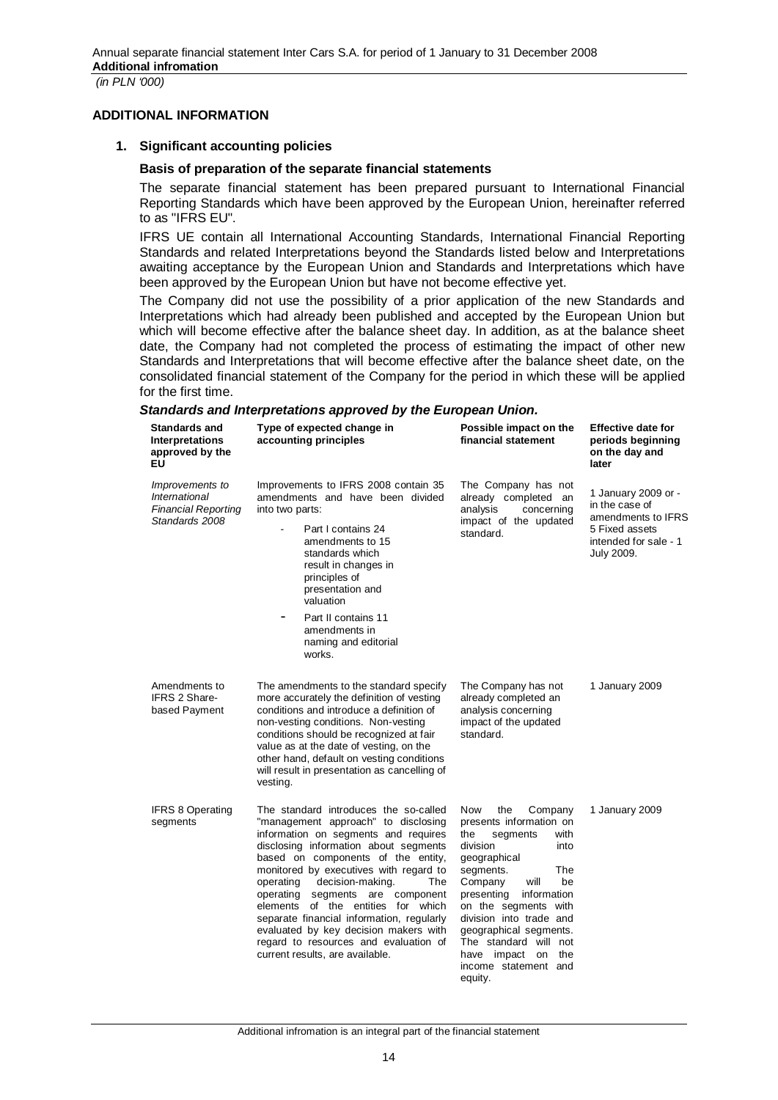#### **ADDITIONAL INFORMATION**

#### **1. Significant accounting policies**

#### **Basis of preparation of the separate financial statements**

The separate financial statement has been prepared pursuant to International Financial Reporting Standards which have been approved by the European Union, hereinafter referred to as "IFRS EU".

IFRS UE contain all International Accounting Standards, International Financial Reporting Standards and related Interpretations beyond the Standards listed below and Interpretations awaiting acceptance by the European Union and Standards and Interpretations which have been approved by the European Union but have not become effective yet.

The Company did not use the possibility of a prior application of the new Standards and Interpretations which had already been published and accepted by the European Union but which will become effective after the balance sheet day. In addition, as at the balance sheet date, the Company had not completed the process of estimating the impact of other new Standards and Interpretations that will become effective after the balance sheet date, on the consolidated financial statement of the Company for the period in which these will be applied for the first time.

### *Standards and Interpretations approved by the European Union.*

| <b>Standards and</b><br><b>Interpretations</b><br>approved by the<br>ΕU                 | Type of expected change in<br>accounting principles                                                                                                                                                                                                                                                                                                                                                                                                                                                                               | Possible impact on the<br>financial statement                                                                                                                                                                                                                                                                                                               | <b>Effective date for</b><br>periods beginning<br>on the day and<br>later                                            |
|-----------------------------------------------------------------------------------------|-----------------------------------------------------------------------------------------------------------------------------------------------------------------------------------------------------------------------------------------------------------------------------------------------------------------------------------------------------------------------------------------------------------------------------------------------------------------------------------------------------------------------------------|-------------------------------------------------------------------------------------------------------------------------------------------------------------------------------------------------------------------------------------------------------------------------------------------------------------------------------------------------------------|----------------------------------------------------------------------------------------------------------------------|
| <i>Improvements to</i><br>International<br><b>Financial Reporting</b><br>Standards 2008 | Improvements to IFRS 2008 contain 35<br>amendments and have been divided<br>into two parts:<br>Part I contains 24<br>amendments to 15<br>standards which<br>result in changes in<br>principles of<br>presentation and<br>valuation<br>Part II contains 11<br>amendments in<br>naming and editorial<br>works.                                                                                                                                                                                                                      | The Company has not<br>already completed an<br>analysis<br>concerning<br>impact of the updated<br>standard.                                                                                                                                                                                                                                                 | 1 January 2009 or -<br>in the case of<br>amendments to IFRS<br>5 Fixed assets<br>intended for sale - 1<br>July 2009. |
| Amendments to<br><b>IFRS 2 Share-</b><br>based Payment                                  | The amendments to the standard specify<br>more accurately the definition of vesting<br>conditions and introduce a definition of<br>non-vesting conditions. Non-vesting<br>conditions should be recognized at fair<br>value as at the date of vesting, on the<br>other hand, default on vesting conditions<br>will result in presentation as cancelling of<br>vesting.                                                                                                                                                             | The Company has not<br>already completed an<br>analysis concerning<br>impact of the updated<br>standard.                                                                                                                                                                                                                                                    | 1 January 2009                                                                                                       |
| <b>IFRS 8 Operating</b><br>segments                                                     | The standard introduces the so-called<br>"management approach" to disclosing<br>information on segments and requires<br>disclosing information about segments<br>based on components of the entity,<br>monitored by executives with regard to<br>decision-making.<br>The<br>operating<br>operating segments are component<br>elements of the entities for which<br>separate financial information, regularly<br>evaluated by key decision makers with<br>regard to resources and evaluation of<br>current results, are available. | Now<br>the<br>Company<br>presents information on<br>the<br>segments<br>with<br>division<br>into<br>geographical<br>segments.<br>The<br>Company<br>will<br>be<br>presenting<br>information<br>on the segments with<br>division into trade and<br>geographical segments.<br>The standard will not<br>have impact on<br>the<br>income statement and<br>equity. | 1 January 2009                                                                                                       |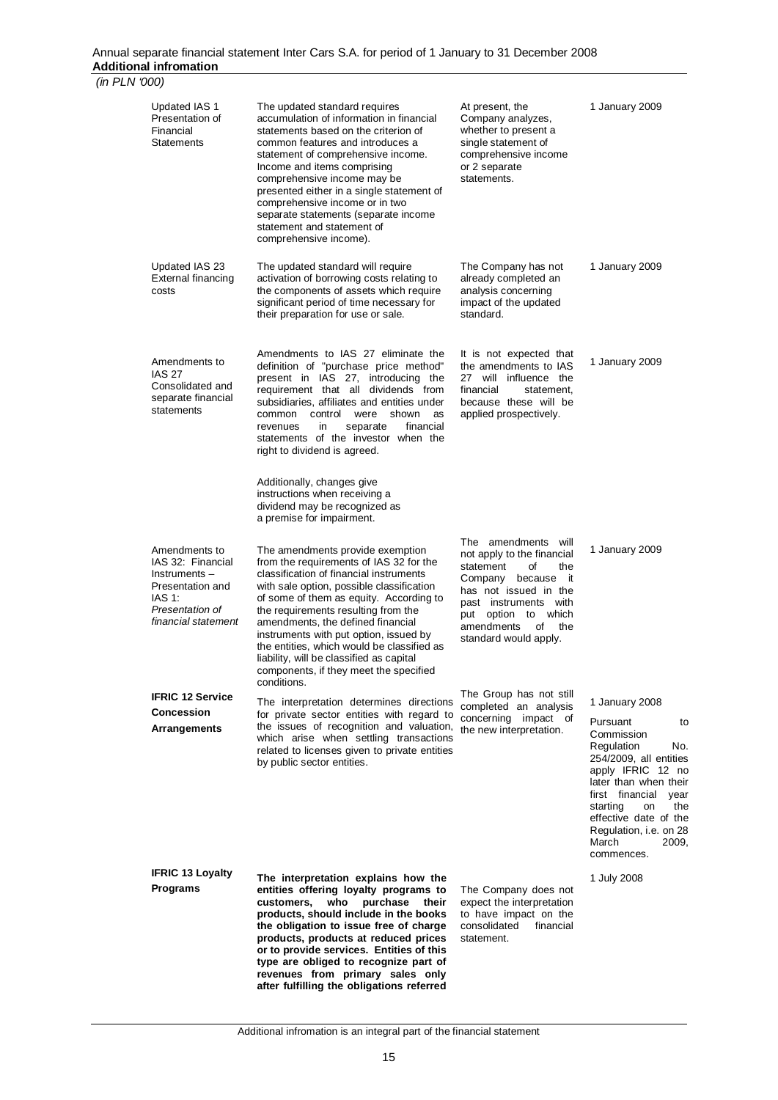| (in PLN '000) |                                                                                                                            |                                                                                                                                                                                                                                                                                                                                                                                                                                                                                         |                                                                                                                                                                                                                                      |                                                                                                                                                                                                                                                                  |
|---------------|----------------------------------------------------------------------------------------------------------------------------|-----------------------------------------------------------------------------------------------------------------------------------------------------------------------------------------------------------------------------------------------------------------------------------------------------------------------------------------------------------------------------------------------------------------------------------------------------------------------------------------|--------------------------------------------------------------------------------------------------------------------------------------------------------------------------------------------------------------------------------------|------------------------------------------------------------------------------------------------------------------------------------------------------------------------------------------------------------------------------------------------------------------|
|               | Updated IAS 1<br>Presentation of<br>Financial<br>Statements                                                                | The updated standard requires<br>accumulation of information in financial<br>statements based on the criterion of<br>common features and introduces a<br>statement of comprehensive income.<br>Income and items comprising<br>comprehensive income may be<br>presented either in a single statement of<br>comprehensive income or in two<br>separate statements (separate income<br>statement and statement of<br>comprehensive income).                                                | At present, the<br>Company analyzes,<br>whether to present a<br>single statement of<br>comprehensive income<br>or 2 separate<br>statements.                                                                                          | 1 January 2009                                                                                                                                                                                                                                                   |
|               | Updated IAS 23<br>External financing<br>costs                                                                              | The updated standard will require<br>activation of borrowing costs relating to<br>the components of assets which require<br>significant period of time necessary for<br>their preparation for use or sale.                                                                                                                                                                                                                                                                              | The Company has not<br>already completed an<br>analysis concerning<br>impact of the updated<br>standard.                                                                                                                             | 1 January 2009                                                                                                                                                                                                                                                   |
|               | Amendments to<br><b>IAS 27</b><br>Consolidated and<br>separate financial<br>statements                                     | Amendments to IAS 27 eliminate the<br>definition of "purchase price method"<br>present in IAS 27, introducing the<br>requirement that all dividends from<br>subsidiaries, affiliates and entities under<br>shown<br>common<br>control<br>were<br>as<br>financial<br>in.<br>separate<br>revenues<br>statements of the investor when the<br>right to dividend is agreed.                                                                                                                  | It is not expected that<br>the amendments to IAS<br>27 will influence the<br>financial<br>statement,<br>because these will be<br>applied prospectively.                                                                              | 1 January 2009                                                                                                                                                                                                                                                   |
|               |                                                                                                                            | Additionally, changes give<br>instructions when receiving a<br>dividend may be recognized as<br>a premise for impairment.                                                                                                                                                                                                                                                                                                                                                               |                                                                                                                                                                                                                                      |                                                                                                                                                                                                                                                                  |
|               | Amendments to<br>IAS 32: Financial<br>Instruments-<br>Presentation and<br>IAS 1:<br>Presentation of<br>financial statement | The amendments provide exemption<br>from the requirements of IAS 32 for the<br>classification of financial instruments<br>with sale option, possible classification<br>of some of them as equity. According to<br>the requirements resulting from the<br>amendments, the defined financial<br>instruments with put option, issued by<br>the entities, which would be classified as<br>liability, will be classified as capital<br>components, if they meet the specified<br>conditions. | The amendments<br>will<br>not apply to the financial<br>statement<br>of<br>the<br>Company because<br>it<br>has not issued in the<br>past instruments with<br>put option to which<br>amendments<br>οf<br>the<br>standard would apply. | 1 January 2009                                                                                                                                                                                                                                                   |
|               | <b>IFRIC 12 Service</b>                                                                                                    | The interpretation determines directions                                                                                                                                                                                                                                                                                                                                                                                                                                                | The Group has not still<br>completed an analysis                                                                                                                                                                                     | 1 January 2008                                                                                                                                                                                                                                                   |
|               | <b>Concession</b><br>Arrangements                                                                                          | for private sector entities with regard to<br>the issues of recognition and valuation,<br>which arise when settling transactions<br>related to licenses given to private entities<br>by public sector entities.                                                                                                                                                                                                                                                                         | concerning impact of<br>the new interpretation.                                                                                                                                                                                      | Pursuant<br>to<br>Commission<br>Regulation<br>No.<br>254/2009, all entities<br>apply IFRIC 12 no<br>later than when their<br>first financial<br>year<br>starting<br>on<br>the<br>effective date of the<br>Regulation, i.e. on 28<br>March<br>2009,<br>commences. |
|               | <b>IFRIC 13 Loyalty</b><br><b>Programs</b>                                                                                 | The interpretation explains how the<br>entities offering loyalty programs to<br>who<br>purchase<br>customers,<br>their<br>products, should include in the books<br>the obligation to issue free of charge<br>products, products at reduced prices<br>or to provide services. Entities of this<br>type are obliged to recognize part of<br>revenues from primary sales only<br>after fulfilling the obligations referred                                                                 | The Company does not<br>expect the interpretation<br>to have impact on the<br>consolidated<br>financial<br>statement.                                                                                                                | 1 July 2008                                                                                                                                                                                                                                                      |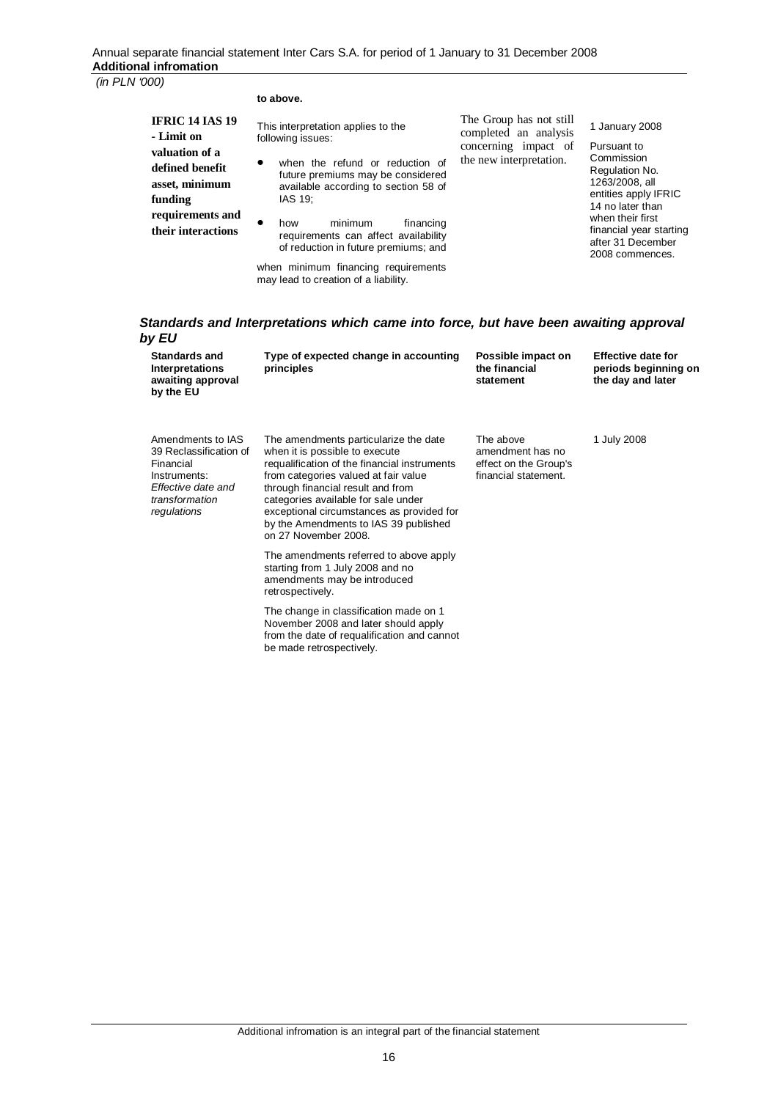#### **to above.**

| <b>IFRIC 14 IAS 19</b><br>- Limit on<br>valuation of a<br>defined benefit<br>asset, minimum<br>funding | This interpretation applies to the<br>following issues:<br>when the refund or reduction of<br>$\bullet$<br>future premiums may be considered<br>available according to section 58 of<br>IAS 19: | The Group has not still<br>completed an analysis<br>concerning impact of<br>the new interpretation. | 1 January 2008<br>Pursuant to<br>Commission<br>Regulation No.<br>1263/2008, all<br>entities apply IF<br>14 no later than |
|--------------------------------------------------------------------------------------------------------|-------------------------------------------------------------------------------------------------------------------------------------------------------------------------------------------------|-----------------------------------------------------------------------------------------------------|--------------------------------------------------------------------------------------------------------------------------|
| requirements and<br>their interactions                                                                 | minimum<br>financing<br>how<br>requirements can affect availability<br>of reduction in future premiums; and                                                                                     |                                                                                                     | when their first<br>financial year st<br>after 31 Decemb                                                                 |

when minimum financing requirements may lead to creation of a liability.

be made retrospectively.

FRIC 14 no later than ่<br>เหนือ<br>ก่อย after 31 December 2008 commences.

#### *Standards and Interpretations which came into force, but have been awaiting approval by EU*

| <b>Standards and</b><br>Interpretations<br>awaiting approval<br>by the EU                                                       | Type of expected change in accounting<br>principles                                                                                                                                                                                                                                                                                                       | Possible impact on<br>the financial<br>statement                               | <b>Effective date for</b><br>periods beginning on<br>the day and later |
|---------------------------------------------------------------------------------------------------------------------------------|-----------------------------------------------------------------------------------------------------------------------------------------------------------------------------------------------------------------------------------------------------------------------------------------------------------------------------------------------------------|--------------------------------------------------------------------------------|------------------------------------------------------------------------|
| Amendments to IAS<br>39 Reclassification of<br>Financial<br>Instruments:<br>Effective date and<br>transformation<br>regulations | The amendments particularize the date<br>when it is possible to execute<br>requalification of the financial instruments<br>from categories valued at fair value<br>through financial result and from<br>categories available for sale under<br>exceptional circumstances as provided for<br>by the Amendments to IAS 39 published<br>on 27 November 2008. | The above<br>amendment has no<br>effect on the Group's<br>financial statement. | 1 July 2008                                                            |
|                                                                                                                                 | The amendments referred to above apply<br>starting from 1 July 2008 and no<br>amendments may be introduced<br>retrospectively.                                                                                                                                                                                                                            |                                                                                |                                                                        |
|                                                                                                                                 | The change in classification made on 1<br>November 2008 and later should apply<br>from the date of requalification and cannot                                                                                                                                                                                                                             |                                                                                |                                                                        |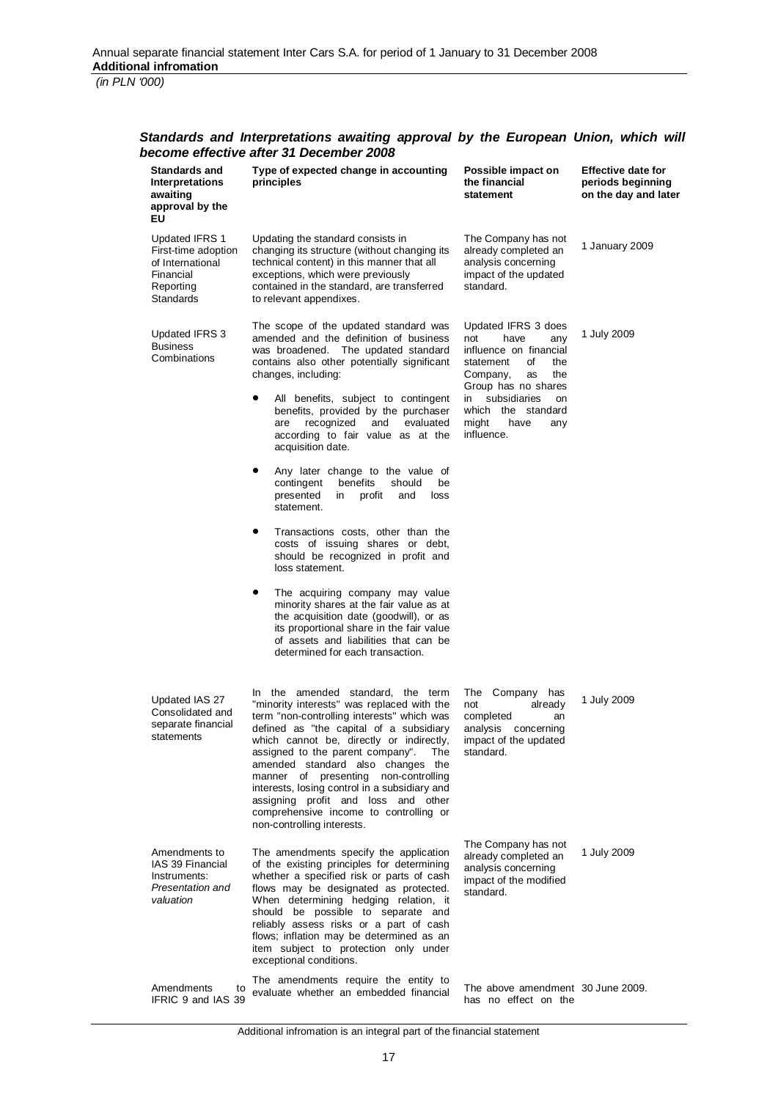### *Standards and Interpretations awaiting approval by the European Union, which will become effective after 31 December 2008*

| <b>Standards and</b><br><b>Interpretations</b><br>awaiting<br>approval by the<br>ΕU                     | Type of expected change in accounting<br>principles                                                                                                                                                                                                                                                                                                                                                                                                                                                                | Possible impact on<br>the financial<br>statement                                                                           | <b>Effective date for</b><br>periods beginning<br>on the day and later |  |  |  |  |  |  |  |
|---------------------------------------------------------------------------------------------------------|--------------------------------------------------------------------------------------------------------------------------------------------------------------------------------------------------------------------------------------------------------------------------------------------------------------------------------------------------------------------------------------------------------------------------------------------------------------------------------------------------------------------|----------------------------------------------------------------------------------------------------------------------------|------------------------------------------------------------------------|--|--|--|--|--|--|--|
| <b>Updated IFRS 1</b><br>First-time adoption<br>of International<br>Financial<br>Reporting<br>Standards | Updating the standard consists in<br>changing its structure (without changing its<br>technical content) in this manner that all<br>exceptions, which were previously<br>contained in the standard, are transferred<br>to relevant appendixes.                                                                                                                                                                                                                                                                      | The Company has not<br>already completed an<br>analysis concerning<br>impact of the updated<br>standard.                   | 1 January 2009                                                         |  |  |  |  |  |  |  |
| Updated IFRS 3<br><b>Business</b><br>Combinations                                                       | The scope of the updated standard was<br>amended and the definition of business<br>was broadened. The updated standard<br>contains also other potentially significant<br>changes, including:                                                                                                                                                                                                                                                                                                                       | Updated IFRS 3 does<br>not<br>have<br>any<br>influence on financial<br>statement<br>οf<br>the<br>Company,<br>the<br>as     | 1 July 2009                                                            |  |  |  |  |  |  |  |
|                                                                                                         | All benefits, subject to contingent<br>benefits, provided by the purchaser<br>recognized<br>and<br>evaluated<br>are<br>according to fair value as at the<br>acquisition date.                                                                                                                                                                                                                                                                                                                                      | Group has no shares<br>subsidiaries<br>in.<br>on<br>which the standard<br>might<br>have<br>any<br>influence.               |                                                                        |  |  |  |  |  |  |  |
|                                                                                                         | Any later change to the value of<br>٠<br>benefits<br>contingent<br>should<br>be<br>presented<br>in<br>profit<br>and<br>loss<br>statement.                                                                                                                                                                                                                                                                                                                                                                          |                                                                                                                            |                                                                        |  |  |  |  |  |  |  |
|                                                                                                         | Transactions costs, other than the<br>costs of issuing shares or debt,<br>should be recognized in profit and<br>loss statement.                                                                                                                                                                                                                                                                                                                                                                                    |                                                                                                                            |                                                                        |  |  |  |  |  |  |  |
|                                                                                                         | The acquiring company may value<br>minority shares at the fair value as at<br>the acquisition date (goodwill), or as<br>its proportional share in the fair value<br>of assets and liabilities that can be<br>determined for each transaction.                                                                                                                                                                                                                                                                      |                                                                                                                            |                                                                        |  |  |  |  |  |  |  |
| Updated IAS 27<br>Consolidated and<br>separate financial<br>statements                                  | In the amended standard, the term<br>"minority interests" was replaced with the<br>term "non-controlling interests" which was<br>defined as "the capital of a subsidiary<br>which cannot be, directly or indirectly,<br>assigned to the parent company".<br>The<br>amended standard also changes<br>the<br>presenting non-controlling<br>manner of<br>interests, losing control in a subsidiary and<br>assigning profit and loss and other<br>comprehensive income to controlling or<br>non-controlling interests. | The<br>Company<br>has<br>already<br>not<br>completed<br>an<br>analysis<br>concerning<br>impact of the updated<br>standard. | 1 July 2009                                                            |  |  |  |  |  |  |  |
| Amendments to<br>IAS 39 Financial<br>Instruments:<br>Presentation and<br>valuation                      | The amendments specify the application<br>of the existing principles for determining<br>whether a specified risk or parts of cash<br>flows may be designated as protected.<br>When determining hedging relation, it<br>should be possible to separate and<br>reliably assess risks or a part of cash<br>flows; inflation may be determined as an<br>item subject to protection only under<br>exceptional conditions.                                                                                               | The Company has not<br>already completed an<br>analysis concerning<br>impact of the modified<br>standard.                  | 1 July 2009                                                            |  |  |  |  |  |  |  |
| Amendments<br>to<br>IFRIC 9 and IAS 39                                                                  | The amendments require the entity to<br>evaluate whether an embedded financial                                                                                                                                                                                                                                                                                                                                                                                                                                     | The above amendment 30 June 2009.<br>has no effect on the                                                                  |                                                                        |  |  |  |  |  |  |  |

Additional infromation is an integral part of the financial statement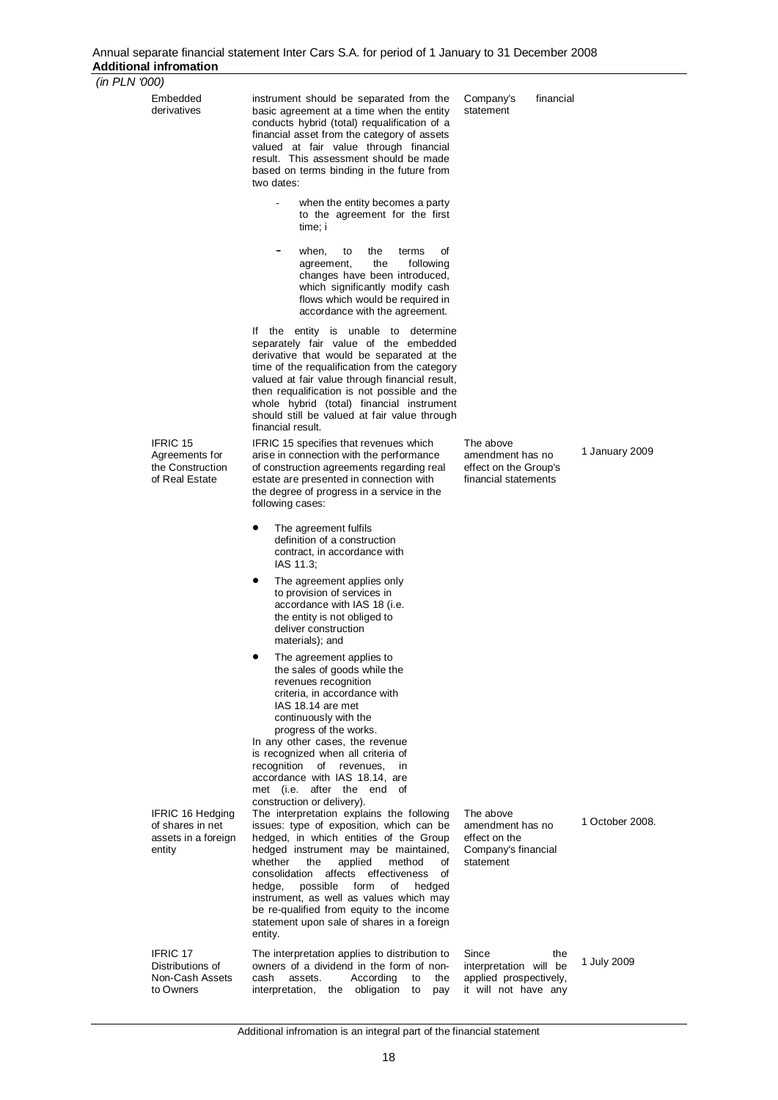#### Annual separate financial statement Inter Cars S.A. for period of 1 January to 31 December 2008 **Additional infromation**

 *(in PLN '000)* 

| (III I LIV UUV) |                                                                              |                                                                                                                                                                                                                                                                                                                                                                                                                                                                                                   |                                                                                          |                 |
|-----------------|------------------------------------------------------------------------------|---------------------------------------------------------------------------------------------------------------------------------------------------------------------------------------------------------------------------------------------------------------------------------------------------------------------------------------------------------------------------------------------------------------------------------------------------------------------------------------------------|------------------------------------------------------------------------------------------|-----------------|
|                 | Embedded<br>derivatives                                                      | instrument should be separated from the<br>basic agreement at a time when the entity<br>conducts hybrid (total) requalification of a<br>financial asset from the category of assets<br>valued at fair value through financial<br>result. This assessment should be made<br>based on terms binding in the future from<br>two dates:                                                                                                                                                                | Company's<br>financial<br>statement                                                      |                 |
|                 |                                                                              | when the entity becomes a party<br>to the agreement for the first<br>time; i                                                                                                                                                                                                                                                                                                                                                                                                                      |                                                                                          |                 |
|                 |                                                                              | when,<br>the<br>οf<br>to<br>terms<br>the<br>following<br>agreement,<br>changes have been introduced,<br>which significantly modify cash<br>flows which would be required in<br>accordance with the agreement.                                                                                                                                                                                                                                                                                     |                                                                                          |                 |
|                 |                                                                              | If the entity is unable to determine<br>separately fair value of the embedded<br>derivative that would be separated at the<br>time of the requalification from the category<br>valued at fair value through financial result,<br>then requalification is not possible and the<br>whole hybrid (total) financial instrument<br>should still be valued at fair value through<br>financial result.                                                                                                   |                                                                                          |                 |
|                 | <b>IFRIC 15</b><br>Agreements for<br>the Construction<br>of Real Estate      | IFRIC 15 specifies that revenues which<br>arise in connection with the performance<br>of construction agreements regarding real<br>estate are presented in connection with<br>the degree of progress in a service in the<br>following cases:                                                                                                                                                                                                                                                      | The above<br>amendment has no<br>effect on the Group's<br>financial statements           | 1 January 2009  |
|                 |                                                                              | $\bullet$<br>The agreement fulfils<br>definition of a construction<br>contract, in accordance with<br>IAS 11.3;                                                                                                                                                                                                                                                                                                                                                                                   |                                                                                          |                 |
|                 |                                                                              | ٠<br>The agreement applies only<br>to provision of services in<br>accordance with IAS 18 (i.e.<br>the entity is not obliged to<br>deliver construction<br>materials); and                                                                                                                                                                                                                                                                                                                         |                                                                                          |                 |
|                 |                                                                              | The agreement applies to<br>the sales of goods while the<br>revenues recognition<br>criteria, in accordance with<br>IAS 18.14 are met<br>continuously with the<br>progress of the works.                                                                                                                                                                                                                                                                                                          |                                                                                          |                 |
|                 |                                                                              | In any other cases, the revenue<br>is recognized when all criteria of<br>recognition<br>of revenues,<br>in<br>accordance with IAS 18.14, are<br>met (i.e. after the end of                                                                                                                                                                                                                                                                                                                        |                                                                                          |                 |
|                 | <b>IFRIC 16 Hedging</b><br>of shares in net<br>assets in a foreign<br>entity | construction or delivery).<br>The interpretation explains the following<br>issues: type of exposition, which can be<br>hedged, in which entities of the Group<br>hedged instrument may be maintained,<br>whether<br>applied<br>method<br>the<br>οf<br>affects effectiveness<br>consolidation<br>οf<br>possible<br>form<br>hedged<br>hedge,<br>of<br>instrument, as well as values which may<br>be re-qualified from equity to the income<br>statement upon sale of shares in a foreign<br>entity. | The above<br>amendment has no<br>effect on the<br>Company's financial<br>statement       | 1 October 2008. |
|                 | <b>IFRIC 17</b><br>Distributions of<br>Non-Cash Assets<br>to Owners          | The interpretation applies to distribution to<br>owners of a dividend in the form of non-<br>cash<br>According<br>assets.<br>to<br>the<br>interpretation, the obligation<br>to<br>pay                                                                                                                                                                                                                                                                                                             | Since<br>the<br>interpretation will be<br>applied prospectively,<br>it will not have any | 1 July 2009     |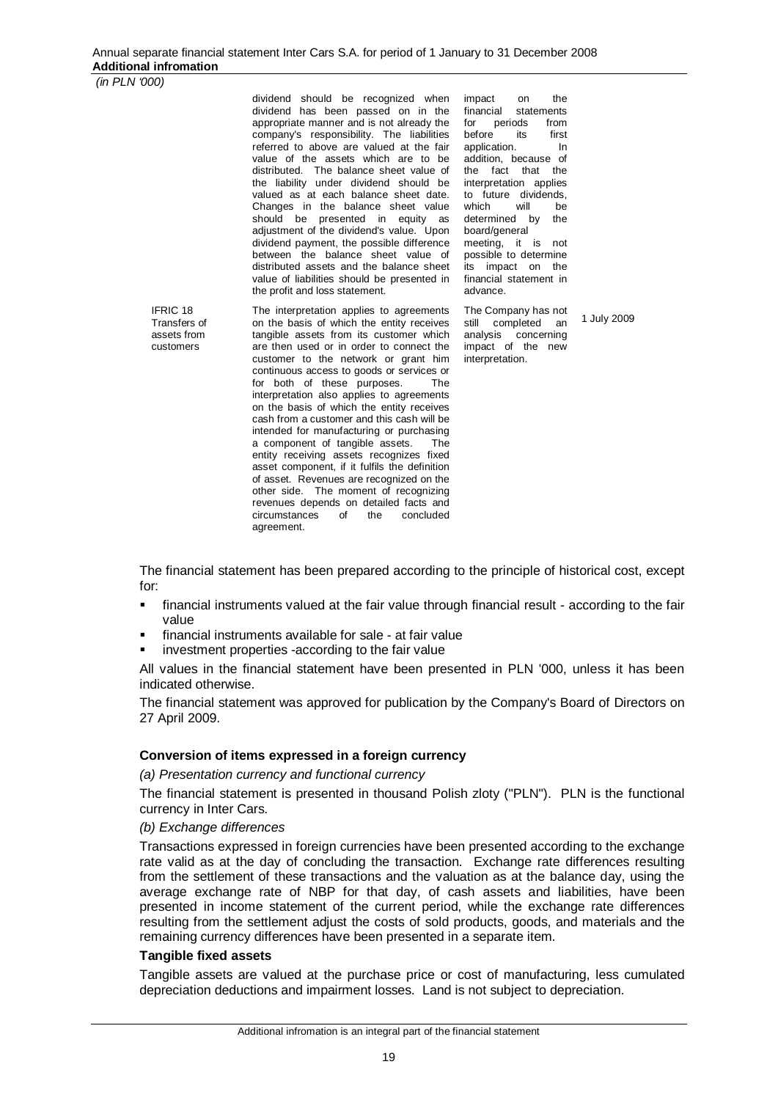dividend should be recognized when dividend has been passed on in the appropriate manner and is not already the company's responsibility. The liabilities referred to above are valued at the fair value of the assets which are to be distributed. The balance sheet value of the liability under dividend should be valued as at each balance sheet date. Changes in the balance sheet value should be presented in equity as adjustment of the dividend's value. Upon dividend payment, the possible difference between the balance sheet value of distributed assets and the balance sheet value of liabilities should be presented in the profit and loss statement.

IFRIC 18 Transfers of assets from customers

The interpretation applies to agreements on the basis of which the entity receives tangible assets from its customer which are then used or in order to connect the customer to the network or grant him continuous access to goods or services or for both of these purposes. The interpretation also applies to agreements on the basis of which the entity receives cash from a customer and this cash will be intended for manufacturing or purchasing a component of tangible assets. The entity receiving assets recognizes fixed asset component, if it fulfils the definition of asset. Revenues are recognized on the other side. The moment of recognizing revenues depends on detailed facts and circumstances of the concluded agreement.

impact on the<br>financial statements statements for periods from<br>before its first before application. In addition, because of the fact that the interpretation applies to future dividends,<br>which will be which will be determined by the board/general meeting, it is not possible to determine its impact on the financial statement in advance.

The Company has not still completed an analysis concerning impact of the new interpretation.

1 July 2009

The financial statement has been prepared according to the principle of historical cost, except for:

- financial instruments valued at the fair value through financial result according to the fair value
- financial instruments available for sale at fair value
- investment properties -according to the fair value

All values in the financial statement have been presented in PLN '000, unless it has been indicated otherwise.

The financial statement was approved for publication by the Company's Board of Directors on 27 April 2009.

#### **Conversion of items expressed in a foreign currency**

*(a) Presentation currency and functional currency* 

The financial statement is presented in thousand Polish zloty ("PLN"). PLN is the functional currency in Inter Cars.

#### *(b) Exchange differences*

Transactions expressed in foreign currencies have been presented according to the exchange rate valid as at the day of concluding the transaction. Exchange rate differences resulting from the settlement of these transactions and the valuation as at the balance day, using the average exchange rate of NBP for that day, of cash assets and liabilities, have been presented in income statement of the current period, while the exchange rate differences resulting from the settlement adjust the costs of sold products, goods, and materials and the remaining currency differences have been presented in a separate item.

#### **Tangible fixed assets**

Tangible assets are valued at the purchase price or cost of manufacturing, less cumulated depreciation deductions and impairment losses. Land is not subject to depreciation.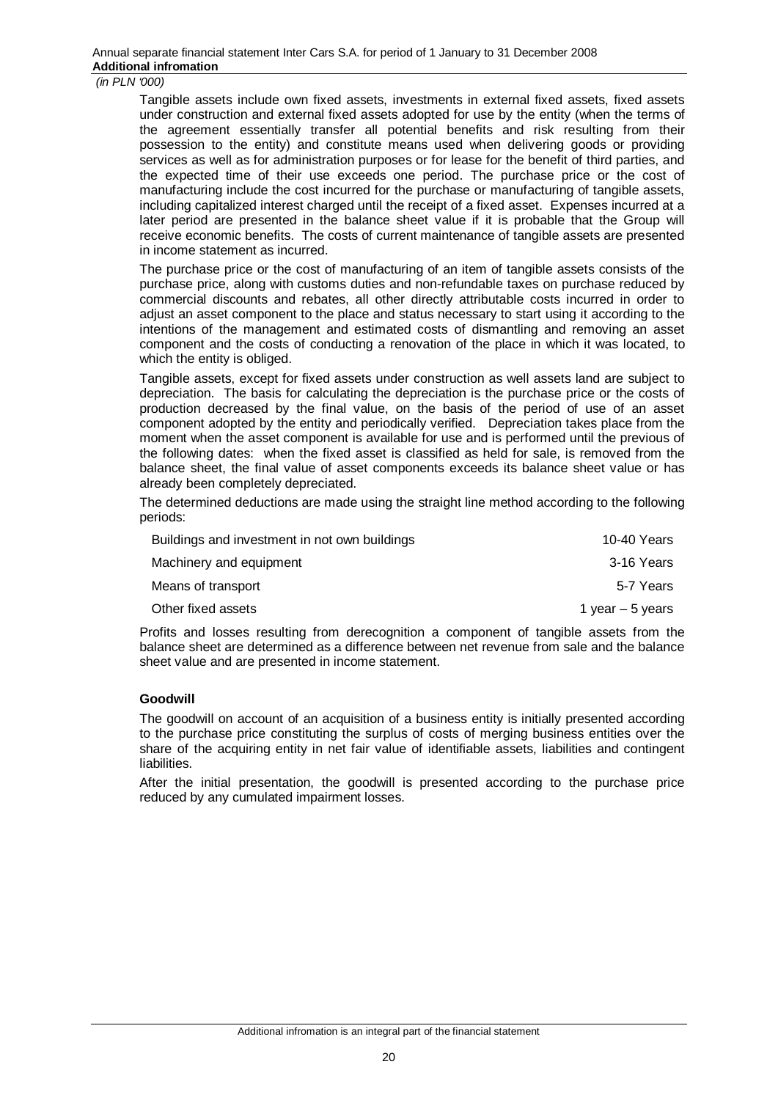Tangible assets include own fixed assets, investments in external fixed assets, fixed assets under construction and external fixed assets adopted for use by the entity (when the terms of the agreement essentially transfer all potential benefits and risk resulting from their possession to the entity) and constitute means used when delivering goods or providing services as well as for administration purposes or for lease for the benefit of third parties, and the expected time of their use exceeds one period. The purchase price or the cost of manufacturing include the cost incurred for the purchase or manufacturing of tangible assets, including capitalized interest charged until the receipt of a fixed asset. Expenses incurred at a later period are presented in the balance sheet value if it is probable that the Group will receive economic benefits. The costs of current maintenance of tangible assets are presented in income statement as incurred.

The purchase price or the cost of manufacturing of an item of tangible assets consists of the purchase price, along with customs duties and non-refundable taxes on purchase reduced by commercial discounts and rebates, all other directly attributable costs incurred in order to adjust an asset component to the place and status necessary to start using it according to the intentions of the management and estimated costs of dismantling and removing an asset component and the costs of conducting a renovation of the place in which it was located, to which the entity is obliged.

Tangible assets, except for fixed assets under construction as well assets land are subject to depreciation. The basis for calculating the depreciation is the purchase price or the costs of production decreased by the final value, on the basis of the period of use of an asset component adopted by the entity and periodically verified. Depreciation takes place from the moment when the asset component is available for use and is performed until the previous of the following dates: when the fixed asset is classified as held for sale, is removed from the balance sheet, the final value of asset components exceeds its balance sheet value or has already been completely depreciated.

The determined deductions are made using the straight line method according to the following periods:

| Buildings and investment in not own buildings | 10-40 Years       |
|-----------------------------------------------|-------------------|
| Machinery and equipment                       | 3-16 Years        |
| Means of transport                            | 5-7 Years         |
| Other fixed assets                            | 1 year $-5$ years |

Profits and losses resulting from derecognition a component of tangible assets from the balance sheet are determined as a difference between net revenue from sale and the balance sheet value and are presented in income statement.

#### **Goodwill**

The goodwill on account of an acquisition of a business entity is initially presented according to the purchase price constituting the surplus of costs of merging business entities over the share of the acquiring entity in net fair value of identifiable assets, liabilities and contingent liabilities.

After the initial presentation, the goodwill is presented according to the purchase price reduced by any cumulated impairment losses.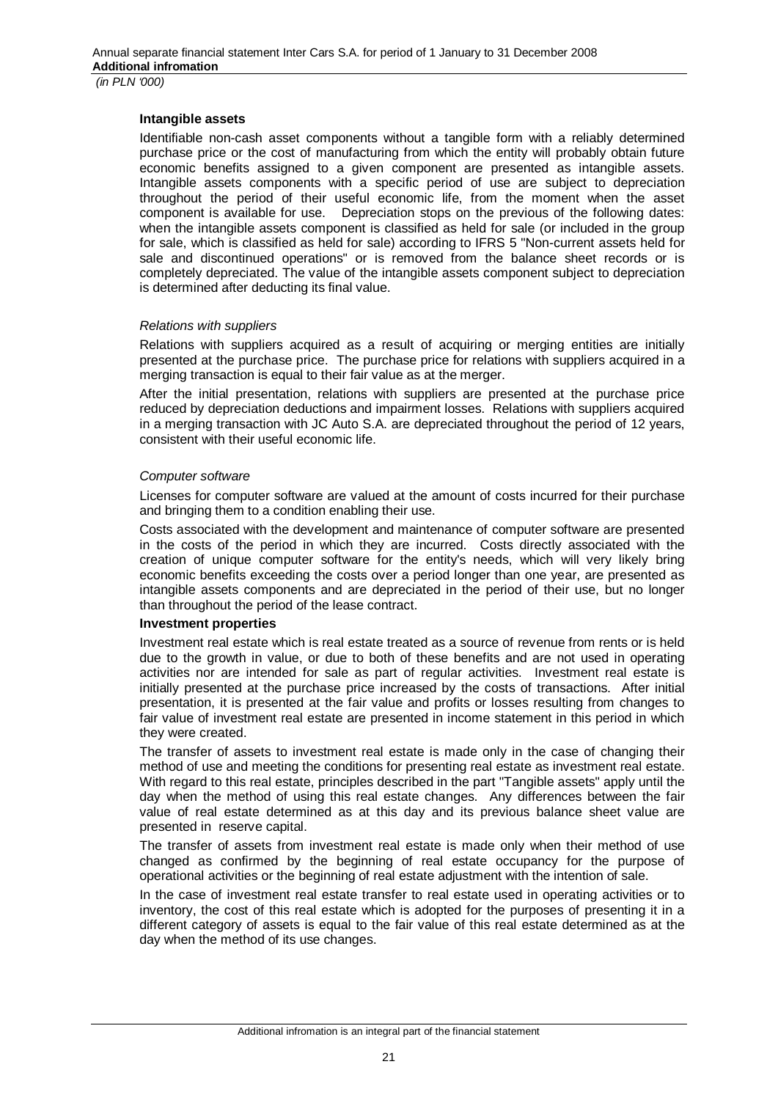#### **Intangible assets**

Identifiable non-cash asset components without a tangible form with a reliably determined purchase price or the cost of manufacturing from which the entity will probably obtain future economic benefits assigned to a given component are presented as intangible assets. Intangible assets components with a specific period of use are subject to depreciation throughout the period of their useful economic life, from the moment when the asset component is available for use. Depreciation stops on the previous of the following dates: when the intangible assets component is classified as held for sale (or included in the group for sale, which is classified as held for sale) according to IFRS 5 "Non-current assets held for sale and discontinued operations" or is removed from the balance sheet records or is completely depreciated. The value of the intangible assets component subject to depreciation is determined after deducting its final value.

#### *Relations with suppliers*

Relations with suppliers acquired as a result of acquiring or merging entities are initially presented at the purchase price. The purchase price for relations with suppliers acquired in a merging transaction is equal to their fair value as at the merger.

After the initial presentation, relations with suppliers are presented at the purchase price reduced by depreciation deductions and impairment losses. Relations with suppliers acquired in a merging transaction with JC Auto S.A. are depreciated throughout the period of 12 years, consistent with their useful economic life.

#### *Computer software*

Licenses for computer software are valued at the amount of costs incurred for their purchase and bringing them to a condition enabling their use.

Costs associated with the development and maintenance of computer software are presented in the costs of the period in which they are incurred. Costs directly associated with the creation of unique computer software for the entity's needs, which will very likely bring economic benefits exceeding the costs over a period longer than one year, are presented as intangible assets components and are depreciated in the period of their use, but no longer than throughout the period of the lease contract.

#### **Investment properties**

Investment real estate which is real estate treated as a source of revenue from rents or is held due to the growth in value, or due to both of these benefits and are not used in operating activities nor are intended for sale as part of regular activities. Investment real estate is initially presented at the purchase price increased by the costs of transactions. After initial presentation, it is presented at the fair value and profits or losses resulting from changes to fair value of investment real estate are presented in income statement in this period in which they were created.

The transfer of assets to investment real estate is made only in the case of changing their method of use and meeting the conditions for presenting real estate as investment real estate. With regard to this real estate, principles described in the part "Tangible assets" apply until the day when the method of using this real estate changes. Any differences between the fair value of real estate determined as at this day and its previous balance sheet value are presented in reserve capital.

The transfer of assets from investment real estate is made only when their method of use changed as confirmed by the beginning of real estate occupancy for the purpose of operational activities or the beginning of real estate adjustment with the intention of sale.

In the case of investment real estate transfer to real estate used in operating activities or to inventory, the cost of this real estate which is adopted for the purposes of presenting it in a different category of assets is equal to the fair value of this real estate determined as at the day when the method of its use changes.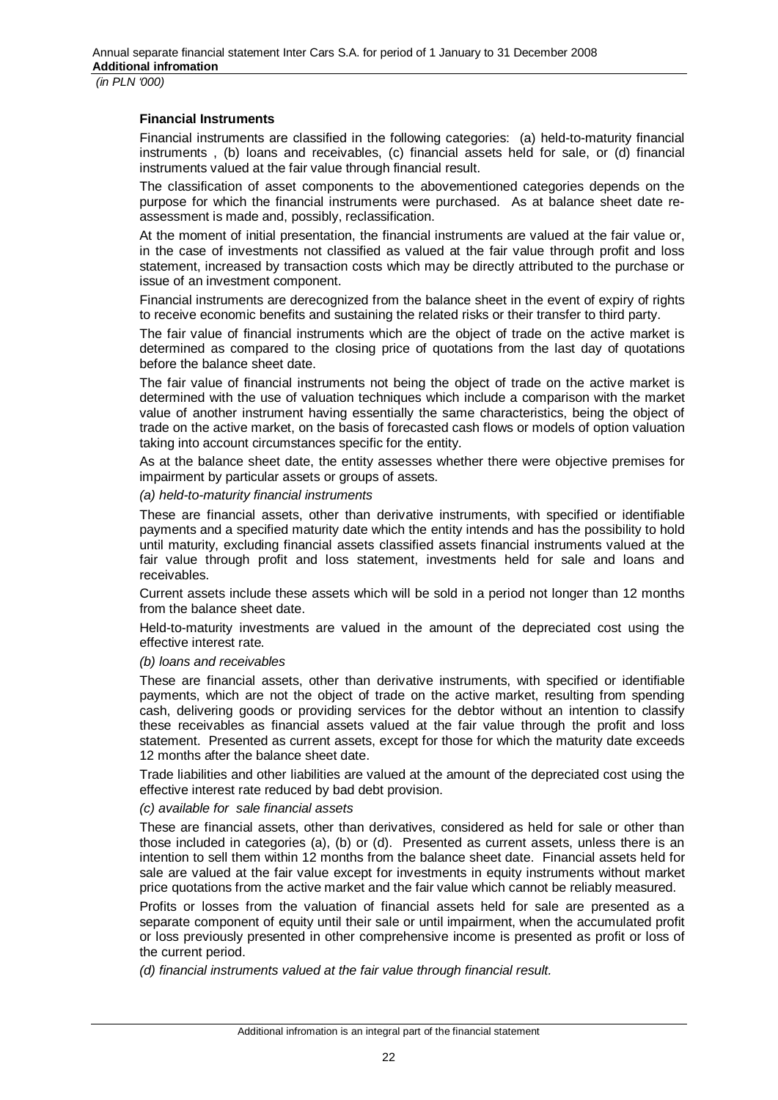#### **Financial Instruments**

Financial instruments are classified in the following categories: (a) held-to-maturity financial instruments , (b) loans and receivables, (c) financial assets held for sale, or (d) financial instruments valued at the fair value through financial result.

The classification of asset components to the abovementioned categories depends on the purpose for which the financial instruments were purchased. As at balance sheet date reassessment is made and, possibly, reclassification.

At the moment of initial presentation, the financial instruments are valued at the fair value or, in the case of investments not classified as valued at the fair value through profit and loss statement, increased by transaction costs which may be directly attributed to the purchase or issue of an investment component.

Financial instruments are derecognized from the balance sheet in the event of expiry of rights to receive economic benefits and sustaining the related risks or their transfer to third party.

The fair value of financial instruments which are the object of trade on the active market is determined as compared to the closing price of quotations from the last day of quotations before the balance sheet date.

The fair value of financial instruments not being the object of trade on the active market is determined with the use of valuation techniques which include a comparison with the market value of another instrument having essentially the same characteristics, being the object of trade on the active market, on the basis of forecasted cash flows or models of option valuation taking into account circumstances specific for the entity.

As at the balance sheet date, the entity assesses whether there were objective premises for impairment by particular assets or groups of assets.

#### *(a) held-to-maturity financial instruments*

These are financial assets, other than derivative instruments, with specified or identifiable payments and a specified maturity date which the entity intends and has the possibility to hold until maturity, excluding financial assets classified assets financial instruments valued at the fair value through profit and loss statement, investments held for sale and loans and receivables.

Current assets include these assets which will be sold in a period not longer than 12 months from the balance sheet date.

Held-to-maturity investments are valued in the amount of the depreciated cost using the effective interest rate.

#### *(b) loans and receivables*

These are financial assets, other than derivative instruments, with specified or identifiable payments, which are not the object of trade on the active market, resulting from spending cash, delivering goods or providing services for the debtor without an intention to classify these receivables as financial assets valued at the fair value through the profit and loss statement. Presented as current assets, except for those for which the maturity date exceeds 12 months after the balance sheet date.

Trade liabilities and other liabilities are valued at the amount of the depreciated cost using the effective interest rate reduced by bad debt provision.

### *(c) available for sale financial assets*

These are financial assets, other than derivatives, considered as held for sale or other than those included in categories (a), (b) or (d). Presented as current assets, unless there is an intention to sell them within 12 months from the balance sheet date. Financial assets held for sale are valued at the fair value except for investments in equity instruments without market price quotations from the active market and the fair value which cannot be reliably measured.

Profits or losses from the valuation of financial assets held for sale are presented as a separate component of equity until their sale or until impairment, when the accumulated profit or loss previously presented in other comprehensive income is presented as profit or loss of the current period.

*(d) financial instruments valued at the fair value through financial result.*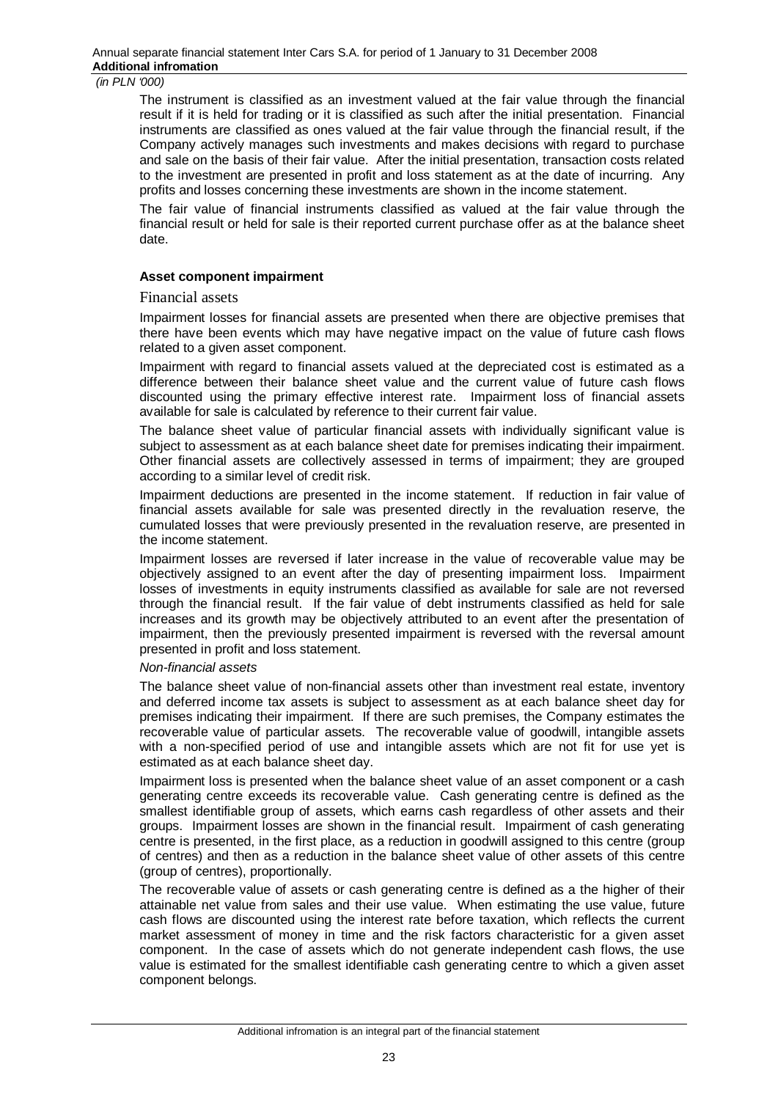The instrument is classified as an investment valued at the fair value through the financial result if it is held for trading or it is classified as such after the initial presentation. Financial instruments are classified as ones valued at the fair value through the financial result, if the Company actively manages such investments and makes decisions with regard to purchase and sale on the basis of their fair value. After the initial presentation, transaction costs related to the investment are presented in profit and loss statement as at the date of incurring. Any profits and losses concerning these investments are shown in the income statement.

The fair value of financial instruments classified as valued at the fair value through the financial result or held for sale is their reported current purchase offer as at the balance sheet date.

#### **Asset component impairment**

#### Financial assets

Impairment losses for financial assets are presented when there are objective premises that there have been events which may have negative impact on the value of future cash flows related to a given asset component.

Impairment with regard to financial assets valued at the depreciated cost is estimated as a difference between their balance sheet value and the current value of future cash flows discounted using the primary effective interest rate. Impairment loss of financial assets available for sale is calculated by reference to their current fair value.

The balance sheet value of particular financial assets with individually significant value is subject to assessment as at each balance sheet date for premises indicating their impairment. Other financial assets are collectively assessed in terms of impairment; they are grouped according to a similar level of credit risk.

Impairment deductions are presented in the income statement. If reduction in fair value of financial assets available for sale was presented directly in the revaluation reserve, the cumulated losses that were previously presented in the revaluation reserve, are presented in the income statement.

Impairment losses are reversed if later increase in the value of recoverable value may be objectively assigned to an event after the day of presenting impairment loss. Impairment losses of investments in equity instruments classified as available for sale are not reversed through the financial result. If the fair value of debt instruments classified as held for sale increases and its growth may be objectively attributed to an event after the presentation of impairment, then the previously presented impairment is reversed with the reversal amount presented in profit and loss statement.

#### *Non-financial assets*

The balance sheet value of non-financial assets other than investment real estate, inventory and deferred income tax assets is subject to assessment as at each balance sheet day for premises indicating their impairment. If there are such premises, the Company estimates the recoverable value of particular assets. The recoverable value of goodwill, intangible assets with a non-specified period of use and intangible assets which are not fit for use yet is estimated as at each balance sheet day.

Impairment loss is presented when the balance sheet value of an asset component or a cash generating centre exceeds its recoverable value. Cash generating centre is defined as the smallest identifiable group of assets, which earns cash regardless of other assets and their groups. Impairment losses are shown in the financial result. Impairment of cash generating centre is presented, in the first place, as a reduction in goodwill assigned to this centre (group of centres) and then as a reduction in the balance sheet value of other assets of this centre (group of centres), proportionally.

The recoverable value of assets or cash generating centre is defined as a the higher of their attainable net value from sales and their use value. When estimating the use value, future cash flows are discounted using the interest rate before taxation, which reflects the current market assessment of money in time and the risk factors characteristic for a given asset component. In the case of assets which do not generate independent cash flows, the use value is estimated for the smallest identifiable cash generating centre to which a given asset component belongs.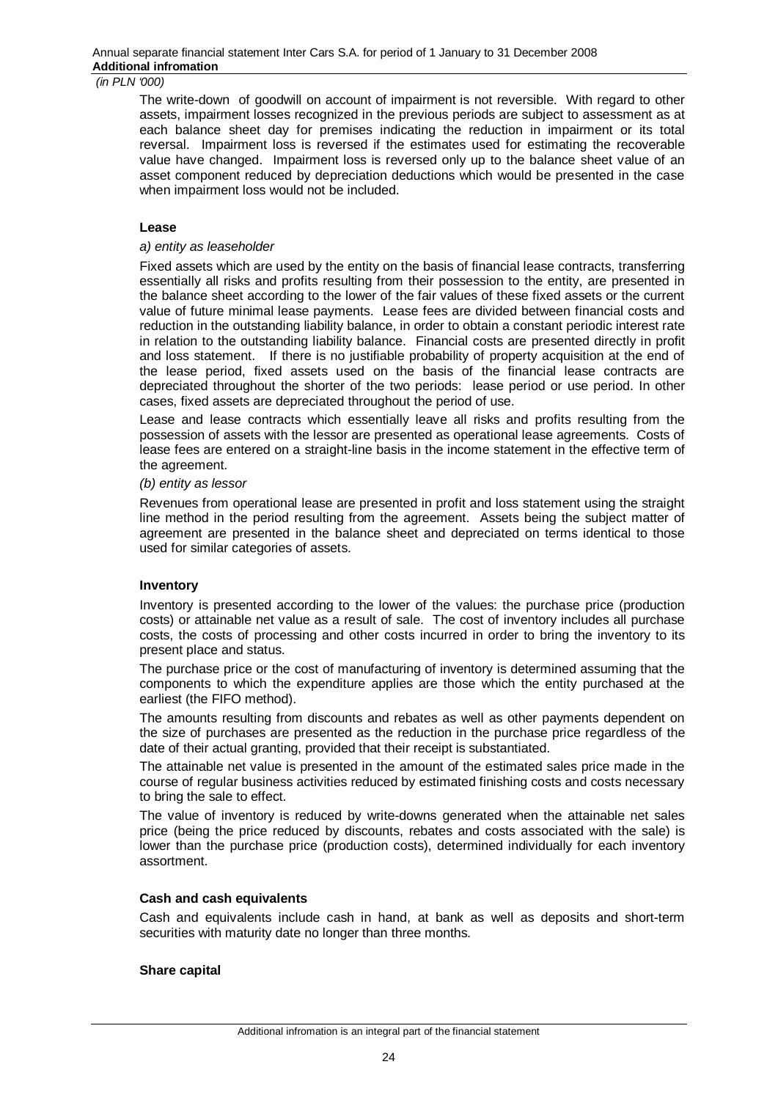The write-down of goodwill on account of impairment is not reversible. With regard to other assets, impairment losses recognized in the previous periods are subject to assessment as at each balance sheet day for premises indicating the reduction in impairment or its total reversal. Impairment loss is reversed if the estimates used for estimating the recoverable value have changed. Impairment loss is reversed only up to the balance sheet value of an asset component reduced by depreciation deductions which would be presented in the case when impairment loss would not be included.

#### **Lease**

#### *a) entity as leaseholder*

Fixed assets which are used by the entity on the basis of financial lease contracts, transferring essentially all risks and profits resulting from their possession to the entity, are presented in the balance sheet according to the lower of the fair values of these fixed assets or the current value of future minimal lease payments. Lease fees are divided between financial costs and reduction in the outstanding liability balance, in order to obtain a constant periodic interest rate in relation to the outstanding liability balance. Financial costs are presented directly in profit and loss statement. If there is no justifiable probability of property acquisition at the end of the lease period, fixed assets used on the basis of the financial lease contracts are depreciated throughout the shorter of the two periods: lease period or use period. In other cases, fixed assets are depreciated throughout the period of use.

Lease and lease contracts which essentially leave all risks and profits resulting from the possession of assets with the lessor are presented as operational lease agreements. Costs of lease fees are entered on a straight-line basis in the income statement in the effective term of the agreement.

#### *(b) entity as lessor*

Revenues from operational lease are presented in profit and loss statement using the straight line method in the period resulting from the agreement. Assets being the subject matter of agreement are presented in the balance sheet and depreciated on terms identical to those used for similar categories of assets.

#### **Inventory**

Inventory is presented according to the lower of the values: the purchase price (production costs) or attainable net value as a result of sale. The cost of inventory includes all purchase costs, the costs of processing and other costs incurred in order to bring the inventory to its present place and status.

The purchase price or the cost of manufacturing of inventory is determined assuming that the components to which the expenditure applies are those which the entity purchased at the earliest (the FIFO method).

The amounts resulting from discounts and rebates as well as other payments dependent on the size of purchases are presented as the reduction in the purchase price regardless of the date of their actual granting, provided that their receipt is substantiated.

The attainable net value is presented in the amount of the estimated sales price made in the course of regular business activities reduced by estimated finishing costs and costs necessary to bring the sale to effect.

The value of inventory is reduced by write-downs generated when the attainable net sales price (being the price reduced by discounts, rebates and costs associated with the sale) is lower than the purchase price (production costs), determined individually for each inventory assortment.

#### **Cash and cash equivalents**

Cash and equivalents include cash in hand, at bank as well as deposits and short-term securities with maturity date no longer than three months.

#### **Share capital**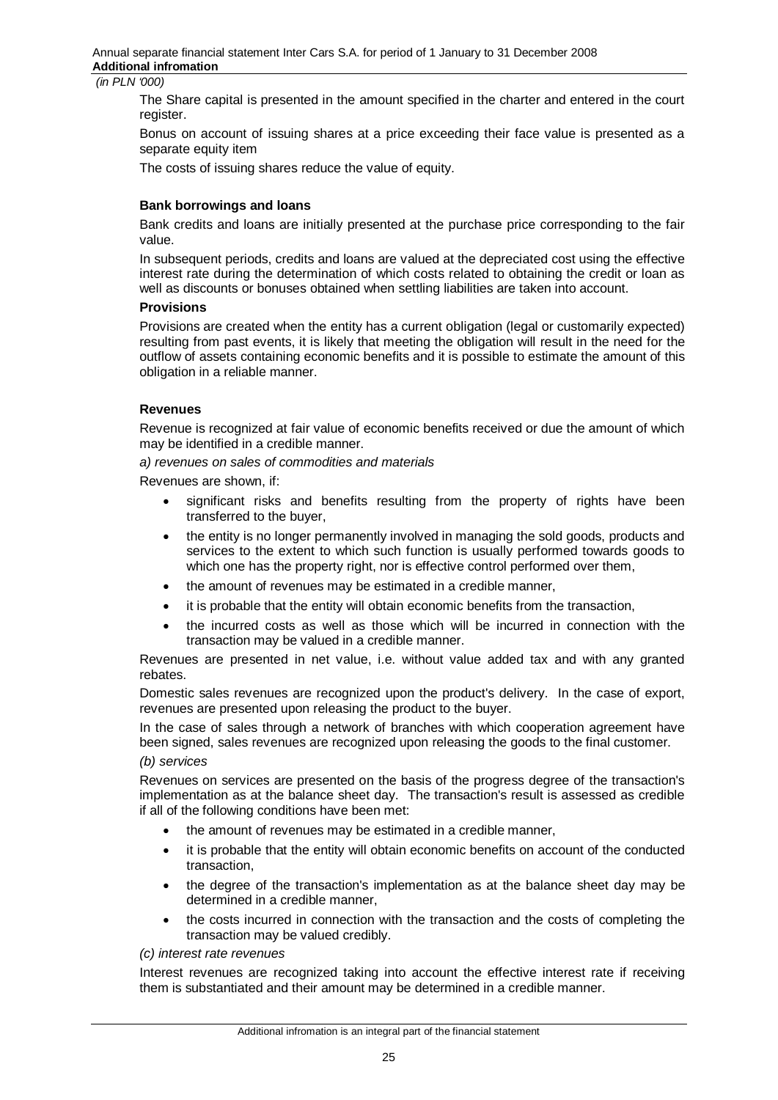The Share capital is presented in the amount specified in the charter and entered in the court register.

Bonus on account of issuing shares at a price exceeding their face value is presented as a separate equity item

The costs of issuing shares reduce the value of equity.

### **Bank borrowings and loans**

Bank credits and loans are initially presented at the purchase price corresponding to the fair value.

In subsequent periods, credits and loans are valued at the depreciated cost using the effective interest rate during the determination of which costs related to obtaining the credit or loan as well as discounts or bonuses obtained when settling liabilities are taken into account.

#### **Provisions**

Provisions are created when the entity has a current obligation (legal or customarily expected) resulting from past events, it is likely that meeting the obligation will result in the need for the outflow of assets containing economic benefits and it is possible to estimate the amount of this obligation in a reliable manner.

#### **Revenues**

Revenue is recognized at fair value of economic benefits received or due the amount of which may be identified in a credible manner.

*a) revenues on sales of commodities and materials* 

Revenues are shown, if:

- significant risks and benefits resulting from the property of rights have been transferred to the buyer,
- the entity is no longer permanently involved in managing the sold goods, products and services to the extent to which such function is usually performed towards goods to which one has the property right, nor is effective control performed over them,
- the amount of revenues may be estimated in a credible manner,
- it is probable that the entity will obtain economic benefits from the transaction,
- $\bullet$  the incurred costs as well as those which will be incurred in connection with the transaction may be valued in a credible manner.

Revenues are presented in net value, i.e. without value added tax and with any granted rebates.

Domestic sales revenues are recognized upon the product's delivery. In the case of export, revenues are presented upon releasing the product to the buyer.

In the case of sales through a network of branches with which cooperation agreement have been signed, sales revenues are recognized upon releasing the goods to the final customer.

#### *(b) services*

Revenues on services are presented on the basis of the progress degree of the transaction's implementation as at the balance sheet day. The transaction's result is assessed as credible if all of the following conditions have been met:

- the amount of revenues may be estimated in a credible manner,
- it is probable that the entity will obtain economic benefits on account of the conducted transaction,
- x the degree of the transaction's implementation as at the balance sheet day may be determined in a credible manner,
- the costs incurred in connection with the transaction and the costs of completing the transaction may be valued credibly.

#### *(c) interest rate revenues*

Interest revenues are recognized taking into account the effective interest rate if receiving them is substantiated and their amount may be determined in a credible manner.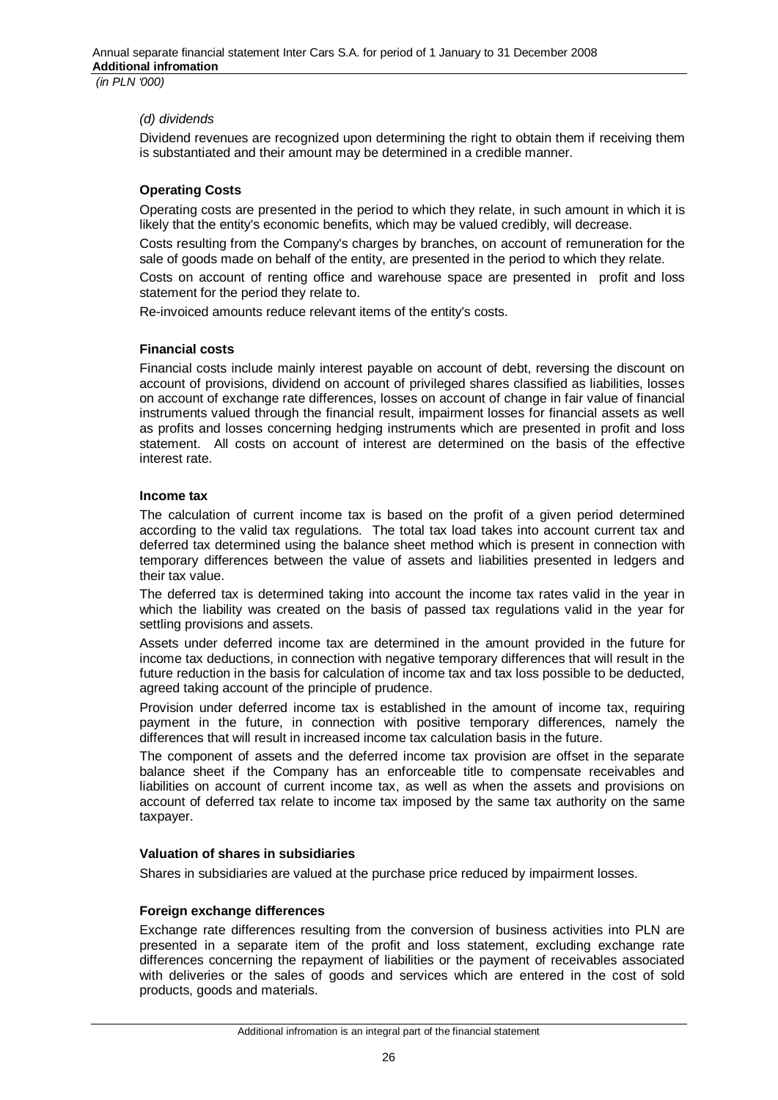### *(d) dividends*

Dividend revenues are recognized upon determining the right to obtain them if receiving them is substantiated and their amount may be determined in a credible manner.

#### **Operating Costs**

Operating costs are presented in the period to which they relate, in such amount in which it is likely that the entity's economic benefits, which may be valued credibly, will decrease.

Costs resulting from the Company's charges by branches, on account of remuneration for the sale of goods made on behalf of the entity, are presented in the period to which they relate.

Costs on account of renting office and warehouse space are presented in profit and loss statement for the period they relate to.

Re-invoiced amounts reduce relevant items of the entity's costs.

#### **Financial costs**

Financial costs include mainly interest payable on account of debt, reversing the discount on account of provisions, dividend on account of privileged shares classified as liabilities, losses on account of exchange rate differences, losses on account of change in fair value of financial instruments valued through the financial result, impairment losses for financial assets as well as profits and losses concerning hedging instruments which are presented in profit and loss statement. All costs on account of interest are determined on the basis of the effective interest rate.

#### **Income tax**

The calculation of current income tax is based on the profit of a given period determined according to the valid tax regulations. The total tax load takes into account current tax and deferred tax determined using the balance sheet method which is present in connection with temporary differences between the value of assets and liabilities presented in ledgers and their tax value.

The deferred tax is determined taking into account the income tax rates valid in the year in which the liability was created on the basis of passed tax regulations valid in the year for settling provisions and assets.

Assets under deferred income tax are determined in the amount provided in the future for income tax deductions, in connection with negative temporary differences that will result in the future reduction in the basis for calculation of income tax and tax loss possible to be deducted, agreed taking account of the principle of prudence.

Provision under deferred income tax is established in the amount of income tax, requiring payment in the future, in connection with positive temporary differences, namely the differences that will result in increased income tax calculation basis in the future.

The component of assets and the deferred income tax provision are offset in the separate balance sheet if the Company has an enforceable title to compensate receivables and liabilities on account of current income tax, as well as when the assets and provisions on account of deferred tax relate to income tax imposed by the same tax authority on the same taxpayer.

### **Valuation of shares in subsidiaries**

Shares in subsidiaries are valued at the purchase price reduced by impairment losses.

#### **Foreign exchange differences**

Exchange rate differences resulting from the conversion of business activities into PLN are presented in a separate item of the profit and loss statement, excluding exchange rate differences concerning the repayment of liabilities or the payment of receivables associated with deliveries or the sales of goods and services which are entered in the cost of sold products, goods and materials.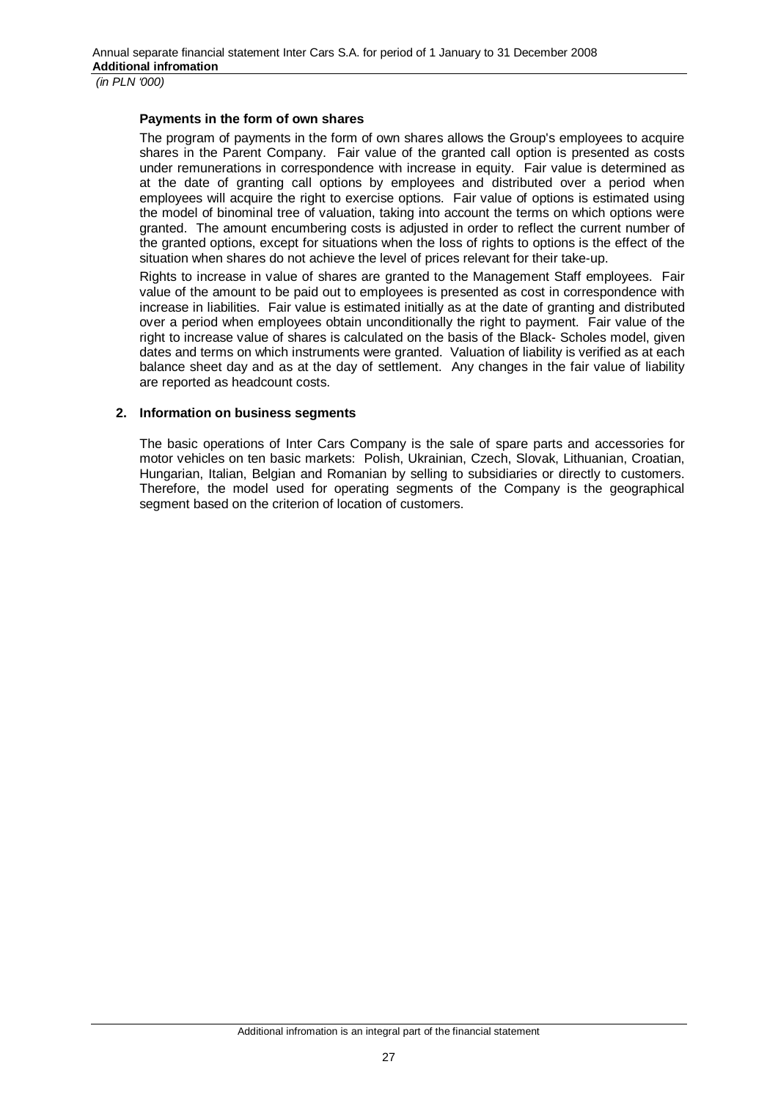#### **Payments in the form of own shares**

The program of payments in the form of own shares allows the Group's employees to acquire shares in the Parent Company. Fair value of the granted call option is presented as costs under remunerations in correspondence with increase in equity. Fair value is determined as at the date of granting call options by employees and distributed over a period when employees will acquire the right to exercise options. Fair value of options is estimated using the model of binominal tree of valuation, taking into account the terms on which options were granted. The amount encumbering costs is adjusted in order to reflect the current number of the granted options, except for situations when the loss of rights to options is the effect of the situation when shares do not achieve the level of prices relevant for their take-up.

Rights to increase in value of shares are granted to the Management Staff employees. Fair value of the amount to be paid out to employees is presented as cost in correspondence with increase in liabilities. Fair value is estimated initially as at the date of granting and distributed over a period when employees obtain unconditionally the right to payment. Fair value of the right to increase value of shares is calculated on the basis of the Black- Scholes model, given dates and terms on which instruments were granted. Valuation of liability is verified as at each balance sheet day and as at the day of settlement. Any changes in the fair value of liability are reported as headcount costs.

#### **2. Information on business segments**

The basic operations of Inter Cars Company is the sale of spare parts and accessories for motor vehicles on ten basic markets: Polish, Ukrainian, Czech, Slovak, Lithuanian, Croatian, Hungarian, Italian, Belgian and Romanian by selling to subsidiaries or directly to customers. Therefore, the model used for operating segments of the Company is the geographical segment based on the criterion of location of customers.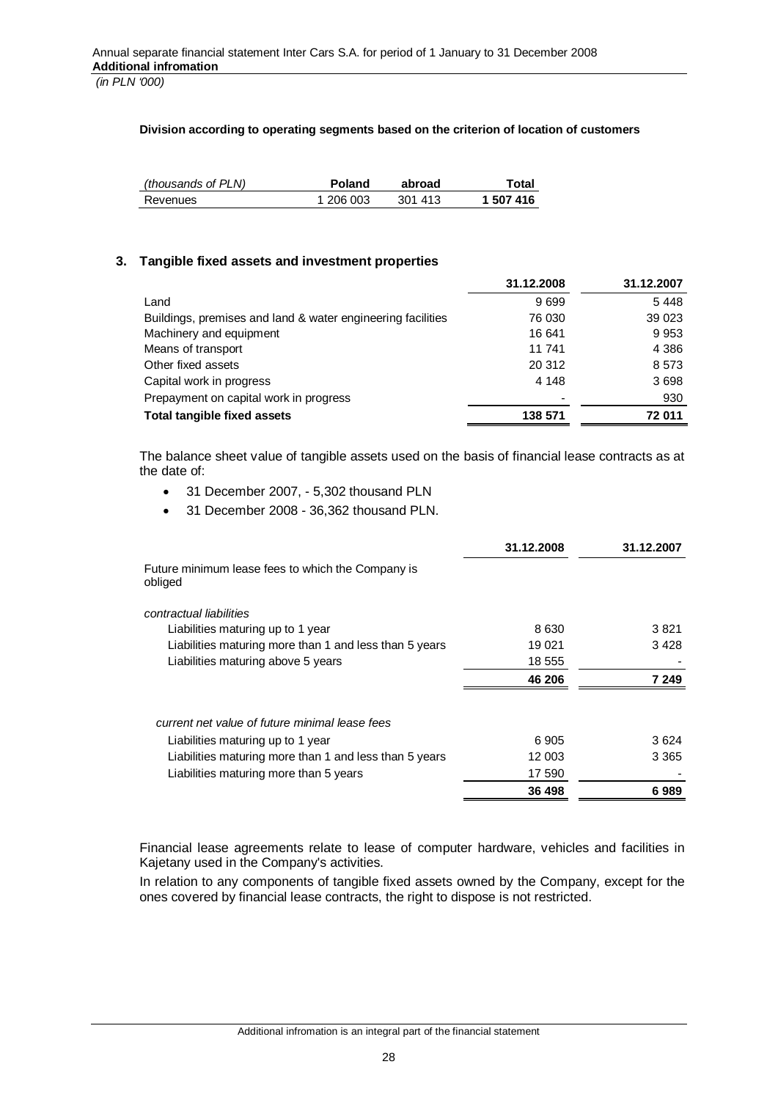#### **Division according to operating segments based on the criterion of location of customers**

| (thousands of PLN) | Poland    | abroad  | Totai     |
|--------------------|-----------|---------|-----------|
| Revenues           | 1 206 003 | 301 413 | 1 507 416 |

### **3. Tangible fixed assets and investment properties**

|                                                             | 31.12.2008 | 31.12.2007 |
|-------------------------------------------------------------|------------|------------|
| Land                                                        | 9699       | 5448       |
| Buildings, premises and land & water engineering facilities | 76 030     | 39 0 23    |
| Machinery and equipment                                     | 16 641     | 9953       |
| Means of transport                                          | 11 741     | 4 3 8 6    |
| Other fixed assets                                          | 20 312     | 8 5 7 3    |
| Capital work in progress                                    | 4 1 4 8    | 3698       |
| Prepayment on capital work in progress                      |            | 930        |
| Total tangible fixed assets                                 | 138 571    | 72 011     |

The balance sheet value of tangible assets used on the basis of financial lease contracts as at the date of:

- 31 December 2007, 5,302 thousand PLN
- 31 December 2008 36,362 thousand PLN.

|                                                              | 31.12.2008 | 31.12.2007 |
|--------------------------------------------------------------|------------|------------|
| Future minimum lease fees to which the Company is<br>obliged |            |            |
| contractual liabilities                                      |            |            |
| Liabilities maturing up to 1 year                            | 8 6 3 0    | 3821       |
| Liabilities maturing more than 1 and less than 5 years       | 19 0 21    | 3428       |
| Liabilities maturing above 5 years                           | 18 555     |            |
|                                                              | 46 206     | 7 249      |
| current net value of future minimal lease fees               |            |            |
| Liabilities maturing up to 1 year                            | 6905       | 3624       |
| Liabilities maturing more than 1 and less than 5 years       | 12 003     | 3 3 6 5    |
| Liabilities maturing more than 5 years                       | 17 590     |            |
|                                                              | 36 498     | 6989       |

Financial lease agreements relate to lease of computer hardware, vehicles and facilities in Kajetany used in the Company's activities.

In relation to any components of tangible fixed assets owned by the Company, except for the ones covered by financial lease contracts, the right to dispose is not restricted.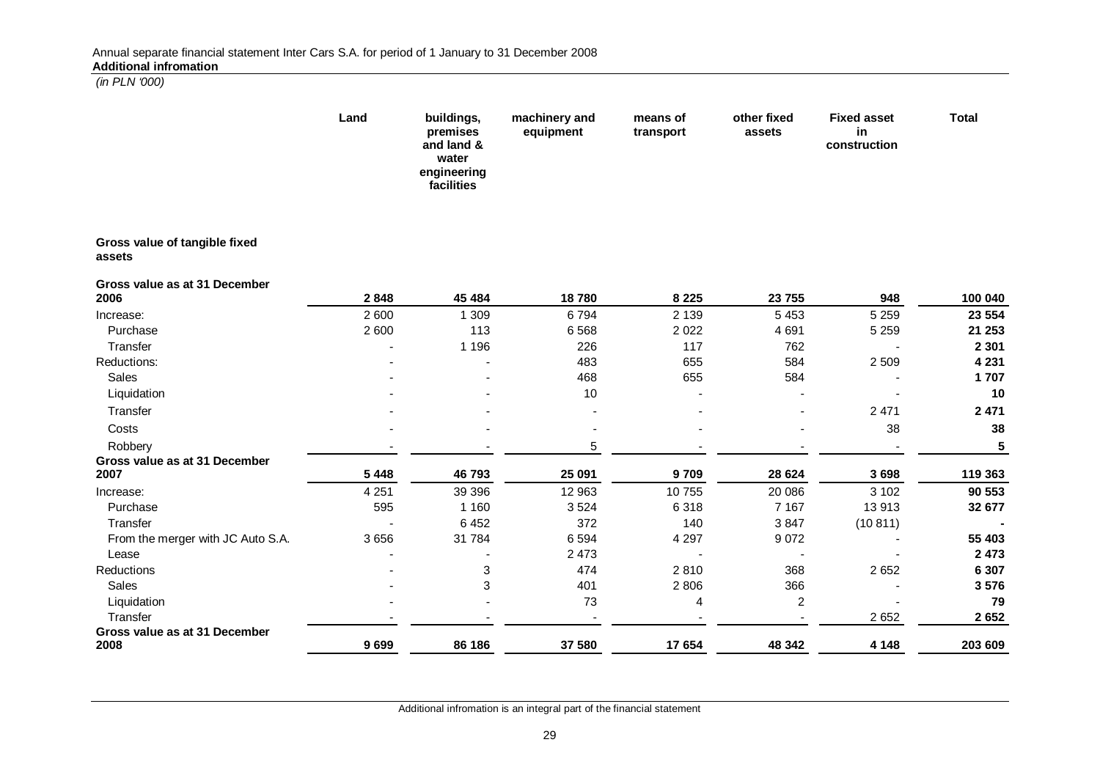|                                         | Land    | buildings,<br>premises<br>and land &<br>water<br>engineering<br>facilities | machinery and<br>equipment | means of<br>transport | other fixed<br>assets | <b>Fixed asset</b><br>in<br>construction | Total   |
|-----------------------------------------|---------|----------------------------------------------------------------------------|----------------------------|-----------------------|-----------------------|------------------------------------------|---------|
| Gross value of tangible fixed<br>assets |         |                                                                            |                            |                       |                       |                                          |         |
| Gross value as at 31 December<br>2006   | 2848    | 45 484                                                                     | 18780                      | 8 2 2 5               | 23755                 | 948                                      | 100 040 |
| Increase:                               | 2 600   | 1 309                                                                      | 6794                       | 2 1 3 9               | 5 4 5 3               | 5 2 5 9                                  | 23 554  |
| Purchase                                | 2 600   | 113                                                                        | 6 5 6 8                    | 2 0 2 2               | 4 6 9 1               | 5 2 5 9                                  | 21 253  |
| Transfer                                |         | 1 1 9 6                                                                    | 226                        | 117                   | 762                   |                                          | 2 3 0 1 |
| Reductions:                             |         |                                                                            | 483                        | 655                   | 584                   | 2 5 0 9                                  | 4 2 3 1 |
| Sales                                   |         |                                                                            | 468                        | 655                   | 584                   |                                          | 1707    |
| Liquidation                             |         |                                                                            | 10                         |                       |                       |                                          | 10      |
| Transfer                                |         |                                                                            |                            |                       |                       | 2 4 7 1                                  | 2 4 7 1 |
| Costs                                   |         |                                                                            |                            |                       |                       | 38                                       | 38      |
| Robbery                                 |         |                                                                            | 5                          |                       |                       |                                          | 5       |
| Gross value as at 31 December           |         |                                                                            |                            |                       |                       |                                          |         |
| 2007                                    | 5 4 4 8 | 46793                                                                      | 25 091                     | 9709                  | 28 6 24               | 3698                                     | 119 363 |
| Increase:                               | 4 2 5 1 | 39 39 6                                                                    | 12 963                     | 10755                 | 20 086                | 3 1 0 2                                  | 90 553  |
| Purchase                                | 595     | 1 1 6 0                                                                    | 3524                       | 6318                  | 7 1 6 7               | 13913                                    | 32 677  |
| Transfer                                |         | 6 4 5 2                                                                    | 372                        | 140                   | 3847                  | (10811)                                  |         |
| From the merger with JC Auto S.A.       | 3 6 5 6 | 31 784                                                                     | 6 5 9 4                    | 4 2 9 7               | 9072                  |                                          | 55 403  |
| Lease                                   |         |                                                                            | 2 4 7 3                    |                       |                       |                                          | 2 4 7 3 |
| Reductions                              |         | 3                                                                          | 474                        | 2810                  | 368                   | 2 6 5 2                                  | 6 307   |
| Sales                                   |         | 3                                                                          | 401                        | 2 8 0 6               | 366                   |                                          | 3576    |
| Liquidation                             |         |                                                                            | 73                         | 4                     | $\overline{c}$        |                                          | 79      |
| Transfer                                |         |                                                                            |                            |                       |                       | 2 6 5 2                                  | 2 6 5 2 |
| Gross value as at 31 December<br>2008   | 9699    | 86 186                                                                     | 37 580                     | 17 654                | 48 342                | 4 1 4 8                                  | 203 609 |

Additional infromation is an integral part of the financial statement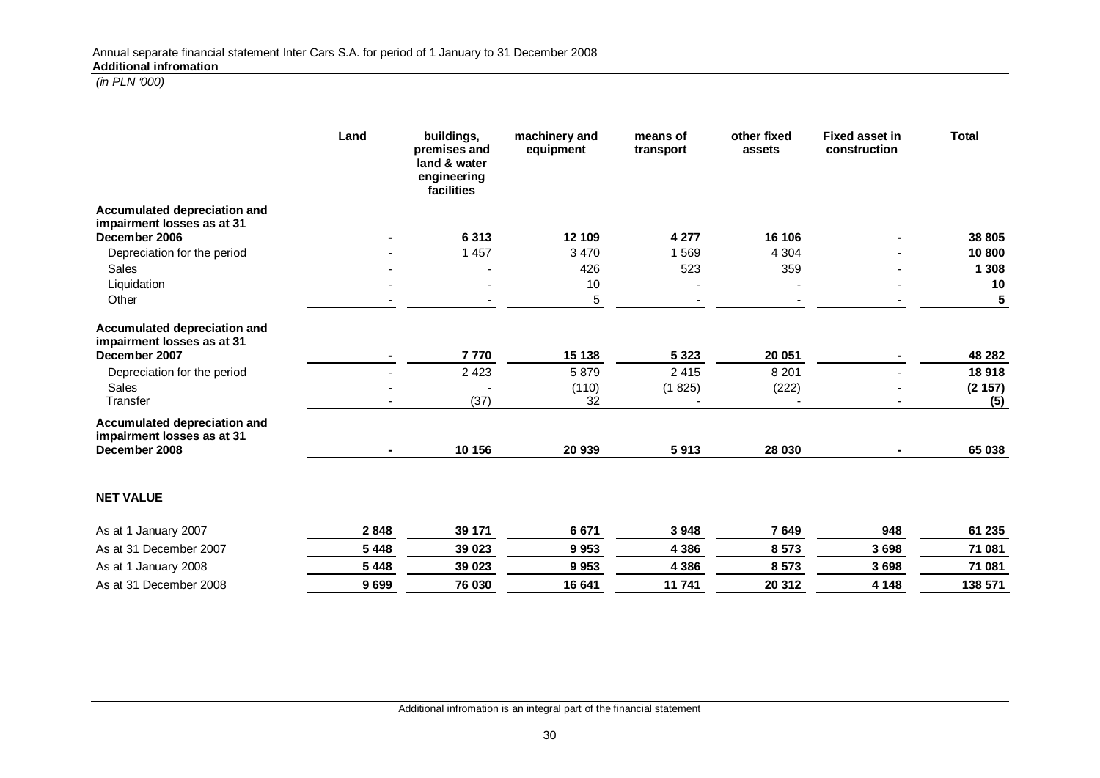|                                                                             | Land    | buildings,<br>premises and<br>land & water<br>engineering<br>facilities | machinery and<br>equipment | means of<br>transport | other fixed<br>assets             | <b>Fixed asset in</b><br>construction | <b>Total</b>  |
|-----------------------------------------------------------------------------|---------|-------------------------------------------------------------------------|----------------------------|-----------------------|-----------------------------------|---------------------------------------|---------------|
| Accumulated depreciation and<br>impairment losses as at 31                  |         |                                                                         |                            |                       |                                   |                                       |               |
| December 2006                                                               |         | 6313                                                                    | 12 109                     | 4 2 7 7               | 16 106                            |                                       | 38 805        |
| Depreciation for the period                                                 |         | 1 4 5 7                                                                 | 3 4 7 0                    | 1569                  | 4 3 0 4                           |                                       | 10 800        |
| Sales                                                                       |         |                                                                         | 426                        | 523                   | 359                               |                                       | 1 3 0 8       |
| Liquidation                                                                 |         |                                                                         | 10                         |                       |                                   |                                       | 10            |
| Other                                                                       |         |                                                                         | 5                          |                       |                                   |                                       | 5             |
| Accumulated depreciation and<br>impairment losses as at 31                  |         |                                                                         |                            |                       |                                   |                                       |               |
| December 2007                                                               |         | 7770                                                                    | 15 138                     | 5 3 2 3               | 20 051                            |                                       | 48 28 2       |
| Depreciation for the period                                                 |         | 2 4 2 3                                                                 | 5879                       | 2 4 1 5               | 8 2 0 1                           |                                       | 18918         |
| <b>Sales</b><br>Transfer                                                    |         | (37)                                                                    | (110)<br>32                | (1825)                | (222)<br>$\overline{\phantom{a}}$ | $\overline{\phantom{a}}$              | (2157)<br>(5) |
| Accumulated depreciation and<br>impairment losses as at 31<br>December 2008 |         | 10 156                                                                  | 20 939                     | 5913                  | 28 030                            |                                       | 65 038        |
| <b>NET VALUE</b>                                                            |         |                                                                         |                            |                       |                                   |                                       |               |
| As at 1 January 2007                                                        | 2848    | 39 171                                                                  | 6671                       | 3948                  | 7649                              | 948                                   | 61 235        |
| As at 31 December 2007                                                      | 5 4 4 8 | 39 0 23                                                                 | 9953                       | 4 3 8 6               | 8573                              | 3698                                  | 71 081        |
| As at 1 January 2008                                                        | 5 4 4 8 | 39 023                                                                  | 9953                       | 4 3 8 6               | 8573                              | 3698                                  | 71 081        |
| As at 31 December 2008                                                      | 9699    | 76 030                                                                  | 16 641                     | 11741                 | 20 312                            | 4 1 4 8                               | 138 571       |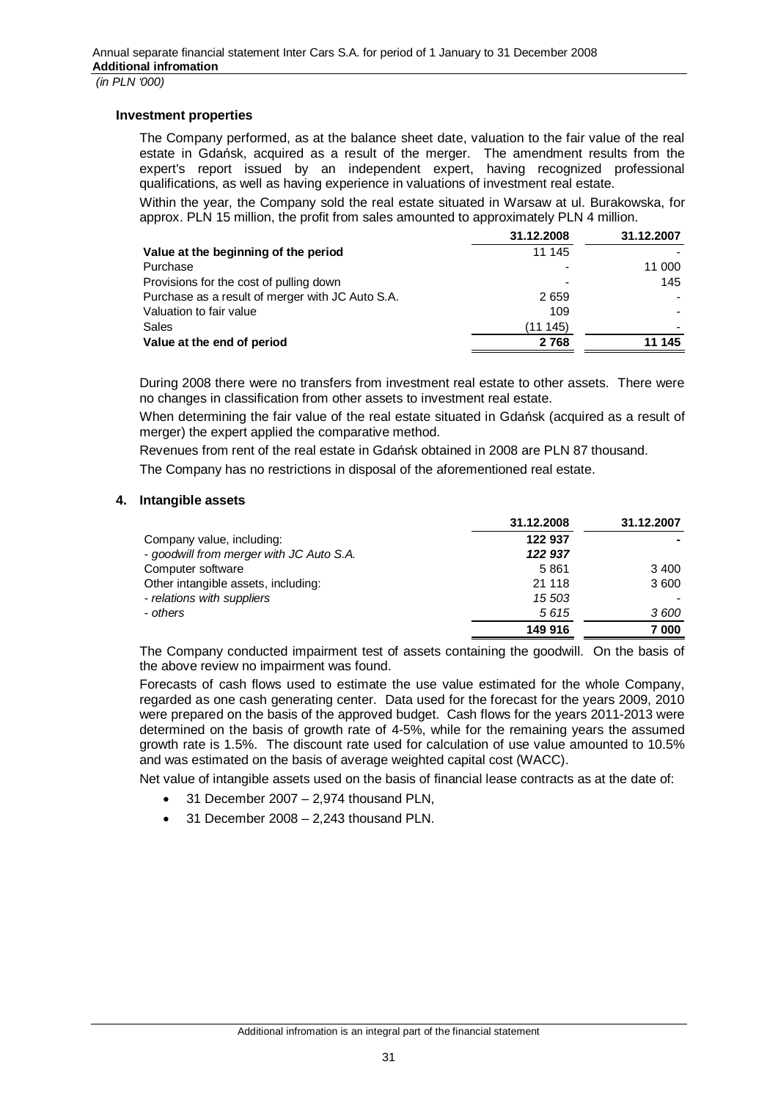#### **Investment properties**

The Company performed, as at the balance sheet date, valuation to the fair value of the real estate in Gdańsk, acquired as a result of the merger. The amendment results from the expert's report issued by an independent expert, having recognized professional qualifications, as well as having experience in valuations of investment real estate.

Within the year, the Company sold the real estate situated in Warsaw at ul. Burakowska, for approx. PLN 15 million, the profit from sales amounted to approximately PLN 4 million.

|                                                  | 31.12.2008               | 31.12.2007 |
|--------------------------------------------------|--------------------------|------------|
| Value at the beginning of the period             | 11 145                   |            |
| Purchase                                         | $\overline{\phantom{0}}$ | 11 000     |
| Provisions for the cost of pulling down          | -                        | 145        |
| Purchase as a result of merger with JC Auto S.A. | 2659                     |            |
| Valuation to fair value                          | 109                      |            |
| Sales                                            | (11145)                  |            |
| Value at the end of period                       | 2768                     | 11 145     |

During 2008 there were no transfers from investment real estate to other assets. There were no changes in classification from other assets to investment real estate.

When determining the fair value of the real estate situated in Gdańsk (acquired as a result of merger) the expert applied the comparative method.

Revenues from rent of the real estate in Gdańsk obtained in 2008 are PLN 87 thousand.

The Company has no restrictions in disposal of the aforementioned real estate.

#### **4. Intangible assets**

|                                          | 31.12.2008 | 31.12.2007 |
|------------------------------------------|------------|------------|
| Company value, including:                | 122 937    |            |
| - goodwill from merger with JC Auto S.A. | 122 937    |            |
| Computer software                        | 5861       | 3 4 0 0    |
| Other intangible assets, including:      | 21 118     | 3600       |
| - relations with suppliers               | 15 503     |            |
| - others                                 | 5615       | 3600       |
|                                          | 149 916    | 7000       |

The Company conducted impairment test of assets containing the goodwill. On the basis of the above review no impairment was found.

Forecasts of cash flows used to estimate the use value estimated for the whole Company, regarded as one cash generating center. Data used for the forecast for the years 2009, 2010 were prepared on the basis of the approved budget. Cash flows for the years 2011-2013 were determined on the basis of growth rate of 4-5%, while for the remaining years the assumed growth rate is 1.5%. The discount rate used for calculation of use value amounted to 10.5% and was estimated on the basis of average weighted capital cost (WACC).

Net value of intangible assets used on the basis of financial lease contracts as at the date of:

- 31 December 2007 2,974 thousand PLN,
- 31 December 2008 2,243 thousand PLN.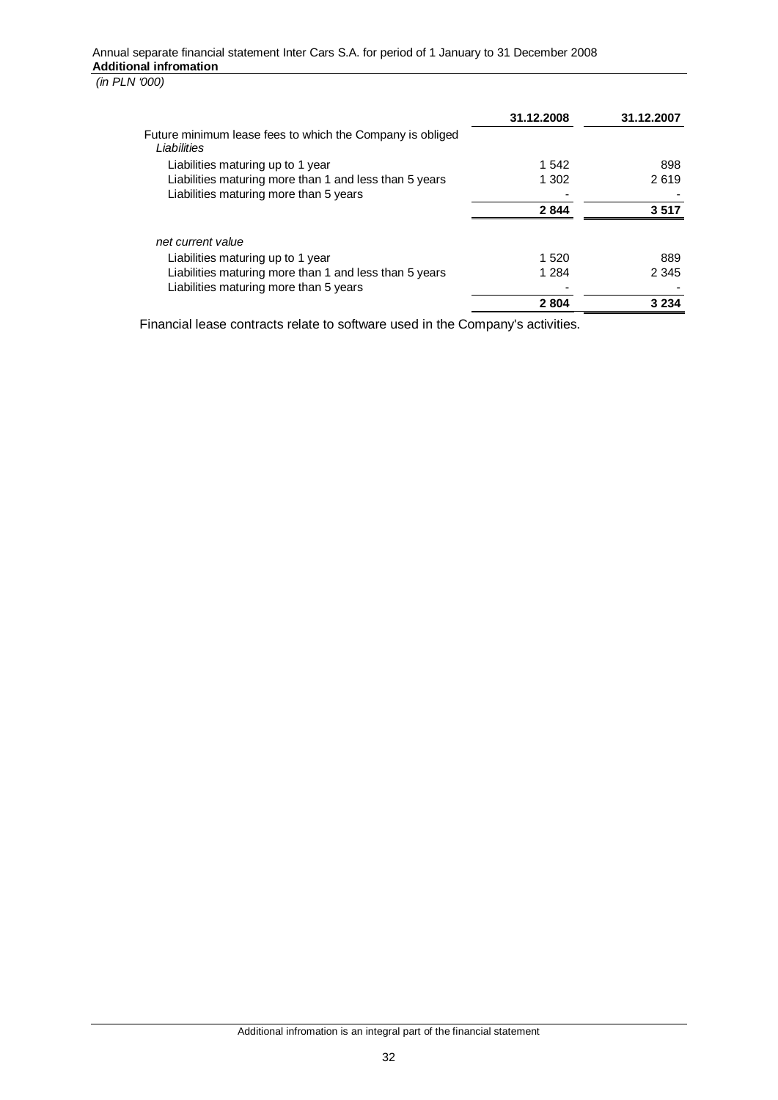|                                                                          | 31.12.2008 | 31.12.2007 |
|--------------------------------------------------------------------------|------------|------------|
| Future minimum lease fees to which the Company is obliged<br>Liabilities |            |            |
| Liabilities maturing up to 1 year                                        | 1 542      | 898        |
| Liabilities maturing more than 1 and less than 5 years                   | 1 302      | 2619       |
| Liabilities maturing more than 5 years                                   |            |            |
|                                                                          | 2844       | 3 517      |
| net current value                                                        |            |            |
| Liabilities maturing up to 1 year                                        | 1 5 2 0    | 889        |
| Liabilities maturing more than 1 and less than 5 years                   | 1 2 8 4    | 2 3 4 5    |
| Liabilities maturing more than 5 years                                   |            |            |
|                                                                          | 2804       | 3 234      |

Financial lease contracts relate to software used in the Company's activities.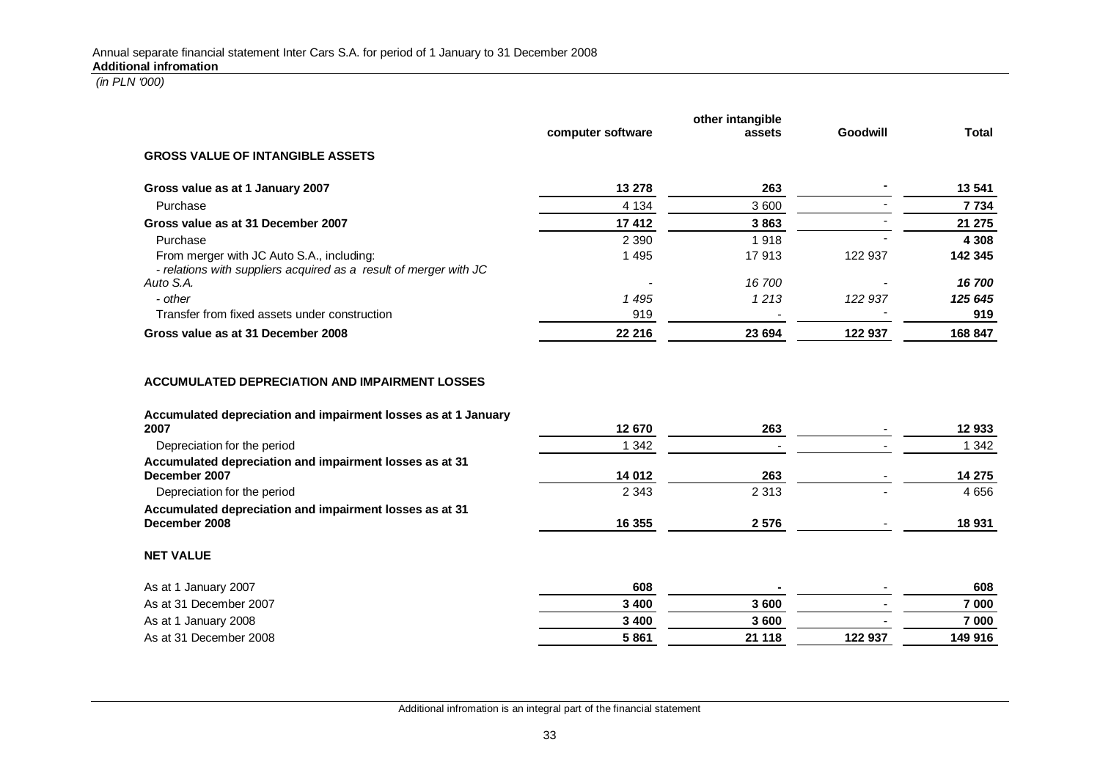|                                                                                                                |                   | other intangible |          |              |
|----------------------------------------------------------------------------------------------------------------|-------------------|------------------|----------|--------------|
|                                                                                                                | computer software | assets           | Goodwill | <b>Total</b> |
| <b>GROSS VALUE OF INTANGIBLE ASSETS</b>                                                                        |                   |                  |          |              |
| Gross value as at 1 January 2007                                                                               | 13 278            | 263              |          | 13 541       |
| Purchase                                                                                                       | 4 1 3 4           | 3 600            |          | 7 7 3 4      |
| Gross value as at 31 December 2007                                                                             | 17 412            | 3863             |          | 21 275       |
| Purchase                                                                                                       | 2 3 9 0           | 1918             |          | 4 3 0 8      |
| From merger with JC Auto S.A., including:<br>- relations with suppliers acquired as a result of merger with JC | 1 4 9 5           | 17913            | 122 937  | 142 345      |
| Auto S.A.                                                                                                      |                   | 16 700           |          | 16700        |
| - other                                                                                                        | 1 4 9 5           | 1213             | 122 937  | 125 645      |
| Transfer from fixed assets under construction                                                                  | 919               |                  |          | 919          |
| Gross value as at 31 December 2008                                                                             | 22 216            | 23 694           | 122 937  | 168 847      |
| Accumulated depreciation and impairment losses as at 1 January<br>2007                                         |                   |                  |          |              |
|                                                                                                                | 12 670            | 263              |          | 12 933       |
| Depreciation for the period                                                                                    | 1 3 4 2           |                  |          | 1 3 4 2      |
| Accumulated depreciation and impairment losses as at 31<br>December 2007                                       | 14 012            | 263              |          | 14 275       |
| Depreciation for the period                                                                                    | 2 3 4 3           | 2 3 1 3          |          | 4 6 5 6      |
| Accumulated depreciation and impairment losses as at 31                                                        |                   |                  |          |              |
| December 2008                                                                                                  | 16 355            | 2576             |          | 18 931       |
| <b>NET VALUE</b>                                                                                               |                   |                  |          |              |
| As at 1 January 2007                                                                                           | 608               |                  |          | 608          |
| As at 31 December 2007                                                                                         | 3 4 0 0           | 3600             |          | 7 000        |
| As at 1 January 2008                                                                                           | 3 4 0 0           | 3 600            |          | 7 000        |
| As at 31 December 2008                                                                                         | 5861              | 21 118           | 122 937  | 149 916      |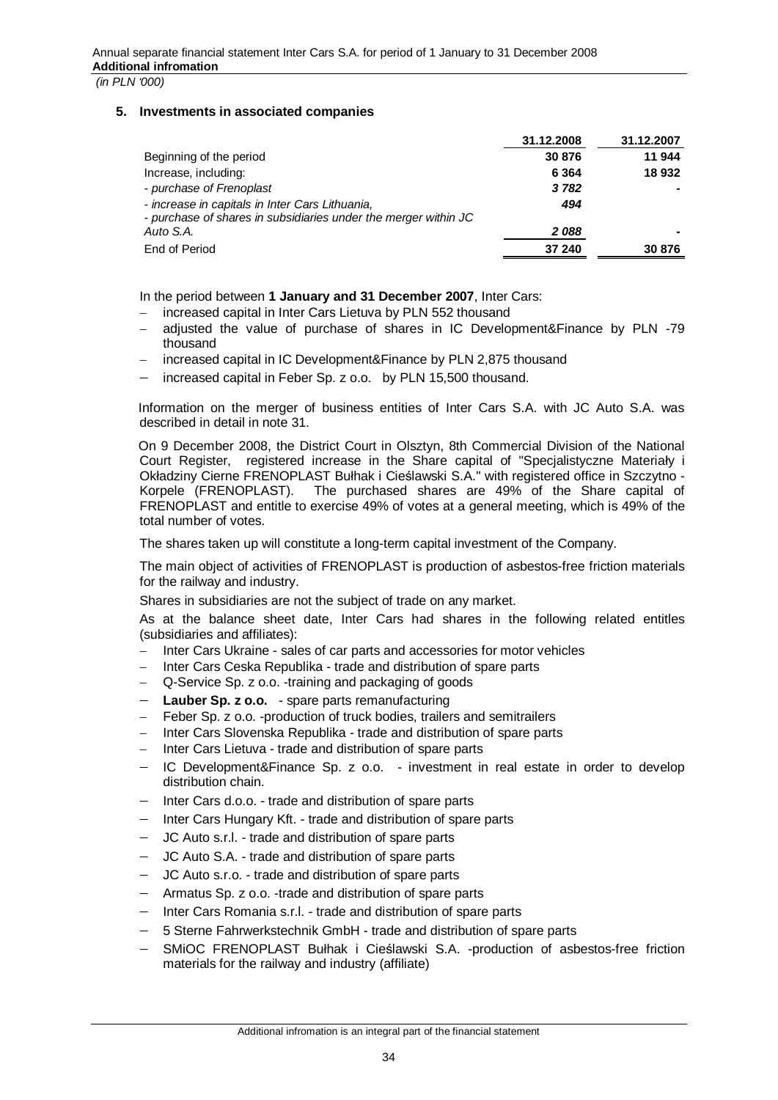### **5. Investments in associated companies**

|                                                                                                                    | 31.12.2008 | 31.12.2007 |
|--------------------------------------------------------------------------------------------------------------------|------------|------------|
| Beginning of the period                                                                                            | 30 876     | 11 944     |
| Increase, including:                                                                                               | 6 3 6 4    | 18 932     |
| - purchase of Frenoplast                                                                                           | 3782       |            |
| - increase in capitals in Inter Cars Lithuania,<br>- purchase of shares in subsidiaries under the merger within JC | 494        |            |
| Auto S.A.                                                                                                          | 2088       |            |
| End of Period                                                                                                      | 37 240     | 30 876     |

In the period between **1 January and 31 December 2007**, Inter Cars:

- increased capital in Inter Cars Lietuva by PLN 552 thousand
- adjusted the value of purchase of shares in IC Development&Finance by PLN -79 thousand
- increased capital in IC Development&Finance by PLN 2,875 thousand
- increased capital in Feber Sp. z o.o. by PLN 15,500 thousand.

Information on the merger of business entities of Inter Cars S.A. with JC Auto S.A. was described in detail in note 31.

On 9 December 2008, the District Court in Olsztyn, 8th Commercial Division of the National Court Register, registered increase in the Share capital of "Specjalistyczne Materiały i Okładziny Cierne FRENOPLAST Bułhak i Cieślawski S.A." with registered office in Szczytno -Korpele (FRENOPLAST). The purchased shares are 49% of the Share capital of FRENOPLAST and entitle to exercise 49% of votes at a general meeting, which is 49% of the total number of votes.

The shares taken up will constitute a long-term capital investment of the Company.

The main object of activities of FRENOPLAST is production of asbestos-free friction materials for the railway and industry.

Shares in subsidiaries are not the subject of trade on any market.

As at the balance sheet date, Inter Cars had shares in the following related entitles (subsidiaries and affiliates):

- Inter Cars Ukraine sales of car parts and accessories for motor vehicles
- Inter Cars Ceska Republika trade and distribution of spare parts
- Q-Service Sp. z o.o. -training and packaging of goods
- **Lauber Sp. z o.o.**  spare parts remanufacturing
- Feber Sp. z o.o. -production of truck bodies, trailers and semitrailers
- Inter Cars Slovenska Republika trade and distribution of spare parts
- Inter Cars Lietuva trade and distribution of spare parts
- IC Development&Finance Sp. z o.o. investment in real estate in order to develop distribution chain.
- Inter Cars d.o.o. trade and distribution of spare parts
- Inter Cars Hungary Kft. trade and distribution of spare parts
- JC Auto s.r.l. trade and distribution of spare parts
- JC Auto S.A. trade and distribution of spare parts
- JC Auto s.r.o. trade and distribution of spare parts
- Armatus Sp. z o.o. -trade and distribution of spare parts
- Inter Cars Romania s.r.l. trade and distribution of spare parts
- 5 Sterne Fahrwerkstechnik GmbH trade and distribution of spare parts
- SMIOC FRENOPLAST Bułhak i Cieślawski S.A. -production of asbestos-free friction materials for the railway and industry (affiliate)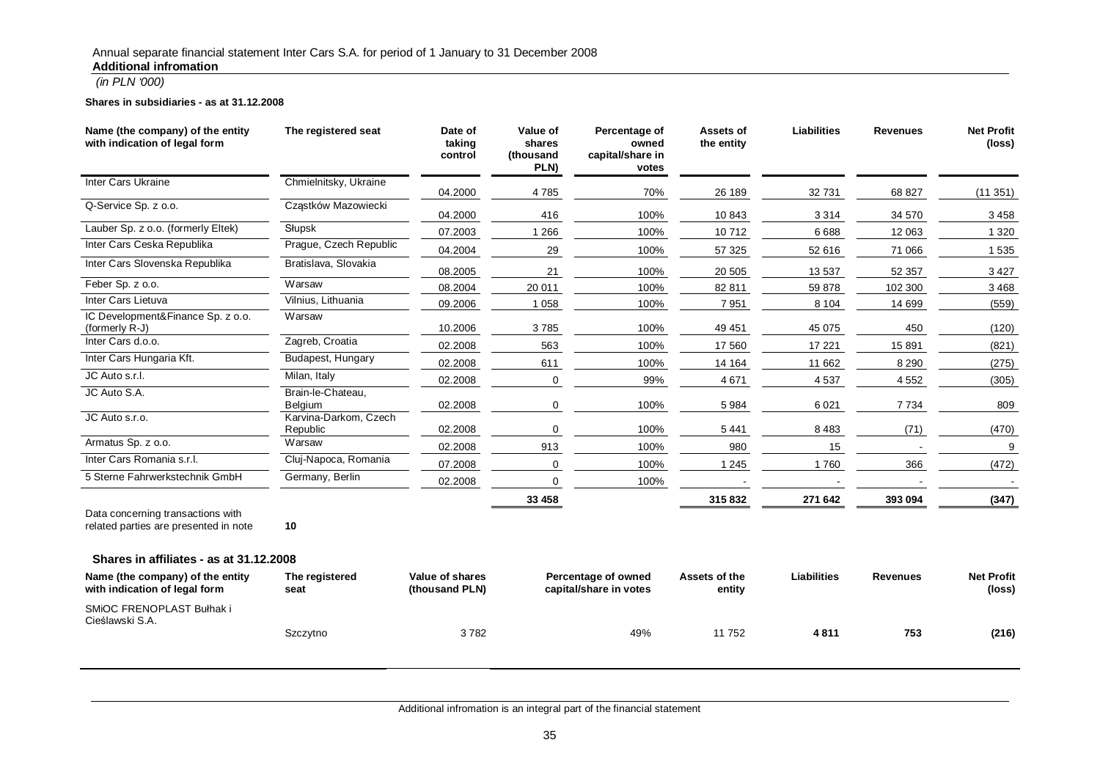#### **Shares in subsidiaries - as at 31.12.2008**

| Name (the company) of the entity<br>with indication of legal form          | The registered seat               | Date of<br>taking<br>control      | Value of<br>shares<br>(thousand<br>PLN)       | Percentage of<br>owned<br>capital/share in<br>votes | Assets of<br>the entity | <b>Liabilities</b> | <b>Revenues</b> | <b>Net Profit</b><br>(loss) |
|----------------------------------------------------------------------------|-----------------------------------|-----------------------------------|-----------------------------------------------|-----------------------------------------------------|-------------------------|--------------------|-----------------|-----------------------------|
| <b>Inter Cars Ukraine</b>                                                  | Chmielnitsky, Ukraine             | 04.2000                           | 4785                                          | 70%                                                 | 26 189                  | 32 731             | 68 827          | (11351)                     |
| Q-Service Sp. z o.o.                                                       | Cząstków Mazowiecki               | 04.2000                           | 416                                           | 100%                                                | 10 843                  | 3314               | 34 570          | 3458                        |
| Lauber Sp. z o.o. (formerly Eltek)                                         | Słupsk                            | 07.2003                           | 1 2 6 6                                       | 100%                                                | 10712                   | 6688               | 12 063          | 1 3 2 0                     |
| Inter Cars Ceska Republika                                                 | Prague, Czech Republic            | 04.2004                           | 29                                            | 100%                                                | 57 325                  | 52 616             | 71 066          | 1535                        |
| Inter Cars Slovenska Republika                                             | Bratislava, Slovakia              | 08.2005                           | 21                                            | 100%                                                | 20 505                  | 13 5 37            | 52 357          | 3427                        |
| Feber Sp. z o.o.                                                           | Warsaw                            | 08.2004                           | 20 011                                        | 100%                                                | 82 811                  | 59 878             | 102 300         | 3468                        |
| Inter Cars Lietuva                                                         | Vilnius, Lithuania                | 09.2006                           | 1 0 5 8                                       | 100%                                                | 7951                    | 8 1 0 4            | 14 699          | (559)                       |
| IC Development&Finance Sp. z o.o.<br>(formerly R-J)                        | Warsaw                            | 10.2006                           | 3785                                          | 100%                                                | 49 451                  | 45 075             | 450             | (120)                       |
| Inter Cars d.o.o.                                                          | Zagreb, Croatia                   | 02.2008                           | 563                                           | 100%                                                | 17 560                  | 17 221             | 15 891          | (821)                       |
| Inter Cars Hungaria Kft.                                                   | Budapest, Hungary                 | 02.2008                           | 611                                           | 100%                                                | 14 164                  | 11 662             | 8 2 9 0         | (275)                       |
| JC Auto s.r.l.                                                             | Milan, Italy                      | 02.2008                           | 0                                             | 99%                                                 | 4671                    | 4537               | 4552            | (305)                       |
| JC Auto S.A.                                                               | Brain-le-Chateau,<br>Belgium      | 02.2008                           | 0                                             | 100%                                                | 5984                    | 6021               | 7734            | 809                         |
| JC Auto s.r.o.                                                             | Karvina-Darkom, Czech<br>Republic | 02.2008                           | 0                                             | 100%                                                | 5 4 4 1                 | 8483               | (71)            | (470)                       |
| Armatus Sp. z o.o.                                                         | Warsaw                            | 02.2008                           | 913                                           | 100%                                                | 980                     | 15                 |                 | 9                           |
| Inter Cars Romania s.r.l.                                                  | Cluj-Napoca, Romania              | 07.2008                           | 0                                             | 100%                                                | 1 2 4 5                 | 1760               | 366             | (472)                       |
| 5 Sterne Fahrwerkstechnik GmbH                                             | Germany, Berlin                   | 02.2008                           | $\Omega$                                      | 100%                                                |                         |                    |                 |                             |
|                                                                            |                                   |                                   | 33 458                                        |                                                     | 315832                  | 271 642            | 393 094         | (347)                       |
| Data concerning transactions with<br>related parties are presented in note | 10                                |                                   |                                               |                                                     |                         |                    |                 |                             |
| Shares in affiliates - as at 31.12.2008                                    |                                   |                                   |                                               |                                                     |                         |                    |                 |                             |
| Name (the company) of the entity<br>with indication of legal form          | The registered<br>seat            | Value of shares<br>(thousand PLN) | Percentage of owned<br>capital/share in votes |                                                     | Assets of the<br>entity | <b>Liabilities</b> | <b>Revenues</b> | <b>Net Profit</b><br>(loss) |
| SMIOC FRENOPLAST Bułhak i<br>Cieślawski S.A.                               |                                   |                                   |                                               |                                                     |                         |                    |                 |                             |
|                                                                            | Szczytno                          | 3782                              |                                               | 49%                                                 | 11752                   | 4811               | 753             | (216)                       |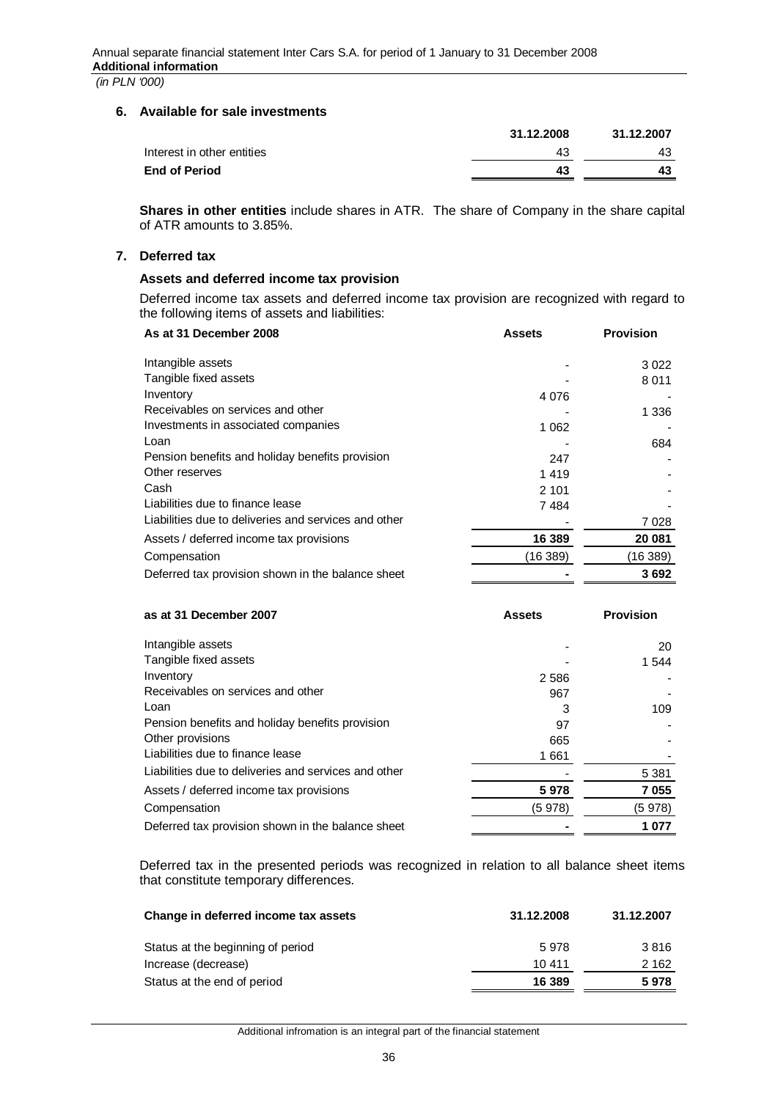## **6. Available for sale investments**

|                            | 31.12.2008 | 31.12.2007 |
|----------------------------|------------|------------|
| Interest in other entities | 43         | 43         |
| <b>End of Period</b>       | 43         | 43         |
|                            |            |            |

**Shares in other entities** include shares in ATR. The share of Company in the share capital of ATR amounts to 3.85%.

# **7. Deferred tax**

## **Assets and deferred income tax provision**

Deferred income tax assets and deferred income tax provision are recognized with regard to the following items of assets and liabilities:

| As at 31 December 2008                               | <b>Assets</b> | <b>Provision</b> |
|------------------------------------------------------|---------------|------------------|
| Intangible assets                                    |               | 3022             |
| Tangible fixed assets                                |               | 8011             |
| Inventory                                            | 4 0 7 6       |                  |
| Receivables on services and other                    |               | 1 336            |
| Investments in associated companies                  | 1 0 6 2       |                  |
| Loan                                                 |               | 684              |
| Pension benefits and holiday benefits provision      | 247           |                  |
| Other reserves                                       | 1419          |                  |
| Cash                                                 | 2 1 0 1       |                  |
| Liabilities due to finance lease                     | 7484          |                  |
| Liabilities due to deliveries and services and other |               | 7028             |
| Assets / deferred income tax provisions              | 16 389        | 20 081           |
| Compensation                                         | (16 389)      | (16 389)         |
| Deferred tax provision shown in the balance sheet    |               | 3692             |

| as at 31 December 2007                               | <b>Assets</b> | <b>Provision</b> |
|------------------------------------------------------|---------------|------------------|
| Intangible assets                                    |               | 20               |
| Tangible fixed assets                                |               | 1 5 4 4          |
| Inventory                                            | 2 5 8 6       |                  |
| Receivables on services and other                    | 967           |                  |
| Loan                                                 | 3             | 109              |
| Pension benefits and holiday benefits provision      | 97            |                  |
| Other provisions                                     | 665           |                  |
| Liabilities due to finance lease                     | 1661          |                  |
| Liabilities due to deliveries and services and other |               | 5 3 8 1          |
| Assets / deferred income tax provisions              | 5978          | 7055             |
| Compensation                                         | (5 978)       | (5 978)          |
| Deferred tax provision shown in the balance sheet    |               | 1 077            |

Deferred tax in the presented periods was recognized in relation to all balance sheet items that constitute temporary differences.

| Change in deferred income tax assets | 31.12.2008 | 31.12.2007 |
|--------------------------------------|------------|------------|
| Status at the beginning of period    | 5978       | 3816       |
| Increase (decrease)                  | 10 411     | 2 1 6 2    |
| Status at the end of period          | 16 389     | 5978       |

Additional infromation is an integral part of the financial statement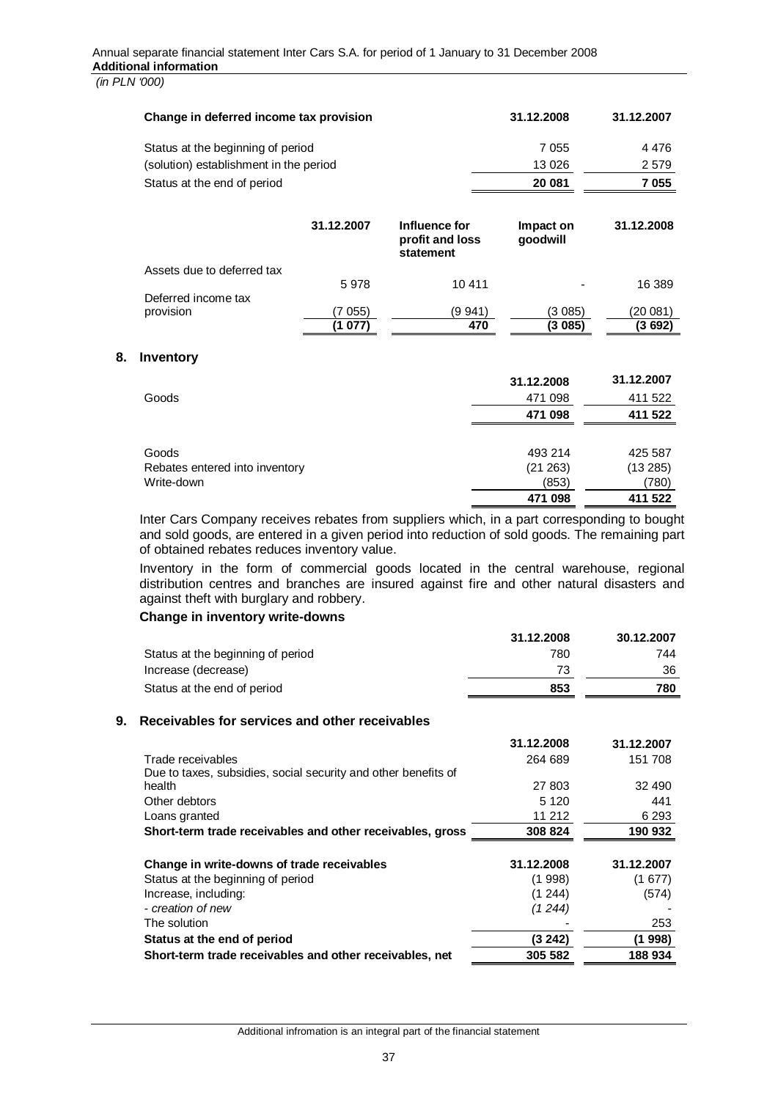| Change in deferred income tax provision |                    |                                               | 31.12.2008            | 31.12.2007          |
|-----------------------------------------|--------------------|-----------------------------------------------|-----------------------|---------------------|
| Status at the beginning of period       |                    |                                               | 7 0 5 5               | 4476                |
| (solution) establishment in the period  |                    |                                               | 13 0 26               | 2579                |
| Status at the end of period             |                    |                                               | 20 081                | 7055                |
|                                         | 31.12.2007         | Influence for<br>profit and loss<br>statement | Impact on<br>qoodwill | 31.12.2008          |
| Assets due to deferred tax              | 5978               | 10 411                                        |                       | 16 389              |
| Deferred income tax<br>provision        | (7 055)<br>(1 077) | (9 941)<br>470                                | (3 085)<br>(3 085)    | (20 081)<br>(3 692) |

#### **8. Inventory**

|                                | 31.12.2008 | 31.12.2007 |
|--------------------------------|------------|------------|
| Goods                          | 471 098    | 411 522    |
|                                | 471 098    | 411 522    |
|                                |            |            |
| Goods                          | 493 214    | 425 587    |
| Rebates entered into inventory | (21 263)   | (13285)    |
| Write-down                     | (853)      | (780)      |
|                                | 471 098    | 411 522    |

Inter Cars Company receives rebates from suppliers which, in a part corresponding to bought and sold goods, are entered in a given period into reduction of sold goods. The remaining part of obtained rebates reduces inventory value.

Inventory in the form of commercial goods located in the central warehouse, regional distribution centres and branches are insured against fire and other natural disasters and against theft with burglary and robbery.

#### **Change in inventory write-downs**

|                                   | 31.12.2008 | 30.12.2007 |
|-----------------------------------|------------|------------|
| Status at the beginning of period | 780        | 744        |
| Increase (decrease)               | 73         | 36         |
| Status at the end of period       | 853        | 780        |

#### **9. Receivables for services and other receivables**

|                                                                | 31.12.2008 | 31.12.2007 |
|----------------------------------------------------------------|------------|------------|
| Trade receivables                                              | 264 689    | 151 708    |
| Due to taxes, subsidies, social security and other benefits of |            |            |
| health                                                         | 27 803     | 32 490     |
| Other debtors                                                  | 5 1 2 0    | 441        |
| Loans granted                                                  | 11 212     | 6 2 9 3    |
| Short-term trade receivables and other receivables, gross      | 308 824    | 190 932    |
| Change in write-downs of trade receivables                     | 31.12.2008 | 31.12.2007 |
| Status at the beginning of period                              | (1998)     | (1677)     |
| Increase, including:                                           | (1244)     | (574)      |
| - creation of new                                              | (1 2 4 4 ) |            |
| The solution                                                   |            | 253        |
| Status at the end of period                                    | (3 242)    | (1 998)    |
| Short-term trade receivables and other receivables, net        | 305 582    | 188934     |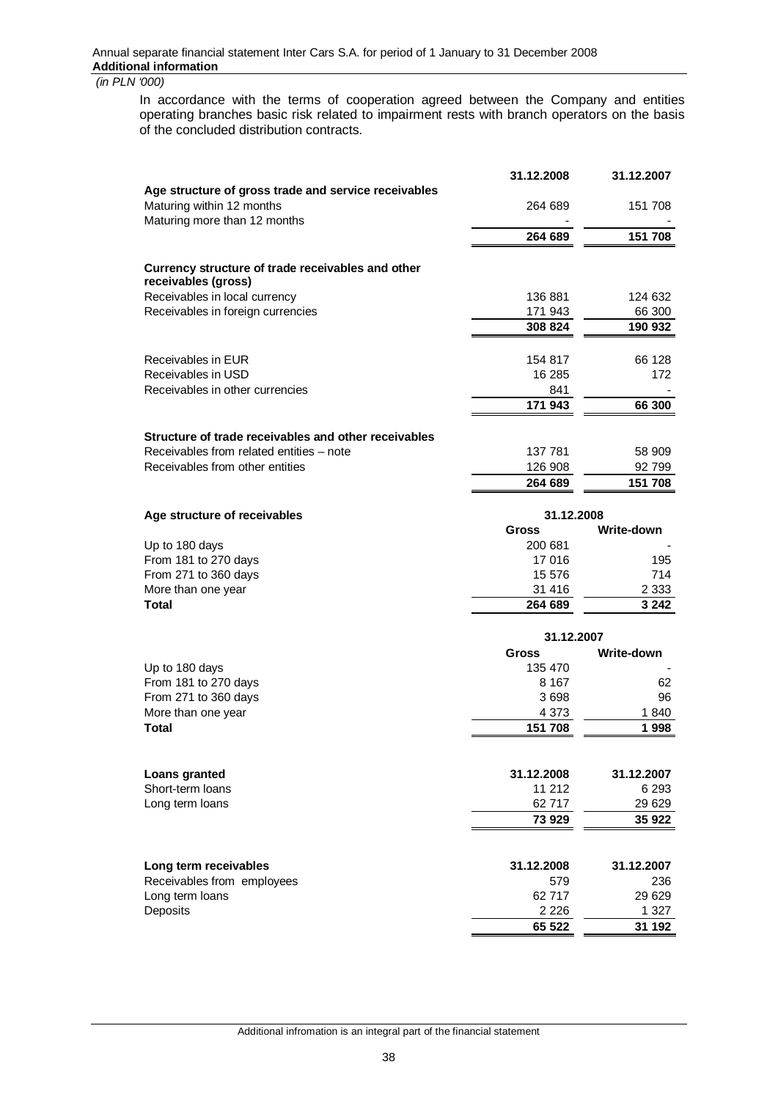In accordance with the terms of cooperation agreed between the Company and entities operating branches basic risk related to impairment rests with branch operators on the basis of the concluded distribution contracts.

|                                                                          | 31.12.2008 | 31.12.2007 |
|--------------------------------------------------------------------------|------------|------------|
| Age structure of gross trade and service receivables                     |            |            |
| Maturing within 12 months                                                | 264 689    | 151 708    |
| Maturing more than 12 months                                             |            |            |
|                                                                          | 264 689    | 151 708    |
| Currency structure of trade receivables and other<br>receivables (gross) |            |            |
| Receivables in local currency                                            | 136 881    | 124 632    |
| Receivables in foreign currencies                                        | 171 943    | 66 300     |
|                                                                          | 308 824    | 190 932    |
| Receivables in EUR                                                       | 154 817    | 66 128     |
| Receivables in USD                                                       | 16 285     | 172        |
| Receivables in other currencies                                          | 841        |            |
|                                                                          | 171 943    | 66 300     |
| Structure of trade receivables and other receivables                     |            |            |
| Receivables from related entities – note                                 | 137 781    | 58 909     |
| Receivables from other entities                                          | 126 908    | 92 799     |
|                                                                          | 264 689    | 151 708    |
|                                                                          |            |            |

| 31.12.2008   |            |
|--------------|------------|
| <b>Gross</b> | Write-down |
| 200 681      |            |
| 17 016       | 195        |
| 15 576       | 714        |
| 31 416       | 2 3 3 3    |
| 264 689      | 3 2 4 2    |
|              |            |

|                            | 31.12.2007   |            |
|----------------------------|--------------|------------|
|                            | <b>Gross</b> | Write-down |
| Up to 180 days             | 135 470      |            |
| From 181 to 270 days       | 8 1 6 7      | 62         |
| From 271 to 360 days       | 3698         | 96         |
| More than one year         | 4 3 7 3      | 1840       |
| <b>Total</b>               | 151 708      | 1998       |
|                            |              |            |
| Loans granted              | 31.12.2008   | 31.12.2007 |
| Short-term loans           | 11 212       | 6 2 9 3    |
| Long term loans            | 62717        | 29 6 29    |
|                            | 73 929       | 35 922     |
|                            |              |            |
| Long term receivables      | 31.12.2008   | 31.12.2007 |
| Receivables from employees | 579          | 236        |
| Long term loans            | 62 717       | 29 6 29    |
| Deposits                   | 2 2 2 6      | 1 3 2 7    |
|                            | 65 522       | 31 192     |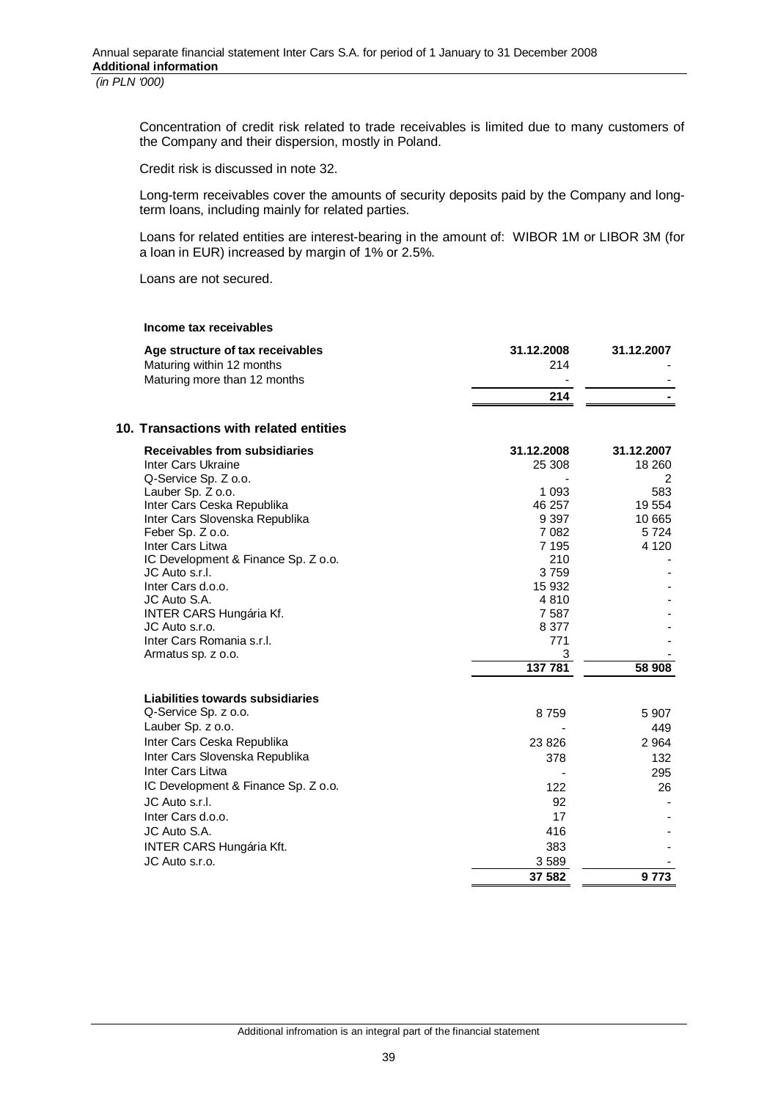Concentration of credit risk related to trade receivables is limited due to many customers of the Company and their dispersion, mostly in Poland.

Credit risk is discussed in note 32.

Long-term receivables cover the amounts of security deposits paid by the Company and longterm loans, including mainly for related parties.

Loans for related entities are interest-bearing in the amount of: WIBOR 1M or LIBOR 3M (for a loan in EUR) increased by margin of 1% or 2.5%.

Loans are not secured.

#### **Income tax receivables**

| Age structure of tax receivables | 31.12.2008               | 31.12.2007 |
|----------------------------------|--------------------------|------------|
| Maturing within 12 months        | 214                      |            |
| Maturing more than 12 months     | $\overline{\phantom{0}}$ |            |
|                                  | 214                      | -          |
|                                  |                          |            |

## **10. Transactions with related entities**

| Receivables from subsidiaries                     | 31.12.2008  | 31.12.2007     |
|---------------------------------------------------|-------------|----------------|
| Inter Cars Ukraine                                | 25 308      | 18 260         |
| Q-Service Sp. Z o.o.                              |             | 2              |
| Lauber Sp. Z o.o.                                 | 1 0 9 3     | 583            |
| Inter Cars Ceska Republika                        | 46 257      | 19 554         |
| Inter Cars Slovenska Republika                    | 9 3 9 7     | 10 665         |
| Feber Sp. Z o.o.                                  | 7 0 8 2     | 5724           |
| Inter Cars Litwa                                  | 7 1 9 5     | 4 1 2 0        |
| IC Development & Finance Sp. Z o.o.               | 210         |                |
| JC Auto s.r.l.                                    | 3759        |                |
| Inter Cars d.o.o.                                 | 15 932      |                |
| JC Auto S.A.                                      | 4810        |                |
| <b>INTER CARS Hungária Kf.</b>                    | 7 5 8 7     |                |
| JC Auto s.r.o.                                    | 8 3 7 7     |                |
| Inter Cars Romania s.r.l.                         | 771         |                |
| Armatus sp. z o.o.                                | 3           |                |
|                                                   |             |                |
|                                                   | 137 781     | 58 908         |
| Liabilities towards subsidiaries                  |             |                |
| Q-Service Sp. z o.o.                              |             |                |
| Lauber Sp. z o.o.                                 | 8759        | 5 9 0 7<br>449 |
| Inter Cars Ceska Republika                        | 23 8 26     | 2 9 64         |
| Inter Cars Slovenska Republika                    |             | 132            |
| Inter Cars Litwa                                  | 378         | 295            |
| IC Development & Finance Sp. Z o.o.               | 122         | 26             |
| JC Auto s.r.l.                                    |             |                |
|                                                   | 92<br>17    |                |
| Inter Cars d.o.o.                                 |             |                |
| JC Auto S.A.                                      | 416         |                |
| <b>INTER CARS Hungária Kft.</b><br>JC Auto s.r.o. | 383<br>3589 |                |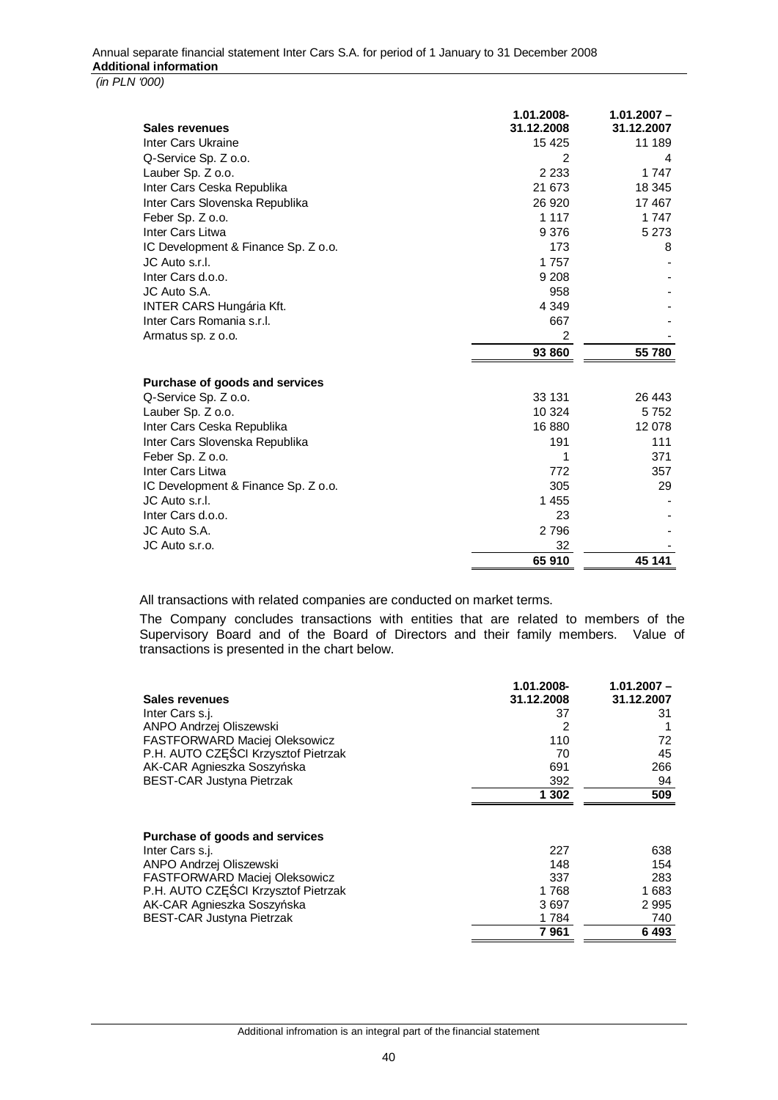#### Annual separate financial statement Inter Cars S.A. for period of 1 January to 31 December 2008 **Additional information**   *(in PLN '000)*

|                                     | 1.01.2008-     | $1.01.2007 -$ |
|-------------------------------------|----------------|---------------|
| Sales revenues                      | 31.12.2008     | 31.12.2007    |
| Inter Cars Ukraine                  | 15 4 25        | 11 189        |
| Q-Service Sp. Z o.o.                | $\overline{2}$ | 4             |
| Lauber Sp. Z o.o.                   | 2 2 3 3        | 1 7 4 7       |
| Inter Cars Ceska Republika          | 21 673         | 18 345        |
| Inter Cars Slovenska Republika      | 26 9 20        | 17467         |
| Feber Sp. Z o.o.                    | 1 1 1 7        | 1 7 4 7       |
| Inter Cars Litwa                    | 9 3 7 6        | 5 2 7 3       |
| IC Development & Finance Sp. Z o.o. | 173            | 8             |
| JC Auto s.r.l.                      | 1757           |               |
| Inter Cars d.o.o.                   | 9 2 0 8        |               |
| JC Auto S.A.                        | 958            |               |
| <b>INTER CARS Hungária Kft.</b>     | 4 3 4 9        |               |
| Inter Cars Romania s.r.l.           | 667            |               |
| Armatus sp. z o.o.                  | $\overline{2}$ |               |
|                                     | 93 860         | 55 780        |
| Purchase of goods and services      |                |               |
| Q-Service Sp. Z o.o.                | 33 131         | 26 443        |
| Lauber Sp. Z o.o.                   | 10 3 24        | 5752          |
| Inter Cars Ceska Republika          | 16880          | 12 078        |
| Inter Cars Slovenska Republika      | 191            | 111           |
| Feber Sp. Z o.o.                    | 1              | 371           |
| Inter Cars Litwa                    | 772            | 357           |
| IC Development & Finance Sp. Z o.o. | 305            | 29            |
| JC Auto s.r.l.                      | 1 455          |               |
| Inter Cars d.o.o.                   | 23             |               |
| JC Auto S.A.                        |                |               |
|                                     | 2796           |               |
| JC Auto s.r.o.                      | 32             |               |
|                                     | 65910          | 45 141        |

All transactions with related companies are conducted on market terms.

The Company concludes transactions with entities that are related to members of the Supervisory Board and of the Board of Directors and their family members. Value of transactions is presented in the chart below.

|                                                                                                                                                                                                                        | 1.01.2008-                                 | $1.01.2007 -$                            |
|------------------------------------------------------------------------------------------------------------------------------------------------------------------------------------------------------------------------|--------------------------------------------|------------------------------------------|
| Sales revenues                                                                                                                                                                                                         | 31.12.2008                                 | 31.12.2007                               |
| Inter Cars s.j.                                                                                                                                                                                                        | 37                                         | 31                                       |
| ANPO Andrzej Oliszewski                                                                                                                                                                                                | 2                                          |                                          |
| <b>FASTFORWARD Maciej Oleksowicz</b>                                                                                                                                                                                   | 110                                        | 72                                       |
| P.H. AUTO CZEŚCI Krzysztof Pietrzak                                                                                                                                                                                    | 70                                         | 45                                       |
| AK-CAR Agnieszka Soszyńska                                                                                                                                                                                             | 691                                        | 266                                      |
| <b>BEST-CAR Justyna Pietrzak</b>                                                                                                                                                                                       | 392                                        | 94                                       |
|                                                                                                                                                                                                                        | 1 302                                      | 509                                      |
| Purchase of goods and services<br>Inter Cars s.j.<br>ANPO Andrzej Oliszewski<br>FASTFORWARD Maciej Oleksowicz<br>P.H. AUTO CZĘŚCI Krzysztof Pietrzak<br>AK-CAR Agnieszka Soszyńska<br><b>BEST-CAR Justyna Pietrzak</b> | 227<br>148<br>337<br>1768<br>3697<br>1 784 | 638<br>154<br>283<br>1683<br>2995<br>740 |
|                                                                                                                                                                                                                        | 7 961                                      | 6493                                     |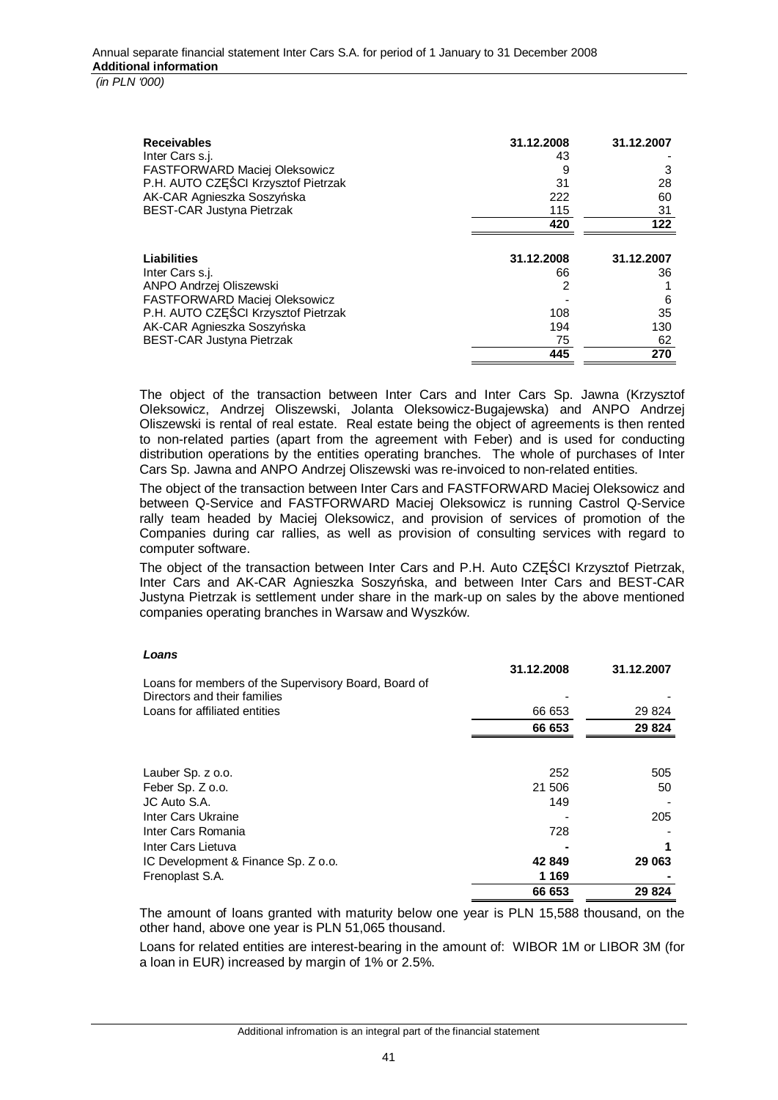**Receivables 31.12.2008 31.12.2007** Inter Cars s.j. 43 FASTFORWARD Maciej Oleksowicz 9 3 P.H. AUTO CZEŚCI Krzysztof Pietrzak AK-CAR Agnieszka Soszyńska 222 a 222 60 BEST-CAR Justyna Pietrzak 115 31 august 115 31 august 115 31 august 115 31 august 115 31 august 115 31 august 115 31 august 115 august 115 august 116 august 116 august 116 august 116 august 116 august 12 august 12 august 1 **420 122 Liabilities 31.12.2008 31.12.2007** Inter Cars s.j. 66 36 ANPO Andrzej Oliszewski 2 1 FASTFORWARD Maciej Oleksowicz - 6 P.H. AUTO CZĘŚCI Krzysztof Pietrzak 108 108 35 AK-CAR Agnieszka Soszyńska 194 130 august 194 130 august 194 130 august 194 130 august 194 130 august 194 130 august 1958 130 august 1958 130 august 1958 130 august 1958 130 august 1958 130 august 1958 130 august 1958 130 BEST-CAR Justyna Pietrzak 1988 – 1999 – 1999 – 1999 – 1999 – 1999 – 1999 – 1999 – 1999 – 1999 – 1999 – 1999 – 1 **445 270**

The object of the transaction between Inter Cars and Inter Cars Sp. Jawna (Krzysztof Oleksowicz, Andrzej Oliszewski, Jolanta Oleksowicz-Bugajewska) and ANPO Andrzej Oliszewski is rental of real estate. Real estate being the object of agreements is then rented to non-related parties (apart from the agreement with Feber) and is used for conducting distribution operations by the entities operating branches. The whole of purchases of Inter Cars Sp. Jawna and ANPO Andrzej Oliszewski was re-invoiced to non-related entities.

The object of the transaction between Inter Cars and FASTFORWARD Maciej Oleksowicz and between Q-Service and FASTFORWARD Maciej Oleksowicz is running Castrol Q-Service rally team headed by Maciej Oleksowicz, and provision of services of promotion of the Companies during car rallies, as well as provision of consulting services with regard to computer software.

The object of the transaction between Inter Cars and P.H. Auto CZĉĝCI Krzysztof Pietrzak, Inter Cars and AK-CAR Agnieszka Soszyńska, and between Inter Cars and BEST-CAR Justyna Pietrzak is settlement under share in the mark-up on sales by the above mentioned companies operating branches in Warsaw and Wyszków.

#### *Loans*

|                                                      | 31.12.2008 | 31.12.2007 |
|------------------------------------------------------|------------|------------|
| Loans for members of the Supervisory Board, Board of |            |            |
| Directors and their families                         |            |            |
| Loans for affiliated entities                        | 66 653     | 29 8 24    |
|                                                      | 66 653     | 29 8 24    |
|                                                      |            |            |
| Lauber Sp. z o.o.                                    | 252        | 505        |
| Feber Sp. Z o.o.                                     | 21 506     | 50         |
| JC Auto S.A.                                         | 149        |            |
| Inter Cars Ukraine                                   |            | 205        |
| Inter Cars Romania                                   | 728        |            |
| Inter Cars Lietuva                                   |            |            |
| IC Development & Finance Sp. Z o.o.                  | 42 849     | 29 063     |
| Frenoplast S.A.                                      | 1 1 6 9    |            |
|                                                      | 66 653     | 29824      |

The amount of loans granted with maturity below one year is PLN 15,588 thousand, on the other hand, above one year is PLN 51,065 thousand.

Loans for related entities are interest-bearing in the amount of: WIBOR 1M or LIBOR 3M (for a loan in EUR) increased by margin of 1% or 2.5%.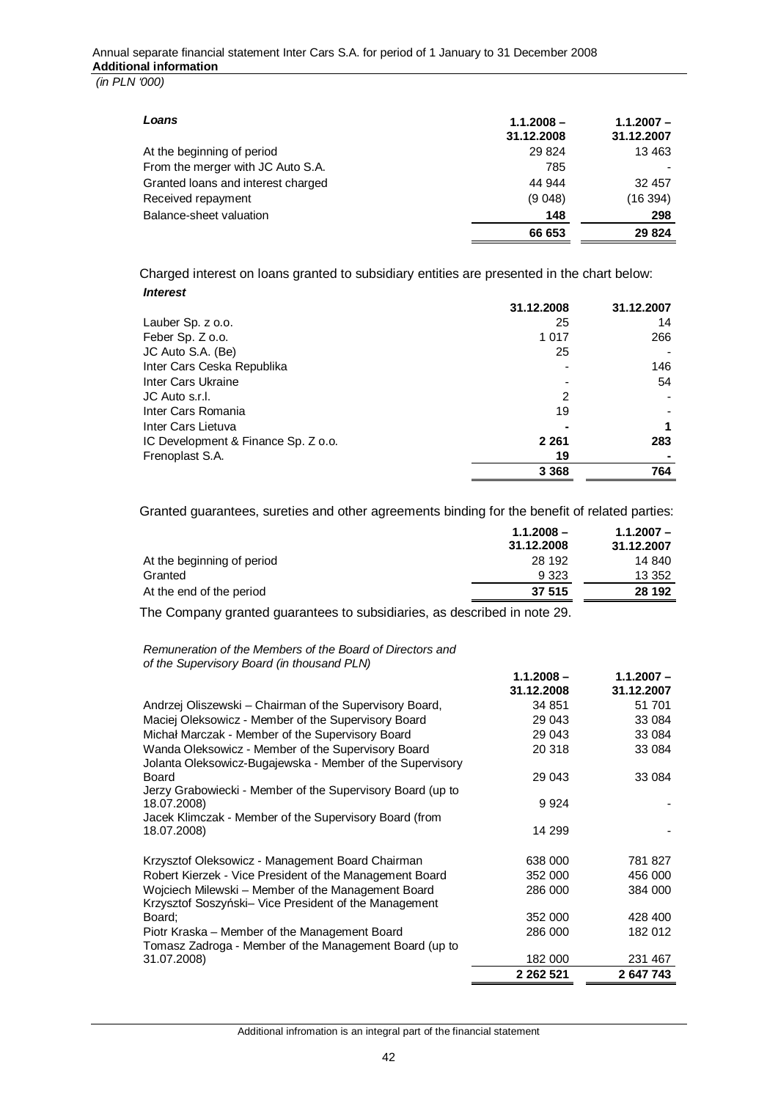| Loans                              | $1.1.2008 -$<br>31.12.2008 | $1.1.2007 -$<br>31.12.2007 |
|------------------------------------|----------------------------|----------------------------|
| At the beginning of period         | 29 8 24                    | 13 4 63                    |
| From the merger with JC Auto S.A.  | 785                        |                            |
| Granted loans and interest charged | 44 944                     | 32 457                     |
| Received repayment                 | (9048)                     | (16394)                    |
| Balance-sheet valuation            | 148                        | 298                        |
|                                    | 66 653                     | 29 8 24                    |

Charged interest on loans granted to subsidiary entities are presented in the chart below: *Interest*

|                                     | 31.12.2008 | 31.12.2007 |
|-------------------------------------|------------|------------|
| Lauber Sp. z o.o.                   | 25         | 14         |
| Feber Sp. Z o.o.                    | 1 0 1 7    | 266        |
| JC Auto S.A. (Be)                   | 25         |            |
| Inter Cars Ceska Republika          |            | 146        |
| Inter Cars Ukraine                  |            | 54         |
| JC Auto s.r.l.                      | 2          |            |
| Inter Cars Romania                  | 19         |            |
| Inter Cars Lietuva                  |            | 1          |
| IC Development & Finance Sp. Z o.o. | 2 2 6 1    | 283        |
| Frenoplast S.A.                     | 19         |            |
|                                     | 3 3 6 8    | 764        |

Granted guarantees, sureties and other agreements binding for the benefit of related parties:

|                            | $1.1.2008 -$ | $1.1.2007 -$ |
|----------------------------|--------------|--------------|
|                            | 31.12.2008   | 31.12.2007   |
| At the beginning of period | 28 192       | 14 840       |
| Granted                    | 9 3 2 3      | 13 352       |
| At the end of the period   | 37 515       | 28 192       |
|                            |              |              |

The Company granted guarantees to subsidiaries, as described in note 29.

*Remuneration of the Members of the Board of Directors and of the Supervisory Board (in thousand PLN)*

| <u>U the Oupervisory Doura (in thousand Film</u>           |                            |                            |
|------------------------------------------------------------|----------------------------|----------------------------|
|                                                            | $1.1.2008 -$<br>31.12.2008 | $1.1.2007 -$<br>31.12.2007 |
|                                                            |                            |                            |
| Andrzej Oliszewski - Chairman of the Supervisory Board,    | 34 851                     | 51 701                     |
| Maciej Oleksowicz - Member of the Supervisory Board        | 29 043                     | 33 0 84                    |
| Michał Marczak - Member of the Supervisory Board           | 29 043                     | 33 084                     |
| Wanda Oleksowicz - Member of the Supervisory Board         | 20 318                     | 33 0 84                    |
| Jolanta Oleksowicz-Bugajewska - Member of the Supervisory  |                            |                            |
| Board                                                      | 29 043                     | 33 0 84                    |
| Jerzy Grabowiecki - Member of the Supervisory Board (up to |                            |                            |
| 18.07.2008)                                                | 9924                       |                            |
| Jacek Klimczak - Member of the Supervisory Board (from     |                            |                            |
| 18.07.2008)                                                | 14 299                     |                            |
| Krzysztof Oleksowicz - Management Board Chairman           | 638 000                    | 781827                     |
| Robert Kierzek - Vice President of the Management Board    | 352 000                    | 456 000                    |
| Wojciech Milewski - Member of the Management Board         | 286 000                    | 384 000                    |
| Krzysztof Soszyński– Vice President of the Management      |                            |                            |
| Board;                                                     | 352 000                    | 428 400                    |
| Piotr Kraska - Member of the Management Board              | 286 000                    | 182 012                    |
| Tomasz Zadroga - Member of the Management Board (up to     |                            |                            |
| 31.07.2008)                                                | 182 000                    | 231 467                    |
|                                                            | 2 2 6 2 5 2 1              | 2 647 743                  |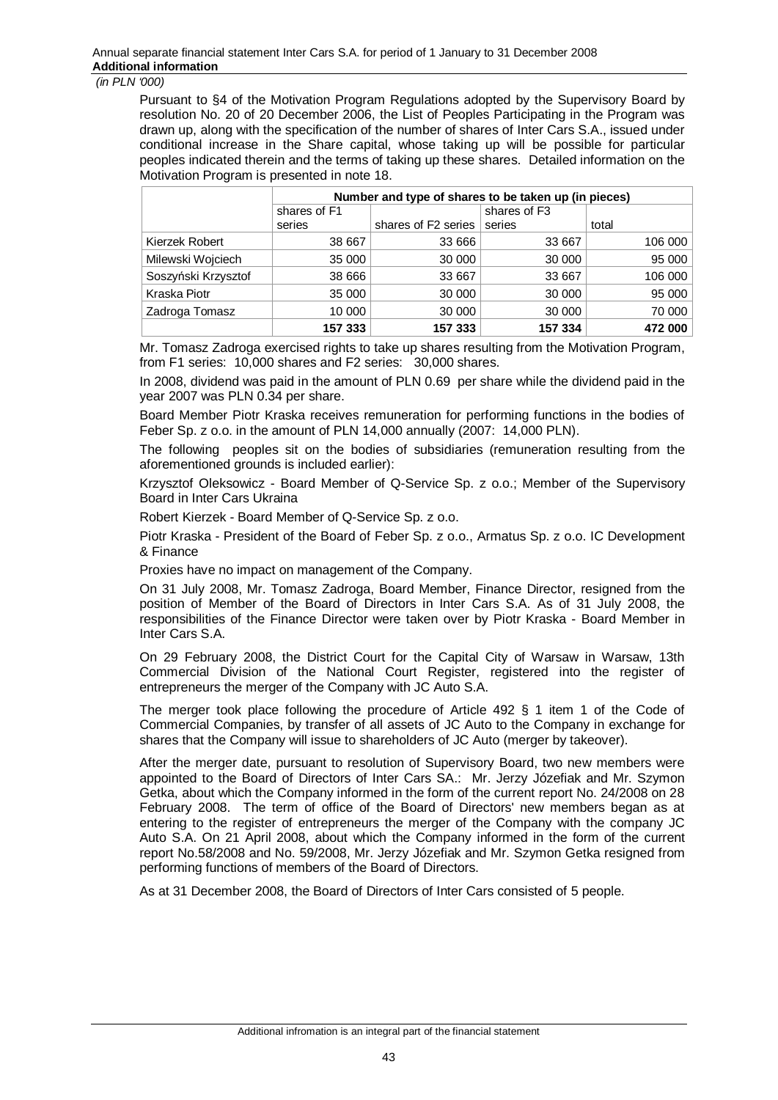Pursuant to §4 of the Motivation Program Regulations adopted by the Supervisory Board by resolution No. 20 of 20 December 2006, the List of Peoples Participating in the Program was drawn up, along with the specification of the number of shares of Inter Cars S.A., issued under conditional increase in the Share capital, whose taking up will be possible for particular peoples indicated therein and the terms of taking up these shares. Detailed information on the Motivation Program is presented in note 18.

|                     | Number and type of shares to be taken up (in pieces) |                     |                          |         |
|---------------------|------------------------------------------------------|---------------------|--------------------------|---------|
|                     | shares of F1                                         |                     | shares of F <sub>3</sub> |         |
|                     | series                                               | shares of F2 series | series                   | total   |
| Kierzek Robert      | 38 667                                               | 33 666              | 33 667                   | 106 000 |
| Milewski Wojciech   | 35 000                                               | 30 000              | 30 000                   | 95000   |
| Soszyński Krzysztof | 38 666                                               | 33 667              | 33 667                   | 106 000 |
| Kraska Piotr        | 35 000                                               | 30 000              | 30 000                   | 95 000  |
| Zadroga Tomasz      | 10 000                                               | 30 000              | 30 000                   | 70 000  |
|                     | 157 333                                              | 157 333             | 157 334                  | 472 000 |

Mr. Tomasz Zadroga exercised rights to take up shares resulting from the Motivation Program, from F1 series: 10,000 shares and F2 series: 30,000 shares.

In 2008, dividend was paid in the amount of PLN 0.69 per share while the dividend paid in the year 2007 was PLN 0.34 per share.

Board Member Piotr Kraska receives remuneration for performing functions in the bodies of Feber Sp. z o.o. in the amount of PLN 14,000 annually (2007: 14,000 PLN).

The following peoples sit on the bodies of subsidiaries (remuneration resulting from the aforementioned grounds is included earlier):

Krzysztof Oleksowicz - Board Member of Q-Service Sp. z o.o.; Member of the Supervisory Board in Inter Cars Ukraina

Robert Kierzek - Board Member of Q-Service Sp. z o.o.

Piotr Kraska - President of the Board of Feber Sp. z o.o., Armatus Sp. z o.o. IC Development & Finance

Proxies have no impact on management of the Company.

On 31 July 2008, Mr. Tomasz Zadroga, Board Member, Finance Director, resigned from the position of Member of the Board of Directors in Inter Cars S.A. As of 31 July 2008, the responsibilities of the Finance Director were taken over by Piotr Kraska - Board Member in Inter Cars S.A.

On 29 February 2008, the District Court for the Capital City of Warsaw in Warsaw, 13th Commercial Division of the National Court Register, registered into the register of entrepreneurs the merger of the Company with JC Auto S.A.

The merger took place following the procedure of Article 492 § 1 item 1 of the Code of Commercial Companies, by transfer of all assets of JC Auto to the Company in exchange for shares that the Company will issue to shareholders of JC Auto (merger by takeover).

After the merger date, pursuant to resolution of Supervisory Board, two new members were appointed to the Board of Directors of Inter Cars SA.: Mr. Jerzy Józefiak and Mr. Szymon Getka, about which the Company informed in the form of the current report No. 24/2008 on 28 February 2008. The term of office of the Board of Directors' new members began as at entering to the register of entrepreneurs the merger of the Company with the company JC Auto S.A. On 21 April 2008, about which the Company informed in the form of the current report No.58/2008 and No. 59/2008, Mr. Jerzy Józefiak and Mr. Szymon Getka resigned from performing functions of members of the Board of Directors.

As at 31 December 2008, the Board of Directors of Inter Cars consisted of 5 people.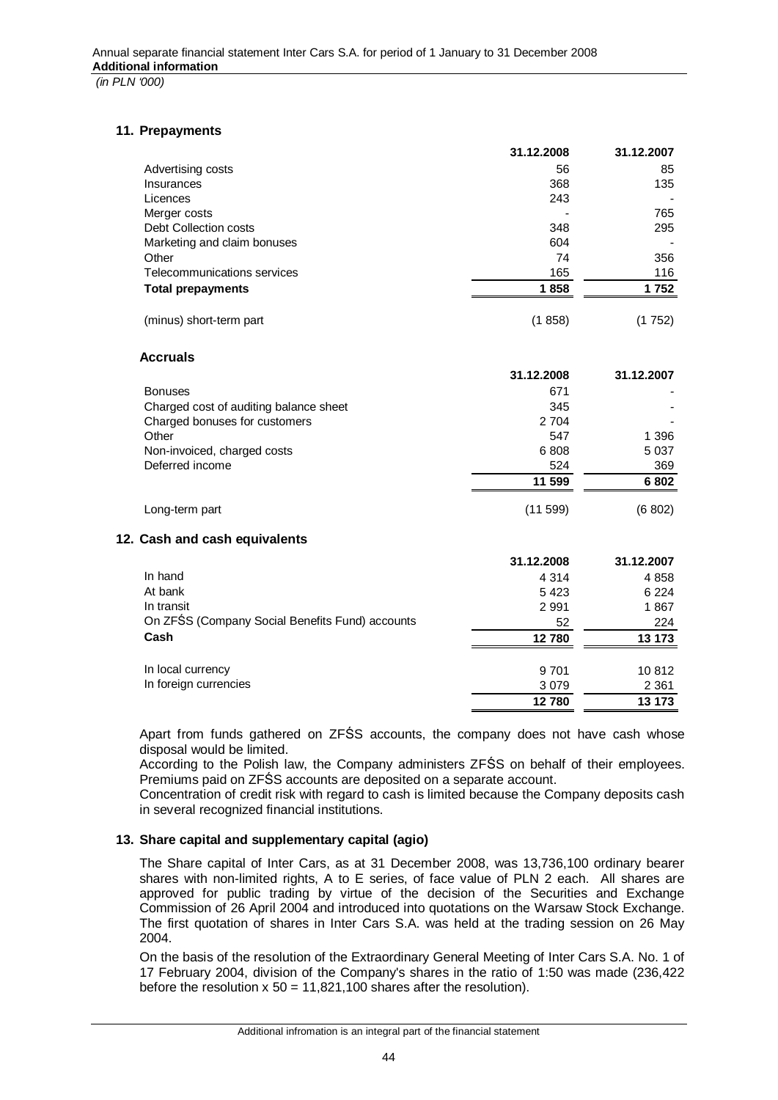## **11. Prepayments**

|                                          | 31.12.2008    | 31.12.2007 |
|------------------------------------------|---------------|------------|
| Advertising costs                        | 56            | 85         |
| Insurances                               | 368           | 135        |
| Licences                                 | 243           |            |
| Merger costs                             |               | 765        |
| Debt Collection costs                    | 348           | 295        |
| Marketing and claim bonuses              | 604           |            |
| Other                                    | 74            | 356        |
| Telecommunications services              | 165           | 116        |
| <b>Total prepayments</b>                 | 1858          | 1752       |
| (minus) short-term part                  | (1858)        | (1752)     |
| <b>Accruals</b>                          |               |            |
|                                          | 31.12.2008    | 31.12.2007 |
| <b>Bonuses</b>                           | 671           |            |
| Observed and of andlition below to about | $\sim$ $\sim$ |            |

|                                        | 11 599 | 6802    |
|----------------------------------------|--------|---------|
| Deferred income                        | 524    | 369     |
| Non-invoiced, charged costs            | 6808   | 5 0 3 7 |
| Other                                  | 547    | 1 396   |
| Charged bonuses for customers          | 2 704  |         |
| Charged cost of auditing balance sheet | 345    |         |

Long-term part (11 599) (6 802)

# **12. Cash and cash equivalents**

|                                                 | 31.12.2008 | 31.12.2007 |
|-------------------------------------------------|------------|------------|
| In hand                                         | 4 3 1 4    | 4 8 5 8    |
| At bank                                         | 5423       | 6 2 2 4    |
| In transit                                      | 2 9 9 1    | 1867       |
| On ZFŚS (Company Social Benefits Fund) accounts | 52         | 224        |
| Cash                                            | 12780      | 13 173     |
| In local currency                               | 9 7 0 1    | 10 812     |
| In foreign currencies                           | 3079       | 2 3 6 1    |
|                                                 | 12780      | 13 173     |

Apart from funds gathered on ZFŚS accounts, the company does not have cash whose disposal would be limited.

According to the Polish law, the Company administers ZFŚS on behalf of their employees. Premiums paid on ZFŚS accounts are deposited on a separate account.

Concentration of credit risk with regard to cash is limited because the Company deposits cash in several recognized financial institutions.

#### **13. Share capital and supplementary capital (agio)**

The Share capital of Inter Cars, as at 31 December 2008, was 13,736,100 ordinary bearer shares with non-limited rights, A to E series, of face value of PLN 2 each. All shares are approved for public trading by virtue of the decision of the Securities and Exchange Commission of 26 April 2004 and introduced into quotations on the Warsaw Stock Exchange. The first quotation of shares in Inter Cars S.A. was held at the trading session on 26 May 2004.

On the basis of the resolution of the Extraordinary General Meeting of Inter Cars S.A. No. 1 of 17 February 2004, division of the Company's shares in the ratio of 1:50 was made (236,422 before the resolution  $x 50 = 11,821,100$  shares after the resolution).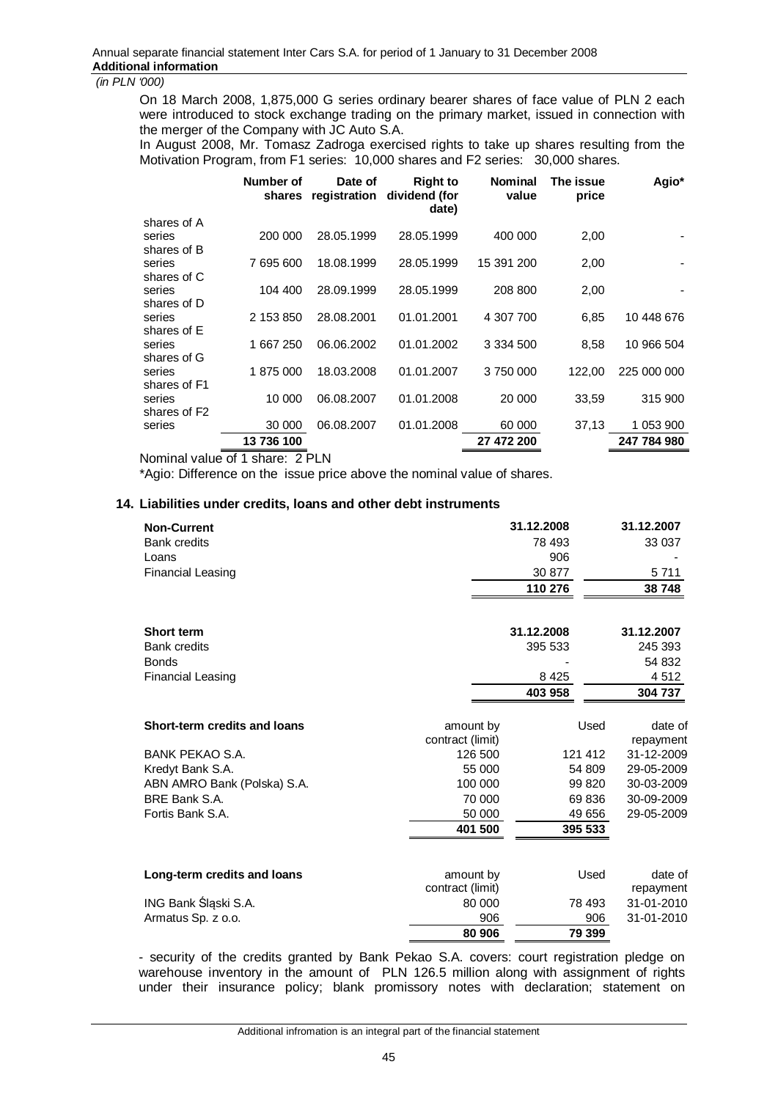On 18 March 2008, 1,875,000 G series ordinary bearer shares of face value of PLN 2 each were introduced to stock exchange trading on the primary market, issued in connection with the merger of the Company with JC Auto S.A.

In August 2008, Mr. Tomasz Zadroga exercised rights to take up shares resulting from the Motivation Program, from F1 series: 10,000 shares and F2 series: 30,000 shares.

|                       | Number of<br>shares | Date of    | <b>Right to</b><br>registration dividend (for<br>date) | <b>Nominal</b><br>value | The issue<br>price | Agio*       |
|-----------------------|---------------------|------------|--------------------------------------------------------|-------------------------|--------------------|-------------|
| shares of A           |                     |            |                                                        |                         |                    |             |
| series                | 200 000             | 28.05.1999 | 28.05.1999                                             | 400 000                 | 2,00               |             |
| shares of B           |                     |            |                                                        |                         |                    |             |
| series                | 7 695 600           | 18.08.1999 | 28.05.1999                                             | 15 391 200              | 2,00               |             |
| shares of C           |                     |            |                                                        |                         |                    |             |
| series                | 104 400             | 28.09.1999 | 28.05.1999                                             | 208 800                 | 2,00               |             |
| shares of D           |                     |            |                                                        |                         |                    |             |
| series                | 2 153 850           | 28.08.2001 | 01.01.2001                                             | 4 307 700               | 6,85               | 10 448 676  |
| shares of E           |                     |            |                                                        |                         |                    |             |
| series                | 1 667 250           | 06.06.2002 | 01.01.2002                                             | 3 3 3 4 5 0 0           | 8,58               | 10 966 504  |
| shares of G<br>series | 1875000             | 18.03.2008 | 01.01.2007                                             | 3750000                 | 122,00             | 225 000 000 |
| shares of F1          |                     |            |                                                        |                         |                    |             |
| series                | 10 000              | 06.08.2007 | 01.01.2008                                             | 20 000                  | 33,59              | 315 900     |
| shares of F2          |                     |            |                                                        |                         |                    |             |
| series                | 30 000              | 06.08.2007 | 01.01.2008                                             | 60 000                  | 37,13              | 1 053 900   |
|                       | 13736100            |            |                                                        | 27 472 200              |                    | 247 784 980 |
|                       |                     |            |                                                        |                         |                    |             |

Nominal value of 1 share: 2 PLN

\*Agio: Difference on the issue price above the nominal value of shares.

#### **14. Liabilities under credits, loans and other debt instruments**

| <b>Non-Current</b><br><b>Bank credits</b><br>Loans<br><b>Financial Leasing</b> |                               | 31.12.2008<br>78 493<br>906<br>30 877<br>110 276 | 31.12.2007<br>33 037<br>5711<br>38748 |
|--------------------------------------------------------------------------------|-------------------------------|--------------------------------------------------|---------------------------------------|
| <b>Short term</b>                                                              |                               | 31.12.2008                                       | 31.12.2007                            |
| <b>Bank credits</b>                                                            |                               | 395 533                                          | 245 393                               |
| <b>Bonds</b>                                                                   |                               |                                                  | 54 832                                |
| <b>Financial Leasing</b>                                                       |                               | 8 4 2 5                                          | 4 5 1 2                               |
|                                                                                |                               | 403 958                                          | 304 737                               |
| Short-term credits and loans                                                   | amount by<br>contract (limit) | Used                                             | date of<br>repayment                  |
| <b>BANK PEKAO S.A.</b>                                                         | 126 500                       | 121 412                                          | 31-12-2009                            |
| Kredyt Bank S.A.                                                               | 55 000                        | 54 809                                           | 29-05-2009                            |
| ABN AMRO Bank (Polska) S.A.                                                    | 100 000                       | 99 820                                           | 30-03-2009                            |
| BRE Bank S.A.                                                                  | 70 000                        | 69 836                                           | 30-09-2009                            |
| Fortis Bank S.A.                                                               | 50 000                        | 49 656                                           | 29-05-2009                            |
|                                                                                | 401 500                       | 395 533                                          |                                       |
|                                                                                |                               |                                                  |                                       |
| Long-term credits and loans                                                    | amount by<br>contract (limit) | Used                                             | date of<br>repayment                  |
| ING Bank Śląski S.A.                                                           | 80 000                        | 78 493                                           | 31-01-2010                            |
| Armatus Sp. z o.o.                                                             | 906                           | 906                                              | 31-01-2010                            |
|                                                                                | 80 906                        | 79 399                                           |                                       |
|                                                                                |                               |                                                  |                                       |

- security of the credits granted by Bank Pekao S.A. covers: court registration pledge on warehouse inventory in the amount of PLN 126.5 million along with assignment of rights under their insurance policy; blank promissory notes with declaration; statement on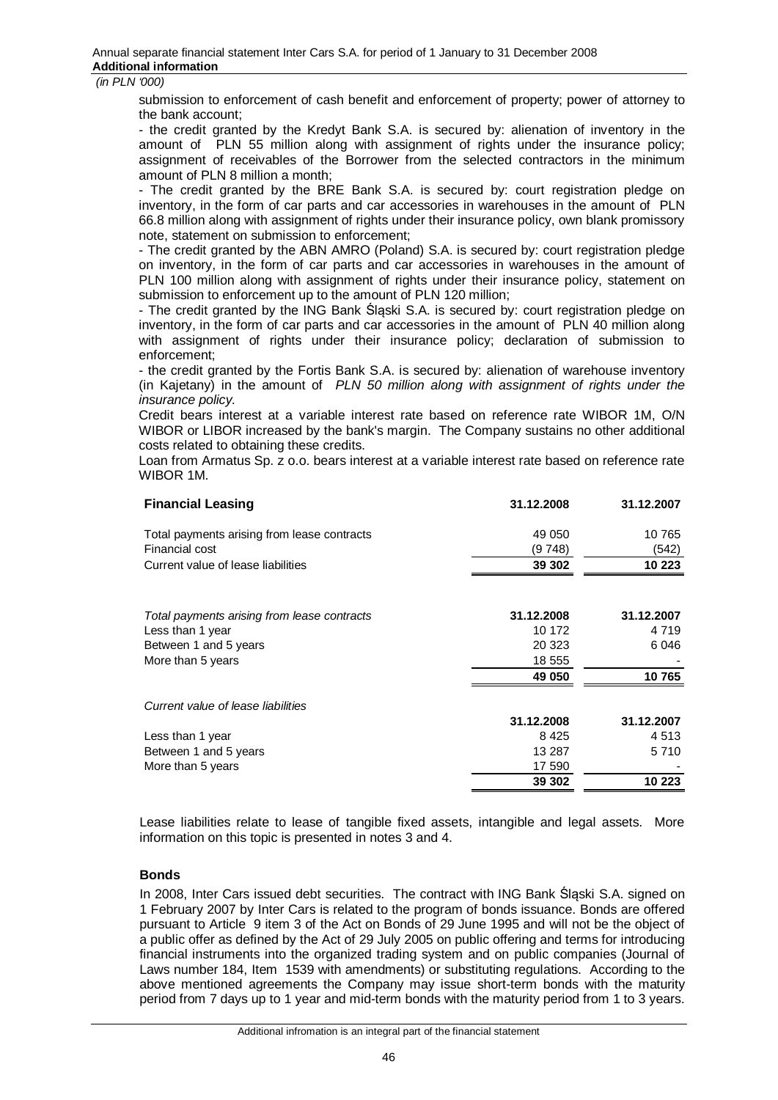submission to enforcement of cash benefit and enforcement of property; power of attorney to the bank account;

- the credit granted by the Kredyt Bank S.A. is secured by: alienation of inventory in the amount of PLN 55 million along with assignment of rights under the insurance policy; assignment of receivables of the Borrower from the selected contractors in the minimum amount of PLN 8 million a month;

- The credit granted by the BRE Bank S.A. is secured by: court registration pledge on inventory, in the form of car parts and car accessories in warehouses in the amount of PLN 66.8 million along with assignment of rights under their insurance policy, own blank promissory note, statement on submission to enforcement;

- The credit granted by the ABN AMRO (Poland) S.A. is secured by: court registration pledge on inventory, in the form of car parts and car accessories in warehouses in the amount of PLN 100 million along with assignment of rights under their insurance policy, statement on submission to enforcement up to the amount of PLN 120 million;

- The credit granted by the ING Bank Śląski S.A. is secured by: court registration pledge on inventory, in the form of car parts and car accessories in the amount of PLN 40 million along with assignment of rights under their insurance policy; declaration of submission to enforcement;

- the credit granted by the Fortis Bank S.A. is secured by: alienation of warehouse inventory (in Kajetany) in the amount of *PLN 50 million along with assignment of rights under the insurance policy.*

Credit bears interest at a variable interest rate based on reference rate WIBOR 1M, O/N WIBOR or LIBOR increased by the bank's margin. The Company sustains no other additional costs related to obtaining these credits.

Loan from Armatus Sp. z o.o. bears interest at a variable interest rate based on reference rate WIBOR 1M.

| <b>Financial Leasing</b>                    | 31.12.2008 | 31.12.2007 |
|---------------------------------------------|------------|------------|
| Total payments arising from lease contracts | 49 050     | 10 765     |
| Financial cost                              | (9 748)    | (542)      |
| Current value of lease liabilities          | 39 302     | 10 223     |
| Total payments arising from lease contracts | 31.12.2008 | 31.12.2007 |
| Less than 1 year                            | 10 172     | 4 7 1 9    |
| Between 1 and 5 years                       | 20 323     | 6046       |
| More than 5 years                           | 18 555     |            |
|                                             | 49 050     | 10765      |
| Current value of lease liabilities          |            |            |
|                                             | 31.12.2008 | 31.12.2007 |
| Less than 1 year                            | 8425       | 4 5 1 3    |
| Between 1 and 5 years                       | 13 287     | 5 7 1 0    |
| More than 5 years                           | 17 590     |            |
|                                             | 39 302     | 10 223     |
|                                             |            |            |

Lease liabilities relate to lease of tangible fixed assets, intangible and legal assets. More information on this topic is presented in notes 3 and 4.

#### **Bonds**

In 2008, Inter Cars issued debt securities. The contract with ING Bank Ślaski S.A. signed on 1 February 2007 by Inter Cars is related to the program of bonds issuance. Bonds are offered pursuant to Article 9 item 3 of the Act on Bonds of 29 June 1995 and will not be the object of a public offer as defined by the Act of 29 July 2005 on public offering and terms for introducing financial instruments into the organized trading system and on public companies (Journal of Laws number 184, Item 1539 with amendments) or substituting regulations. According to the above mentioned agreements the Company may issue short-term bonds with the maturity period from 7 days up to 1 year and mid-term bonds with the maturity period from 1 to 3 years.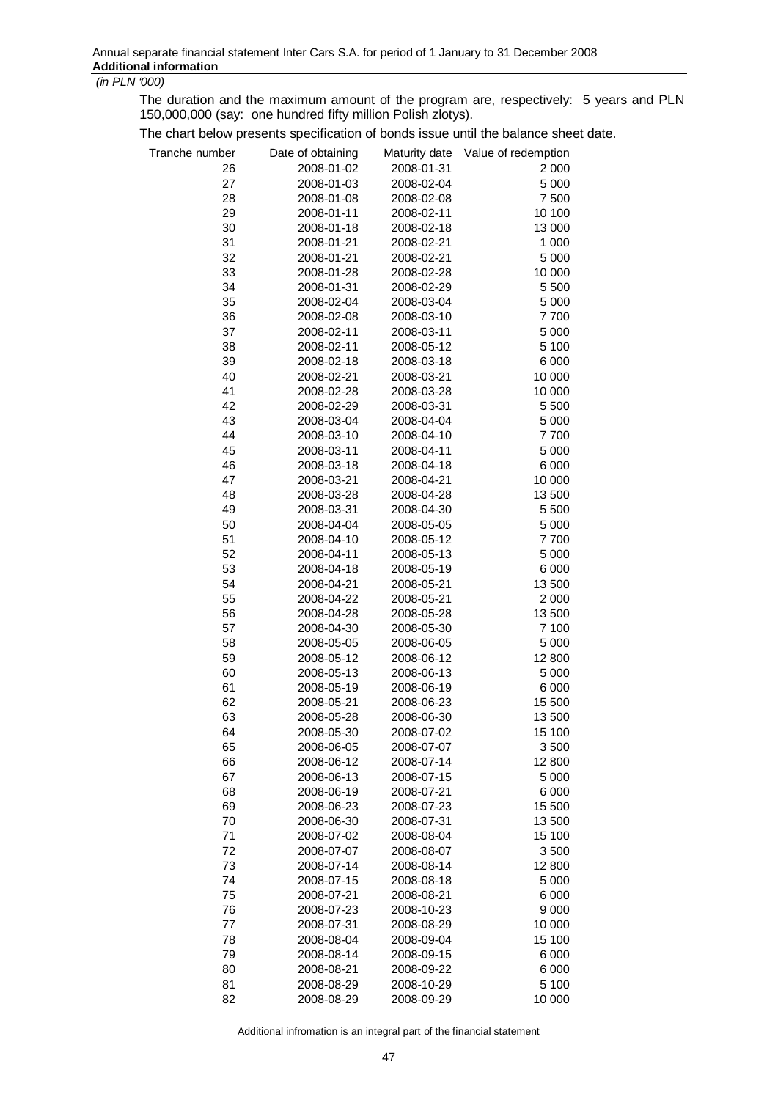The duration and the maximum amount of the program are, respectively: 5 years and PLN 150,000,000 (say: one hundred fifty million Polish zlotys).

The chart below presents specification of bonds issue until the balance sheet date.

| Tranche number | Date of obtaining | Maturity date | Value of redemption |
|----------------|-------------------|---------------|---------------------|
| 26             | 2008-01-02        | 2008-01-31    | 2 0 0 0             |
| 27             | 2008-01-03        | 2008-02-04    | 5 0 0 0             |
| 28             | 2008-01-08        | 2008-02-08    | 7 500               |
| 29             | 2008-01-11        | 2008-02-11    | 10 100              |
| 30             | 2008-01-18        | 2008-02-18    | 13 000              |
| 31             | 2008-01-21        | 2008-02-21    | 1 000               |
| 32             | 2008-01-21        | 2008-02-21    | 5 0 0 0             |
| 33             | 2008-01-28        | 2008-02-28    | 10 000              |
| 34             | 2008-01-31        | 2008-02-29    | 5 500               |
| 35             | 2008-02-04        | 2008-03-04    | 5 0 0 0             |
| 36             | 2008-02-08        | 2008-03-10    | 7700                |
| 37             | 2008-02-11        | 2008-03-11    | 5 0 0 0             |
| 38             | 2008-02-11        | 2008-05-12    | 5 100               |
| 39             | 2008-02-18        | 2008-03-18    | 6 0 0 0             |
| 40             | 2008-02-21        | 2008-03-21    | 10 000              |
| 41             | 2008-02-28        | 2008-03-28    | 10 000              |
| 42             |                   | 2008-03-31    | 5 500               |
|                | 2008-02-29        |               |                     |
| 43             | 2008-03-04        | 2008-04-04    | 5 0 0 0             |
| 44             | 2008-03-10        | 2008-04-10    | 7700                |
| 45             | 2008-03-11        | 2008-04-11    | 5 0 0 0             |
| 46             | 2008-03-18        | 2008-04-18    | 6 0 0 0             |
| 47             | 2008-03-21        | 2008-04-21    | 10 000              |
| 48             | 2008-03-28        | 2008-04-28    | 13 500              |
| 49             | 2008-03-31        | 2008-04-30    | 5 500               |
| 50             | 2008-04-04        | 2008-05-05    | 5 0 0 0             |
| 51             | 2008-04-10        | 2008-05-12    | 7700                |
| 52             | 2008-04-11        | 2008-05-13    | 5 0 0 0             |
| 53             | 2008-04-18        | 2008-05-19    | 6 0 0 0             |
| 54             | 2008-04-21        | 2008-05-21    | 13 500              |
| 55             | 2008-04-22        | 2008-05-21    | 2 0 0 0             |
| 56             | 2008-04-28        | 2008-05-28    | 13 500              |
| 57             | 2008-04-30        | 2008-05-30    | 7 100               |
| 58             | 2008-05-05        | 2008-06-05    | 5 0 0 0             |
| 59             | 2008-05-12        | 2008-06-12    | 12 800              |
| 60             | 2008-05-13        | 2008-06-13    | 5 0 0 0             |
| 61             | 2008-05-19        | 2008-06-19    | 6 0 0 0             |
| 62             | 2008-05-21        | 2008-06-23    | 15 500              |
| 63             | 2008-05-28        | 2008-06-30    | 13 500              |
| 64             | 2008-05-30        | 2008-07-02    | 15 100              |
| 65             | 2008-06-05        | 2008-07-07    | 3 500               |
| 66             | 2008-06-12        | 2008-07-14    | 12 800              |
| 67             | 2008-06-13        | 2008-07-15    | 5 0 0 0             |
| 68             | 2008-06-19        | 2008-07-21    | 6 0 0 0             |
| 69             | 2008-06-23        | 2008-07-23    | 15 500              |
| 70             |                   |               | 13 500              |
|                | 2008-06-30        | 2008-07-31    |                     |
| 71             | 2008-07-02        | 2008-08-04    | 15 100              |
| 72             | 2008-07-07        | 2008-08-07    | 3 500               |
| 73             | 2008-07-14        | 2008-08-14    | 12 800              |
| 74             | 2008-07-15        | 2008-08-18    | 5 0 0 0             |
| 75             | 2008-07-21        | 2008-08-21    | 6 0 0 0             |
| 76             | 2008-07-23        | 2008-10-23    | 9 0 0 0             |
| 77             | 2008-07-31        | 2008-08-29    | 10 000              |
| 78             | 2008-08-04        | 2008-09-04    | 15 100              |
| 79             | 2008-08-14        | 2008-09-15    | 6 0 0 0             |
| 80             | 2008-08-21        | 2008-09-22    | 6 0 0 0             |
| 81             | 2008-08-29        | 2008-10-29    | 5 100               |
| 82             | 2008-08-29        | 2008-09-29    | 10 000              |

Additional infromation is an integral part of the financial statement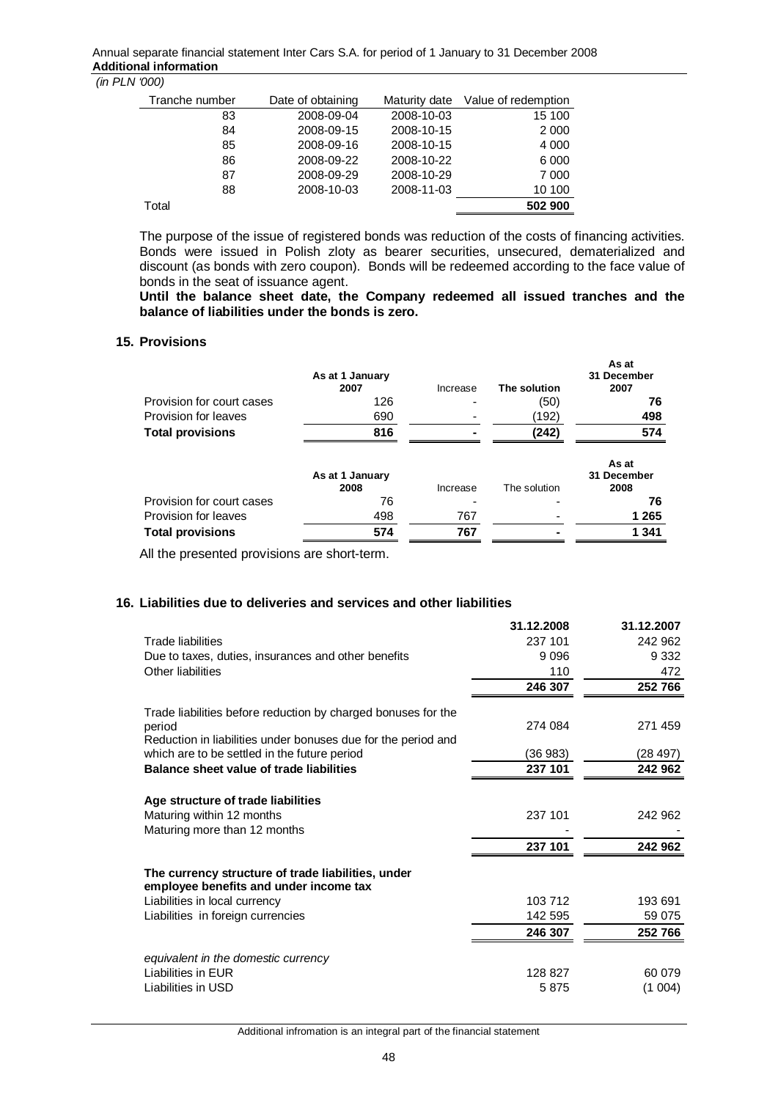| Tranche number | Date of obtaining | Maturity date | Value of redemption |
|----------------|-------------------|---------------|---------------------|
| 83             | 2008-09-04        | 2008-10-03    | 15 100              |
| 84             | 2008-09-15        | 2008-10-15    | 2 0 0 0             |
| 85             | 2008-09-16        | 2008-10-15    | 4 0 0 0             |
| 86             | 2008-09-22        | 2008-10-22    | 6 0 0 0             |
| 87             | 2008-09-29        | 2008-10-29    | 7 000               |
| 88             | 2008-10-03        | 2008-11-03    | 10 100              |
| Total          |                   |               | 502 900             |

The purpose of the issue of registered bonds was reduction of the costs of financing activities. Bonds were issued in Polish zloty as bearer securities, unsecured, dematerialized and discount (as bonds with zero coupon). Bonds will be redeemed according to the face value of bonds in the seat of issuance agent.

**Until the balance sheet date, the Company redeemed all issued tranches and the balance of liabilities under the bonds is zero.** 

## **15. Provisions**

|                           | As at 1 January<br>2007 | Increase | The solution | As at<br>31 December<br>2007 |
|---------------------------|-------------------------|----------|--------------|------------------------------|
| Provision for court cases | 126                     |          | (50)         | 76                           |
| Provision for leaves      | 690                     |          | (192)        | 498                          |
| <b>Total provisions</b>   | 816                     |          | (242)        | 574                          |
|                           | As at 1 January<br>2008 | Increase | The solution | As at<br>31 December<br>2008 |
| Provision for court cases | 76                      |          |              | 76                           |
| Provision for leaves      | 498                     | 767      |              | 1 2 6 5                      |
| <b>Total provisions</b>   | 574                     | 767      |              | 1 341                        |

All the presented provisions are short-term.

## **16. Liabilities due to deliveries and services and other liabilities**

|                                                                                              | 31.12.2008 | 31.12.2007 |
|----------------------------------------------------------------------------------------------|------------|------------|
| Trade liabilities                                                                            | 237 101    | 242 962    |
| Due to taxes, duties, insurances and other benefits                                          | 9096       | 9 3 3 2    |
| Other liabilities                                                                            | 110        | 472        |
|                                                                                              | 246 307    | 252 766    |
| Trade liabilities before reduction by charged bonuses for the                                |            |            |
| period                                                                                       | 274 084    | 271 459    |
| Reduction in liabilities under bonuses due for the period and                                |            |            |
| which are to be settled in the future period                                                 | (36 983)   | (28 497)   |
| Balance sheet value of trade liabilities                                                     | 237 101    | 242 962    |
|                                                                                              |            |            |
| Age structure of trade liabilities                                                           |            |            |
| Maturing within 12 months                                                                    | 237 101    | 242 962    |
| Maturing more than 12 months                                                                 |            |            |
|                                                                                              | 237 101    | 242 962    |
| The currency structure of trade liabilities, under<br>employee benefits and under income tax |            |            |
| Liabilities in local currency                                                                | 103 712    | 193 691    |
| Liabilities in foreign currencies                                                            | 142 595    | 59 075     |
|                                                                                              | 246 307    | 252766     |
|                                                                                              |            |            |
| equivalent in the domestic currency                                                          |            |            |
| Liabilities in EUR                                                                           | 128 827    | 60 079     |
| Liabilities in USD                                                                           | 5875       | (1004)     |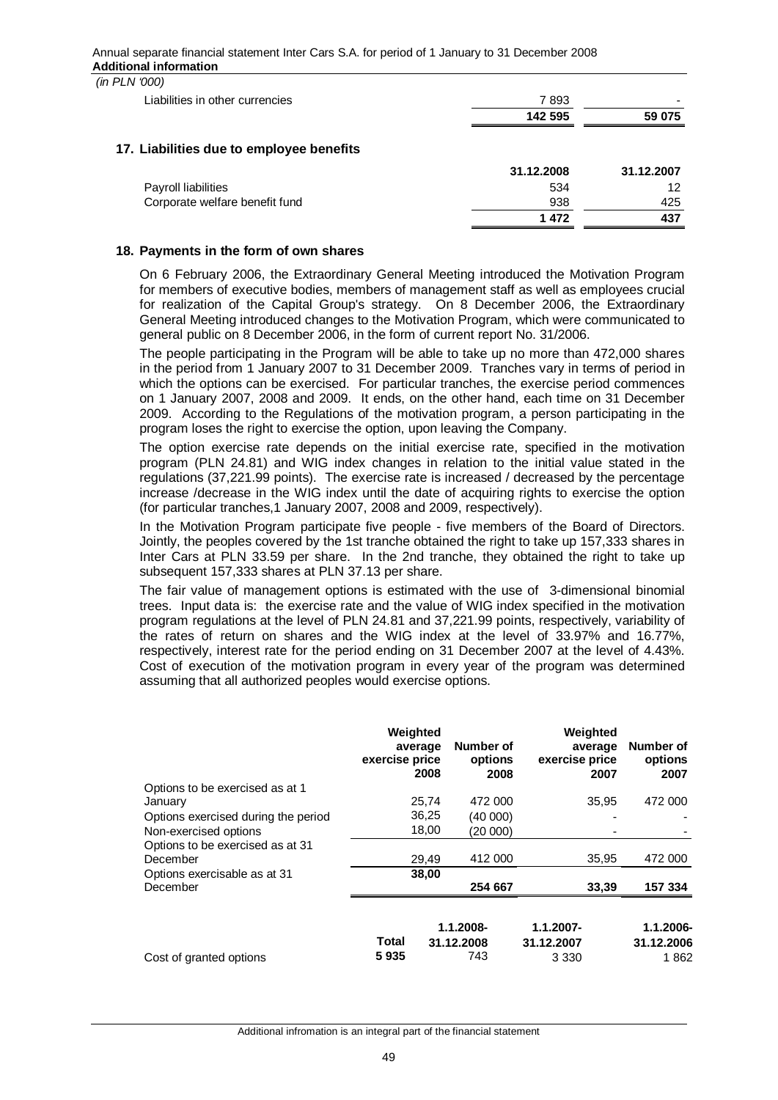| $1 - 1$ $1 - 1$                          |            |            |
|------------------------------------------|------------|------------|
| Liabilities in other currencies          | 7893       |            |
|                                          | 142 595    | 59 075     |
| 17. Liabilities due to employee benefits |            |            |
|                                          | 31.12.2008 | 31.12.2007 |
| Payroll liabilities                      | 534        | 12         |
| Corporate welfare benefit fund           | 938        | 425        |
|                                          | 1472       | 437        |
|                                          |            |            |

#### **18. Payments in the form of own shares**

On 6 February 2006, the Extraordinary General Meeting introduced the Motivation Program for members of executive bodies, members of management staff as well as employees crucial for realization of the Capital Group's strategy. On 8 December 2006, the Extraordinary General Meeting introduced changes to the Motivation Program, which were communicated to general public on 8 December 2006, in the form of current report No. 31/2006.

The people participating in the Program will be able to take up no more than 472,000 shares in the period from 1 January 2007 to 31 December 2009. Tranches vary in terms of period in which the options can be exercised. For particular tranches, the exercise period commences on 1 January 2007, 2008 and 2009. It ends, on the other hand, each time on 31 December 2009. According to the Regulations of the motivation program, a person participating in the program loses the right to exercise the option, upon leaving the Company.

The option exercise rate depends on the initial exercise rate, specified in the motivation program (PLN 24.81) and WIG index changes in relation to the initial value stated in the regulations (37,221.99 points). The exercise rate is increased / decreased by the percentage increase /decrease in the WIG index until the date of acquiring rights to exercise the option (for particular tranches,1 January 2007, 2008 and 2009, respectively).

In the Motivation Program participate five people - five members of the Board of Directors. Jointly, the peoples covered by the 1st tranche obtained the right to take up 157,333 shares in Inter Cars at PLN 33.59 per share. In the 2nd tranche, they obtained the right to take up subsequent 157,333 shares at PLN 37.13 per share.

The fair value of management options is estimated with the use of 3-dimensional binomial trees. Input data is: the exercise rate and the value of WIG index specified in the motivation program regulations at the level of PLN 24.81 and 37,221.99 points, respectively, variability of the rates of return on shares and the WIG index at the level of 33.97% and 16.77%, respectively, interest rate for the period ending on 31 December 2007 at the level of 4.43%. Cost of execution of the motivation program in every year of the program was determined assuming that all authorized peoples would exercise options.

|                                     | Weighted<br>average<br>exercise price<br>2008 | Number of<br>options<br>2008 | Weighted<br>average<br>exercise price<br>2007 | Number of<br>options<br>2007 |
|-------------------------------------|-----------------------------------------------|------------------------------|-----------------------------------------------|------------------------------|
| Options to be exercised as at 1     |                                               |                              |                                               |                              |
| January                             | 25,74                                         | 472 000                      | 35,95                                         | 472 000                      |
| Options exercised during the period | 36,25                                         | (40 000)                     |                                               |                              |
| Non-exercised options               | 18,00                                         | (20 000)                     |                                               |                              |
| Options to be exercised as at 31    |                                               |                              |                                               |                              |
| December                            | 29,49                                         | 412 000                      | 35,95                                         | 472 000                      |
| Options exercisable as at 31        | 38.00                                         |                              |                                               |                              |
| December                            |                                               | 254 667                      | 33,39                                         | 157 334                      |
|                                     | Total                                         | 1.1.2008-<br>31.12.2008      | $1.1.2007 -$<br>31.12.2007                    | 1.1.2006-<br>31.12.2006      |
| Cost of granted options             | 5935                                          | 743                          | 3 3 3 0                                       | 1862                         |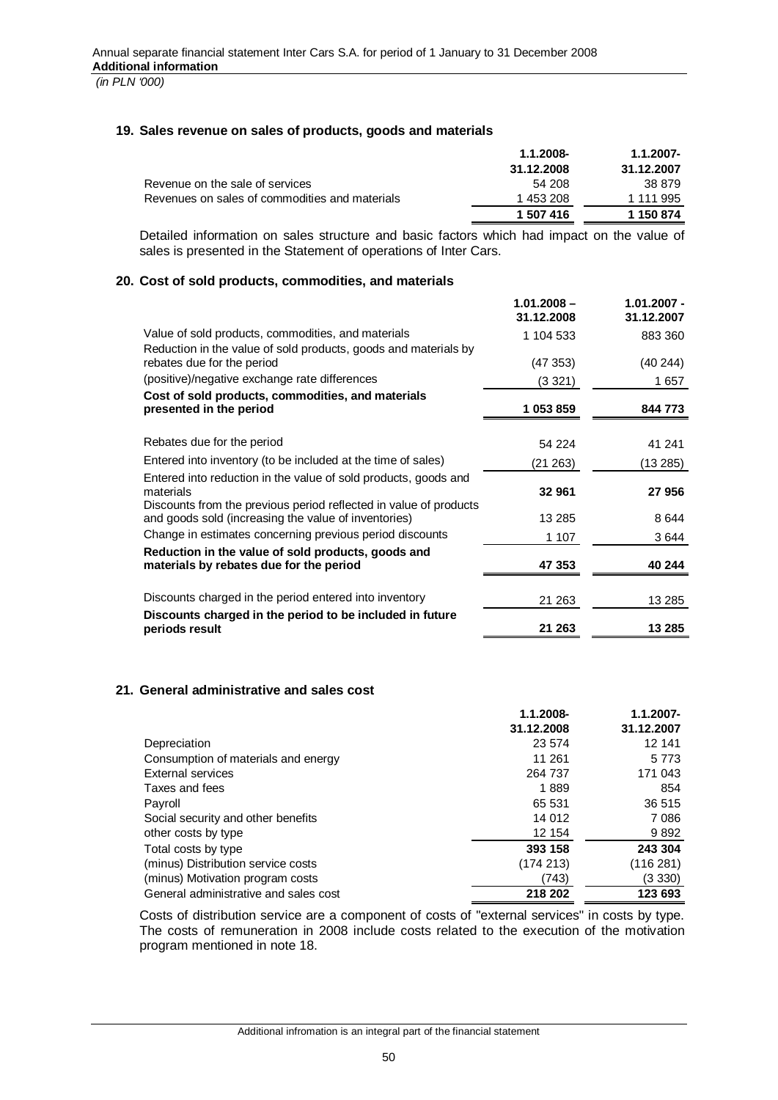## **19. Sales revenue on sales of products, goods and materials**

|                                                | 1.1.2008-  | $1.1.2007 -$ |
|------------------------------------------------|------------|--------------|
|                                                | 31.12.2008 | 31.12.2007   |
| Revenue on the sale of services                | 54 208     | 38 879       |
| Revenues on sales of commodities and materials | 1 453 208  | 1 111 995    |
|                                                | 1 507 416  | 1 150 874    |

Detailed information on sales structure and basic factors which had impact on the value of sales is presented in the Statement of operations of Inter Cars.

## **20. Cost of sold products, commodities, and materials**

|                                                                                                                           | $1.01.2008 -$<br>31.12.2008 | $1.01.2007 -$<br>31.12.2007 |
|---------------------------------------------------------------------------------------------------------------------------|-----------------------------|-----------------------------|
| Value of sold products, commodities, and materials<br>Reduction in the value of sold products, goods and materials by     | 1 104 533                   | 883 360                     |
| rebates due for the period                                                                                                | (47353)                     | (40244)                     |
| (positive)/negative exchange rate differences                                                                             | (3 321)                     | 1657                        |
| Cost of sold products, commodities, and materials<br>presented in the period                                              | 1 053 859                   | 844 773                     |
| Rebates due for the period                                                                                                | 54 224                      | 41 241                      |
| Entered into inventory (to be included at the time of sales)                                                              | (21 263)                    | (13 285)                    |
| Entered into reduction in the value of sold products, goods and<br>materials                                              | 32 961                      | 27 956                      |
| Discounts from the previous period reflected in value of products<br>and goods sold (increasing the value of inventories) | 13 2 8 5                    | 8644                        |
| Change in estimates concerning previous period discounts                                                                  | 1 107                       | 3 644                       |
| Reduction in the value of sold products, goods and<br>materials by rebates due for the period                             | 47 353                      | 40 244                      |
| Discounts charged in the period entered into inventory                                                                    | 21 263                      | 13 285                      |
| Discounts charged in the period to be included in future<br>periods result                                                | 21 263                      | 13 285                      |

## **21. General administrative and sales cost**

|                                       | 1.1.2008-  | $1.1.2007 -$ |
|---------------------------------------|------------|--------------|
|                                       | 31.12.2008 | 31.12.2007   |
| Depreciation                          | 23 574     | 12 141       |
| Consumption of materials and energy   | 11 261     | 5 7 7 3      |
| <b>External services</b>              | 264 737    | 171 043      |
| Taxes and fees                        | 1889       | 854          |
| Payroll                               | 65 531     | 36 515       |
| Social security and other benefits    | 14 012     | 7 0 8 6      |
| other costs by type                   | 12 154     | 9892         |
| Total costs by type                   | 393 158    | 243 304      |
| (minus) Distribution service costs    | (174 213)  | (116 281)    |
| (minus) Motivation program costs      | (743)      | (3330)       |
| General administrative and sales cost | 218 202    | 123 693      |

Costs of distribution service are a component of costs of "external services" in costs by type. The costs of remuneration in 2008 include costs related to the execution of the motivation program mentioned in note 18.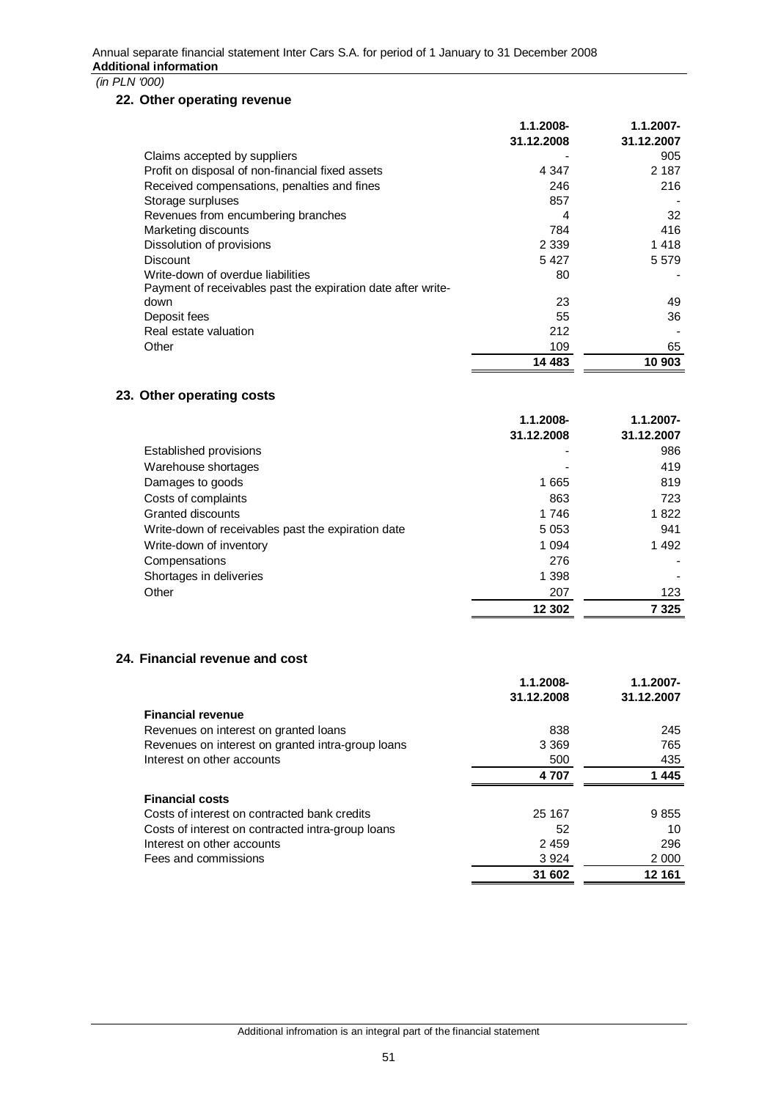## **22. Other operating revenue**

|                                                              | 1.1.2008-  | $1.1.2007 -$ |
|--------------------------------------------------------------|------------|--------------|
|                                                              | 31.12.2008 | 31.12.2007   |
| Claims accepted by suppliers                                 |            | 905          |
| Profit on disposal of non-financial fixed assets             | 4 3 4 7    | 2 1 8 7      |
| Received compensations, penalties and fines                  | 246        | 216          |
| Storage surpluses                                            | 857        |              |
| Revenues from encumbering branches                           | 4          | 32           |
| Marketing discounts                                          | 784        | 416          |
| Dissolution of provisions                                    | 2 3 3 9    | 1418         |
| <b>Discount</b>                                              | 5427       | 5 5 7 9      |
| Write-down of overdue liabilities                            | 80         |              |
| Payment of receivables past the expiration date after write- |            |              |
| down                                                         | 23         | 49           |
| Deposit fees                                                 | 55         | 36           |
| Real estate valuation                                        | 212        |              |
| Other                                                        | 109        | 65           |
|                                                              | 14 483     | 10 903       |

# **23. Other operating costs**

|                                                    | 1.1.2008-  | $1.1.2007 -$ |
|----------------------------------------------------|------------|--------------|
|                                                    | 31.12.2008 | 31.12.2007   |
| Established provisions                             |            | 986          |
| Warehouse shortages                                |            | 419          |
| Damages to goods                                   | 1665       | 819          |
| Costs of complaints                                | 863        | 723          |
| Granted discounts                                  | 1746       | 1822         |
| Write-down of receivables past the expiration date | 5 0 5 3    | 941          |
| Write-down of inventory                            | 1 0 9 4    | 1492         |
| Compensations                                      | 276        |              |
| Shortages in deliveries                            | 1 3 9 8    |              |
| Other                                              | 207        | 123          |
|                                                    | 12 302     | 7 325        |

## **24. Financial revenue and cost**

|                                                   | 1.1.2008-  | $1.1.2007 -$ |
|---------------------------------------------------|------------|--------------|
|                                                   | 31.12.2008 | 31.12.2007   |
| <b>Financial revenue</b>                          |            |              |
| Revenues on interest on granted loans             | 838        | 245          |
| Revenues on interest on granted intra-group loans | 3 3 6 9    | 765          |
| Interest on other accounts                        | 500        | 435          |
|                                                   | 4 707      | 1445         |
| <b>Financial costs</b>                            |            |              |
| Costs of interest on contracted bank credits      | 25 167     | 9855         |
| Costs of interest on contracted intra-group loans | 52         | 10           |
| Interest on other accounts                        | 2459       | 296          |
| Fees and commissions                              | 3924       | 2 0 0 0      |
|                                                   | 31 602     | 12 161       |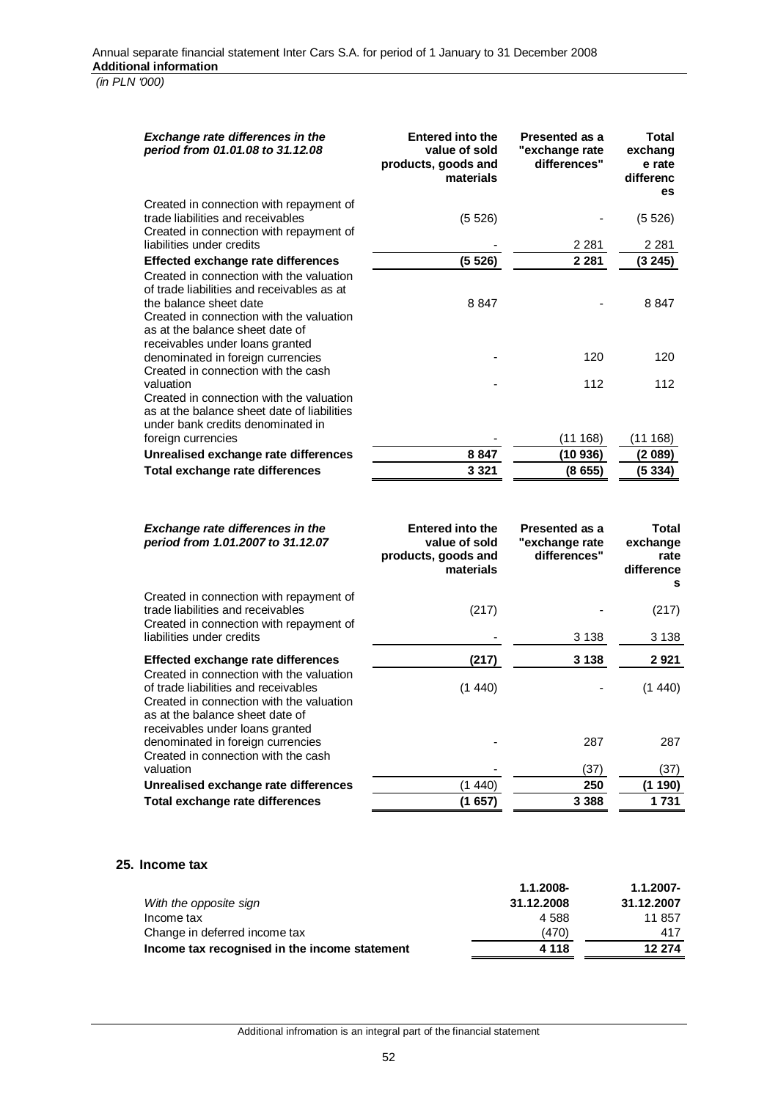| <b>Exchange rate differences in the</b><br>period from 01.01.08 to 31.12.08                                                                                                                                                        | <b>Entered into the</b><br>value of sold<br>products, goods and<br>materials | <b>Presented as a</b><br>"exchange rate<br>differences" | Total<br>exchang<br>e rate<br>differenc<br><b>es</b> |
|------------------------------------------------------------------------------------------------------------------------------------------------------------------------------------------------------------------------------------|------------------------------------------------------------------------------|---------------------------------------------------------|------------------------------------------------------|
| Created in connection with repayment of<br>trade liabilities and receivables<br>Created in connection with repayment of                                                                                                            | (5526)                                                                       |                                                         | (5526)                                               |
| liabilities under credits                                                                                                                                                                                                          |                                                                              | 2 2 8 1                                                 | 2 2 8 1                                              |
| Effected exchange rate differences                                                                                                                                                                                                 | (5526)                                                                       | 2 2 8 1                                                 | (3245)                                               |
| Created in connection with the valuation<br>of trade liabilities and receivables as at<br>the balance sheet date<br>Created in connection with the valuation<br>as at the balance sheet date of<br>receivables under loans granted | 8847                                                                         |                                                         | 8847                                                 |
| denominated in foreign currencies                                                                                                                                                                                                  |                                                                              | 120                                                     | 120                                                  |
| Created in connection with the cash<br>valuation                                                                                                                                                                                   |                                                                              | 112                                                     | 112                                                  |
| Created in connection with the valuation<br>as at the balance sheet date of liabilities<br>under bank credits denominated in                                                                                                       |                                                                              |                                                         |                                                      |
| foreign currencies                                                                                                                                                                                                                 |                                                                              | (11168)                                                 | (11168)                                              |
| Unrealised exchange rate differences                                                                                                                                                                                               | 8847                                                                         | (10936)                                                 | (2089)                                               |
| Total exchange rate differences                                                                                                                                                                                                    | 3 3 2 1                                                                      | (8655)                                                  | (5334)                                               |
| <b>Exchange rate differences in the</b><br>period from 1.01.2007 to 31.12.07                                                                                                                                                       | <b>Entered into the</b><br>value of sold<br>products, goods and<br>materials | <b>Presented as a</b><br>"exchange rate<br>differences" | Total<br>exchange<br>rate<br>difference<br>s         |
| Created in connection with repayment of<br>trade liabilities and receivables                                                                                                                                                       | (217)                                                                        |                                                         | (217)                                                |
| Created in connection with repayment of<br>liabilities under credits                                                                                                                                                               |                                                                              | 3 1 3 8                                                 | 3 1 3 8                                              |
| <b>Effected exchange rate differences</b>                                                                                                                                                                                          | (217)                                                                        | 3 1 3 8                                                 | 2921                                                 |
| Created in connection with the valuation<br>of trade liabilities and receivables<br>Created in connection with the valuation<br>as at the balance sheet date of                                                                    | (1440)                                                                       |                                                         | (1440)                                               |
| receivables under loans granted<br>denominated in foreign currencies<br>Created in connection with the cash                                                                                                                        |                                                                              | 287                                                     | 287                                                  |
| valuation                                                                                                                                                                                                                          |                                                                              | (37)                                                    | (37)                                                 |
| Unrealised exchange rate differences                                                                                                                                                                                               | (1440)                                                                       | 250                                                     | (1190)                                               |
| Total exchange rate differences                                                                                                                                                                                                    | (1 657)                                                                      | 3 3 8 8                                                 | 1731                                                 |
|                                                                                                                                                                                                                                    |                                                                              |                                                         |                                                      |

#### **25. Income tax**

|                                               | 1.1.2008-  | $1.1.2007 -$ |
|-----------------------------------------------|------------|--------------|
| With the opposite sign                        | 31.12.2008 | 31.12.2007   |
| Income tax                                    | 4.588      | 11 857       |
| Change in deferred income tax                 | (470)      | 417          |
| Income tax recognised in the income statement | 4 1 1 8    | 12 274       |
|                                               |            |              |

Additional infromation is an integral part of the financial statement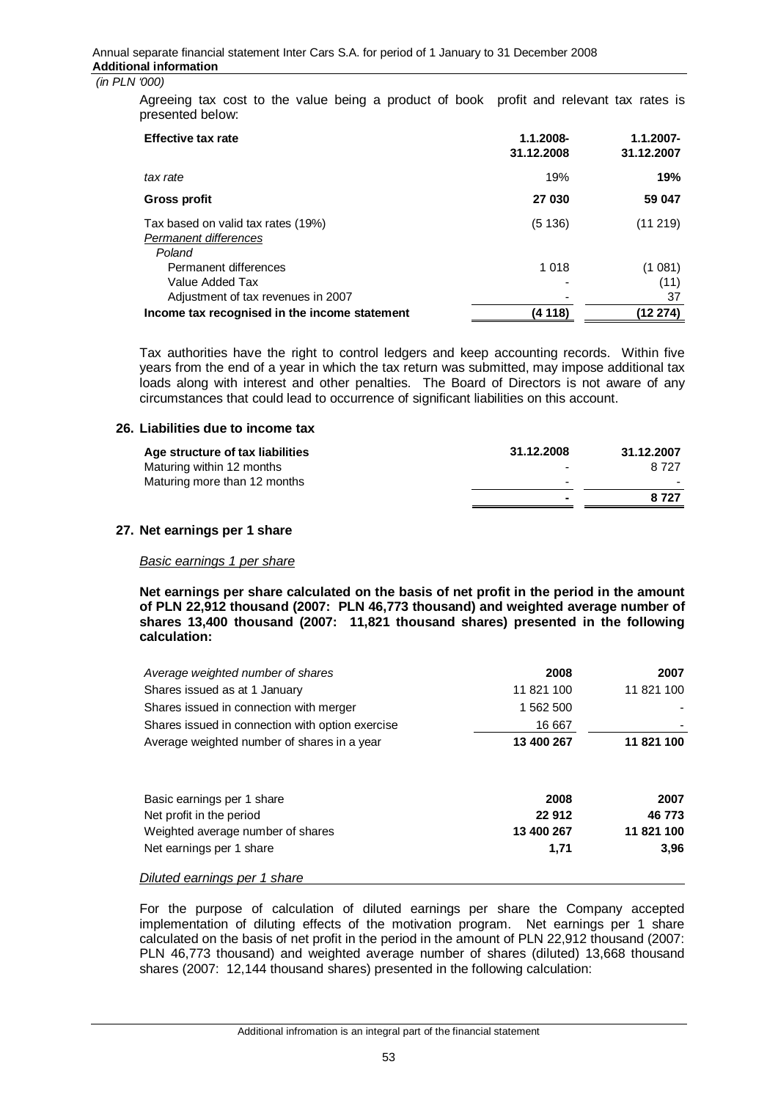Agreeing tax cost to the value being a product of book profit and relevant tax rates is presented below:

| <b>Effective tax rate</b>                                                      | 1.1.2008-<br>31.12.2008 | $1.1.2007 -$<br>31.12.2007 |
|--------------------------------------------------------------------------------|-------------------------|----------------------------|
| tax rate                                                                       | 19%                     | 19%                        |
| Gross profit                                                                   | 27 030                  | 59 047                     |
| Tax based on valid tax rates (19%)<br>Permanent differences<br>Poland          | (5136)                  | (11219)                    |
| Permanent differences<br>Value Added Tax<br>Adjustment of tax revenues in 2007 | 1 0 1 8                 | (1081)<br>(11)<br>37       |
| Income tax recognised in the income statement                                  | (4 118)                 | (12 274)                   |

Tax authorities have the right to control ledgers and keep accounting records. Within five years from the end of a year in which the tax return was submitted, may impose additional tax loads along with interest and other penalties. The Board of Directors is not aware of any circumstances that could lead to occurrence of significant liabilities on this account.

#### **26. Liabilities due to income tax**

| Age structure of tax liabilities | 31.12.2008               | 31.12.2007 |
|----------------------------------|--------------------------|------------|
| Maturing within 12 months        | $\overline{\phantom{a}}$ | 8.727      |
| Maturing more than 12 months     | $\overline{\phantom{0}}$ |            |
|                                  | $\blacksquare$           | 8 7 2 7    |

#### **27. Net earnings per 1 share**

#### *Basic earnings 1 per share*

**Net earnings per share calculated on the basis of net profit in the period in the amount of PLN 22,912 thousand (2007: PLN 46,773 thousand) and weighted average number of shares 13,400 thousand (2007: 11,821 thousand shares) presented in the following calculation:**

| 2008       | 2007       |
|------------|------------|
| 11 821 100 | 11 821 100 |
| 1 562 500  |            |
| 16 667     |            |
| 13 400 267 | 11 821 100 |
|            | 2007       |
| 22 912     | 46773      |
| 13 400 267 | 11 821 100 |
| 1,71       | 3.96       |
|            | 2008       |

*Diluted earnings per 1 share* 

For the purpose of calculation of diluted earnings per share the Company accepted implementation of diluting effects of the motivation program. Net earnings per 1 share calculated on the basis of net profit in the period in the amount of PLN 22,912 thousand (2007: PLN 46,773 thousand) and weighted average number of shares (diluted) 13,668 thousand shares (2007: 12,144 thousand shares) presented in the following calculation: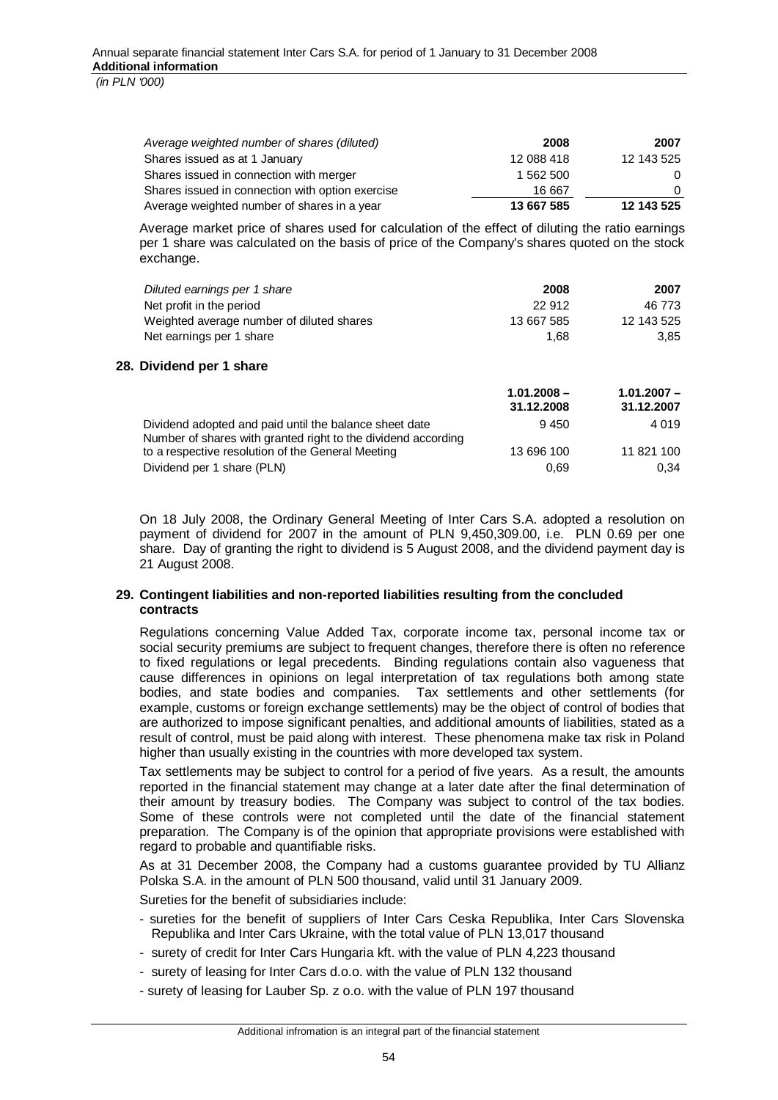| Average weighted number of shares (diluted)      | 2008       | 2007       |
|--------------------------------------------------|------------|------------|
| Shares issued as at 1 January                    | 12 088 418 | 12 143 525 |
| Shares issued in connection with merger          | 1 562 500  | $\Omega$   |
| Shares issued in connection with option exercise | 16 667     | 0          |
| Average weighted number of shares in a year      | 13 667 585 | 12 143 525 |

Average market price of shares used for calculation of the effect of diluting the ratio earnings per 1 share was calculated on the basis of price of the Company's shares quoted on the stock exchange.

| Diluted earnings per 1 share                                                                                            | 2008                        | 2007                        |
|-------------------------------------------------------------------------------------------------------------------------|-----------------------------|-----------------------------|
| Net profit in the period                                                                                                | 22 912                      | 46 773                      |
| Weighted average number of diluted shares                                                                               | 13 667 585                  | 12 143 525                  |
| Net earnings per 1 share                                                                                                | 1,68                        | 3,85                        |
| Dividend per 1 share                                                                                                    |                             |                             |
|                                                                                                                         | $1.01.2008 -$<br>31.12.2008 | $1.01.2007 -$<br>31.12.2007 |
| Dividend adopted and paid until the balance sheet date<br>Number of shares with granted right to the dividend according | 9450                        | 4 0 1 9                     |
| to a respective resolution of the General Meeting                                                                       | 13 696 100                  | 11 821 100                  |
| Dividend per 1 share (PLN)                                                                                              | 0.69                        | 0.34                        |

On 18 July 2008, the Ordinary General Meeting of Inter Cars S.A. adopted a resolution on payment of dividend for 2007 in the amount of PLN 9,450,309.00, i.e. PLN 0.69 per one share. Day of granting the right to dividend is 5 August 2008, and the dividend payment day is 21 August 2008.

## **29. Contingent liabilities and non-reported liabilities resulting from the concluded contracts**

Regulations concerning Value Added Tax, corporate income tax, personal income tax or social security premiums are subject to frequent changes, therefore there is often no reference to fixed regulations or legal precedents. Binding regulations contain also vagueness that cause differences in opinions on legal interpretation of tax regulations both among state bodies, and state bodies and companies. Tax settlements and other settlements (for example, customs or foreign exchange settlements) may be the object of control of bodies that are authorized to impose significant penalties, and additional amounts of liabilities, stated as a result of control, must be paid along with interest. These phenomena make tax risk in Poland higher than usually existing in the countries with more developed tax system.

Tax settlements may be subject to control for a period of five years. As a result, the amounts reported in the financial statement may change at a later date after the final determination of their amount by treasury bodies. The Company was subject to control of the tax bodies. Some of these controls were not completed until the date of the financial statement preparation. The Company is of the opinion that appropriate provisions were established with regard to probable and quantifiable risks.

As at 31 December 2008, the Company had a customs guarantee provided by TU Allianz Polska S.A. in the amount of PLN 500 thousand, valid until 31 January 2009.

Sureties for the benefit of subsidiaries include:

**28.** 

- sureties for the benefit of suppliers of Inter Cars Ceska Republika, Inter Cars Slovenska Republika and Inter Cars Ukraine, with the total value of PLN 13,017 thousand
- surety of credit for Inter Cars Hungaria kft. with the value of PLN 4,223 thousand
- surety of leasing for Inter Cars d.o.o. with the value of PLN 132 thousand
- surety of leasing for Lauber Sp. z o.o. with the value of PLN 197 thousand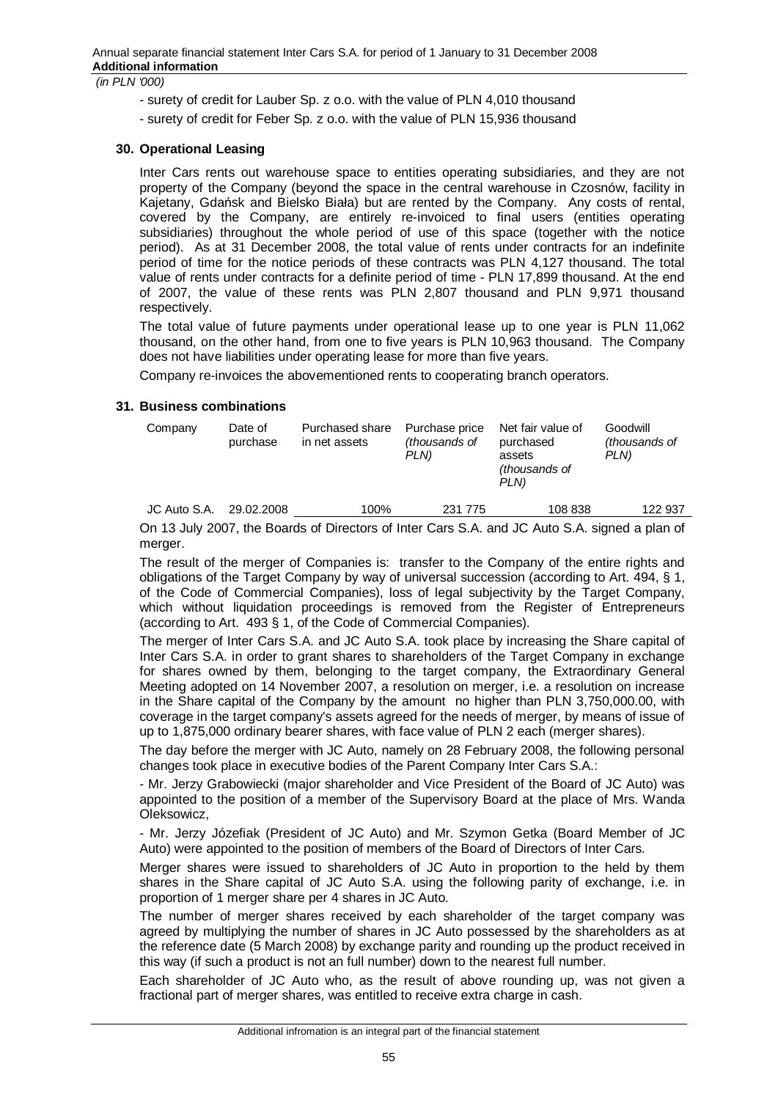- surety of credit for Lauber Sp. z o.o. with the value of PLN 4,010 thousand
- surety of credit for Feber Sp. z o.o. with the value of PLN 15,936 thousand

## **30. Operational Leasing**

Inter Cars rents out warehouse space to entities operating subsidiaries, and they are not property of the Company (beyond the space in the central warehouse in Czosnów, facility in Kajetany, Gdańsk and Bielsko Biała) but are rented by the Company. Any costs of rental, covered by the Company, are entirely re-invoiced to final users (entities operating subsidiaries) throughout the whole period of use of this space (together with the notice period). As at 31 December 2008, the total value of rents under contracts for an indefinite period of time for the notice periods of these contracts was PLN 4,127 thousand. The total value of rents under contracts for a definite period of time - PLN 17,899 thousand. At the end of 2007, the value of these rents was PLN 2,807 thousand and PLN 9,971 thousand respectively.

The total value of future payments under operational lease up to one year is PLN 11,062 thousand, on the other hand, from one to five years is PLN 10,963 thousand. The Company does not have liabilities under operating lease for more than five years.

Company re-invoices the abovementioned rents to cooperating branch operators.

## **31. Business combinations**

| Company      | Date of<br>purchase | Purchased share<br>in net assets | Purchase price<br>(thousands of<br>PLN) | Net fair value of<br>purchased<br>assets<br><i>(thousands of</i><br>PLN) | Goodwill<br><i>(thousands of</i> )<br>PLN) |
|--------------|---------------------|----------------------------------|-----------------------------------------|--------------------------------------------------------------------------|--------------------------------------------|
| JC Auto S.A. | 29.02.2008          | 100%                             | 231 775                                 | 108 838                                                                  | 122 937                                    |

On 13 July 2007, the Boards of Directors of Inter Cars S.A. and JC Auto S.A. signed a plan of merger.

The result of the merger of Companies is: transfer to the Company of the entire rights and obligations of the Target Company by way of universal succession (according to Art. 494, § 1, of the Code of Commercial Companies), loss of legal subjectivity by the Target Company, which without liquidation proceedings is removed from the Register of Entrepreneurs (according to Art. 493 § 1, of the Code of Commercial Companies).

The merger of Inter Cars S.A. and JC Auto S.A. took place by increasing the Share capital of Inter Cars S.A. in order to grant shares to shareholders of the Target Company in exchange for shares owned by them, belonging to the target company, the Extraordinary General Meeting adopted on 14 November 2007, a resolution on merger, i.e. a resolution on increase in the Share capital of the Company by the amount no higher than PLN 3,750,000.00, with coverage in the target company's assets agreed for the needs of merger, by means of issue of up to 1,875,000 ordinary bearer shares, with face value of PLN 2 each (merger shares).

The day before the merger with JC Auto, namely on 28 February 2008, the following personal changes took place in executive bodies of the Parent Company Inter Cars S.A.:

- Mr. Jerzy Grabowiecki (major shareholder and Vice President of the Board of JC Auto) was appointed to the position of a member of the Supervisory Board at the place of Mrs. Wanda Oleksowicz,

- Mr. Jerzy Józefiak (President of JC Auto) and Mr. Szymon Getka (Board Member of JC Auto) were appointed to the position of members of the Board of Directors of Inter Cars.

Merger shares were issued to shareholders of JC Auto in proportion to the held by them shares in the Share capital of JC Auto S.A. using the following parity of exchange, i.e. in proportion of 1 merger share per 4 shares in JC Auto.

The number of merger shares received by each shareholder of the target company was agreed by multiplying the number of shares in JC Auto possessed by the shareholders as at the reference date (5 March 2008) by exchange parity and rounding up the product received in this way (if such a product is not an full number) down to the nearest full number.

Each shareholder of JC Auto who, as the result of above rounding up, was not given a fractional part of merger shares, was entitled to receive extra charge in cash.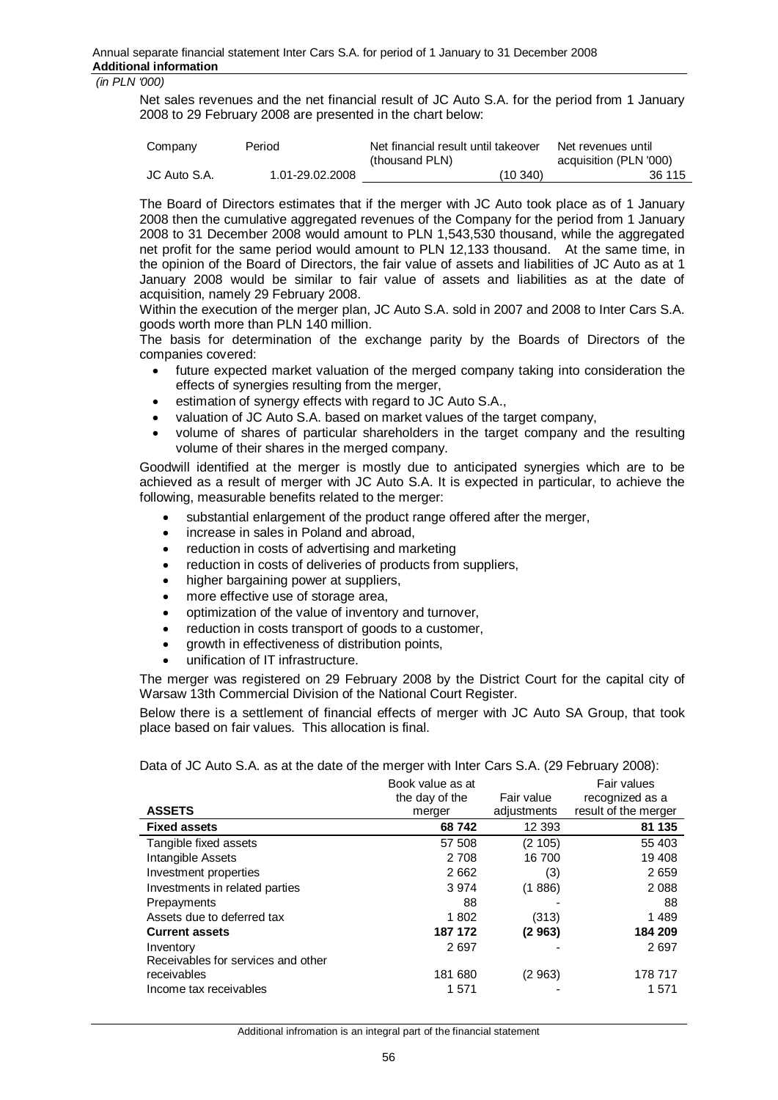Net sales revenues and the net financial result of JC Auto S.A. for the period from 1 January 2008 to 29 February 2008 are presented in the chart below:

| Company      | Period          | Net financial result until takeover<br>(thousand PLN) | Net revenues until<br>acquisition (PLN '000) |
|--------------|-----------------|-------------------------------------------------------|----------------------------------------------|
| JC Auto S.A. | 1.01-29.02.2008 | (10, 340)                                             | 36 115                                       |

The Board of Directors estimates that if the merger with JC Auto took place as of 1 January 2008 then the cumulative aggregated revenues of the Company for the period from 1 January 2008 to 31 December 2008 would amount to PLN 1,543,530 thousand, while the aggregated net profit for the same period would amount to PLN 12,133 thousand. At the same time, in the opinion of the Board of Directors, the fair value of assets and liabilities of JC Auto as at 1 January 2008 would be similar to fair value of assets and liabilities as at the date of acquisition, namely 29 February 2008.

Within the execution of the merger plan, JC Auto S.A. sold in 2007 and 2008 to Inter Cars S.A. goods worth more than PLN 140 million.

The basis for determination of the exchange parity by the Boards of Directors of the companies covered:

- future expected market valuation of the merged company taking into consideration the effects of synergies resulting from the merger,
- estimation of synergy effects with regard to JC Auto S.A.,
- x valuation of JC Auto S.A. based on market values of the target company,
- x volume of shares of particular shareholders in the target company and the resulting volume of their shares in the merged company.

Goodwill identified at the merger is mostly due to anticipated synergies which are to be achieved as a result of merger with JC Auto S.A. It is expected in particular, to achieve the following, measurable benefits related to the merger:

- substantial enlargement of the product range offered after the merger,
- increase in sales in Poland and abroad,
- reduction in costs of advertising and marketing
- reduction in costs of deliveries of products from suppliers,
- higher bargaining power at suppliers.
- more effective use of storage area,
- optimization of the value of inventory and turnover,
- reduction in costs transport of goods to a customer,
- arowth in effectiveness of distribution points,
- unification of IT infrastructure.

The merger was registered on 29 February 2008 by the District Court for the capital city of Warsaw 13th Commercial Division of the National Court Register.

Below there is a settlement of financial effects of merger with JC Auto SA Group, that took place based on fair values. This allocation is final.

Data of JC Auto S.A. as at the date of the merger with Inter Cars S.A. (29 February 2008):

|                                    | Book value as at |             | Fair values          |
|------------------------------------|------------------|-------------|----------------------|
|                                    | the day of the   | Fair value  | recognized as a      |
| <b>ASSETS</b>                      | merger           | adjustments | result of the merger |
| <b>Fixed assets</b>                | 68742            | 12 3 93     | 81 135               |
| Tangible fixed assets              | 57 508           | (2105)      | 55 403               |
| Intangible Assets                  | 2 708            | 16 700      | 19 408               |
| Investment properties              | 2662             | (3)         | 2659                 |
| Investments in related parties     | 3974             | (1886)      | 2088                 |
| Prepayments                        | 88               |             | 88                   |
| Assets due to deferred tax         | 1802             | (313)       | 1489                 |
| <b>Current assets</b>              | 187 172          | (2963)      | 184 209              |
| Inventory                          | 2697             |             | 2697                 |
| Receivables for services and other |                  |             |                      |
| receivables                        | 181 680          | (2963)      | 178 717              |
| Income tax receivables             | 1 571            |             | 1571                 |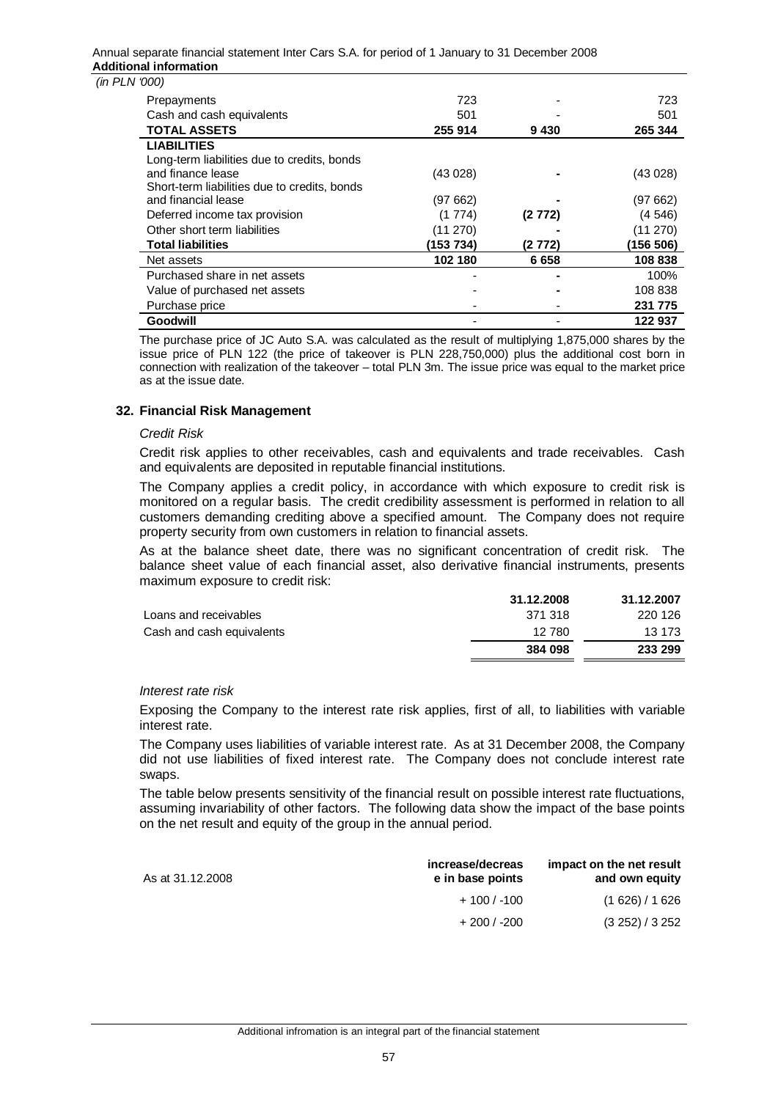#### Annual separate financial statement Inter Cars S.A. for period of 1 January to 31 December 2008 **Additional information**

|  |  | $(in$ PLN $'000)$ |
|--|--|-------------------|
|  |  |                   |

| UUU)                                         |           |         |           |
|----------------------------------------------|-----------|---------|-----------|
| Prepayments                                  | 723       |         | 723       |
| Cash and cash equivalents                    | 501       |         | 501       |
| <b>TOTAL ASSETS</b>                          | 255 914   | 9430    | 265 344   |
| <b>LIABILITIES</b>                           |           |         |           |
| Long-term liabilities due to credits, bonds  |           |         |           |
| and finance lease                            | (43028)   |         | (43028)   |
| Short-term liabilities due to credits, bonds |           |         |           |
| and financial lease                          | (97 662)  |         | (97 662)  |
| Deferred income tax provision                | (1774)    | (2 772) | (4 546)   |
| Other short term liabilities                 | (11 270)  |         | (11 270)  |
| <b>Total liabilities</b>                     | (153 734) | (2 772) | (156 506) |
| Net assets                                   | 102 180   | 6658    | 108838    |
| Purchased share in net assets                |           |         | 100%      |
| Value of purchased net assets                |           |         | 108 838   |
| Purchase price                               |           |         | 231 775   |
| Goodwill                                     |           |         | 122 937   |

The purchase price of JC Auto S.A. was calculated as the result of multiplying 1,875,000 shares by the issue price of PLN 122 (the price of takeover is PLN 228,750,000) plus the additional cost born in connection with realization of the takeover – total PLN 3m. The issue price was equal to the market price as at the issue date.

## **32. Financial Risk Management**

#### *Credit Risk*

Credit risk applies to other receivables, cash and equivalents and trade receivables. Cash and equivalents are deposited in reputable financial institutions.

The Company applies a credit policy, in accordance with which exposure to credit risk is monitored on a regular basis. The credit credibility assessment is performed in relation to all customers demanding crediting above a specified amount. The Company does not require property security from own customers in relation to financial assets.

As at the balance sheet date, there was no significant concentration of credit risk. The balance sheet value of each financial asset, also derivative financial instruments, presents maximum exposure to credit risk:

|                           | 31.12.2008 | 31.12.2007 |
|---------------------------|------------|------------|
| Loans and receivables     | 371 318    | 220 126    |
| Cash and cash equivalents | 12 780     | 13 173     |
|                           | 384 098    | 233 299    |

#### *Interest rate risk*

Exposing the Company to the interest rate risk applies, first of all, to liabilities with variable interest rate.

The Company uses liabilities of variable interest rate. As at 31 December 2008, the Company did not use liabilities of fixed interest rate. The Company does not conclude interest rate swaps.

The table below presents sensitivity of the financial result on possible interest rate fluctuations, assuming invariability of other factors. The following data show the impact of the base points on the net result and equity of the group in the annual period.

| As at 31.12.2008 | increase/decreas<br>e in base points | impact on the net result<br>and own equity |
|------------------|--------------------------------------|--------------------------------------------|
|                  | $+100/ -100$                         | (1626)/1626                                |
|                  | $+200/ -200$                         | (3 252) / 3 252                            |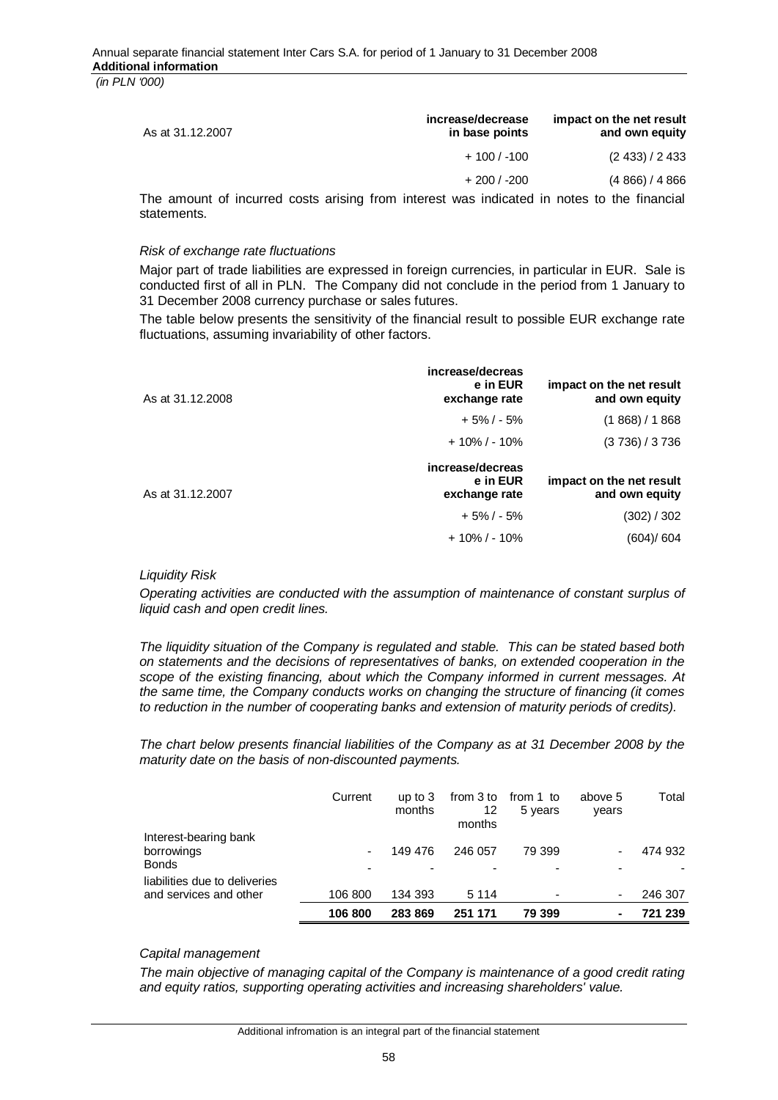| As at 31.12.2007 | increase/decrease<br>in base points | impact on the net result<br>and own equity |
|------------------|-------------------------------------|--------------------------------------------|
|                  | $+100/ -100$                        | (2433)/2433                                |
|                  | $+200/ -200$                        | (4866)/4866                                |

The amount of incurred costs arising from interest was indicated in notes to the financial statements.

#### *Risk of exchange rate fluctuations*

Major part of trade liabilities are expressed in foreign currencies, in particular in EUR. Sale is conducted first of all in PLN. The Company did not conclude in the period from 1 January to 31 December 2008 currency purchase or sales futures.

The table below presents the sensitivity of the financial result to possible EUR exchange rate fluctuations, assuming invariability of other factors.

| As at 31.12.2008 | increase/decreas<br>e in EUR<br>exchange rate | impact on the net result<br>and own equity |
|------------------|-----------------------------------------------|--------------------------------------------|
|                  | $+5\% / -5\%$                                 | (1868)/1868                                |
|                  | $+10\%$ / - 10%                               | (3736)/3736                                |
|                  | increase/decreas                              |                                            |
| As at 31.12.2007 | e in EUR<br>exchange rate                     | impact on the net result<br>and own equity |
|                  | $+5\%$ / - 5%                                 | (302) / 302                                |

## *Liquidity Risk*

*Operating activities are conducted with the assumption of maintenance of constant surplus of liquid cash and open credit lines.* 

*The liquidity situation of the Company is regulated and stable. This can be stated based both on statements and the decisions of representatives of banks, on extended cooperation in the scope of the existing financing, about which the Company informed in current messages. At the same time, the Company conducts works on changing the structure of financing (it comes to reduction in the number of cooperating banks and extension of maturity periods of credits).* 

*The chart below presents financial liabilities of the Company as at 31 December 2008 by the maturity date on the basis of non-discounted payments.* 

|                               | Current | up to $3$<br>months | from 3 to<br>12<br>months | from 1 to<br>5 years     | above 5<br>years         | Total   |
|-------------------------------|---------|---------------------|---------------------------|--------------------------|--------------------------|---------|
| Interest-bearing bank         |         |                     |                           |                          |                          |         |
| borrowings<br><b>Bonds</b>    | -       | 149 476             | 246 057                   | 79 399                   | $\overline{\phantom{0}}$ | 474 932 |
|                               |         |                     |                           |                          |                          |         |
| liabilities due to deliveries |         |                     |                           |                          |                          |         |
| and services and other        | 106 800 | 134 393             | 5 1 1 4                   | $\overline{\phantom{0}}$ | $\overline{\phantom{0}}$ | 246 307 |
|                               | 106 800 | 283869              | 251 171                   | 79 399                   | ۰                        | 721 239 |

## *Capital management*

*The main objective of managing capital of the Company is maintenance of a good credit rating and equity ratios, supporting operating activities and increasing shareholders' value.*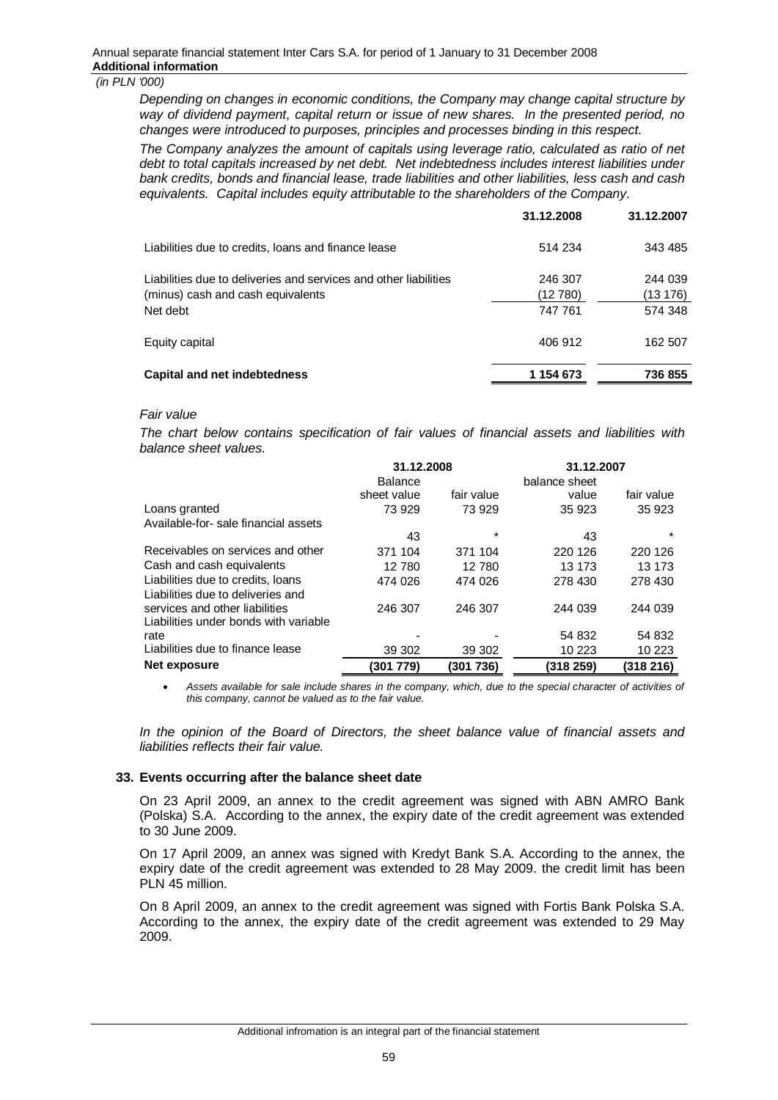*Depending on changes in economic conditions, the Company may change capital structure by way of dividend payment, capital return or issue of new shares. In the presented period, no changes were introduced to purposes, principles and processes binding in this respect.*

*The Company analyzes the amount of capitals using leverage ratio, calculated as ratio of net debt to total capitals increased by net debt. Net indebtedness includes interest liabilities under bank credits, bonds and financial lease, trade liabilities and other liabilities, less cash and cash equivalents. Capital includes equity attributable to the shareholders of the Company.*

|                                                                                                       | 31.12.2008          | 31.12.2007         |
|-------------------------------------------------------------------------------------------------------|---------------------|--------------------|
| Liabilities due to credits, loans and finance lease                                                   | 514 234             | 343 485            |
| Liabilities due to deliveries and services and other liabilities<br>(minus) cash and cash equivalents | 246 307<br>(12 780) | 244 039<br>(13176) |
| Net debt                                                                                              | 747 761             | 574 348            |
| Equity capital                                                                                        | 406 912             | 162 507            |
| Capital and net indebtedness                                                                          | 1 154 673           | 736 855            |

#### *Fair value*

*The chart below contains specification of fair values of financial assets and liabilities with balance sheet values.* 

|                                       | 31.12.2008     |            | 31.12.2007    |            |
|---------------------------------------|----------------|------------|---------------|------------|
|                                       | <b>Balance</b> |            | balance sheet |            |
|                                       | sheet value    | fair value | value         | fair value |
| Loans granted                         | 73 929         | 73 929     | 35 923        | 35 923     |
| Available-for-sale financial assets   |                |            |               |            |
|                                       | 43             | $\star$    | 43            | $\star$    |
| Receivables on services and other     | 371 104        | 371 104    | 220 126       | 220 126    |
| Cash and cash equivalents             | 12 780         | 12 780     | 13 173        | 13 173     |
| Liabilities due to credits, loans     | 474 026        | 474 026    | 278 430       | 278 430    |
| Liabilities due to deliveries and     |                |            |               |            |
| services and other liabilities        | 246 307        | 246 307    | 244 039       | 244 039    |
| Liabilities under bonds with variable |                |            |               |            |
| rate                                  |                |            | 54 832        | 54 832     |
| Liabilities due to finance lease      | 39 30 2        | 39 302     | 10 223        | 10 223     |
| Net exposure                          | (301 779)      | (301736)   | (318 259)     | (318 216)  |

Assets available for sale include shares in the company, which, due to the special character of activities of *this company, cannot be valued as to the fair value.* 

*In the opinion of the Board of Directors, the sheet balance value of financial assets and liabilities reflects their fair value.* 

#### **33. Events occurring after the balance sheet date**

On 23 April 2009, an annex to the credit agreement was signed with ABN AMRO Bank (Polska) S.A. According to the annex, the expiry date of the credit agreement was extended to 30 June 2009.

On 17 April 2009, an annex was signed with Kredyt Bank S.A. According to the annex, the expiry date of the credit agreement was extended to 28 May 2009. the credit limit has been PLN 45 million.

On 8 April 2009, an annex to the credit agreement was signed with Fortis Bank Polska S.A. According to the annex, the expiry date of the credit agreement was extended to 29 May 2009.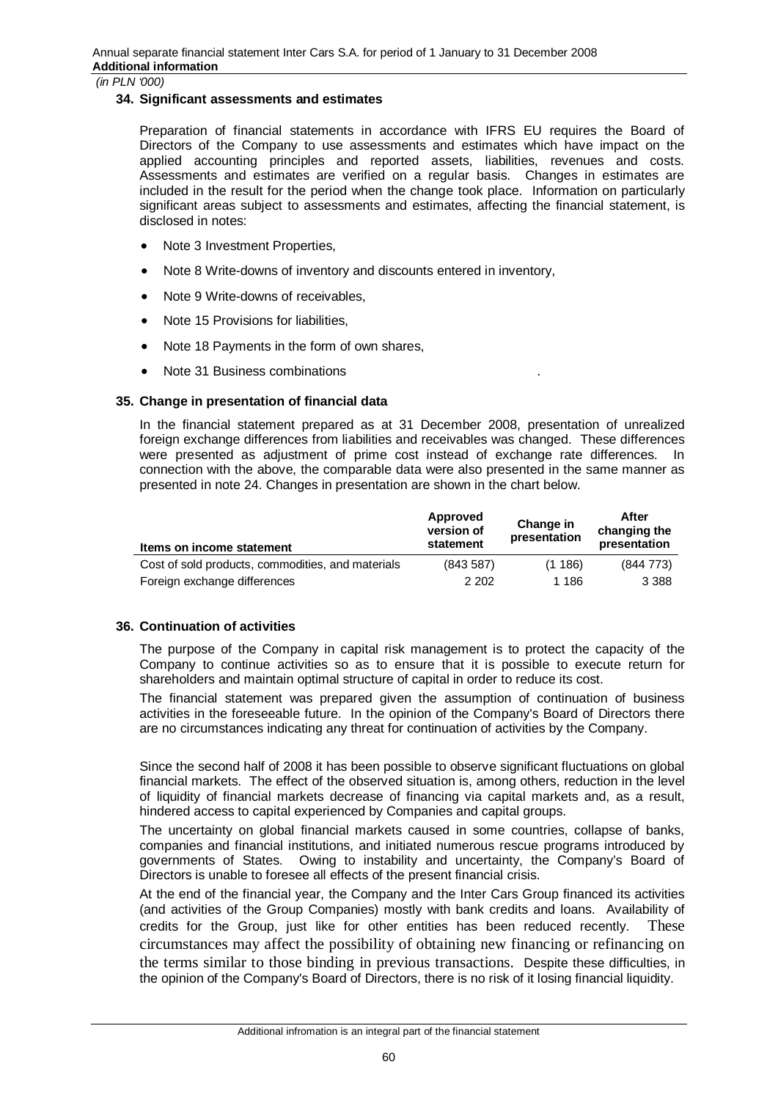#### **34. Significant assessments and estimates**

Preparation of financial statements in accordance with IFRS EU requires the Board of Directors of the Company to use assessments and estimates which have impact on the applied accounting principles and reported assets, liabilities, revenues and costs. Assessments and estimates are verified on a regular basis. Changes in estimates are included in the result for the period when the change took place. Information on particularly significant areas subject to assessments and estimates, affecting the financial statement, is disclosed in notes:

- Note 3 Investment Properties,
- Note 8 Write-downs of inventory and discounts entered in inventory,
- Note 9 Write-downs of receivables.
- Note 15 Provisions for liabilities,
- Note 18 Payments in the form of own shares,
- Note 31 Business combinations

## **35. Change in presentation of financial data**

In the financial statement prepared as at 31 December 2008, presentation of unrealized foreign exchange differences from liabilities and receivables was changed. These differences were presented as adjustment of prime cost instead of exchange rate differences. In connection with the above, the comparable data were also presented in the same manner as presented in note 24. Changes in presentation are shown in the chart below.

| Items on income statement                         | Approved<br>version of<br>statement | Change in<br>presentation | After<br>changing the<br>presentation |
|---------------------------------------------------|-------------------------------------|---------------------------|---------------------------------------|
| Cost of sold products, commodities, and materials | (843587)                            | (1186)                    | (844773)                              |
| Foreign exchange differences                      | 2 2 0 2                             | 1 186                     | 3 3 8 8                               |

## **36. Continuation of activities**

The purpose of the Company in capital risk management is to protect the capacity of the Company to continue activities so as to ensure that it is possible to execute return for shareholders and maintain optimal structure of capital in order to reduce its cost.

The financial statement was prepared given the assumption of continuation of business activities in the foreseeable future. In the opinion of the Company's Board of Directors there are no circumstances indicating any threat for continuation of activities by the Company.

Since the second half of 2008 it has been possible to observe significant fluctuations on global financial markets. The effect of the observed situation is, among others, reduction in the level of liquidity of financial markets decrease of financing via capital markets and, as a result, hindered access to capital experienced by Companies and capital groups.

The uncertainty on global financial markets caused in some countries, collapse of banks, companies and financial institutions, and initiated numerous rescue programs introduced by governments of States. Owing to instability and uncertainty, the Company's Board of Directors is unable to foresee all effects of the present financial crisis.

At the end of the financial year, the Company and the Inter Cars Group financed its activities (and activities of the Group Companies) mostly with bank credits and loans. Availability of credits for the Group, just like for other entities has been reduced recently. These circumstances may affect the possibility of obtaining new financing or refinancing on the terms similar to those binding in previous transactions. Despite these difficulties, in the opinion of the Company's Board of Directors, there is no risk of it losing financial liquidity.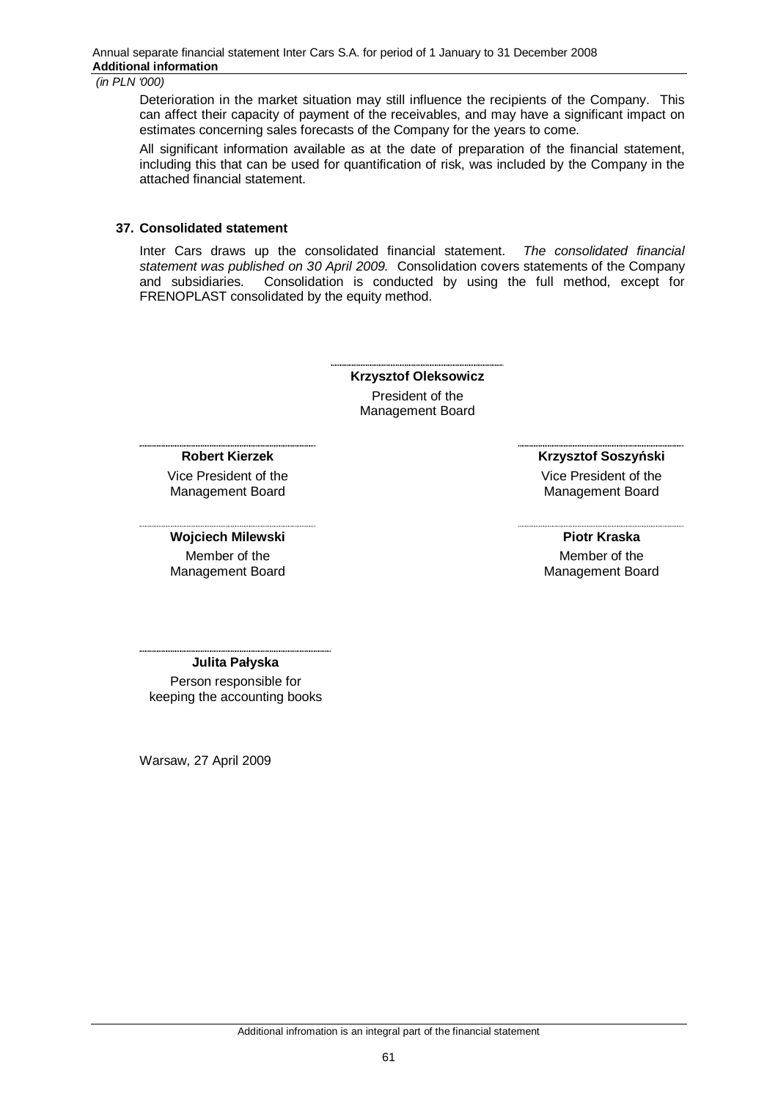Deterioration in the market situation may still influence the recipients of the Company. This can affect their capacity of payment of the receivables, and may have a significant impact on estimates concerning sales forecasts of the Company for the years to come.

All significant information available as at the date of preparation of the financial statement, including this that can be used for quantification of risk, was included by the Company in the attached financial statement.

#### **37. Consolidated statement**

Inter Cars draws up the consolidated financial statement. *The consolidated financial statement was published on 30 April 2009.* Consolidation covers statements of the Company and subsidiaries. Consolidation is conducted by using the full method, except for FRENOPLAST consolidated by the equity method.

> **Krzysztof Oleksowicz**  President of the Management Board

#### **Robert Kierzek**

Vice President of the Management Board

**Wojciech Milewski**

Member of the Management Board **Krzysztof Soszyński** 

Vice President of the Management Board

**Piotr Kraska**  Member of the Management Board

**Julita Paáyska** 

Person responsible for keeping the accounting books

Warsaw, 27 April 2009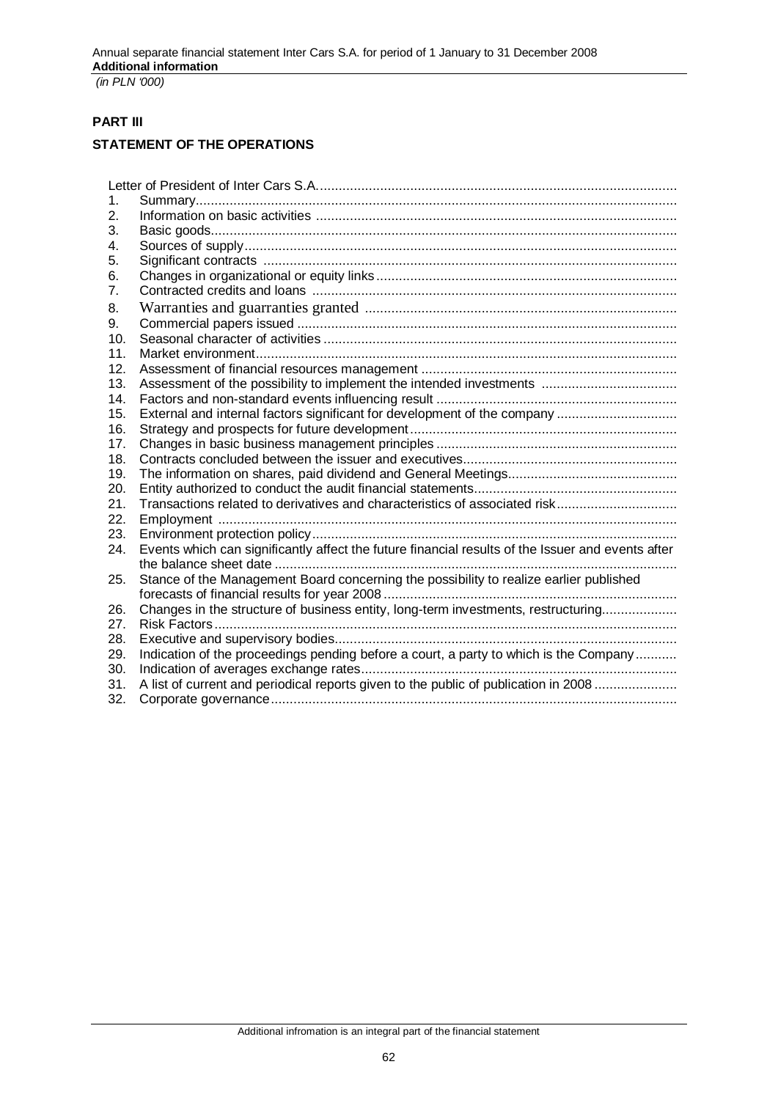# **PART III**

# **STATEMENT OF THE OPERATIONS**

| 1.  |                                                                                                   |
|-----|---------------------------------------------------------------------------------------------------|
| 2.  |                                                                                                   |
| 3.  |                                                                                                   |
| 4.  |                                                                                                   |
| 5.  |                                                                                                   |
| 6.  |                                                                                                   |
| 7.  |                                                                                                   |
| 8.  |                                                                                                   |
| 9.  |                                                                                                   |
| 10. |                                                                                                   |
| 11. |                                                                                                   |
| 12. |                                                                                                   |
| 13. |                                                                                                   |
| 14. |                                                                                                   |
| 15. | External and internal factors significant for development of the company                          |
| 16. |                                                                                                   |
| 17. |                                                                                                   |
| 18. |                                                                                                   |
| 19. |                                                                                                   |
| 20. |                                                                                                   |
| 21. | Transactions related to derivatives and characteristics of associated risk                        |
| 22. |                                                                                                   |
| 23. |                                                                                                   |
| 24. | Events which can significantly affect the future financial results of the Issuer and events after |
|     |                                                                                                   |
| 25. | Stance of the Management Board concerning the possibility to realize earlier published            |
| 26. | Changes in the structure of business entity, long-term investments, restructuring                 |
| 27. |                                                                                                   |
| 28. |                                                                                                   |
| 29. | Indication of the proceedings pending before a court, a party to which is the Company             |
| 30. |                                                                                                   |
| 31. | A list of current and periodical reports given to the public of publication in 2008               |
| 32. |                                                                                                   |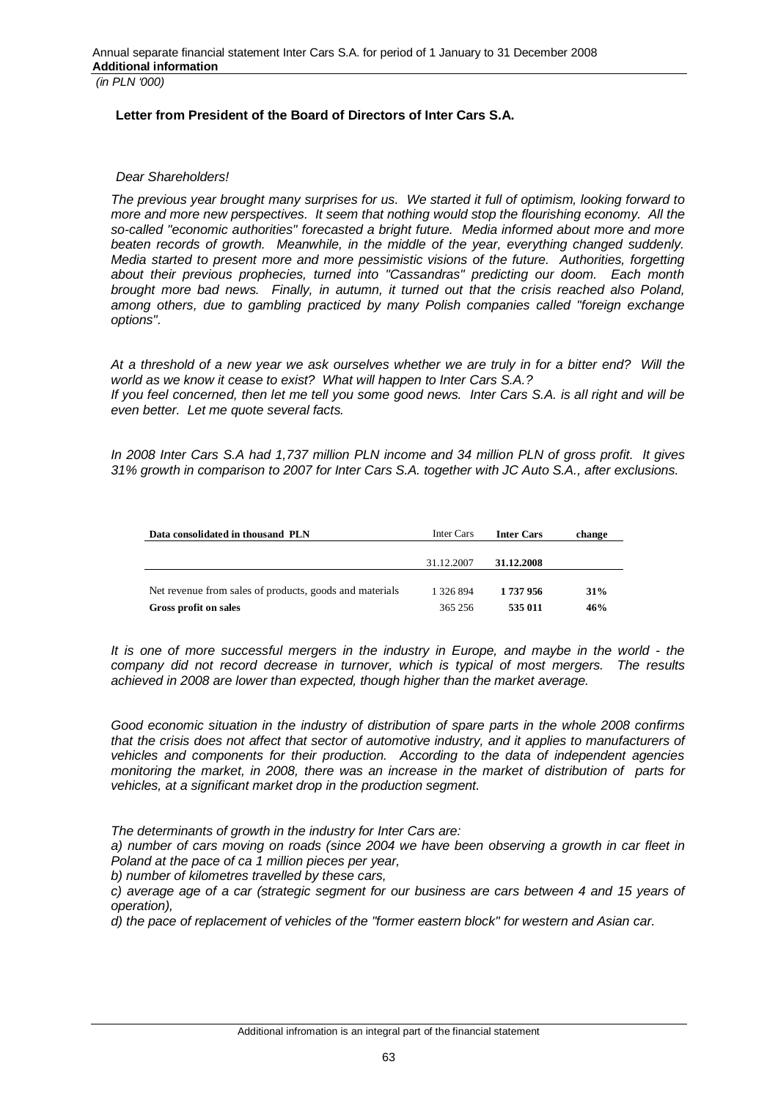## **Letter from President of the Board of Directors of Inter Cars S.A.**

#### *Dear Shareholders!*

*The previous year brought many surprises for us. We started it full of optimism, looking forward to more and more new perspectives. It seem that nothing would stop the flourishing economy. All the so-called "economic authorities" forecasted a bright future. Media informed about more and more beaten records of growth. Meanwhile, in the middle of the year, everything changed suddenly. Media started to present more and more pessimistic visions of the future. Authorities, forgetting about their previous prophecies, turned into "Cassandras" predicting our doom. Each month brought more bad news. Finally, in autumn, it turned out that the crisis reached also Poland, among others, due to gambling practiced by many Polish companies called "foreign exchange options".* 

*At a threshold of a new year we ask ourselves whether we are truly in for a bitter end? Will the world as we know it cease to exist? What will happen to Inter Cars S.A.?*

*If you feel concerned, then let me tell you some good news. Inter Cars S.A. is all right and will be even better. Let me quote several facts.*

*In 2008 Inter Cars S.A had 1,737 million PLN income and 34 million PLN of gross profit. It gives 31% growth in comparison to 2007 for Inter Cars S.A. together with JC Auto S.A., after exclusions.* 

| Data consolidated in thousand PLN                       | Inter Cars | <b>Inter Cars</b> | change |
|---------------------------------------------------------|------------|-------------------|--------|
|                                                         |            |                   |        |
|                                                         | 31.12.2007 | 31.12.2008        |        |
| Net revenue from sales of products, goods and materials | 1 326 894  | 1 737 956         | 31%    |
| Gross profit on sales                                   | 365 256    | 535 011           | 46%    |

*It is one of more successful mergers in the industry in Europe, and maybe in the world - the company did not record decrease in turnover, which is typical of most mergers. The results achieved in 2008 are lower than expected, though higher than the market average.* 

*Good economic situation in the industry of distribution of spare parts in the whole 2008 confirms that the crisis does not affect that sector of automotive industry, and it applies to manufacturers of vehicles and components for their production. According to the data of independent agencies monitoring the market, in 2008, there was an increase in the market of distribution of parts for vehicles, at a significant market drop in the production segment.*

*The determinants of growth in the industry for Inter Cars are:* 

*a) number of cars moving on roads (since 2004 we have been observing a growth in car fleet in Poland at the pace of ca 1 million pieces per year,* 

*b) number of kilometres travelled by these cars,* 

*c) average age of a car (strategic segment for our business are cars between 4 and 15 years of operation),* 

*d) the pace of replacement of vehicles of the "former eastern block" for western and Asian car.*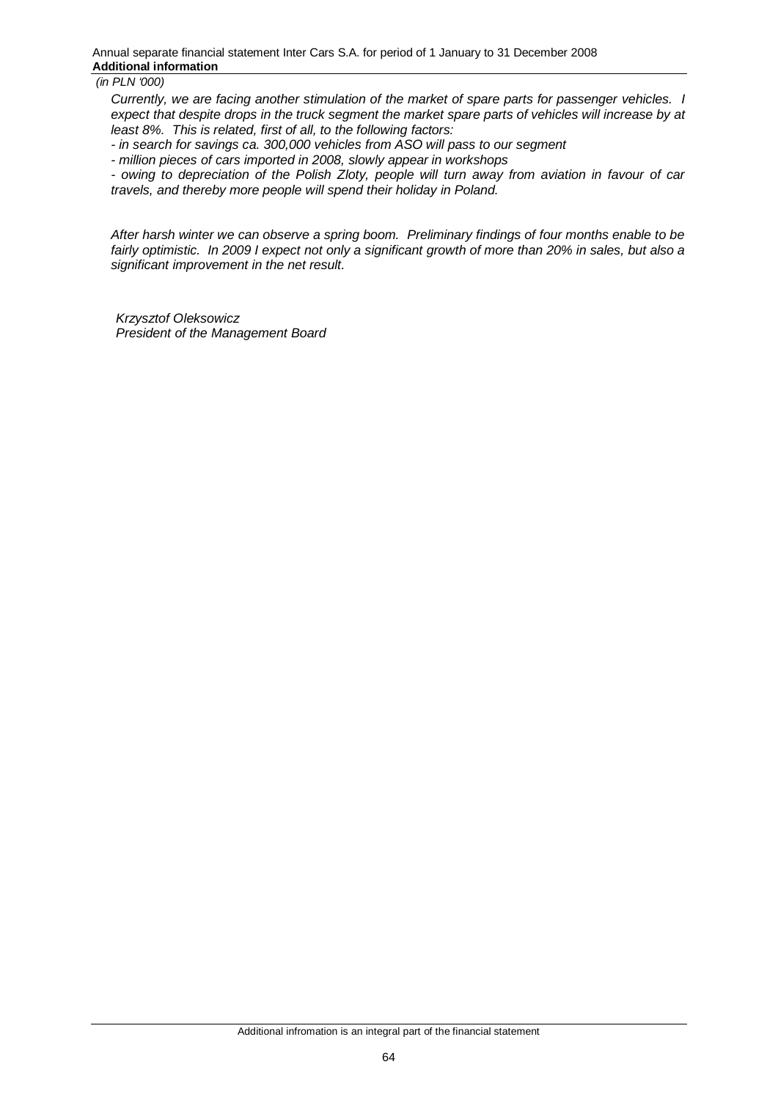*Currently, we are facing another stimulation of the market of spare parts for passenger vehicles. I expect that despite drops in the truck segment the market spare parts of vehicles will increase by at least 8%. This is related, first of all, to the following factors:*

*- in search for savings ca. 300,000 vehicles from ASO will pass to our segment*

*- million pieces of cars imported in 2008, slowly appear in workshops* 

*- owing to depreciation of the Polish Zloty, people will turn away from aviation in favour of car travels, and thereby more people will spend their holiday in Poland.* 

*After harsh winter we can observe a spring boom. Preliminary findings of four months enable to be fairly optimistic. In 2009 I expect not only a significant growth of more than 20% in sales, but also a significant improvement in the net result.* 

*Krzysztof Oleksowicz President of the Management Board*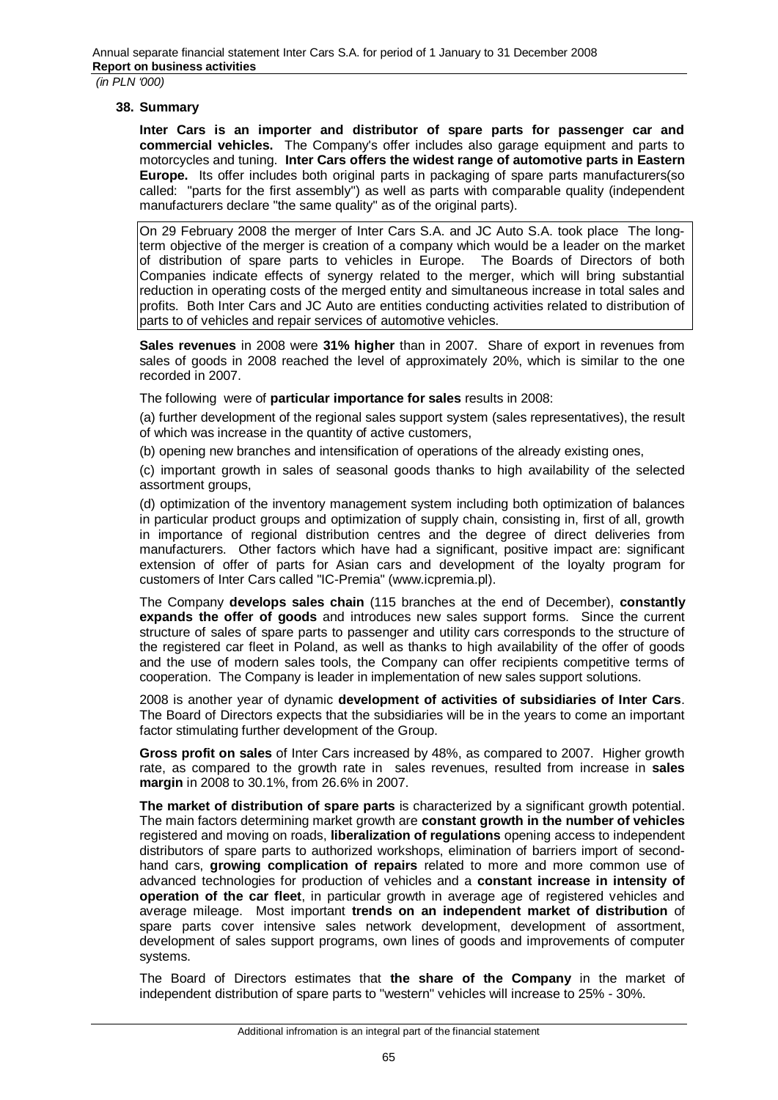#### **38. Summary**

**Inter Cars is an importer and distributor of spare parts for passenger car and commercial vehicles.** The Company's offer includes also garage equipment and parts to motorcycles and tuning. **Inter Cars offers the widest range of automotive parts in Eastern Europe.** Its offer includes both original parts in packaging of spare parts manufacturers(so called: "parts for the first assembly") as well as parts with comparable quality (independent manufacturers declare "the same quality" as of the original parts).

On 29 February 2008 the merger of Inter Cars S.A. and JC Auto S.A. took place The longterm objective of the merger is creation of a company which would be a leader on the market of distribution of spare parts to vehicles in Europe. The Boards of Directors of both Companies indicate effects of synergy related to the merger, which will bring substantial reduction in operating costs of the merged entity and simultaneous increase in total sales and profits. Both Inter Cars and JC Auto are entities conducting activities related to distribution of parts to of vehicles and repair services of automotive vehicles.

**Sales revenues** in 2008 were **31% higher** than in 2007. Share of export in revenues from sales of goods in 2008 reached the level of approximately 20%, which is similar to the one recorded in 2007.

The following were of **particular importance for sales** results in 2008:

(a) further development of the regional sales support system (sales representatives), the result of which was increase in the quantity of active customers,

(b) opening new branches and intensification of operations of the already existing ones,

(c) important growth in sales of seasonal goods thanks to high availability of the selected assortment groups,

(d) optimization of the inventory management system including both optimization of balances in particular product groups and optimization of supply chain, consisting in, first of all, growth in importance of regional distribution centres and the degree of direct deliveries from manufacturers. Other factors which have had a significant, positive impact are: significant extension of offer of parts for Asian cars and development of the loyalty program for customers of Inter Cars called "IC-Premia" (www.icpremia.pl).

The Company **develops sales chain** (115 branches at the end of December), **constantly expands the offer of goods** and introduces new sales support forms. Since the current structure of sales of spare parts to passenger and utility cars corresponds to the structure of the registered car fleet in Poland, as well as thanks to high availability of the offer of goods and the use of modern sales tools, the Company can offer recipients competitive terms of cooperation. The Company is leader in implementation of new sales support solutions.

2008 is another year of dynamic **development of activities of subsidiaries of Inter Cars**. The Board of Directors expects that the subsidiaries will be in the years to come an important factor stimulating further development of the Group.

**Gross profit on sales** of Inter Cars increased by 48%, as compared to 2007. Higher growth rate, as compared to the growth rate in sales revenues, resulted from increase in **sales margin** in 2008 to 30.1%, from 26.6% in 2007.

**The market of distribution of spare parts** is characterized by a significant growth potential. The main factors determining market growth are **constant growth in the number of vehicles** registered and moving on roads, **liberalization of regulations** opening access to independent distributors of spare parts to authorized workshops, elimination of barriers import of secondhand cars, **growing complication of repairs** related to more and more common use of advanced technologies for production of vehicles and a **constant increase in intensity of operation of the car fleet**, in particular growth in average age of registered vehicles and average mileage. Most important **trends on an independent market of distribution** of spare parts cover intensive sales network development, development of assortment, development of sales support programs, own lines of goods and improvements of computer systems.

The Board of Directors estimates that **the share of the Company** in the market of independent distribution of spare parts to "western" vehicles will increase to 25% - 30%.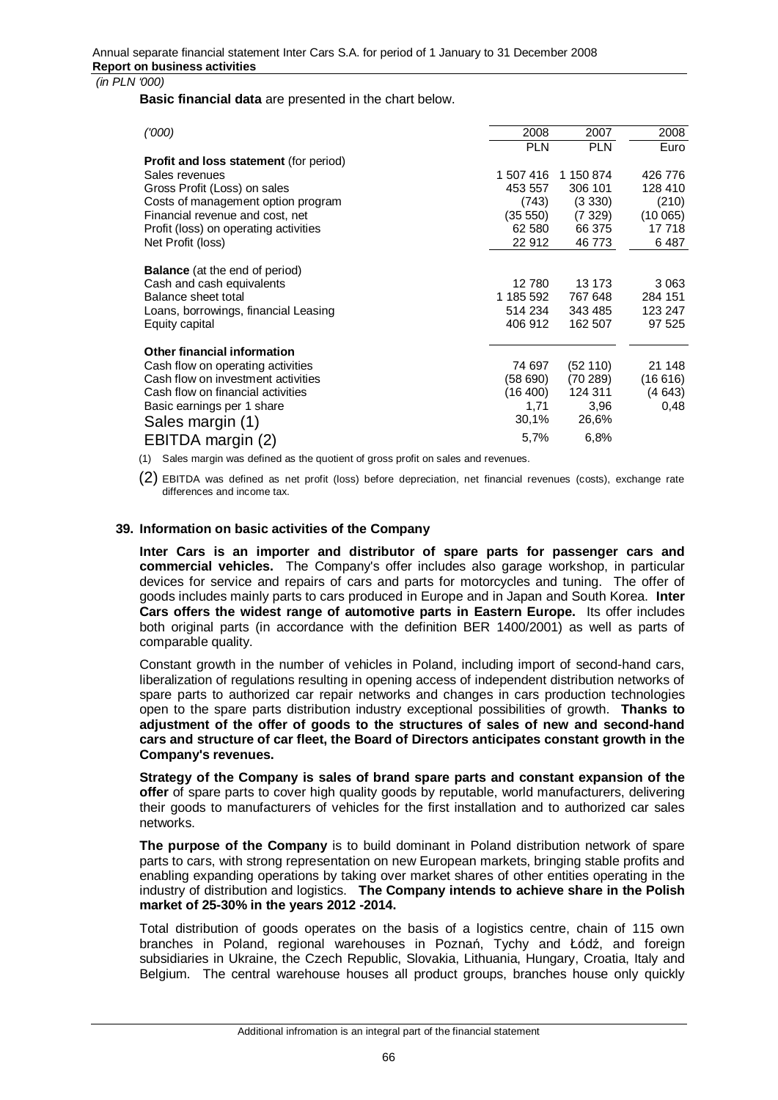**Basic financial data** are presented in the chart below.

| (000)                                         | 2008       | 2007       | 2008    |
|-----------------------------------------------|------------|------------|---------|
|                                               | <b>PLN</b> | <b>PLN</b> | Euro    |
| <b>Profit and loss statement (for period)</b> |            |            |         |
| Sales revenues                                | 1 507 416  | 1 150 874  | 426 776 |
| Gross Profit (Loss) on sales                  | 453 557    | 306 101    | 128 410 |
| Costs of management option program            | (743)      | (3330)     | (210)   |
| Financial revenue and cost, net               | (35 550)   | (7329)     |         |
|                                               |            |            | (10065) |
| Profit (loss) on operating activities         | 62 580     | 66 375     | 17 718  |
| Net Profit (loss)                             | 22 912     | 46773      | 6487    |
|                                               |            |            |         |
| <b>Balance</b> (at the end of period)         |            |            |         |
| Cash and cash equivalents                     | 12 780     | 13 173     | 3 0 6 3 |
| Balance sheet total                           | 1 185 592  | 767 648    | 284 151 |
| Loans, borrowings, financial Leasing          | 514 234    | 343 485    | 123 247 |
| Equity capital                                | 406 912    | 162 507    | 97 525  |
|                                               |            |            |         |
| Other financial information                   |            |            |         |
|                                               | 74 697     |            | 21 148  |
| Cash flow on operating activities             |            | (52110)    |         |
| Cash flow on investment activities            | (58690)    | (70289)    | (16616) |
| Cash flow on financial activities             | (16 400)   | 124 311    | (4643)  |
| Basic earnings per 1 share                    | 1,71       | 3,96       | 0.48    |
| Sales margin (1)                              | 30,1%      | 26,6%      |         |
|                                               | 5,7%       | 6,8%       |         |
| EBITDA margin (2)                             |            |            |         |

(1) Sales margin was defined as the quotient of gross profit on sales and revenues.

(2) EBITDA was defined as net profit (loss) before depreciation, net financial revenues (costs), exchange rate differences and income tax.

#### **39. Information on basic activities of the Company**

**Inter Cars is an importer and distributor of spare parts for passenger cars and commercial vehicles.** The Company's offer includes also garage workshop, in particular devices for service and repairs of cars and parts for motorcycles and tuning. The offer of goods includes mainly parts to cars produced in Europe and in Japan and South Korea. **Inter Cars offers the widest range of automotive parts in Eastern Europe.** Its offer includes both original parts (in accordance with the definition BER 1400/2001) as well as parts of comparable quality.

Constant growth in the number of vehicles in Poland, including import of second-hand cars, liberalization of regulations resulting in opening access of independent distribution networks of spare parts to authorized car repair networks and changes in cars production technologies open to the spare parts distribution industry exceptional possibilities of growth. **Thanks to adjustment of the offer of goods to the structures of sales of new and second-hand cars and structure of car fleet, the Board of Directors anticipates constant growth in the Company's revenues.**

**Strategy of the Company is sales of brand spare parts and constant expansion of the offer** of spare parts to cover high quality goods by reputable, world manufacturers, delivering their goods to manufacturers of vehicles for the first installation and to authorized car sales networks.

**The purpose of the Company** is to build dominant in Poland distribution network of spare parts to cars, with strong representation on new European markets, bringing stable profits and enabling expanding operations by taking over market shares of other entities operating in the industry of distribution and logistics. **The Company intends to achieve share in the Polish market of 25-30% in the years 2012 -2014.**

Total distribution of goods operates on the basis of a logistics centre, chain of 115 own branches in Poland, regional warehouses in Poznań, Tychy and Łódź, and foreign subsidiaries in Ukraine, the Czech Republic, Slovakia, Lithuania, Hungary, Croatia, Italy and Belgium. The central warehouse houses all product groups, branches house only quickly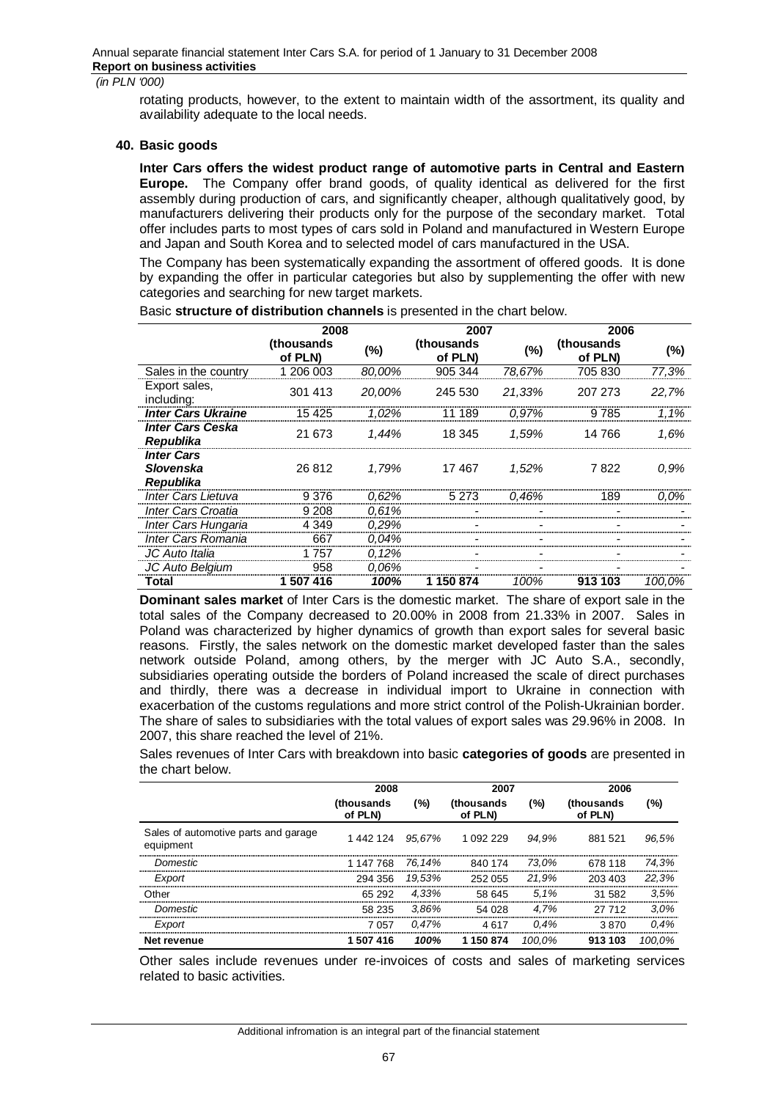rotating products, however, to the extent to maintain width of the assortment, its quality and availability adequate to the local needs.

#### **40. Basic goods**

**Inter Cars offers the widest product range of automotive parts in Central and Eastern Europe.** The Company offer brand goods, of quality identical as delivered for the first assembly during production of cars, and significantly cheaper, although qualitatively good, by manufacturers delivering their products only for the purpose of the secondary market. Total offer includes parts to most types of cars sold in Poland and manufactured in Western Europe and Japan and South Korea and to selected model of cars manufactured in the USA.

The Company has been systematically expanding the assortment of offered goods. It is done by expanding the offer in particular categories but also by supplementing the offer with new categories and searching for new target markets.

|                                                    | 2008                   |        | 2007                  |        | 2006                  |         |  |
|----------------------------------------------------|------------------------|--------|-----------------------|--------|-----------------------|---------|--|
|                                                    | (thousands)<br>of PLN) | (%)    | (thousands<br>of PLN) | (%)    | (thousands<br>of PLN) | (%)     |  |
| Sales in the country                               | 206 003                | 80,00% | 905 344               | 78,67% | 705 830               | 77,3%   |  |
| Export sales,<br>including:                        | 301 413                | 20.00% | 245 530               | 21,33% | 207 273               | 22.7%   |  |
| <b>Inter Cars Ukraine</b>                          | 15 425                 | 1,02%  | 11 189                | 0.97%  | 9 785                 | 1.1%    |  |
| <b>Inter Cars Ceska</b><br>Republika               | 21 673                 | 1.44%  | 18 345                | 1.59%  | 14 766                | 1.6%    |  |
| <b>Inter Cars</b><br>Slovenska<br><b>Republika</b> | 26 812                 | 1.79%  | 17467                 | 1.52%  | 7 822                 | 0.9%    |  |
| <b>Inter Cars Lietuva</b>                          | 9 3 7 6                | 0.62%  | 5 2 7 3               | 0.46%  | 189                   | $0.0\%$ |  |
| <b>Inter Cars Croatia</b>                          | 9 2 0 8                | 0,61%  |                       |        |                       |         |  |
| Inter Cars Hungaria                                | 4 3 4 9                | 0.29%  |                       |        |                       |         |  |
| Inter Cars Romania                                 | 667                    | 0.04%  |                       |        |                       |         |  |
| JC Auto Italia                                     | 1 757                  | 0.12%  |                       |        |                       |         |  |
| JC Auto Belgium                                    | 958                    | 0.06%  |                       |        |                       |         |  |
| Total                                              | 416<br>507             | 100%   | 150874                | 100%   | 913 103               | 100.0%  |  |

Basic **structure of distribution channels** is presented in the chart below.

**Dominant sales market** of Inter Cars is the domestic market. The share of export sale in the total sales of the Company decreased to 20.00% in 2008 from 21.33% in 2007. Sales in Poland was characterized by higher dynamics of growth than export sales for several basic reasons. Firstly, the sales network on the domestic market developed faster than the sales network outside Poland, among others, by the merger with JC Auto S.A., secondly, subsidiaries operating outside the borders of Poland increased the scale of direct purchases and thirdly, there was a decrease in individual import to Ukraine in connection with exacerbation of the customs regulations and more strict control of the Polish-Ukrainian border. The share of sales to subsidiaries with the total values of export sales was 29.96% in 2008. In 2007, this share reached the level of 21%.

Sales revenues of Inter Cars with breakdown into basic **categories of goods** are presented in the chart below.

|                                                   | 2008                  |          | 2007                  |         | 2006                          |        |
|---------------------------------------------------|-----------------------|----------|-----------------------|---------|-------------------------------|--------|
|                                                   | (thousands<br>of PLN) | (%)      | (thousands<br>of PLN) | (%)     | <i>(thousands)</i><br>of PLN) | (%)    |
| Sales of automotive parts and garage<br>equipment | 1 442 124 95.67%      |          | 1 092 229             | 94.9%   | 881 521                       | 96.5%  |
| Domestic                                          | 1 147 768 76.14%      |          | 840 174               | 73.0%   | 678 118                       | 74.3%  |
| Export                                            | 294356                | 19.53%   | 252 055               | 21.9%   | 203 403                       | 22.3%  |
| Other                                             | 65 292                | 4.33%    | 58 645                | 5.1%    | 31 582                        | 3.5%   |
| Domestic                                          | 58 235                | 3.86%    | 54 028                | 4.7%    | 27 712                        | 3.0%   |
| Export                                            | 7 057                 | $0.47\%$ | 4617                  | $0.4\%$ | 3870                          | 0.4%   |
| Net revenue                                       | 1 507 416             | 100%     | 1 150 874             | 100.0%  | 913 103                       | 100.0% |

Other sales include revenues under re-invoices of costs and sales of marketing services related to basic activities.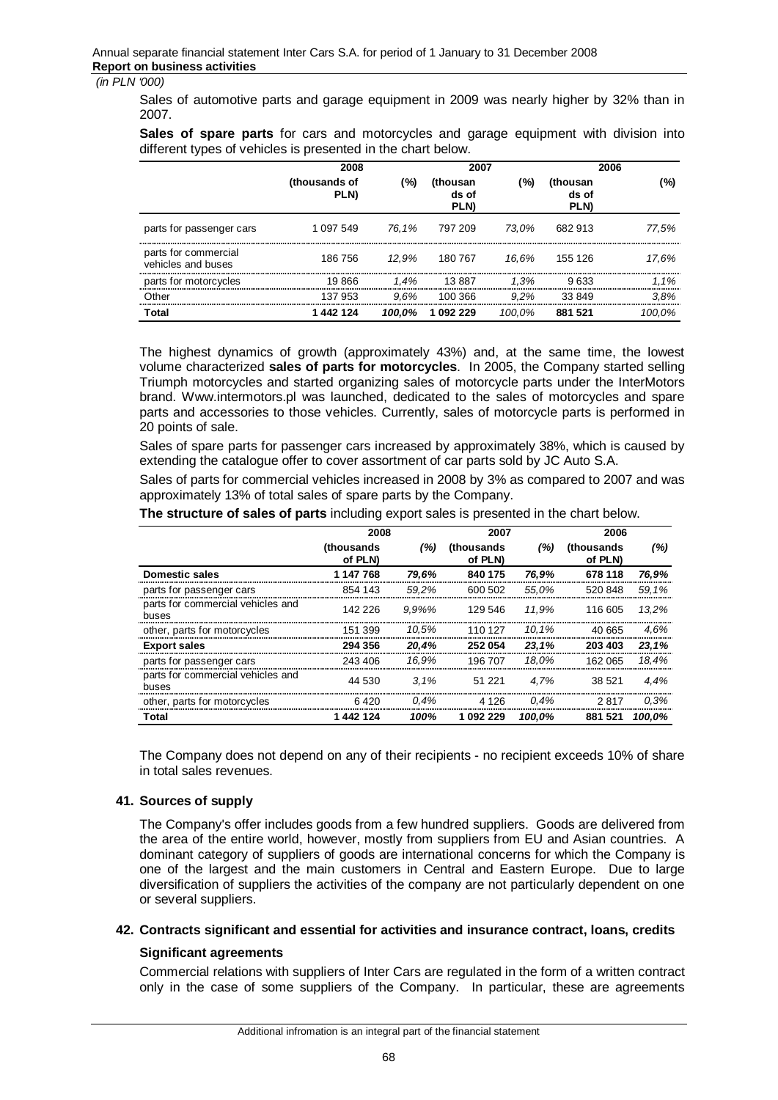Sales of automotive parts and garage equipment in 2009 was nearly higher by 32% than in 2007.

**Sales of spare parts** for cars and motorcycles and garage equipment with division into different types of vehicles is presented in the chart below.

|                                            | 2008                         | 2007    |                                 | 2006    |                           |        |
|--------------------------------------------|------------------------------|---------|---------------------------------|---------|---------------------------|--------|
|                                            | (thousands of<br><b>PLN)</b> | (%)     | (thousan<br>ds of<br><b>PLN</b> | (%)     | (thousan<br>ds of<br>PLN) | (%)    |
| parts for passenger cars                   | 1 0 9 7 5 4 9                |         | 76.1% 797 209                   | 73.0%   | 682 913                   | 77.5%  |
| parts for commercial<br>vehicles and buses | 186 756                      | 12.9%   | 180 767                         | 16.6%   | 155 126                   | 17.6%  |
| parts for motorcycles                      | 19866                        | $1.4\%$ | 13887                           | 1.3%    | 9 633                     | 1.1%   |
| Other                                      | 137 953                      | 9.6%    | 100 366                         | $9.2\%$ | 33 849                    | 3.8%   |
| Total                                      | 1 442 124                    | 100.0%  | 1 092 229                       | 100.0%  | 881 521                   | 100.0% |

The highest dynamics of growth (approximately 43%) and, at the same time, the lowest volume characterized **sales of parts for motorcycles**. In 2005, the Company started selling Triumph motorcycles and started organizing sales of motorcycle parts under the InterMotors brand. Www.intermotors.pl was launched, dedicated to the sales of motorcycles and spare parts and accessories to those vehicles. Currently, sales of motorcycle parts is performed in 20 points of sale.

Sales of spare parts for passenger cars increased by approximately 38%, which is caused by extending the catalogue offer to cover assortment of car parts sold by JC Auto S.A.

Sales of parts for commercial vehicles increased in 2008 by 3% as compared to 2007 and was approximately 13% of total sales of spare parts by the Company.

|                                            | 2008                  |           | 2007                  |        | 2006                   |        |
|--------------------------------------------|-----------------------|-----------|-----------------------|--------|------------------------|--------|
|                                            | (thousands<br>of PLN) | (%)       | (thousands<br>of PLN) | (%)    | (thousands)<br>of PLN) | (%)    |
| Domestic sales                             | 1 147 768             | 79.6%     | 840 175               | 76.9%  | 678 118                | 76,9%  |
| parts for passenger cars                   | 854 143               | 59.2%     | 600 502               | 55.0%  | 520848                 | 59.1%  |
| parts for commercial vehicles and<br>buses | 142 226               | $9.9\%$ % | 129 546               | 11.9%  | 116 605                | 13.2%  |
| other, parts for motorcycles               | 151 399               | 10.5%     | 110 127               | 10.1%  | 40.665                 | 4.6%   |
| <b>Export sales</b>                        | 294 356               | 20.4%     | 252054                | 23.1%  | 203 403                | 23.1%  |
| parts for passenger cars                   | 243 406               | 16.9%     | 196 707               | 18.0%  | 162 065                | 18.4%  |
| parts for commercial vehicles and<br>buses | 44 530                | 3.1%      | 51 221                | 4.7%   | 38 521                 | 4.4%   |
| other, parts for motorcycles               | 6.420                 | 0.4%      | 4 1 2 6               | 0.4%   | 2817                   | 0.3%   |
| Total                                      | 1442124               | 100%      | 1 092 229             | 100.0% | 881 521                | 100,0% |

**The structure of sales of parts** including export sales is presented in the chart below.

The Company does not depend on any of their recipients - no recipient exceeds 10% of share in total sales revenues.

#### **41. Sources of supply**

The Company's offer includes goods from a few hundred suppliers. Goods are delivered from the area of the entire world, however, mostly from suppliers from EU and Asian countries. A dominant category of suppliers of goods are international concerns for which the Company is one of the largest and the main customers in Central and Eastern Europe. Due to large diversification of suppliers the activities of the company are not particularly dependent on one or several suppliers.

#### **42. Contracts significant and essential for activities and insurance contract, loans, credits**

#### **Significant agreements**

Commercial relations with suppliers of Inter Cars are regulated in the form of a written contract only in the case of some suppliers of the Company. In particular, these are agreements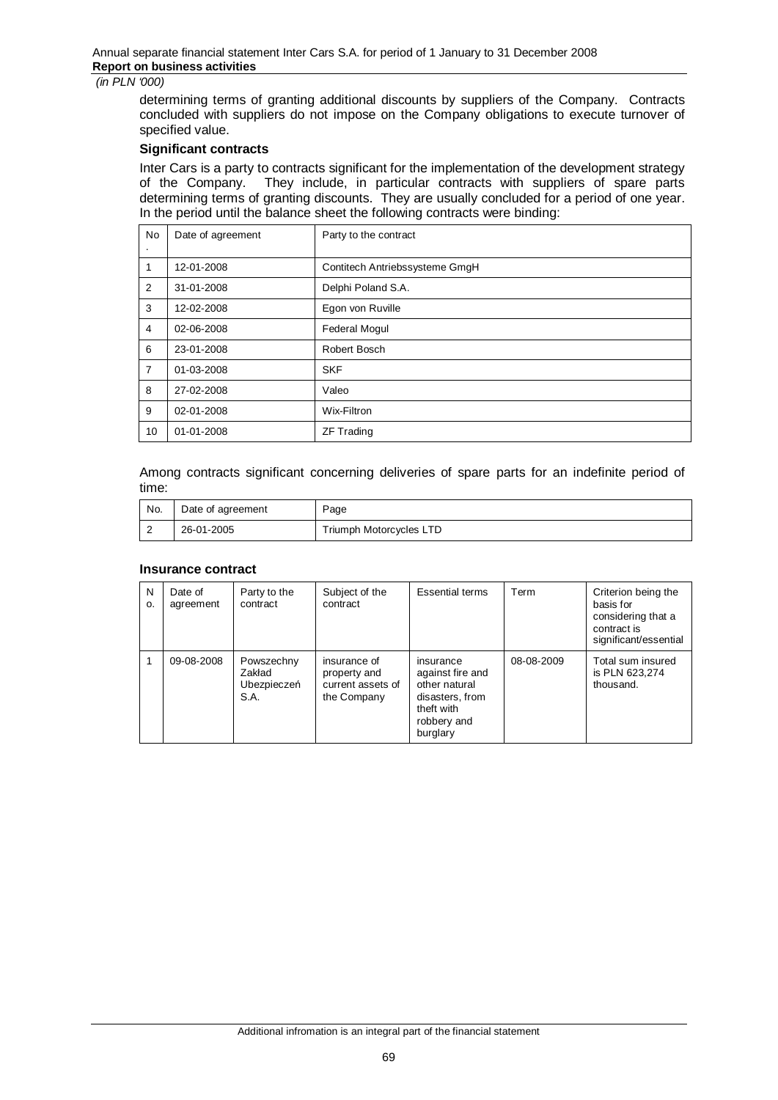determining terms of granting additional discounts by suppliers of the Company. Contracts concluded with suppliers do not impose on the Company obligations to execute turnover of specified value.

## **Significant contracts**

Inter Cars is a party to contracts significant for the implementation of the development strategy of the Company. They include, in particular contracts with suppliers of spare parts determining terms of granting discounts. They are usually concluded for a period of one year. In the period until the balance sheet the following contracts were binding:

| No             | Date of agreement | Party to the contract          |  |
|----------------|-------------------|--------------------------------|--|
| ٠              |                   |                                |  |
| 1              | 12-01-2008        | Contitech Antriebssysteme GmgH |  |
| 2              | 31-01-2008        | Delphi Poland S.A.             |  |
| 3              | 12-02-2008        | Egon von Ruville               |  |
| $\overline{4}$ | 02-06-2008        | <b>Federal Mogul</b>           |  |
| 6              | 23-01-2008        | Robert Bosch                   |  |
| $\overline{7}$ | 01-03-2008        | <b>SKF</b>                     |  |
| 8              | 27-02-2008        | Valeo                          |  |
| 9              | 02-01-2008        | Wix-Filtron                    |  |
| 10             | 01-01-2008        | <b>ZF Trading</b>              |  |

Among contracts significant concerning deliveries of spare parts for an indefinite period of time:

| No.      | Date of agreement | Page                    |
|----------|-------------------|-------------------------|
| <b>1</b> | 26-01-2005        | Triumph Motorcycles LTD |

## **Insurance contract**

| N<br>0. | Date of<br>agreement | Party to the<br>contract                    | Subject of the<br>contract                                       | <b>Essential terms</b>                                                                                     | Term       | Criterion being the<br>basis for<br>considering that a<br>contract is<br>significant/essential |
|---------|----------------------|---------------------------------------------|------------------------------------------------------------------|------------------------------------------------------------------------------------------------------------|------------|------------------------------------------------------------------------------------------------|
|         | 09-08-2008           | Powszechny<br>Zakład<br>Ubezpieczeń<br>S.A. | insurance of<br>property and<br>current assets of<br>the Company | insurance<br>against fire and<br>other natural<br>disasters, from<br>theft with<br>robbery and<br>burglary | 08-08-2009 | Total sum insured<br>is PLN 623,274<br>thousand.                                               |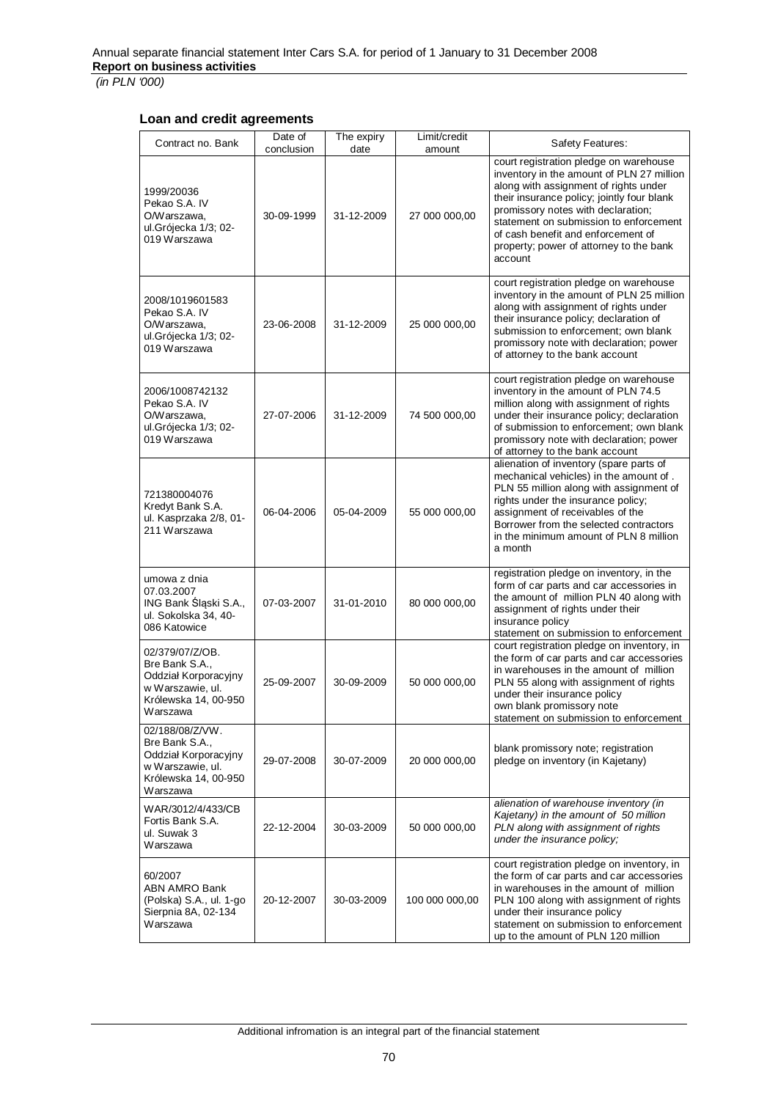## **Loan and credit agreements**

| Contract no. Bank                                                                                                 | Date of<br>conclusion | The expiry<br>date | Limit/credit<br>amount | Safety Features:                                                                                                                                                                                                                                                                                                                                       |
|-------------------------------------------------------------------------------------------------------------------|-----------------------|--------------------|------------------------|--------------------------------------------------------------------------------------------------------------------------------------------------------------------------------------------------------------------------------------------------------------------------------------------------------------------------------------------------------|
| 1999/20036<br>Pekao S.A. IV<br>O/Warszawa,<br>ul.Grójecka 1/3; 02-<br>019 Warszawa                                | 30-09-1999            | 31-12-2009         | 27 000 000,00          | court registration pledge on warehouse<br>inventory in the amount of PLN 27 million<br>along with assignment of rights under<br>their insurance policy; jointly four blank<br>promissory notes with declaration;<br>statement on submission to enforcement<br>of cash benefit and enforcement of<br>property; power of attorney to the bank<br>account |
| 2008/1019601583<br>Pekao S.A. IV<br>O/Warszawa,<br>ul.Grójecka 1/3; 02-<br>019 Warszawa                           | 23-06-2008            | 31-12-2009         | 25 000 000,00          | court registration pledge on warehouse<br>inventory in the amount of PLN 25 million<br>along with assignment of rights under<br>their insurance policy; declaration of<br>submission to enforcement; own blank<br>promissory note with declaration; power<br>of attorney to the bank account                                                           |
| 2006/1008742132<br>Pekao S.A. IV<br>O/Warszawa,<br>ul.Grójecka 1/3; 02-<br>019 Warszawa                           | 27-07-2006            | 31-12-2009         | 74 500 000,00          | court registration pledge on warehouse<br>inventory in the amount of PLN 74.5<br>million along with assignment of rights<br>under their insurance policy; declaration<br>of submission to enforcement; own blank<br>promissory note with declaration; power<br>of attorney to the bank account                                                         |
| 721380004076<br>Kredyt Bank S.A.<br>ul. Kasprzaka 2/8, 01-<br>211 Warszawa                                        | 06-04-2006            | 05-04-2009         | 55 000 000,00          | alienation of inventory (spare parts of<br>mechanical vehicles) in the amount of.<br>PLN 55 million along with assignment of<br>rights under the insurance policy;<br>assignment of receivables of the<br>Borrower from the selected contractors<br>in the minimum amount of PLN 8 million<br>a month                                                  |
| umowa z dnia<br>07.03.2007<br>ING Bank Śląski S.A.,<br>ul. Sokolska 34, 40-<br>086 Katowice                       | 07-03-2007            | 31-01-2010         | 80 000 000,00          | registration pledge on inventory, in the<br>form of car parts and car accessories in<br>the amount of million PLN 40 along with<br>assignment of rights under their<br>insurance policy<br>statement on submission to enforcement                                                                                                                      |
| 02/379/07/Z/OB.<br>Bre Bank S.A.,<br>Oddział Korporacyjny<br>w Warszawie, ul.<br>Królewska 14, 00-950<br>Warszawa | 25-09-2007            | 30-09-2009         | 50 000 000,00          | court registration pledge on inventory, in<br>the form of car parts and car accessories<br>in warehouses in the amount of million<br>PLN 55 along with assignment of rights<br>under their insurance policy<br>own blank promissory note<br>statement on submission to enforcement                                                                     |
| 02/188/08/Z/VW.<br>Bre Bank S.A<br>Oddział Korporacyjny<br>w Warszawie, ul.<br>Królewska 14, 00-950<br>Warszawa   | 29-07-2008            | 30-07-2009         | 20 000 000,00          | blank promissory note; registration<br>pledge on inventory (in Kajetany)                                                                                                                                                                                                                                                                               |
| WAR/3012/4/433/CB<br>Fortis Bank S.A.<br>ul. Suwak 3<br>Warszawa                                                  | 22-12-2004            | 30-03-2009         | 50 000 000,00          | alienation of warehouse inventory (in<br>Kajetany) in the amount of 50 million<br>PLN along with assignment of rights<br>under the insurance policy;                                                                                                                                                                                                   |
| 60/2007<br>ABN AMRO Bank<br>(Polska) S.A., ul. 1-go<br>Sierpnia 8A, 02-134<br>Warszawa                            | 20-12-2007            | 30-03-2009         | 100 000 000,00         | court registration pledge on inventory, in<br>the form of car parts and car accessories<br>in warehouses in the amount of million<br>PLN 100 along with assignment of rights<br>under their insurance policy<br>statement on submission to enforcement<br>up to the amount of PLN 120 million                                                          |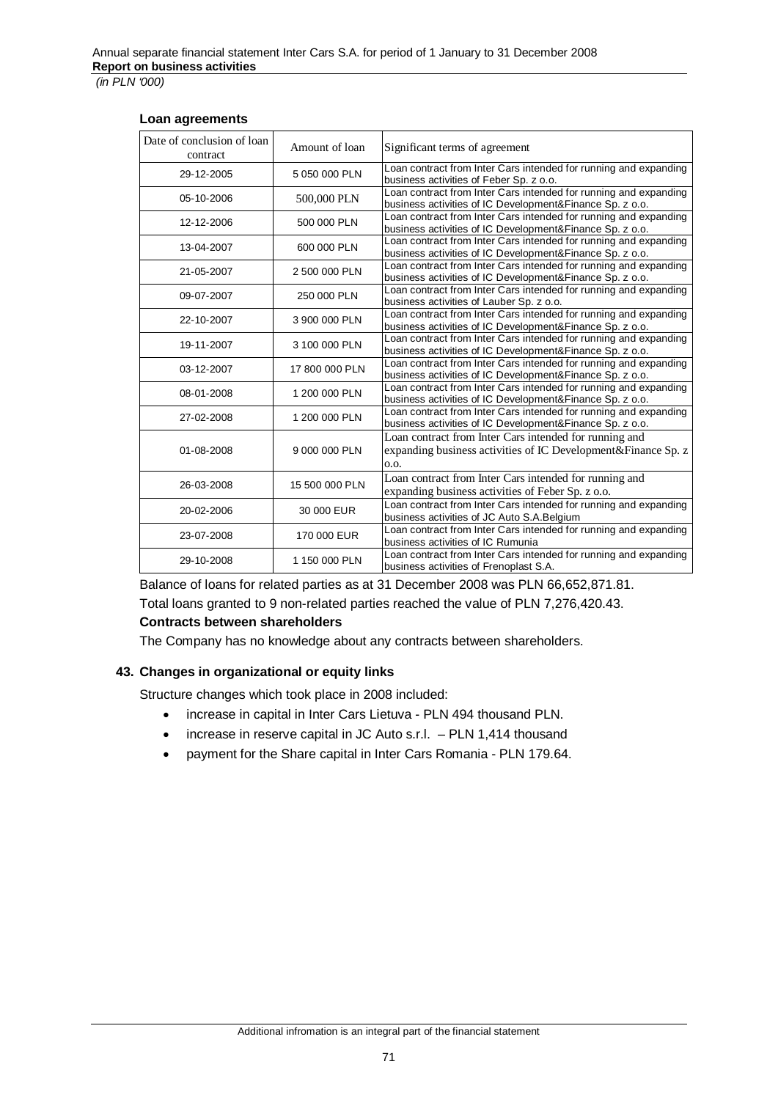### **Loan agreements**

| Date of conclusion of loan<br>contract | Amount of loan | Significant terms of agreement                                                                                                  |
|----------------------------------------|----------------|---------------------------------------------------------------------------------------------------------------------------------|
| 29-12-2005                             | 5 050 000 PLN  | Loan contract from Inter Cars intended for running and expanding<br>business activities of Feber Sp. z o.o.                     |
| 05-10-2006                             | 500,000 PLN    | Loan contract from Inter Cars intended for running and expanding<br>business activities of IC Development&Finance Sp. z o.o.    |
| 12-12-2006                             | 500 000 PLN    | Loan contract from Inter Cars intended for running and expanding<br>business activities of IC Development&Finance Sp. z o.o.    |
| 13-04-2007                             | 600 000 PLN    | Loan contract from Inter Cars intended for running and expanding<br>business activities of IC Development&Finance Sp. z o.o.    |
| 21-05-2007                             | 2 500 000 PLN  | Loan contract from Inter Cars intended for running and expanding<br>business activities of IC Development&Finance Sp. z o.o.    |
| 09-07-2007                             | 250 000 PLN    | Loan contract from Inter Cars intended for running and expanding<br>business activities of Lauber Sp. z o.o.                    |
| 22-10-2007                             | 3 900 000 PLN  | Loan contract from Inter Cars intended for running and expanding<br>business activities of IC Development& Finance Sp. z o.o.   |
| 19-11-2007                             | 3 100 000 PLN  | Loan contract from Inter Cars intended for running and expanding<br>business activities of IC Development&Finance Sp. z o.o.    |
| 03-12-2007                             | 17 800 000 PLN | Loan contract from Inter Cars intended for running and expanding<br>business activities of IC Development&Finance Sp. z o.o.    |
| 08-01-2008                             | 1 200 000 PLN  | Loan contract from Inter Cars intended for running and expanding<br>business activities of IC Development&Finance Sp. z o.o.    |
| 27-02-2008                             | 1 200 000 PLN  | Loan contract from Inter Cars intended for running and expanding<br>business activities of IC Development&Finance Sp. z o.o.    |
| 01-08-2008                             | 9 000 000 PLN  | Loan contract from Inter Cars intended for running and<br>expanding business activities of IC Development&Finance Sp. z<br>0.0. |
| 26-03-2008                             | 15 500 000 PLN | Loan contract from Inter Cars intended for running and<br>expanding business activities of Feber Sp. z o.o.                     |
| 20-02-2006                             | 30 000 EUR     | Loan contract from Inter Cars intended for running and expanding<br>business activities of JC Auto S.A.Belgium                  |
| 23-07-2008                             | 170 000 EUR    | Loan contract from Inter Cars intended for running and expanding<br>business activities of IC Rumunia                           |
| 29-10-2008                             | 1 150 000 PLN  | Loan contract from Inter Cars intended for running and expanding<br>business activities of Frenoplast S.A.                      |

Balance of loans for related parties as at 31 December 2008 was PLN 66,652,871.81.

Total loans granted to 9 non-related parties reached the value of PLN 7,276,420.43.

## **Contracts between shareholders**

The Company has no knowledge about any contracts between shareholders.

## **43. Changes in organizational or equity links**

Structure changes which took place in 2008 included:

- increase in capital in Inter Cars Lietuva PLN 494 thousand PLN.
- $\bullet$  increase in reserve capital in JC Auto s.r.l.  $-$  PLN 1,414 thousand
- payment for the Share capital in Inter Cars Romania PLN 179.64.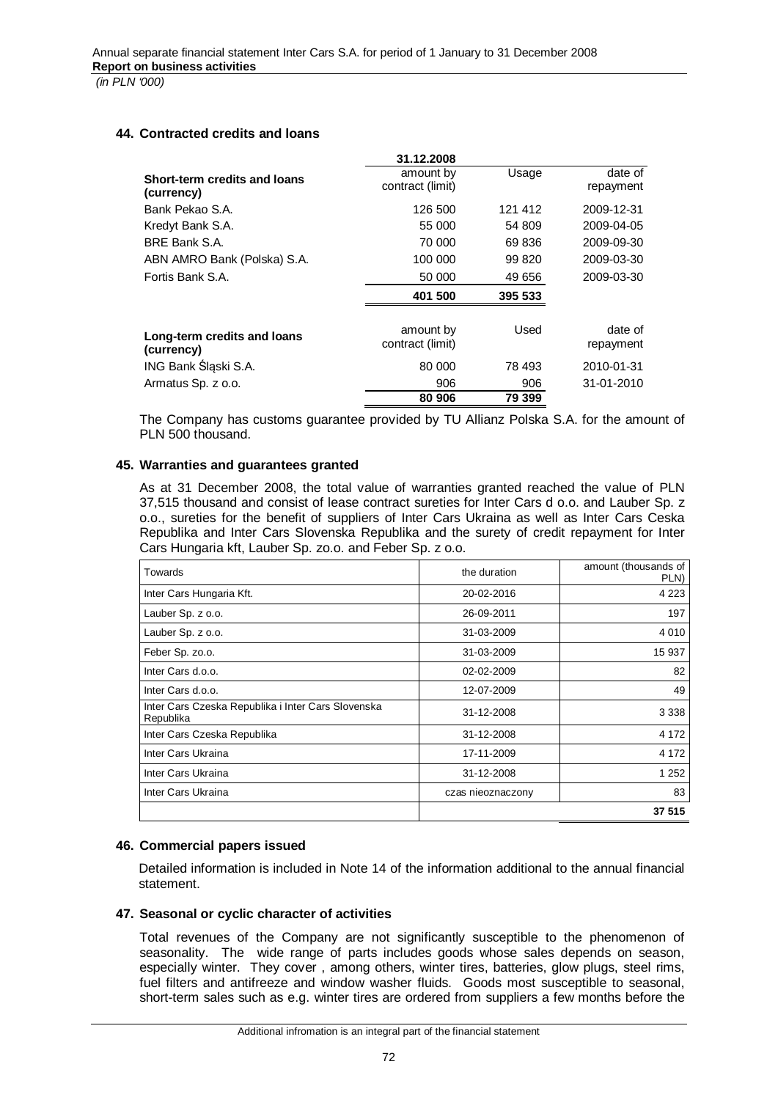# **44. Contracted credits and loans**

|                                            | 31.12.2008                    |         |                      |
|--------------------------------------------|-------------------------------|---------|----------------------|
| Short-term credits and loans<br>(currency) | amount by<br>contract (limit) | Usage   | date of<br>repayment |
| Bank Pekao S.A.                            | 126 500                       | 121 412 | 2009-12-31           |
| Kredyt Bank S.A.                           | 55 000                        | 54 809  | 2009-04-05           |
| BRE Bank S.A.                              | 70 000                        | 69 836  | 2009-09-30           |
| ABN AMRO Bank (Polska) S.A.                | 100 000                       | 99 820  | 2009-03-30           |
| Fortis Bank S.A.                           | 50 000                        | 49 656  | 2009-03-30           |
|                                            | 401 500                       | 395 533 |                      |
| Long-term credits and loans<br>(currency)  | amount by<br>contract (limit) | Used    | date of<br>repayment |
| ING Bank Śląski S.A.                       | 80 000                        | 78 493  | 2010-01-31           |
| Armatus Sp. z o.o.                         | 906                           | 906     | 31-01-2010           |
|                                            | 80 906                        | 79 399  |                      |

The Company has customs guarantee provided by TU Allianz Polska S.A. for the amount of PLN 500 thousand.

# **45. Warranties and guarantees granted**

As at 31 December 2008, the total value of warranties granted reached the value of PLN 37,515 thousand and consist of lease contract sureties for Inter Cars d o.o. and Lauber Sp. z o.o., sureties for the benefit of suppliers of Inter Cars Ukraina as well as Inter Cars Ceska Republika and Inter Cars Slovenska Republika and the surety of credit repayment for Inter Cars Hungaria kft, Lauber Sp. zo.o. and Feber Sp. z o.o.

| Towards                                                         | the duration      | amount (thousands of<br>PLN) |
|-----------------------------------------------------------------|-------------------|------------------------------|
| Inter Cars Hungaria Kft.                                        | 20-02-2016        | 4 2 2 3                      |
| Lauber Sp. z o.o.                                               | 26-09-2011        | 197                          |
| Lauber Sp. z o.o.                                               | 31-03-2009        | 4 0 1 0                      |
| Feber Sp. zo.o.                                                 | 31-03-2009        | 15 937                       |
| Inter Cars d.o.o.                                               | 02-02-2009        | 82                           |
| Inter Cars d.o.o.                                               | 12-07-2009        | 49                           |
| Inter Cars Czeska Republika i Inter Cars Slovenska<br>Republika | 31-12-2008        | 3 3 3 8                      |
| Inter Cars Czeska Republika                                     | 31-12-2008        | 4 1 7 2                      |
| Inter Cars Ukraina                                              | 17-11-2009        | 4 1 7 2                      |
| Inter Cars Ukraina                                              | 31-12-2008        | 1 2 5 2                      |
| Inter Cars Ukraina                                              | czas nieoznaczony | 83                           |
|                                                                 |                   | 37 515                       |

# **46. Commercial papers issued**

Detailed information is included in Note 14 of the information additional to the annual financial statement.

#### **47. Seasonal or cyclic character of activities**

Total revenues of the Company are not significantly susceptible to the phenomenon of seasonality. The wide range of parts includes goods whose sales depends on season, especially winter. They cover , among others, winter tires, batteries, glow plugs, steel rims, fuel filters and antifreeze and window washer fluids. Goods most susceptible to seasonal, short-term sales such as e.g. winter tires are ordered from suppliers a few months before the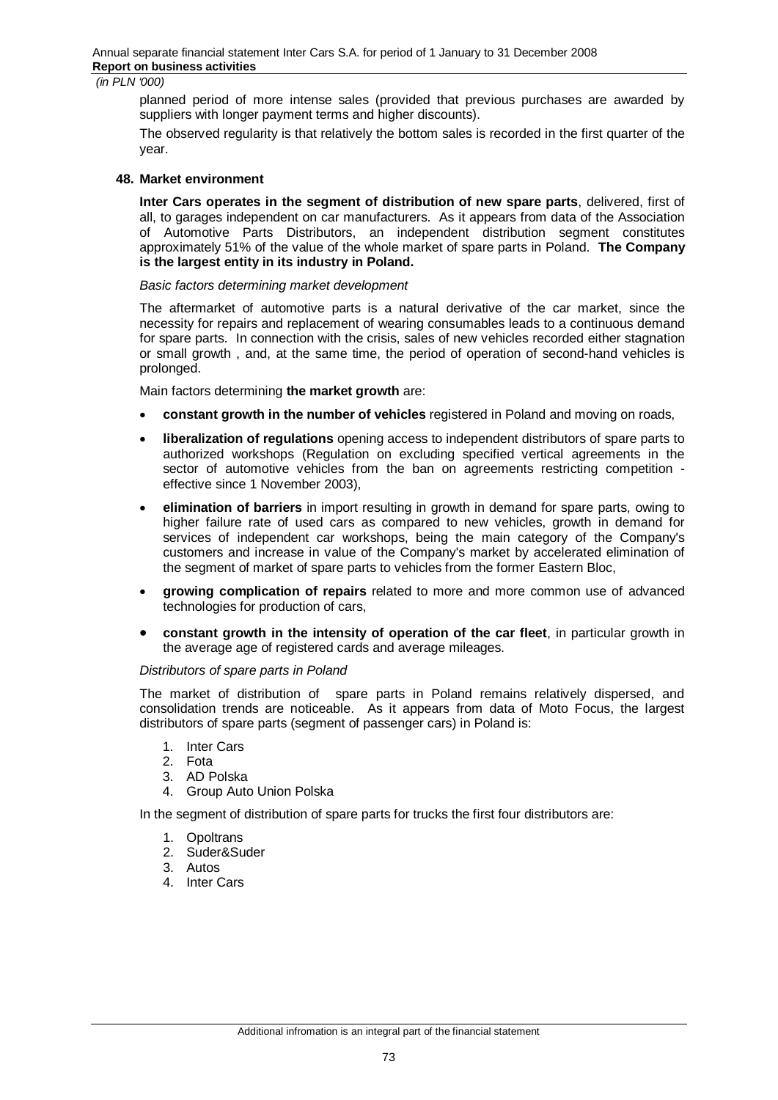planned period of more intense sales (provided that previous purchases are awarded by suppliers with longer payment terms and higher discounts).

The observed regularity is that relatively the bottom sales is recorded in the first quarter of the year.

#### **48. Market environment**

**Inter Cars operates in the segment of distribution of new spare parts**, delivered, first of all, to garages independent on car manufacturers. As it appears from data of the Association of Automotive Parts Distributors, an independent distribution segment constitutes approximately 51% of the value of the whole market of spare parts in Poland. **The Company is the largest entity in its industry in Poland.** 

#### *Basic factors determining market development*

The aftermarket of automotive parts is a natural derivative of the car market, since the necessity for repairs and replacement of wearing consumables leads to a continuous demand for spare parts. In connection with the crisis, sales of new vehicles recorded either stagnation or small growth , and, at the same time, the period of operation of second-hand vehicles is prolonged.

Main factors determining **the market growth** are:

- x **constant growth in the number of vehicles** registered in Poland and moving on roads,
- **liberalization of regulations** opening access to independent distributors of spare parts to authorized workshops (Regulation on excluding specified vertical agreements in the sector of automotive vehicles from the ban on agreements restricting competition effective since 1 November 2003),
- **elimination of barriers** in import resulting in growth in demand for spare parts, owing to higher failure rate of used cars as compared to new vehicles, growth in demand for services of independent car workshops, being the main category of the Company's customers and increase in value of the Company's market by accelerated elimination of the segment of market of spare parts to vehicles from the former Eastern Bloc,
- **growing complication of repairs** related to more and more common use of advanced technologies for production of cars,
- **•** constant growth in the intensity of operation of the car fleet, in particular growth in the average age of registered cards and average mileages.

#### *Distributors of spare parts in Poland*

The market of distribution of spare parts in Poland remains relatively dispersed, and consolidation trends are noticeable. As it appears from data of Moto Focus, the largest distributors of spare parts (segment of passenger cars) in Poland is:

- 1. Inter Cars
- 2. Fota
- 3. AD Polska
- 4. Group Auto Union Polska

In the segment of distribution of spare parts for trucks the first four distributors are:

- 1. Opoltrans
- 2. Suder&Suder
- 3. Autos
- 4. Inter Cars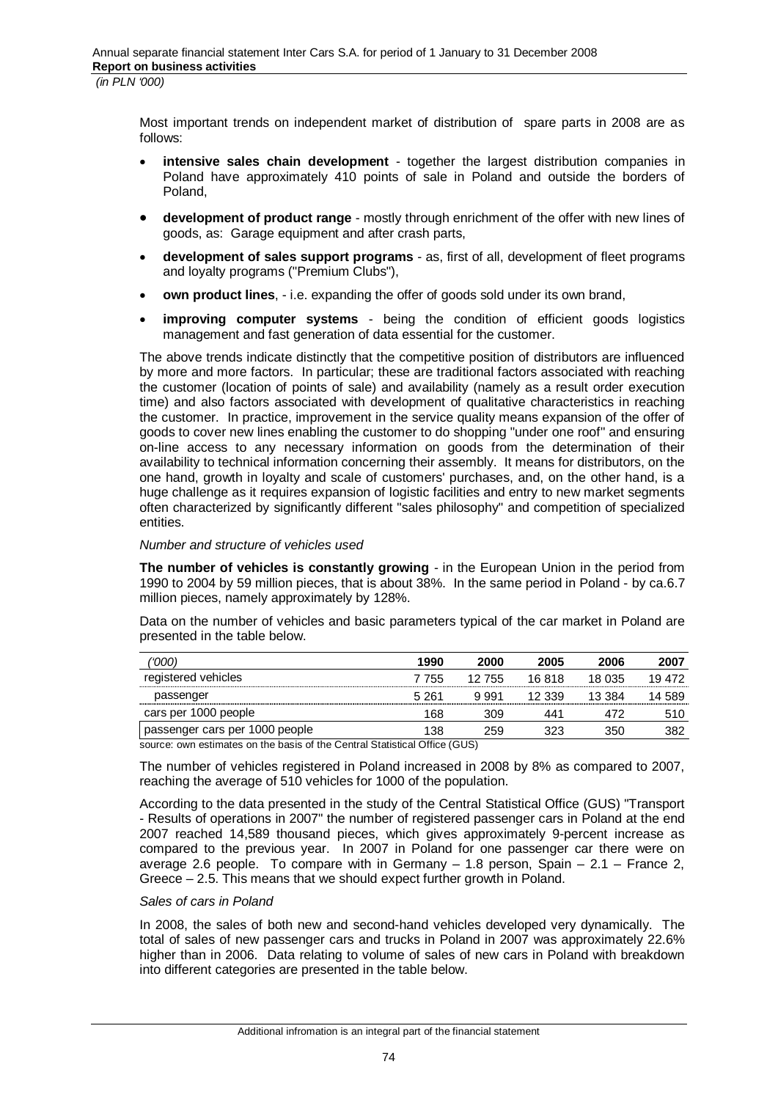Most important trends on independent market of distribution of spare parts in 2008 are as follows:

- intensive sales chain development together the largest distribution companies in Poland have approximately 410 points of sale in Poland and outside the borders of Poland,
- **development of product range** mostly through enrichment of the offer with new lines of goods, as: Garage equipment and after crash parts,
- **development of sales support programs** as, first of all, development of fleet programs and loyalty programs ("Premium Clubs"),
- **own product lines**, i.e. expanding the offer of goods sold under its own brand,
- **improving computer systems** being the condition of efficient goods logistics management and fast generation of data essential for the customer.

The above trends indicate distinctly that the competitive position of distributors are influenced by more and more factors. In particular; these are traditional factors associated with reaching the customer (location of points of sale) and availability (namely as a result order execution time) and also factors associated with development of qualitative characteristics in reaching the customer. In practice, improvement in the service quality means expansion of the offer of goods to cover new lines enabling the customer to do shopping "under one roof" and ensuring on-line access to any necessary information on goods from the determination of their availability to technical information concerning their assembly. It means for distributors, on the one hand, growth in loyalty and scale of customers' purchases, and, on the other hand, is a huge challenge as it requires expansion of logistic facilities and entry to new market segments often characterized by significantly different "sales philosophy" and competition of specialized entities.

#### *Number and structure of vehicles used*

**The number of vehicles is constantly growing** - in the European Union in the period from 1990 to 2004 by 59 million pieces, that is about 38%. In the same period in Poland - by ca.6.7 million pieces, namely approximately by 128%.

Data on the number of vehicles and basic parameters typical of the car market in Poland are presented in the table below.

| '000                           | 1990  | 2000   | 2005   | 2006   | 2007   |
|--------------------------------|-------|--------|--------|--------|--------|
| registered vehicles            | 7 755 | 12 755 | 16.818 | 18 035 | 19472  |
| passenger                      | 5 261 | 9.991  | 12 339 | 13 384 | 14 589 |
| cars per 1000 people           | 168   | 309    | 441    |        | 510    |
| passenger cars per 1000 people | 138   | 259    |        | 350    | 382    |

source: own estimates on the basis of the Central Statistical Office (GUS)

The number of vehicles registered in Poland increased in 2008 by 8% as compared to 2007, reaching the average of 510 vehicles for 1000 of the population.

According to the data presented in the study of the Central Statistical Office (GUS) "Transport - Results of operations in 2007" the number of registered passenger cars in Poland at the end 2007 reached 14,589 thousand pieces, which gives approximately 9-percent increase as compared to the previous year. In 2007 in Poland for one passenger car there were on average 2.6 people. To compare with in Germany – 1.8 person, Spain – 2.1 – France 2, Greece – 2.5. This means that we should expect further growth in Poland.

#### *Sales of cars in Poland*

In 2008, the sales of both new and second-hand vehicles developed very dynamically. The total of sales of new passenger cars and trucks in Poland in 2007 was approximately 22.6% higher than in 2006. Data relating to volume of sales of new cars in Poland with breakdown into different categories are presented in the table below.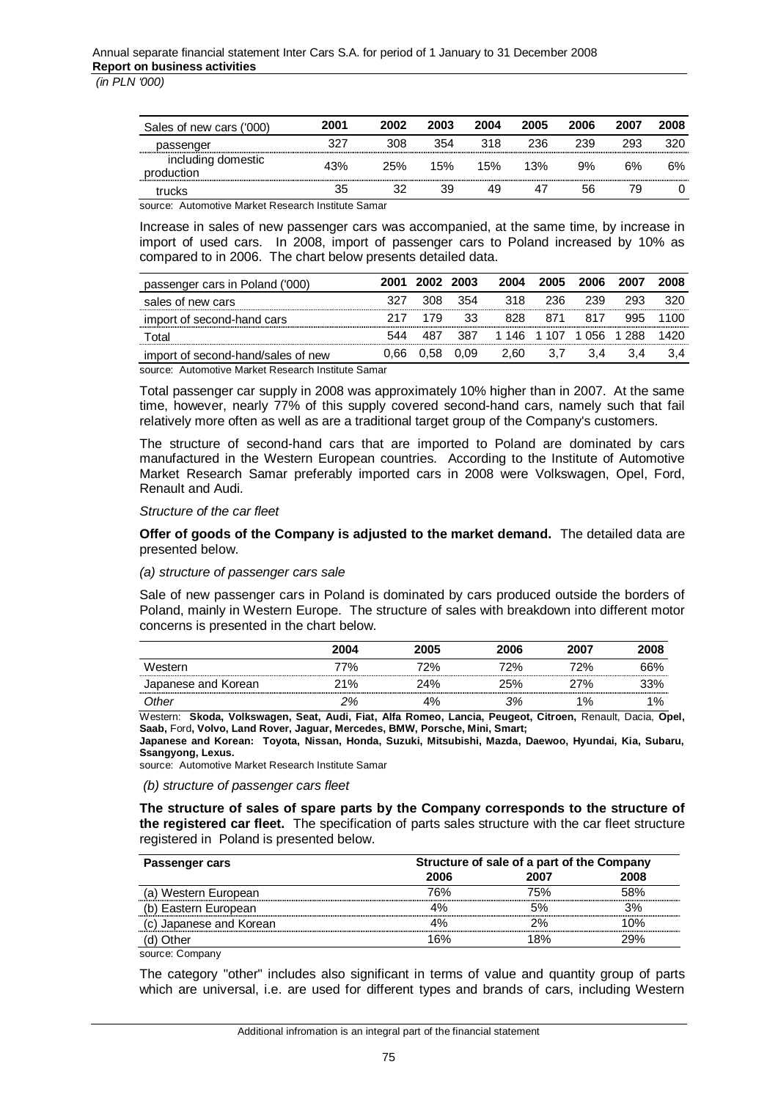| Sales of new cars ('000)         | 2001 | 2002 | 2003 | 2004 | 2005 | 2006 | 2007      | 2008 |
|----------------------------------|------|------|------|------|------|------|-----------|------|
| passenger                        | つつつ  | 308  | 354  | 318  | 236  | 239  | 293       | 320  |
| including domestic<br>production | 43%  | 25%  | 15%  | 15%  | 13%  | 9%   | <b>6%</b> | 6%   |
| trucks                           | 35   | 32   | 39   | 49   |      | 56   | 79        |      |

source: Automotive Market Research Institute Samar

Increase in sales of new passenger cars was accompanied, at the same time, by increase in import of used cars. In 2008, import of passenger cars to Poland increased by 10% as compared to in 2006. The chart below presents detailed data.

| passenger cars in Poland ('000)    | 2001 | 2002 2003 |      | 2004                    | 2005 | 2006 | 2007 | 2008 |
|------------------------------------|------|-----------|------|-------------------------|------|------|------|------|
| sales of new cars                  | 327  | 308       | -354 | 318                     | -236 | 239  | 293  | 320  |
| import of second-hand cars         |      | 179       | 33   | 828                     |      |      |      | 1100 |
| Total                              | 544  |           | -387 | 1 146 1 107 1 056 1 288 |      |      |      | 1420 |
| import of second-hand/sales of new | 0.66 | 0.58      | 0.09 | 2.60                    | 3.7  | 3.4  |      |      |

source: Automotive Market Research Institute Samar

Total passenger car supply in 2008 was approximately 10% higher than in 2007. At the same time, however, nearly 77% of this supply covered second-hand cars, namely such that fail relatively more often as well as are a traditional target group of the Company's customers.

The structure of second-hand cars that are imported to Poland are dominated by cars manufactured in the Western European countries. According to the Institute of Automotive Market Research Samar preferably imported cars in 2008 were Volkswagen, Opel, Ford, Renault and Audi.

#### *Structure of the car fleet*

**Offer of goods of the Company is adjusted to the market demand.** The detailed data are presented below.

#### *(a) structure of passenger cars sale*

Sale of new passenger cars in Poland is dominated by cars produced outside the borders of Poland, mainly in Western Europe. The structure of sales with breakdown into different motor concerns is presented in the chart below.

|                     | 2004 | 2005 | 2006 | 2007 | 2008       |
|---------------------|------|------|------|------|------------|
| Western             | 77%  | 72%  | 72%  | 72%  | <b>66%</b> |
| Japanese and Korean | 21%  | 24%  | 25%  | 27%  | 33%        |
| Other               | 2%   | 4%   | 3%   | 1%   | $1\%$      |

Western: **Skoda, Volkswagen, Seat, Audi, Fiat, Alfa Romeo, Lancia, Peugeot, Citroen,** Renault, Dacia, **Opel, Saab,** Ford**, Volvo, Land Rover, Jaguar, Mercedes, BMW, Porsche, Mini, Smart;** 

**Japanese and Korean: Toyota, Nissan, Honda, Suzuki, Mitsubishi, Mazda, Daewoo, Hyundai, Kia, Subaru, Ssangyong, Lexus.**

source: Automotive Market Research Institute Samar

 *(b) structure of passenger cars fleet* 

**The structure of sales of spare parts by the Company corresponds to the structure of the registered car fleet.** The specification of parts sales structure with the car fleet structure registered in Poland is presented below.

| Passenger cars          |      | Structure of sale of a part of the Company |      |  |  |
|-------------------------|------|--------------------------------------------|------|--|--|
|                         | 2006 | 2007                                       | 2008 |  |  |
| (a) Western European    | 76%  | 75%                                        | 58%  |  |  |
| (b) Eastern European    | 1%   |                                            | 3%   |  |  |
| (c) Japanese and Korean |      | ን%                                         | 1በ%  |  |  |
| (d) Other               | 16%  | 18%                                        | 29%  |  |  |
| source: Company         |      |                                            |      |  |  |

The category "other" includes also significant in terms of value and quantity group of parts which are universal, i.e. are used for different types and brands of cars, including Western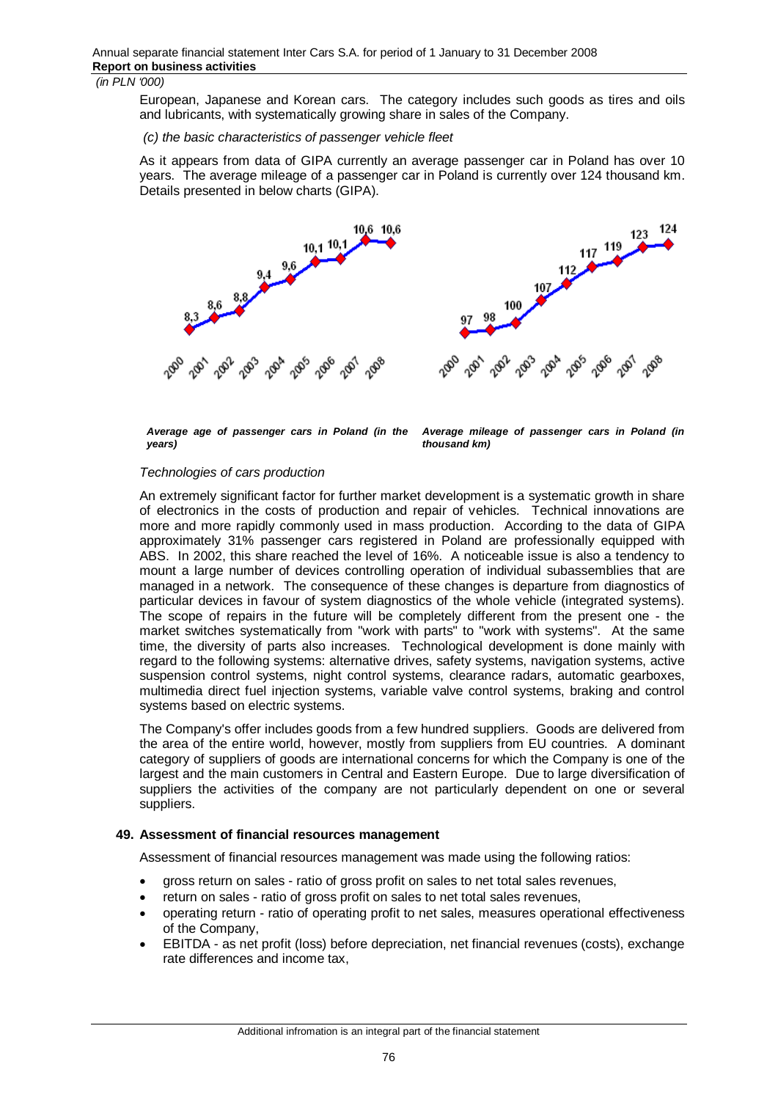European, Japanese and Korean cars. The category includes such goods as tires and oils and lubricants, with systematically growing share in sales of the Company.

 *(c) the basic characteristics of passenger vehicle fleet* 

As it appears from data of GIPA currently an average passenger car in Poland has over 10 years. The average mileage of a passenger car in Poland is currently over 124 thousand km. Details presented in below charts (GIPA).



*Average age of passenger cars in Poland (in the years)*

*Average mileage of passenger cars in Poland (in thousand km)*

# *Technologies of cars production*

An extremely significant factor for further market development is a systematic growth in share of electronics in the costs of production and repair of vehicles. Technical innovations are more and more rapidly commonly used in mass production. According to the data of GIPA approximately 31% passenger cars registered in Poland are professionally equipped with ABS. In 2002, this share reached the level of 16%. A noticeable issue is also a tendency to mount a large number of devices controlling operation of individual subassemblies that are managed in a network. The consequence of these changes is departure from diagnostics of particular devices in favour of system diagnostics of the whole vehicle (integrated systems). The scope of repairs in the future will be completely different from the present one - the market switches systematically from "work with parts" to "work with systems". At the same time, the diversity of parts also increases. Technological development is done mainly with regard to the following systems: alternative drives, safety systems, navigation systems, active suspension control systems, night control systems, clearance radars, automatic gearboxes, multimedia direct fuel injection systems, variable valve control systems, braking and control systems based on electric systems.

The Company's offer includes goods from a few hundred suppliers. Goods are delivered from the area of the entire world, however, mostly from suppliers from EU countries. A dominant category of suppliers of goods are international concerns for which the Company is one of the largest and the main customers in Central and Eastern Europe. Due to large diversification of suppliers the activities of the company are not particularly dependent on one or several suppliers.

#### **49. Assessment of financial resources management**

Assessment of financial resources management was made using the following ratios:

- gross return on sales ratio of gross profit on sales to net total sales revenues,
- return on sales ratio of gross profit on sales to net total sales revenues,
- operating return ratio of operating profit to net sales, measures operational effectiveness of the Company,
- EBITDA as net profit (loss) before depreciation, net financial revenues (costs), exchange rate differences and income tax,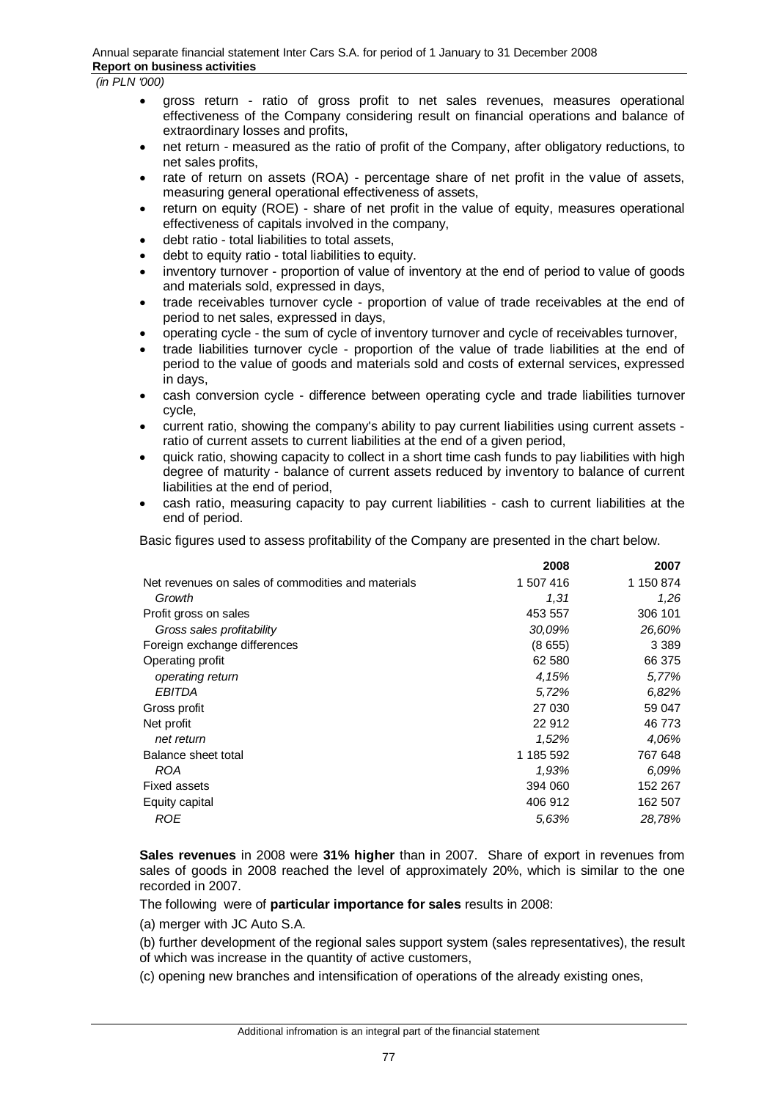- gross return ratio of gross profit to net sales revenues, measures operational effectiveness of the Company considering result on financial operations and balance of extraordinary losses and profits,
- net return measured as the ratio of profit of the Company, after obligatory reductions, to net sales profits,
- rate of return on assets (ROA) percentage share of net profit in the value of assets, measuring general operational effectiveness of assets,
- return on equity (ROE) share of net profit in the value of equity, measures operational effectiveness of capitals involved in the company,
- x debt ratio total liabilities to total assets,
- debt to equity ratio total liabilities to equity.
- inventory turnover proportion of value of inventory at the end of period to value of goods and materials sold, expressed in days,
- trade receivables turnover cycle proportion of value of trade receivables at the end of period to net sales, expressed in days,
- x operating cycle the sum of cycle of inventory turnover and cycle of receivables turnover,
- trade liabilities turnover cycle proportion of the value of trade liabilities at the end of period to the value of goods and materials sold and costs of external services, expressed in days,
- cash conversion cycle difference between operating cycle and trade liabilities turnover cycle,
- current ratio, showing the company's ability to pay current liabilities using current assets ratio of current assets to current liabilities at the end of a given period,
- quick ratio, showing capacity to collect in a short time cash funds to pay liabilities with high degree of maturity - balance of current assets reduced by inventory to balance of current liabilities at the end of period,
- x cash ratio, measuring capacity to pay current liabilities cash to current liabilities at the end of period.

Basic figures used to assess profitability of the Company are presented in the chart below.

|                                                    | 2008      | 2007      |
|----------------------------------------------------|-----------|-----------|
| Net revenues on sales of commodities and materials | 1 507 416 | 1 150 874 |
| Growth                                             | 1,31      | 1,26      |
| Profit gross on sales                              | 453 557   | 306 101   |
| Gross sales profitability                          | 30,09%    | 26,60%    |
| Foreign exchange differences                       | (8655)    | 3 3 8 9   |
| Operating profit                                   | 62 580    | 66 375    |
| operating return                                   | 4,15%     | 5,77%     |
| <b>EBITDA</b>                                      | 5,72%     | 6.82%     |
| Gross profit                                       | 27 030    | 59 047    |
| Net profit                                         | 22 912    | 46 773    |
| net return                                         | 1,52%     | 4.06%     |
| Balance sheet total                                | 1 185 592 | 767 648   |
| <b>ROA</b>                                         | 1,93%     | 6.09%     |
| <b>Fixed assets</b>                                | 394 060   | 152 267   |
| Equity capital                                     | 406 912   | 162 507   |
| ROE                                                | 5.63%     | 28,78%    |

**Sales revenues** in 2008 were **31% higher** than in 2007. Share of export in revenues from sales of goods in 2008 reached the level of approximately 20%, which is similar to the one recorded in 2007.

The following were of **particular importance for sales** results in 2008:

(a) merger with JC Auto S.A.

(b) further development of the regional sales support system (sales representatives), the result of which was increase in the quantity of active customers,

(c) opening new branches and intensification of operations of the already existing ones,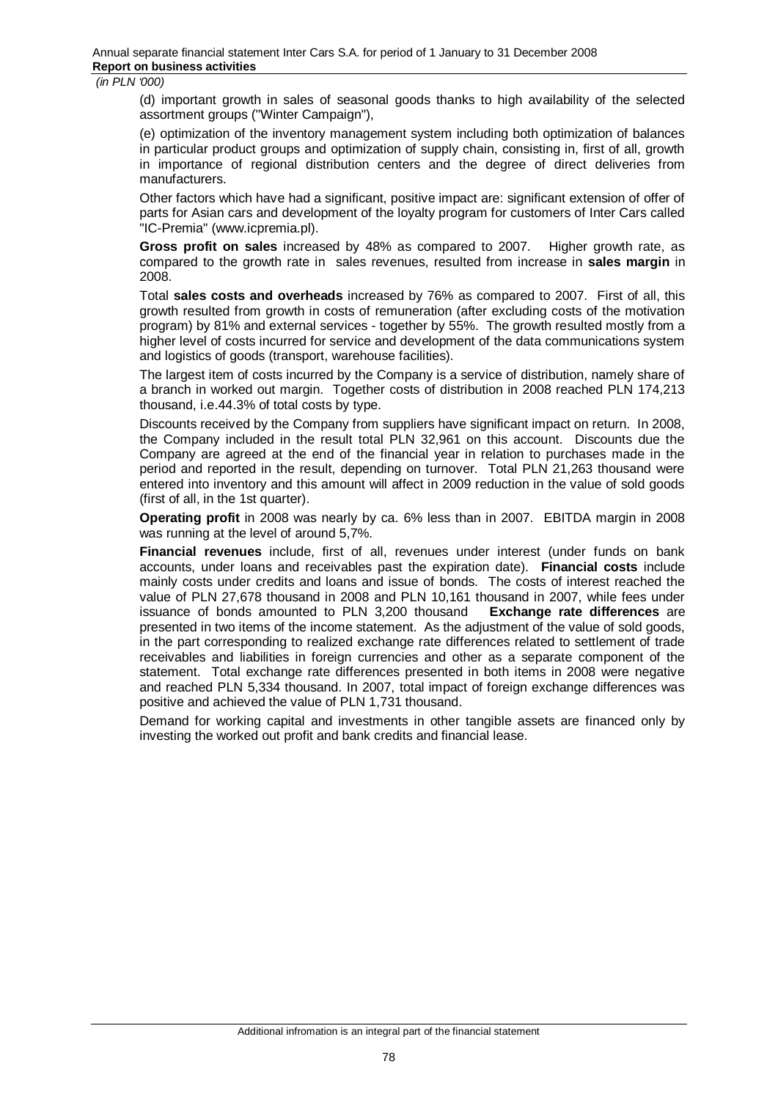(d) important growth in sales of seasonal goods thanks to high availability of the selected assortment groups ("Winter Campaign"),

(e) optimization of the inventory management system including both optimization of balances in particular product groups and optimization of supply chain, consisting in, first of all, growth in importance of regional distribution centers and the degree of direct deliveries from manufacturers.

Other factors which have had a significant, positive impact are: significant extension of offer of parts for Asian cars and development of the loyalty program for customers of Inter Cars called "IC-Premia" (www.icpremia.pl).

**Gross profit on sales** increased by 48% as compared to 2007. Higher growth rate, as compared to the growth rate in sales revenues, resulted from increase in **sales margin** in 2008.

Total **sales costs and overheads** increased by 76% as compared to 2007. First of all, this growth resulted from growth in costs of remuneration (after excluding costs of the motivation program) by 81% and external services - together by 55%. The growth resulted mostly from a higher level of costs incurred for service and development of the data communications system and logistics of goods (transport, warehouse facilities).

The largest item of costs incurred by the Company is a service of distribution, namely share of a branch in worked out margin. Together costs of distribution in 2008 reached PLN 174,213 thousand, i.e.44.3% of total costs by type.

Discounts received by the Company from suppliers have significant impact on return. In 2008, the Company included in the result total PLN 32,961 on this account. Discounts due the Company are agreed at the end of the financial year in relation to purchases made in the period and reported in the result, depending on turnover. Total PLN 21,263 thousand were entered into inventory and this amount will affect in 2009 reduction in the value of sold goods (first of all, in the 1st quarter).

**Operating profit** in 2008 was nearly by ca. 6% less than in 2007. EBITDA margin in 2008 was running at the level of around 5,7%.

**Financial revenues** include, first of all, revenues under interest (under funds on bank accounts, under loans and receivables past the expiration date). **Financial costs** include mainly costs under credits and loans and issue of bonds. The costs of interest reached the value of PLN 27,678 thousand in 2008 and PLN 10,161 thousand in 2007, while fees under issuance of bonds amounted to PLN 3,200 thousand **Exchange rate differences** are presented in two items of the income statement. As the adjustment of the value of sold goods, in the part corresponding to realized exchange rate differences related to settlement of trade receivables and liabilities in foreign currencies and other as a separate component of the statement. Total exchange rate differences presented in both items in 2008 were negative and reached PLN 5,334 thousand. In 2007, total impact of foreign exchange differences was positive and achieved the value of PLN 1,731 thousand.

Demand for working capital and investments in other tangible assets are financed only by investing the worked out profit and bank credits and financial lease.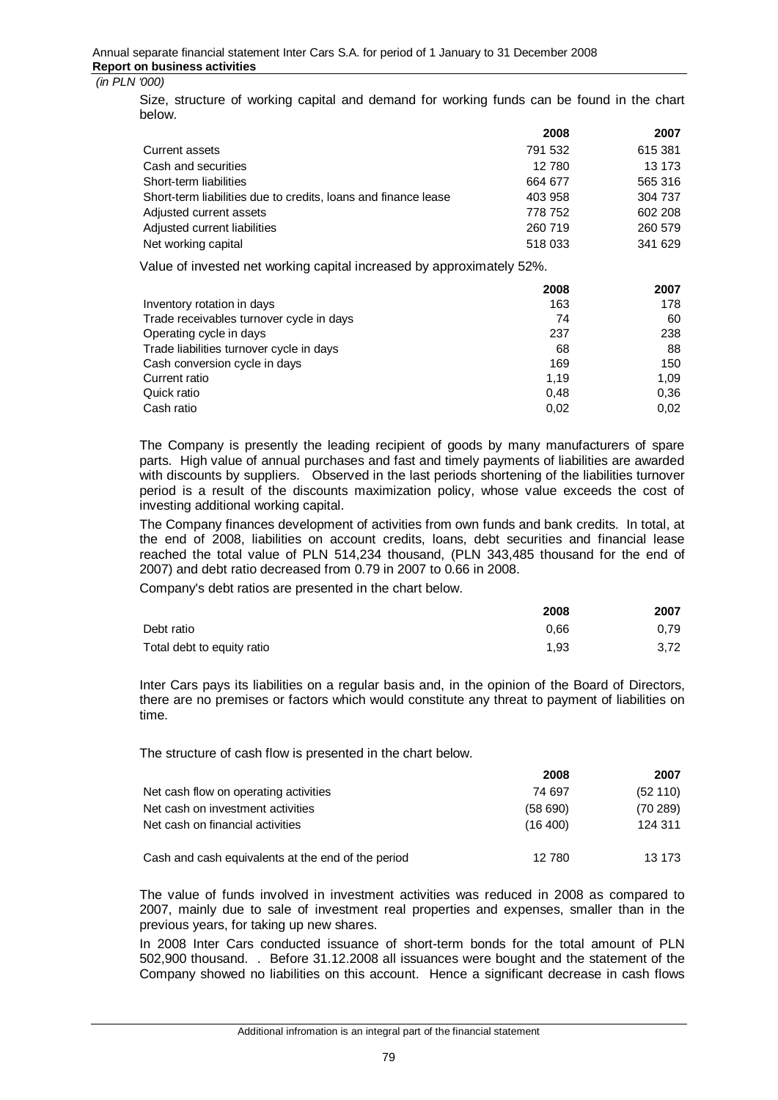Size, structure of working capital and demand for working funds can be found in the chart below.

|                                                                | 2008    | 2007    |
|----------------------------------------------------------------|---------|---------|
| Current assets                                                 | 791 532 | 615 381 |
| Cash and securities                                            | 12780   | 13 173  |
| Short-term liabilities                                         | 664 677 | 565 316 |
| Short-term liabilities due to credits, loans and finance lease | 403 958 | 304 737 |
| Adjusted current assets                                        | 778 752 | 602 208 |
| Adjusted current liabilities                                   | 260 719 | 260 579 |
| Net working capital                                            | 518 033 | 341 629 |
|                                                                |         |         |

Value of invested net working capital increased by approximately 52%.

|                                          | 2008 | 2007 |
|------------------------------------------|------|------|
| Inventory rotation in days               | 163  | 178  |
| Trade receivables turnover cycle in days | 74   | 60   |
| Operating cycle in days                  | 237  | 238  |
| Trade liabilities turnover cycle in days | 68   | 88   |
| Cash conversion cycle in days            | 169  | 150  |
| Current ratio                            | 1.19 | 1.09 |
| Quick ratio                              | 0.48 | 0,36 |
| Cash ratio                               | 0,02 | 0,02 |

The Company is presently the leading recipient of goods by many manufacturers of spare parts. High value of annual purchases and fast and timely payments of liabilities are awarded with discounts by suppliers. Observed in the last periods shortening of the liabilities turnover period is a result of the discounts maximization policy, whose value exceeds the cost of investing additional working capital.

The Company finances development of activities from own funds and bank credits. In total, at the end of 2008, liabilities on account credits, loans, debt securities and financial lease reached the total value of PLN 514,234 thousand, (PLN 343,485 thousand for the end of 2007) and debt ratio decreased from 0.79 in 2007 to 0.66 in 2008.

Company's debt ratios are presented in the chart below.

|                            | 2008 | 2007 |
|----------------------------|------|------|
| Debt ratio                 | 0.66 | 0.79 |
| Total debt to equity ratio | 1.93 | 3,72 |

Inter Cars pays its liabilities on a regular basis and, in the opinion of the Board of Directors, there are no premises or factors which would constitute any threat to payment of liabilities on time.

The structure of cash flow is presented in the chart below.

|                                                    | 2008      | 2007      |
|----------------------------------------------------|-----------|-----------|
| Net cash flow on operating activities              | 74 697    | (52110)   |
| Net cash on investment activities                  | (58690)   | (70, 289) |
| Net cash on financial activities                   | (16, 400) | 124 311   |
| Cash and cash equivalents at the end of the period | 12 780    | 13 173    |

The value of funds involved in investment activities was reduced in 2008 as compared to 2007, mainly due to sale of investment real properties and expenses, smaller than in the previous years, for taking up new shares.

In 2008 Inter Cars conducted issuance of short-term bonds for the total amount of PLN 502,900 thousand. . Before 31.12.2008 all issuances were bought and the statement of the Company showed no liabilities on this account. Hence a significant decrease in cash flows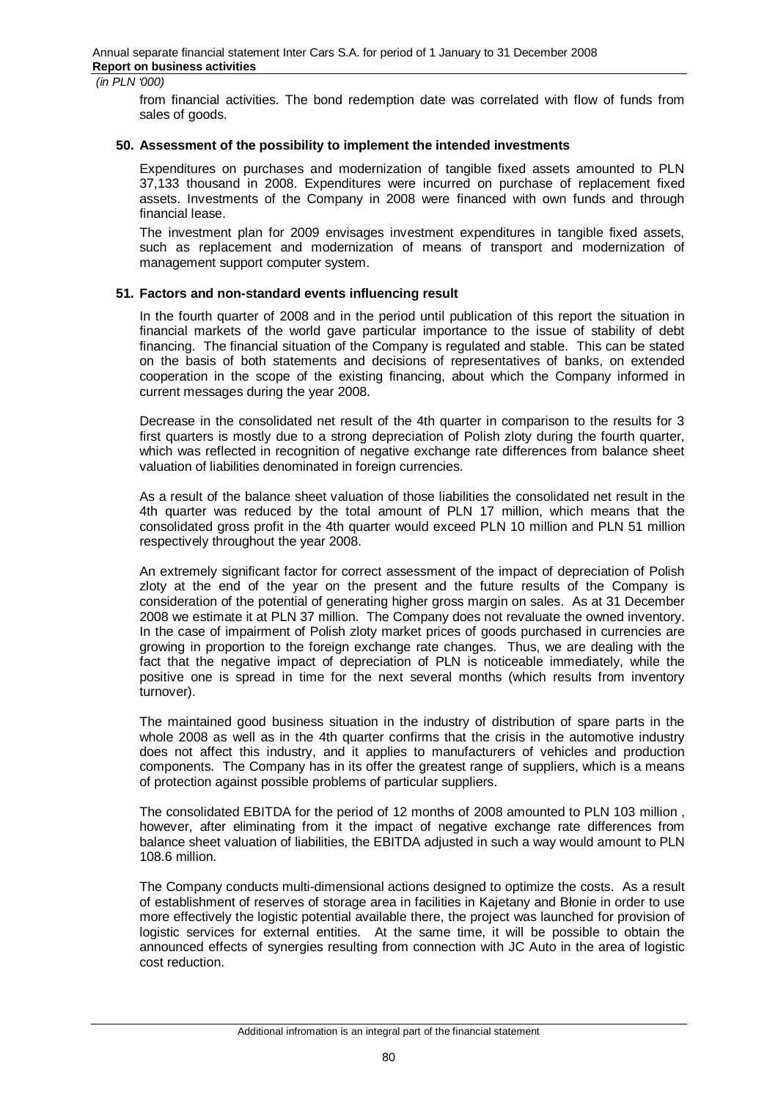from financial activities. The bond redemption date was correlated with flow of funds from sales of goods.

#### **50. Assessment of the possibility to implement the intended investments**

Expenditures on purchases and modernization of tangible fixed assets amounted to PLN 37,133 thousand in 2008. Expenditures were incurred on purchase of replacement fixed assets. Investments of the Company in 2008 were financed with own funds and through financial lease.

The investment plan for 2009 envisages investment expenditures in tangible fixed assets, such as replacement and modernization of means of transport and modernization of management support computer system.

# **51. Factors and non-standard events influencing result**

In the fourth quarter of 2008 and in the period until publication of this report the situation in financial markets of the world gave particular importance to the issue of stability of debt financing. The financial situation of the Company is regulated and stable. This can be stated on the basis of both statements and decisions of representatives of banks, on extended cooperation in the scope of the existing financing, about which the Company informed in current messages during the year 2008.

Decrease in the consolidated net result of the 4th quarter in comparison to the results for 3 first quarters is mostly due to a strong depreciation of Polish zloty during the fourth quarter, which was reflected in recognition of negative exchange rate differences from balance sheet valuation of liabilities denominated in foreign currencies.

As a result of the balance sheet valuation of those liabilities the consolidated net result in the 4th quarter was reduced by the total amount of PLN 17 million, which means that the consolidated gross profit in the 4th quarter would exceed PLN 10 million and PLN 51 million respectively throughout the year 2008.

An extremely significant factor for correct assessment of the impact of depreciation of Polish zloty at the end of the year on the present and the future results of the Company is consideration of the potential of generating higher gross margin on sales. As at 31 December 2008 we estimate it at PLN 37 million. The Company does not revaluate the owned inventory. In the case of impairment of Polish zloty market prices of goods purchased in currencies are growing in proportion to the foreign exchange rate changes. Thus, we are dealing with the fact that the negative impact of depreciation of PLN is noticeable immediately, while the positive one is spread in time for the next several months (which results from inventory turnover).

The maintained good business situation in the industry of distribution of spare parts in the whole 2008 as well as in the 4th quarter confirms that the crisis in the automotive industry does not affect this industry, and it applies to manufacturers of vehicles and production components. The Company has in its offer the greatest range of suppliers, which is a means of protection against possible problems of particular suppliers.

The consolidated EBITDA for the period of 12 months of 2008 amounted to PLN 103 million , however, after eliminating from it the impact of negative exchange rate differences from balance sheet valuation of liabilities, the EBITDA adjusted in such a way would amount to PLN 108.6 million.

The Company conducts multi-dimensional actions designed to optimize the costs. As a result of establishment of reserves of storage area in facilities in Kajetany and Błonie in order to use more effectively the logistic potential available there, the project was launched for provision of logistic services for external entities. At the same time, it will be possible to obtain the announced effects of synergies resulting from connection with JC Auto in the area of logistic cost reduction.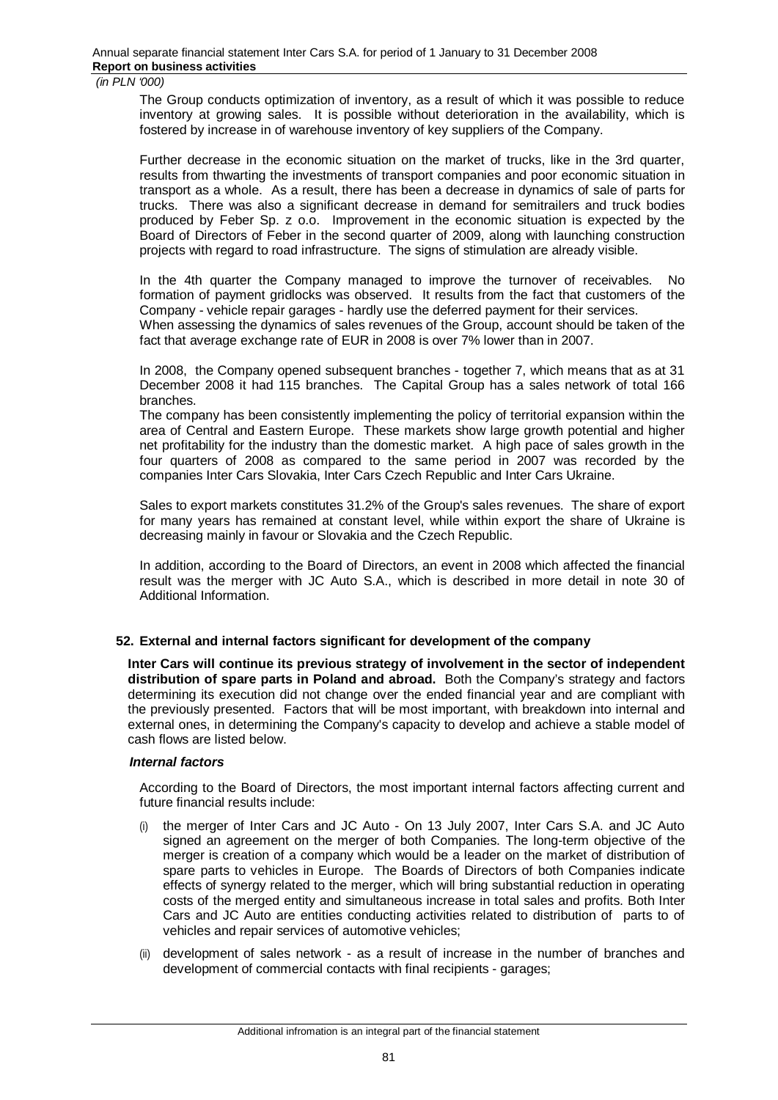The Group conducts optimization of inventory, as a result of which it was possible to reduce inventory at growing sales. It is possible without deterioration in the availability, which is fostered by increase in of warehouse inventory of key suppliers of the Company.

Further decrease in the economic situation on the market of trucks, like in the 3rd quarter, results from thwarting the investments of transport companies and poor economic situation in transport as a whole. As a result, there has been a decrease in dynamics of sale of parts for trucks. There was also a significant decrease in demand for semitrailers and truck bodies produced by Feber Sp. z o.o. Improvement in the economic situation is expected by the Board of Directors of Feber in the second quarter of 2009, along with launching construction projects with regard to road infrastructure. The signs of stimulation are already visible.

In the 4th quarter the Company managed to improve the turnover of receivables. No formation of payment gridlocks was observed. It results from the fact that customers of the Company - vehicle repair garages - hardly use the deferred payment for their services. When assessing the dynamics of sales revenues of the Group, account should be taken of the fact that average exchange rate of EUR in 2008 is over 7% lower than in 2007.

In 2008, the Company opened subsequent branches - together 7, which means that as at 31 December 2008 it had 115 branches. The Capital Group has a sales network of total 166 branches.

The company has been consistently implementing the policy of territorial expansion within the area of Central and Eastern Europe. These markets show large growth potential and higher net profitability for the industry than the domestic market. A high pace of sales growth in the four quarters of 2008 as compared to the same period in 2007 was recorded by the companies Inter Cars Slovakia, Inter Cars Czech Republic and Inter Cars Ukraine.

Sales to export markets constitutes 31.2% of the Group's sales revenues. The share of export for many years has remained at constant level, while within export the share of Ukraine is decreasing mainly in favour or Slovakia and the Czech Republic.

In addition, according to the Board of Directors, an event in 2008 which affected the financial result was the merger with JC Auto S.A., which is described in more detail in note 30 of Additional Information.

#### **52. External and internal factors significant for development of the company**

**Inter Cars will continue its previous strategy of involvement in the sector of independent distribution of spare parts in Poland and abroad.** Both the Company's strategy and factors determining its execution did not change over the ended financial year and are compliant with the previously presented. Factors that will be most important, with breakdown into internal and external ones, in determining the Company's capacity to develop and achieve a stable model of cash flows are listed below.

#### *Internal factors*

According to the Board of Directors, the most important internal factors affecting current and future financial results include:

- (i) the merger of Inter Cars and JC Auto On 13 July 2007, Inter Cars S.A. and JC Auto signed an agreement on the merger of both Companies. The long-term objective of the merger is creation of a company which would be a leader on the market of distribution of spare parts to vehicles in Europe. The Boards of Directors of both Companies indicate effects of synergy related to the merger, which will bring substantial reduction in operating costs of the merged entity and simultaneous increase in total sales and profits. Both Inter Cars and JC Auto are entities conducting activities related to distribution of parts to of vehicles and repair services of automotive vehicles;
- (ii) development of sales network as a result of increase in the number of branches and development of commercial contacts with final recipients - garages;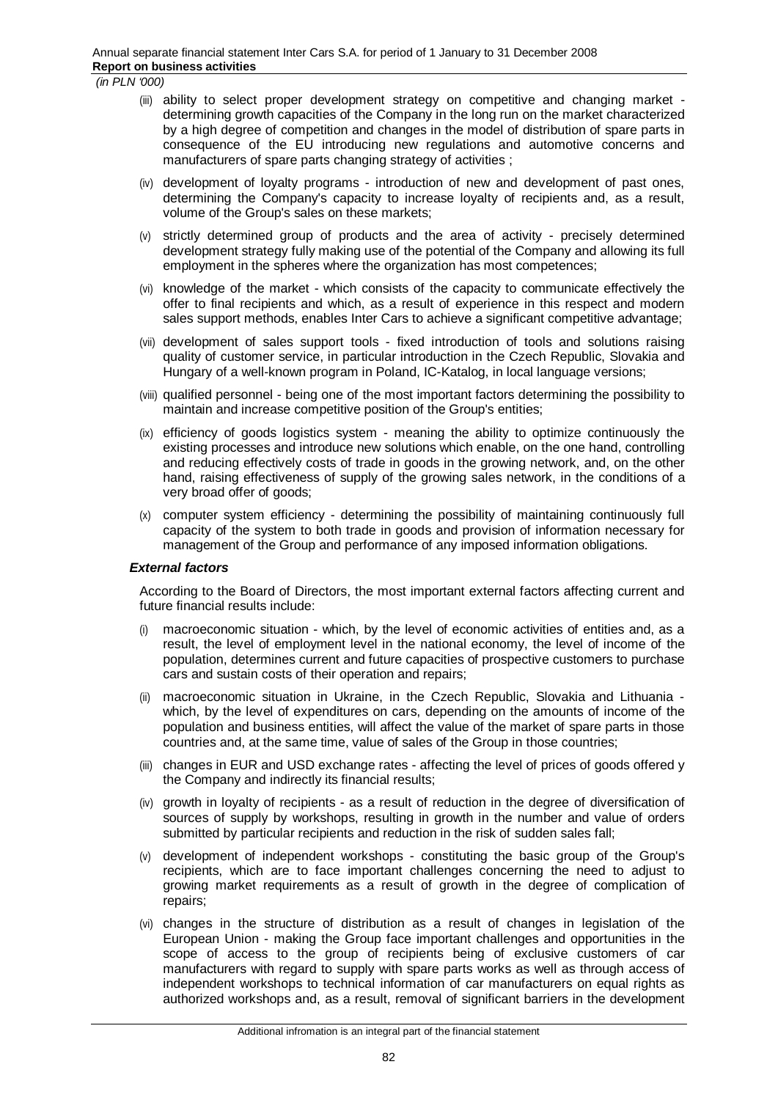- (iii) ability to select proper development strategy on competitive and changing market determining growth capacities of the Company in the long run on the market characterized by a high degree of competition and changes in the model of distribution of spare parts in consequence of the EU introducing new regulations and automotive concerns and manufacturers of spare parts changing strategy of activities ;
- (iv) development of loyalty programs introduction of new and development of past ones, determining the Company's capacity to increase loyalty of recipients and, as a result, volume of the Group's sales on these markets;
- (v) strictly determined group of products and the area of activity precisely determined development strategy fully making use of the potential of the Company and allowing its full employment in the spheres where the organization has most competences;
- (vi) knowledge of the market which consists of the capacity to communicate effectively the offer to final recipients and which, as a result of experience in this respect and modern sales support methods, enables Inter Cars to achieve a significant competitive advantage;
- (vii) development of sales support tools fixed introduction of tools and solutions raising quality of customer service, in particular introduction in the Czech Republic, Slovakia and Hungary of a well-known program in Poland, IC-Katalog, in local language versions;
- (viii) qualified personnel being one of the most important factors determining the possibility to maintain and increase competitive position of the Group's entities;
- (ix) efficiency of goods logistics system meaning the ability to optimize continuously the existing processes and introduce new solutions which enable, on the one hand, controlling and reducing effectively costs of trade in goods in the growing network, and, on the other hand, raising effectiveness of supply of the growing sales network, in the conditions of a very broad offer of goods;
- (x) computer system efficiency determining the possibility of maintaining continuously full capacity of the system to both trade in goods and provision of information necessary for management of the Group and performance of any imposed information obligations.

#### *External factors*

According to the Board of Directors, the most important external factors affecting current and future financial results include:

- (i) macroeconomic situation which, by the level of economic activities of entities and, as a result, the level of employment level in the national economy, the level of income of the population, determines current and future capacities of prospective customers to purchase cars and sustain costs of their operation and repairs;
- (ii) macroeconomic situation in Ukraine, in the Czech Republic, Slovakia and Lithuania which, by the level of expenditures on cars, depending on the amounts of income of the population and business entities, will affect the value of the market of spare parts in those countries and, at the same time, value of sales of the Group in those countries;
- (iii) changes in EUR and USD exchange rates affecting the level of prices of goods offered y the Company and indirectly its financial results;
- (iv) growth in loyalty of recipients as a result of reduction in the degree of diversification of sources of supply by workshops, resulting in growth in the number and value of orders submitted by particular recipients and reduction in the risk of sudden sales fall;
- (v) development of independent workshops constituting the basic group of the Group's recipients, which are to face important challenges concerning the need to adjust to growing market requirements as a result of growth in the degree of complication of repairs;
- (vi) changes in the structure of distribution as a result of changes in legislation of the European Union - making the Group face important challenges and opportunities in the scope of access to the group of recipients being of exclusive customers of car manufacturers with regard to supply with spare parts works as well as through access of independent workshops to technical information of car manufacturers on equal rights as authorized workshops and, as a result, removal of significant barriers in the development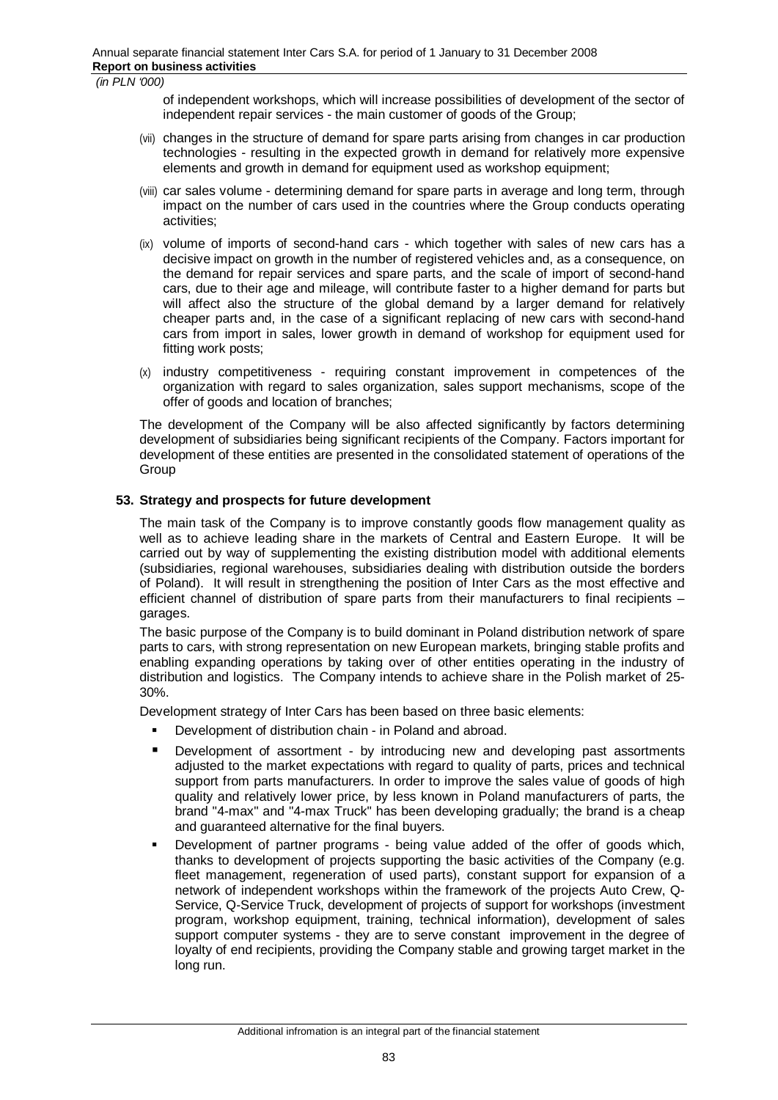of independent workshops, which will increase possibilities of development of the sector of independent repair services - the main customer of goods of the Group;

- (vii) changes in the structure of demand for spare parts arising from changes in car production technologies - resulting in the expected growth in demand for relatively more expensive elements and growth in demand for equipment used as workshop equipment;
- (viii) car sales volume determining demand for spare parts in average and long term, through impact on the number of cars used in the countries where the Group conducts operating activities;
- (ix) volume of imports of second-hand cars which together with sales of new cars has a decisive impact on growth in the number of registered vehicles and, as a consequence, on the demand for repair services and spare parts, and the scale of import of second-hand cars, due to their age and mileage, will contribute faster to a higher demand for parts but will affect also the structure of the global demand by a larger demand for relatively cheaper parts and, in the case of a significant replacing of new cars with second-hand cars from import in sales, lower growth in demand of workshop for equipment used for fitting work posts;
- (x) industry competitiveness requiring constant improvement in competences of the organization with regard to sales organization, sales support mechanisms, scope of the offer of goods and location of branches;

The development of the Company will be also affected significantly by factors determining development of subsidiaries being significant recipients of the Company. Factors important for development of these entities are presented in the consolidated statement of operations of the Group

# **53. Strategy and prospects for future development**

The main task of the Company is to improve constantly goods flow management quality as well as to achieve leading share in the markets of Central and Eastern Europe. It will be carried out by way of supplementing the existing distribution model with additional elements (subsidiaries, regional warehouses, subsidiaries dealing with distribution outside the borders of Poland). It will result in strengthening the position of Inter Cars as the most effective and efficient channel of distribution of spare parts from their manufacturers to final recipients – garages.

The basic purpose of the Company is to build dominant in Poland distribution network of spare parts to cars, with strong representation on new European markets, bringing stable profits and enabling expanding operations by taking over of other entities operating in the industry of distribution and logistics. The Company intends to achieve share in the Polish market of 25- 30%.

Development strategy of Inter Cars has been based on three basic elements:

- Development of distribution chain in Poland and abroad.
- Development of assortment by introducing new and developing past assortments adjusted to the market expectations with regard to quality of parts, prices and technical support from parts manufacturers. In order to improve the sales value of goods of high quality and relatively lower price, by less known in Poland manufacturers of parts, the brand "4-max" and "4-max Truck" has been developing gradually; the brand is a cheap and guaranteed alternative for the final buyers.
- Development of partner programs being value added of the offer of goods which, thanks to development of projects supporting the basic activities of the Company (e.g. fleet management, regeneration of used parts), constant support for expansion of a network of independent workshops within the framework of the projects Auto Crew, Q-Service, Q-Service Truck, development of projects of support for workshops (investment program, workshop equipment, training, technical information), development of sales support computer systems - they are to serve constant improvement in the degree of loyalty of end recipients, providing the Company stable and growing target market in the long run.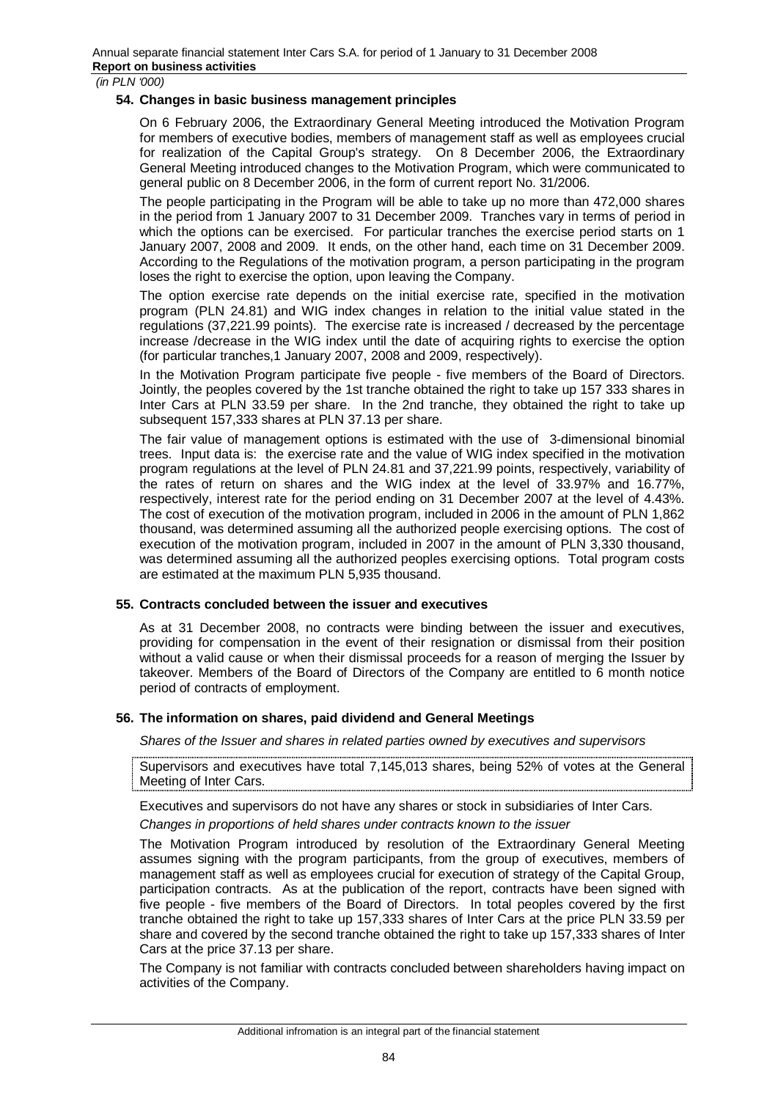#### **54. Changes in basic business management principles**

On 6 February 2006, the Extraordinary General Meeting introduced the Motivation Program for members of executive bodies, members of management staff as well as employees crucial for realization of the Capital Group's strategy. On 8 December 2006, the Extraordinary General Meeting introduced changes to the Motivation Program, which were communicated to general public on 8 December 2006, in the form of current report No. 31/2006.

The people participating in the Program will be able to take up no more than 472,000 shares in the period from 1 January 2007 to 31 December 2009. Tranches vary in terms of period in which the options can be exercised. For particular tranches the exercise period starts on 1 January 2007, 2008 and 2009. It ends, on the other hand, each time on 31 December 2009. According to the Regulations of the motivation program, a person participating in the program loses the right to exercise the option, upon leaving the Company.

The option exercise rate depends on the initial exercise rate, specified in the motivation program (PLN 24.81) and WIG index changes in relation to the initial value stated in the regulations (37,221.99 points). The exercise rate is increased / decreased by the percentage increase /decrease in the WIG index until the date of acquiring rights to exercise the option (for particular tranches,1 January 2007, 2008 and 2009, respectively).

In the Motivation Program participate five people - five members of the Board of Directors. Jointly, the peoples covered by the 1st tranche obtained the right to take up 157 333 shares in Inter Cars at PLN 33.59 per share. In the 2nd tranche, they obtained the right to take up subsequent 157,333 shares at PLN 37.13 per share.

The fair value of management options is estimated with the use of 3-dimensional binomial trees. Input data is: the exercise rate and the value of WIG index specified in the motivation program regulations at the level of PLN 24.81 and 37,221.99 points, respectively, variability of the rates of return on shares and the WIG index at the level of 33.97% and 16.77%, respectively, interest rate for the period ending on 31 December 2007 at the level of 4.43%. The cost of execution of the motivation program, included in 2006 in the amount of PLN 1,862 thousand, was determined assuming all the authorized people exercising options. The cost of execution of the motivation program, included in 2007 in the amount of PLN 3,330 thousand, was determined assuming all the authorized peoples exercising options. Total program costs are estimated at the maximum PLN 5,935 thousand.

#### **55. Contracts concluded between the issuer and executives**

As at 31 December 2008, no contracts were binding between the issuer and executives, providing for compensation in the event of their resignation or dismissal from their position without a valid cause or when their dismissal proceeds for a reason of merging the Issuer by takeover. Members of the Board of Directors of the Company are entitled to 6 month notice period of contracts of employment.

# **56. The information on shares, paid dividend and General Meetings**

*Shares of the Issuer and shares in related parties owned by executives and supervisors* 

Supervisors and executives have total 7,145,013 shares, being 52% of votes at the General Meeting of Inter Cars.

Executives and supervisors do not have any shares or stock in subsidiaries of Inter Cars.

*Changes in proportions of held shares under contracts known to the issuer* 

The Motivation Program introduced by resolution of the Extraordinary General Meeting assumes signing with the program participants, from the group of executives, members of management staff as well as employees crucial for execution of strategy of the Capital Group, participation contracts. As at the publication of the report, contracts have been signed with five people - five members of the Board of Directors. In total peoples covered by the first tranche obtained the right to take up 157,333 shares of Inter Cars at the price PLN 33.59 per share and covered by the second tranche obtained the right to take up 157,333 shares of Inter Cars at the price 37.13 per share.

The Company is not familiar with contracts concluded between shareholders having impact on activities of the Company.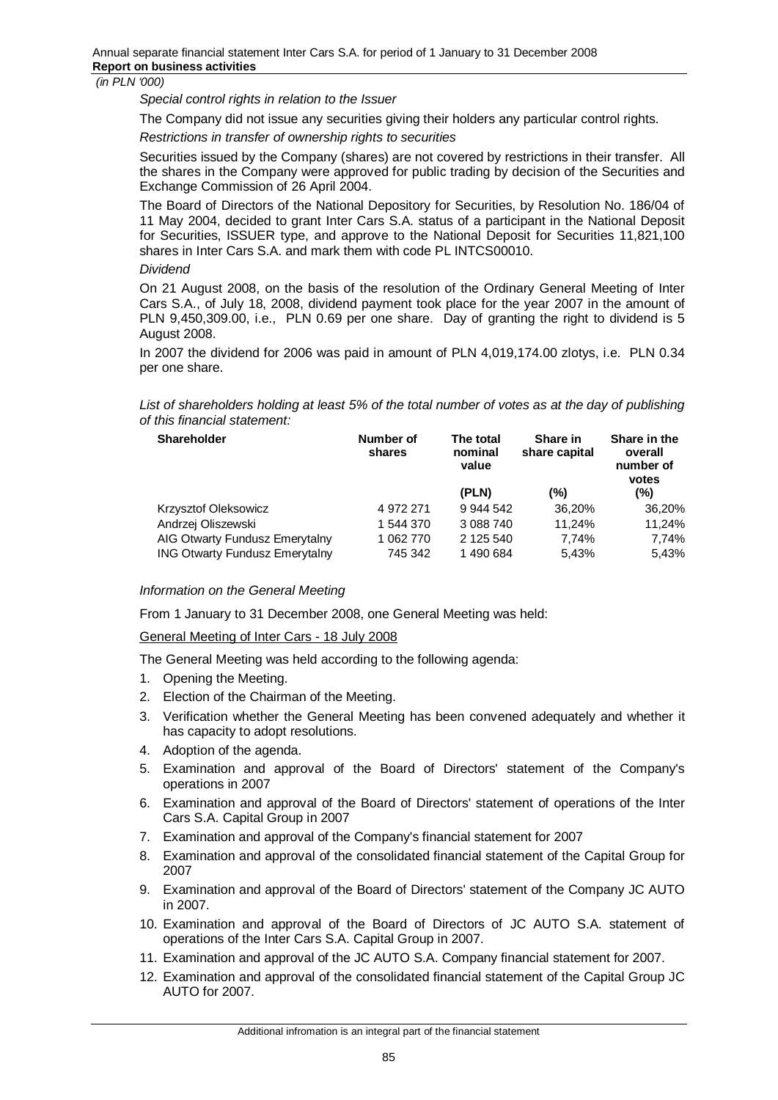*Special control rights in relation to the Issuer* 

The Company did not issue any securities giving their holders any particular control rights.

*Restrictions in transfer of ownership rights to securities* 

Securities issued by the Company (shares) are not covered by restrictions in their transfer. All the shares in the Company were approved for public trading by decision of the Securities and Exchange Commission of 26 April 2004.

The Board of Directors of the National Depository for Securities, by Resolution No. 186/04 of 11 May 2004, decided to grant Inter Cars S.A. status of a participant in the National Deposit for Securities, ISSUER type, and approve to the National Deposit for Securities 11,821,100 shares in Inter Cars S.A. and mark them with code PL INTCS00010.

*Dividend* 

On 21 August 2008, on the basis of the resolution of the Ordinary General Meeting of Inter Cars S.A., of July 18, 2008, dividend payment took place for the year 2007 in the amount of PLN 9,450,309.00, i.e., PLN 0.69 per one share. Day of granting the right to dividend is 5 August 2008.

In 2007 the dividend for 2006 was paid in amount of PLN 4,019,174.00 zlotys, i.e. PLN 0.34 per one share.

List of shareholders holding at least 5% of the total number of votes as at the day of publishing *of this financial statement:* 

| <b>Shareholder</b>                    | Number of<br>shares | The total<br>nominal<br>value | Share in<br>share capital | Share in the<br>overall<br>number of<br>votes |
|---------------------------------------|---------------------|-------------------------------|---------------------------|-----------------------------------------------|
|                                       |                     | (PLN)                         | (%)                       | (%)                                           |
| <b>Krzysztof Oleksowicz</b>           | 4 972 271           | 9 944 542                     | 36.20%                    | 36,20%                                        |
| Andrzej Oliszewski                    | 1 544 370           | 3 088 740                     | 11.24%                    | 11.24%                                        |
| AIG Otwarty Fundusz Emerytalny        | 1 062 770           | 2 125 540                     | 7.74%                     | 7,74%                                         |
| <b>ING Otwarty Fundusz Emerytalny</b> | 745 342             | 1490684                       | 5.43%                     | 5.43%                                         |

# *Information on the General Meeting*

From 1 January to 31 December 2008, one General Meeting was held:

General Meeting of Inter Cars - 18 July 2008

The General Meeting was held according to the following agenda:

- 1. Opening the Meeting.
- 2. Election of the Chairman of the Meeting.
- 3. Verification whether the General Meeting has been convened adequately and whether it has capacity to adopt resolutions.
- 4. Adoption of the agenda.
- 5. Examination and approval of the Board of Directors' statement of the Company's operations in 2007
- 6. Examination and approval of the Board of Directors' statement of operations of the Inter Cars S.A. Capital Group in 2007
- 7. Examination and approval of the Company's financial statement for 2007
- 8. Examination and approval of the consolidated financial statement of the Capital Group for 2007
- 9. Examination and approval of the Board of Directors' statement of the Company JC AUTO in 2007.
- 10. Examination and approval of the Board of Directors of JC AUTO S.A. statement of operations of the Inter Cars S.A. Capital Group in 2007.
- 11. Examination and approval of the JC AUTO S.A. Company financial statement for 2007.
- 12. Examination and approval of the consolidated financial statement of the Capital Group JC AUTO for 2007.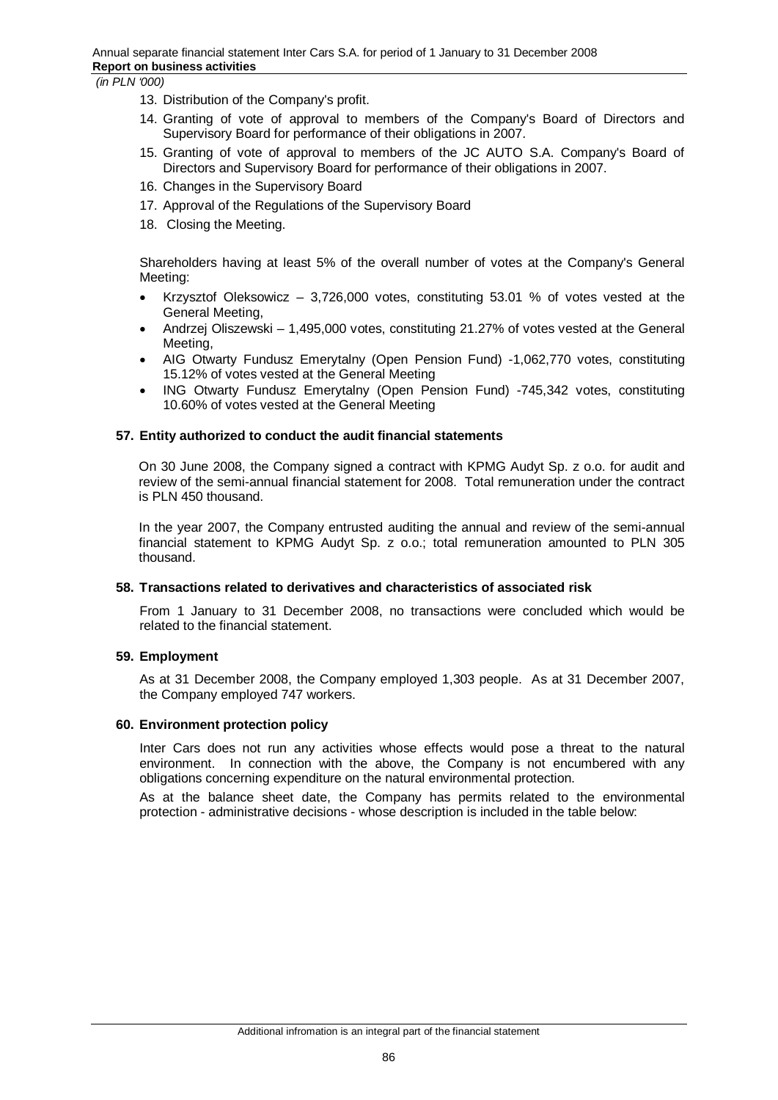- 13. Distribution of the Company's profit.
- 14. Granting of vote of approval to members of the Company's Board of Directors and Supervisory Board for performance of their obligations in 2007.
- 15. Granting of vote of approval to members of the JC AUTO S.A. Company's Board of Directors and Supervisory Board for performance of their obligations in 2007.
- 16. Changes in the Supervisory Board
- 17. Approval of the Regulations of the Supervisory Board
- 18. Closing the Meeting.

Shareholders having at least 5% of the overall number of votes at the Company's General Meeting:

- Krzysztof Oleksowicz 3,726,000 votes, constituting 53.01 % of votes vested at the General Meeting,
- Andrzej Oliszewski 1,495,000 votes, constituting 21.27% of votes vested at the General Meeting,
- AIG Otwarty Fundusz Emerytalny (Open Pension Fund) -1,062,770 votes, constituting 15.12% of votes vested at the General Meeting
- ING Otwarty Fundusz Emerytalny (Open Pension Fund) -745,342 votes, constituting 10.60% of votes vested at the General Meeting

#### **57. Entity authorized to conduct the audit financial statements**

On 30 June 2008, the Company signed a contract with KPMG Audyt Sp. z o.o. for audit and review of the semi-annual financial statement for 2008. Total remuneration under the contract is PLN 450 thousand.

In the year 2007, the Company entrusted auditing the annual and review of the semi-annual financial statement to KPMG Audyt Sp. z o.o.; total remuneration amounted to PLN 305 thousand.

#### **58. Transactions related to derivatives and characteristics of associated risk**

From 1 January to 31 December 2008, no transactions were concluded which would be related to the financial statement.

#### **59. Employment**

As at 31 December 2008, the Company employed 1,303 people. As at 31 December 2007, the Company employed 747 workers.

#### **60. Environment protection policy**

Inter Cars does not run any activities whose effects would pose a threat to the natural environment. In connection with the above, the Company is not encumbered with any obligations concerning expenditure on the natural environmental protection.

As at the balance sheet date, the Company has permits related to the environmental protection - administrative decisions - whose description is included in the table below: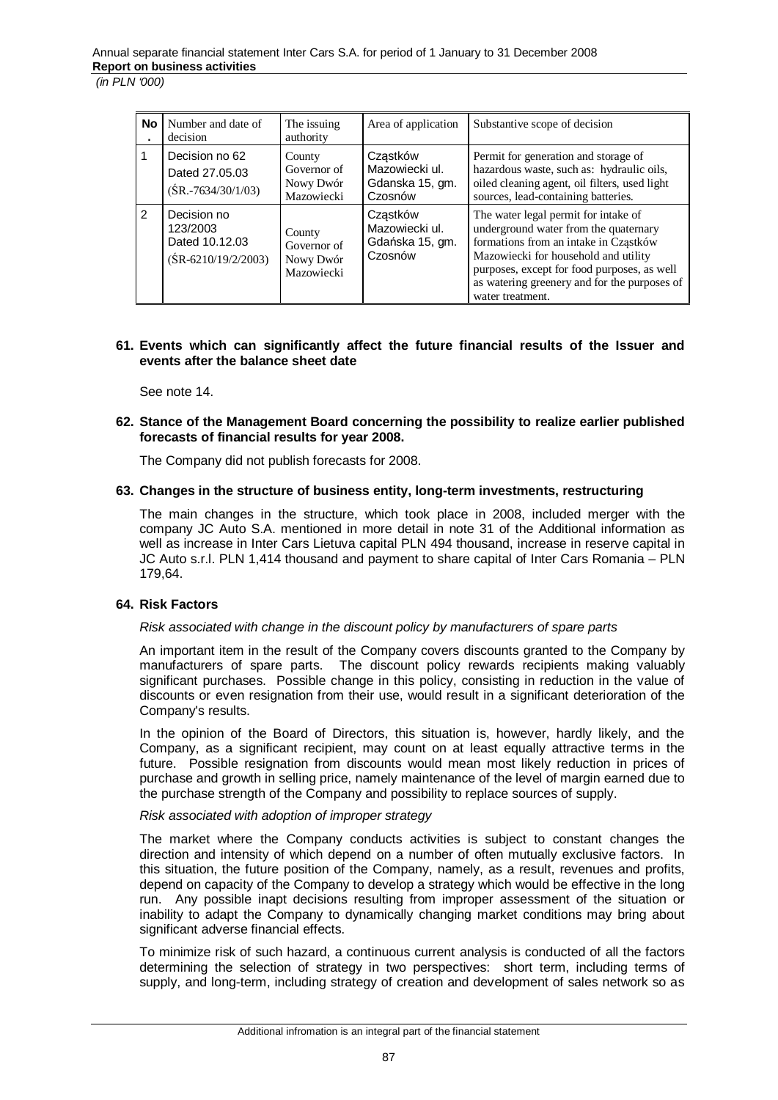| <b>No</b> | Number and date of<br>decision                                     | The issuing<br>authority                         | Area of application                                      | Substantive scope of decision                                                                                                                                                                                                                                                     |
|-----------|--------------------------------------------------------------------|--------------------------------------------------|----------------------------------------------------------|-----------------------------------------------------------------------------------------------------------------------------------------------------------------------------------------------------------------------------------------------------------------------------------|
|           | Decision no 62<br>Dated 27,05,03<br>$(SR.-7634/30/1/03)$           | County<br>Governor of<br>Nowy Dwór<br>Mazowiecki | Czastków<br>Mazowiecki ul.<br>Gdanska 15, gm.<br>Czosnów | Permit for generation and storage of<br>hazardous waste, such as: hydraulic oils,<br>oiled cleaning agent, oil filters, used light<br>sources, lead-containing batteries.                                                                                                         |
| 2         | Decision no<br>123/2003<br>Dated 10.12.03<br>$(SR-6210/19/2/2003)$ | County<br>Governor of<br>Nowy Dwór<br>Mazowiecki | Czastków<br>Mazowiecki ul.<br>Gdańska 15, gm.<br>Czosnów | The water legal permit for intake of<br>underground water from the quaternary<br>formations from an intake in Cząstków<br>Mazowiecki for household and utility<br>purposes, except for food purposes, as well<br>as watering greenery and for the purposes of<br>water treatment. |

# **61. Events which can significantly affect the future financial results of the Issuer and events after the balance sheet date**

See note 14.

**62. Stance of the Management Board concerning the possibility to realize earlier published forecasts of financial results for year 2008.** 

The Company did not publish forecasts for 2008.

# **63. Changes in the structure of business entity, long-term investments, restructuring**

The main changes in the structure, which took place in 2008, included merger with the company JC Auto S.A. mentioned in more detail in note 31 of the Additional information as well as increase in Inter Cars Lietuva capital PLN 494 thousand, increase in reserve capital in JC Auto s.r.l. PLN 1,414 thousand and payment to share capital of Inter Cars Romania – PLN 179,64.

# **64. Risk Factors**

#### *Risk associated with change in the discount policy by manufacturers of spare parts*

An important item in the result of the Company covers discounts granted to the Company by manufacturers of spare parts. The discount policy rewards recipients making valuably significant purchases. Possible change in this policy, consisting in reduction in the value of discounts or even resignation from their use, would result in a significant deterioration of the Company's results.

In the opinion of the Board of Directors, this situation is, however, hardly likely, and the Company, as a significant recipient, may count on at least equally attractive terms in the future. Possible resignation from discounts would mean most likely reduction in prices of purchase and growth in selling price, namely maintenance of the level of margin earned due to the purchase strength of the Company and possibility to replace sources of supply.

#### *Risk associated with adoption of improper strategy*

The market where the Company conducts activities is subject to constant changes the direction and intensity of which depend on a number of often mutually exclusive factors. In this situation, the future position of the Company, namely, as a result, revenues and profits, depend on capacity of the Company to develop a strategy which would be effective in the long run. Any possible inapt decisions resulting from improper assessment of the situation or inability to adapt the Company to dynamically changing market conditions may bring about significant adverse financial effects.

To minimize risk of such hazard, a continuous current analysis is conducted of all the factors determining the selection of strategy in two perspectives: short term, including terms of supply, and long-term, including strategy of creation and development of sales network so as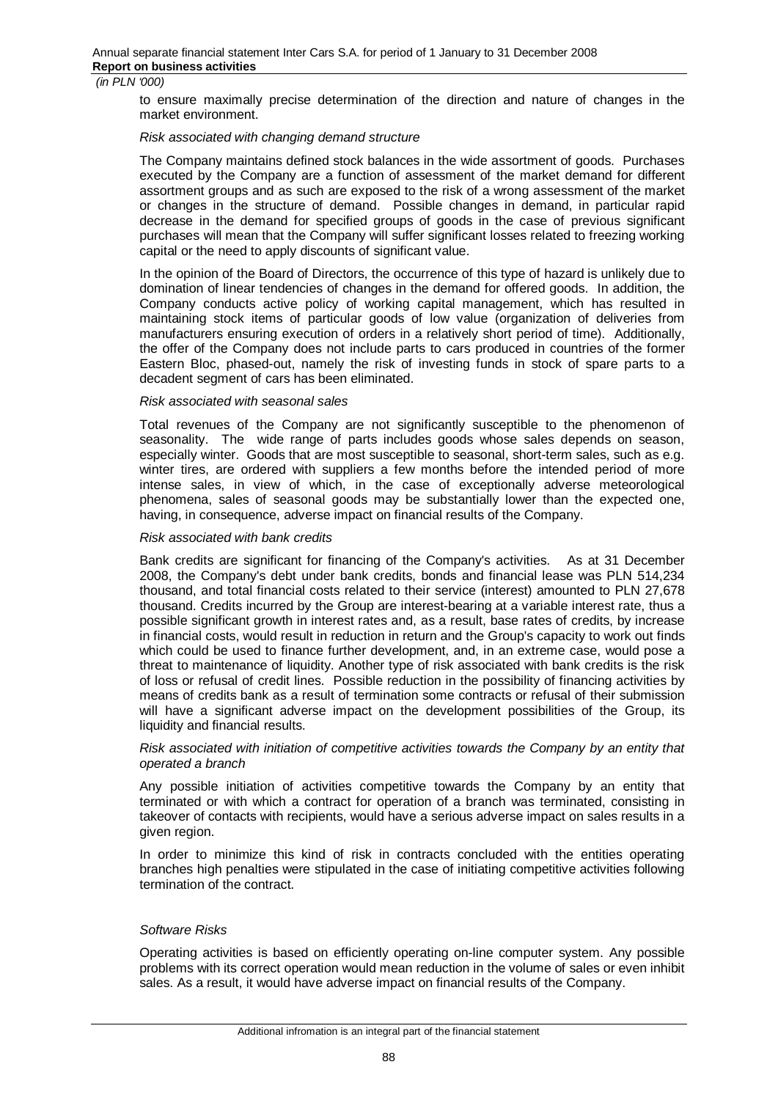to ensure maximally precise determination of the direction and nature of changes in the market environment.

#### *Risk associated with changing demand structure*

The Company maintains defined stock balances in the wide assortment of goods. Purchases executed by the Company are a function of assessment of the market demand for different assortment groups and as such are exposed to the risk of a wrong assessment of the market or changes in the structure of demand. Possible changes in demand, in particular rapid decrease in the demand for specified groups of goods in the case of previous significant purchases will mean that the Company will suffer significant losses related to freezing working capital or the need to apply discounts of significant value.

In the opinion of the Board of Directors, the occurrence of this type of hazard is unlikely due to domination of linear tendencies of changes in the demand for offered goods. In addition, the Company conducts active policy of working capital management, which has resulted in maintaining stock items of particular goods of low value (organization of deliveries from manufacturers ensuring execution of orders in a relatively short period of time). Additionally, the offer of the Company does not include parts to cars produced in countries of the former Eastern Bloc, phased-out, namely the risk of investing funds in stock of spare parts to a decadent segment of cars has been eliminated.

#### *Risk associated with seasonal sales*

Total revenues of the Company are not significantly susceptible to the phenomenon of seasonality. The wide range of parts includes goods whose sales depends on season, especially winter. Goods that are most susceptible to seasonal, short-term sales, such as e.g. winter tires, are ordered with suppliers a few months before the intended period of more intense sales, in view of which, in the case of exceptionally adverse meteorological phenomena, sales of seasonal goods may be substantially lower than the expected one, having, in consequence, adverse impact on financial results of the Company.

#### *Risk associated with bank credits*

Bank credits are significant for financing of the Company's activities. As at 31 December 2008, the Company's debt under bank credits, bonds and financial lease was PLN 514,234 thousand, and total financial costs related to their service (interest) amounted to PLN 27,678 thousand. Credits incurred by the Group are interest-bearing at a variable interest rate, thus a possible significant growth in interest rates and, as a result, base rates of credits, by increase in financial costs, would result in reduction in return and the Group's capacity to work out finds which could be used to finance further development, and, in an extreme case, would pose a threat to maintenance of liquidity. Another type of risk associated with bank credits is the risk of loss or refusal of credit lines. Possible reduction in the possibility of financing activities by means of credits bank as a result of termination some contracts or refusal of their submission will have a significant adverse impact on the development possibilities of the Group, its liquidity and financial results.

#### *Risk associated with initiation of competitive activities towards the Company by an entity that operated a branch*

Any possible initiation of activities competitive towards the Company by an entity that terminated or with which a contract for operation of a branch was terminated, consisting in takeover of contacts with recipients, would have a serious adverse impact on sales results in a given region.

In order to minimize this kind of risk in contracts concluded with the entities operating branches high penalties were stipulated in the case of initiating competitive activities following termination of the contract.

#### *Software Risks*

Operating activities is based on efficiently operating on-line computer system. Any possible problems with its correct operation would mean reduction in the volume of sales or even inhibit sales. As a result, it would have adverse impact on financial results of the Company.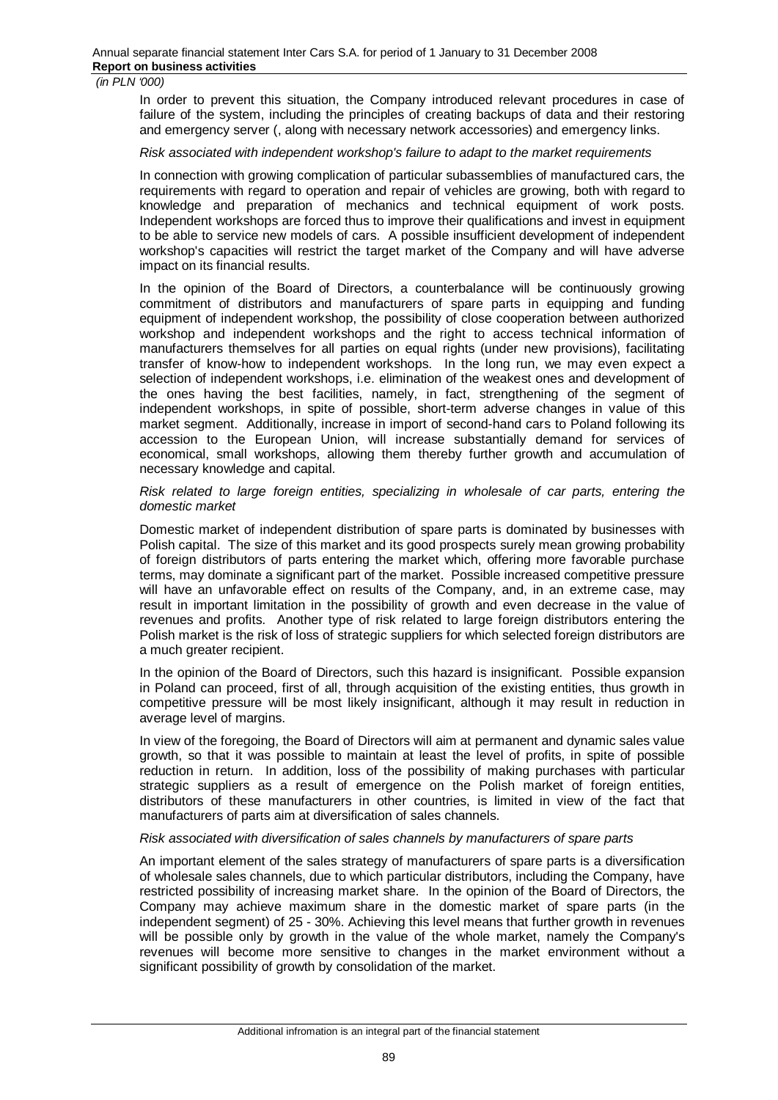In order to prevent this situation, the Company introduced relevant procedures in case of failure of the system, including the principles of creating backups of data and their restoring and emergency server (, along with necessary network accessories) and emergency links.

# *Risk associated with independent workshop's failure to adapt to the market requirements*

In connection with growing complication of particular subassemblies of manufactured cars, the requirements with regard to operation and repair of vehicles are growing, both with regard to knowledge and preparation of mechanics and technical equipment of work posts. Independent workshops are forced thus to improve their qualifications and invest in equipment to be able to service new models of cars. A possible insufficient development of independent workshop's capacities will restrict the target market of the Company and will have adverse impact on its financial results.

In the opinion of the Board of Directors, a counterbalance will be continuously growing commitment of distributors and manufacturers of spare parts in equipping and funding equipment of independent workshop, the possibility of close cooperation between authorized workshop and independent workshops and the right to access technical information of manufacturers themselves for all parties on equal rights (under new provisions), facilitating transfer of know-how to independent workshops. In the long run, we may even expect a selection of independent workshops, i.e. elimination of the weakest ones and development of the ones having the best facilities, namely, in fact, strengthening of the segment of independent workshops, in spite of possible, short-term adverse changes in value of this market segment. Additionally, increase in import of second-hand cars to Poland following its accession to the European Union, will increase substantially demand for services of economical, small workshops, allowing them thereby further growth and accumulation of necessary knowledge and capital.

*Risk related to large foreign entities, specializing in wholesale of car parts, entering the domestic market* 

Domestic market of independent distribution of spare parts is dominated by businesses with Polish capital. The size of this market and its good prospects surely mean growing probability of foreign distributors of parts entering the market which, offering more favorable purchase terms, may dominate a significant part of the market. Possible increased competitive pressure will have an unfavorable effect on results of the Company, and, in an extreme case, may result in important limitation in the possibility of growth and even decrease in the value of revenues and profits. Another type of risk related to large foreign distributors entering the Polish market is the risk of loss of strategic suppliers for which selected foreign distributors are a much greater recipient.

In the opinion of the Board of Directors, such this hazard is insignificant. Possible expansion in Poland can proceed, first of all, through acquisition of the existing entities, thus growth in competitive pressure will be most likely insignificant, although it may result in reduction in average level of margins.

In view of the foregoing, the Board of Directors will aim at permanent and dynamic sales value growth, so that it was possible to maintain at least the level of profits, in spite of possible reduction in return. In addition, loss of the possibility of making purchases with particular strategic suppliers as a result of emergence on the Polish market of foreign entities, distributors of these manufacturers in other countries, is limited in view of the fact that manufacturers of parts aim at diversification of sales channels.

#### *Risk associated with diversification of sales channels by manufacturers of spare parts*

An important element of the sales strategy of manufacturers of spare parts is a diversification of wholesale sales channels, due to which particular distributors, including the Company, have restricted possibility of increasing market share. In the opinion of the Board of Directors, the Company may achieve maximum share in the domestic market of spare parts (in the independent segment) of 25 - 30%. Achieving this level means that further growth in revenues will be possible only by growth in the value of the whole market, namely the Company's revenues will become more sensitive to changes in the market environment without a significant possibility of growth by consolidation of the market.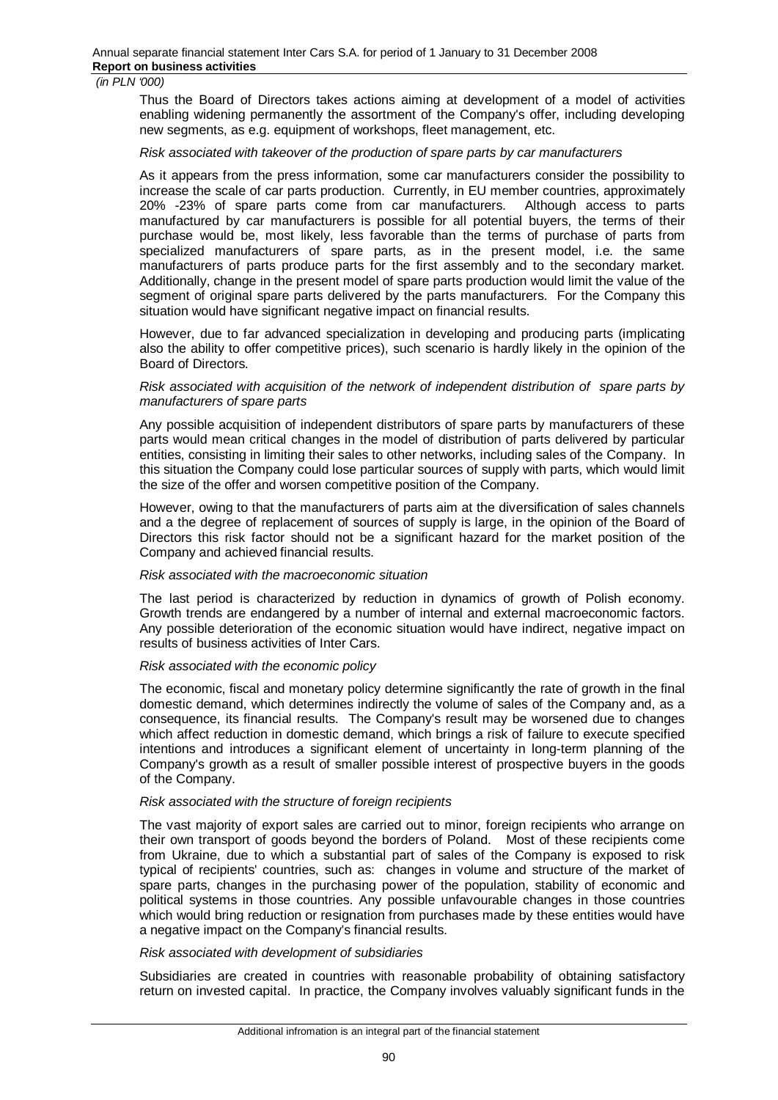Thus the Board of Directors takes actions aiming at development of a model of activities enabling widening permanently the assortment of the Company's offer, including developing new segments, as e.g. equipment of workshops, fleet management, etc.

#### *Risk associated with takeover of the production of spare parts by car manufacturers*

As it appears from the press information, some car manufacturers consider the possibility to increase the scale of car parts production. Currently, in EU member countries, approximately 20% -23% of spare parts come from car manufacturers. Although access to parts manufactured by car manufacturers is possible for all potential buyers, the terms of their purchase would be, most likely, less favorable than the terms of purchase of parts from specialized manufacturers of spare parts, as in the present model, i.e. the same manufacturers of parts produce parts for the first assembly and to the secondary market. Additionally, change in the present model of spare parts production would limit the value of the segment of original spare parts delivered by the parts manufacturers. For the Company this situation would have significant negative impact on financial results.

However, due to far advanced specialization in developing and producing parts (implicating also the ability to offer competitive prices), such scenario is hardly likely in the opinion of the Board of Directors.

#### *Risk associated with acquisition of the network of independent distribution of spare parts by manufacturers of spare parts*

Any possible acquisition of independent distributors of spare parts by manufacturers of these parts would mean critical changes in the model of distribution of parts delivered by particular entities, consisting in limiting their sales to other networks, including sales of the Company. In this situation the Company could lose particular sources of supply with parts, which would limit the size of the offer and worsen competitive position of the Company.

However, owing to that the manufacturers of parts aim at the diversification of sales channels and a the degree of replacement of sources of supply is large, in the opinion of the Board of Directors this risk factor should not be a significant hazard for the market position of the Company and achieved financial results.

#### *Risk associated with the macroeconomic situation*

The last period is characterized by reduction in dynamics of growth of Polish economy. Growth trends are endangered by a number of internal and external macroeconomic factors. Any possible deterioration of the economic situation would have indirect, negative impact on results of business activities of Inter Cars.

#### *Risk associated with the economic policy*

The economic, fiscal and monetary policy determine significantly the rate of growth in the final domestic demand, which determines indirectly the volume of sales of the Company and, as a consequence, its financial results. The Company's result may be worsened due to changes which affect reduction in domestic demand, which brings a risk of failure to execute specified intentions and introduces a significant element of uncertainty in long-term planning of the Company's growth as a result of smaller possible interest of prospective buyers in the goods of the Company.

#### *Risk associated with the structure of foreign recipients*

The vast majority of export sales are carried out to minor, foreign recipients who arrange on their own transport of goods beyond the borders of Poland. Most of these recipients come from Ukraine, due to which a substantial part of sales of the Company is exposed to risk typical of recipients' countries, such as: changes in volume and structure of the market of spare parts, changes in the purchasing power of the population, stability of economic and political systems in those countries. Any possible unfavourable changes in those countries which would bring reduction or resignation from purchases made by these entities would have a negative impact on the Company's financial results.

#### *Risk associated with development of subsidiaries*

Subsidiaries are created in countries with reasonable probability of obtaining satisfactory return on invested capital. In practice, the Company involves valuably significant funds in the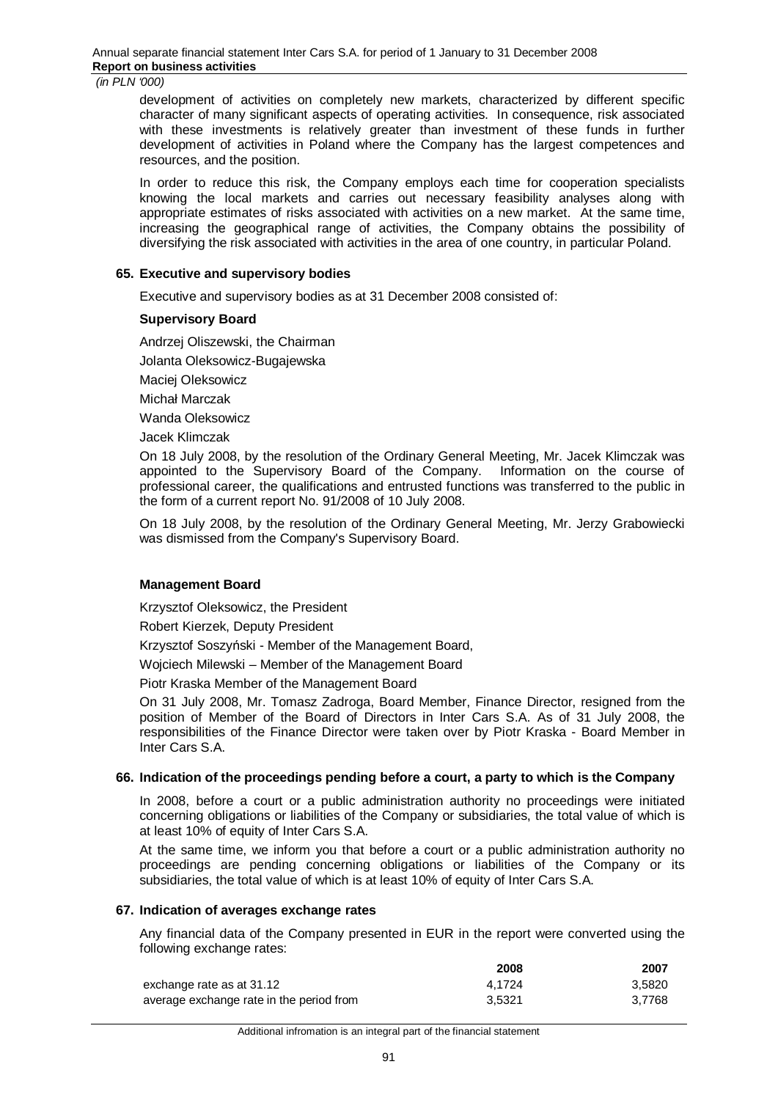development of activities on completely new markets, characterized by different specific character of many significant aspects of operating activities. In consequence, risk associated with these investments is relatively greater than investment of these funds in further development of activities in Poland where the Company has the largest competences and resources, and the position.

In order to reduce this risk, the Company employs each time for cooperation specialists knowing the local markets and carries out necessary feasibility analyses along with appropriate estimates of risks associated with activities on a new market. At the same time, increasing the geographical range of activities, the Company obtains the possibility of diversifying the risk associated with activities in the area of one country, in particular Poland.

# **65. Executive and supervisory bodies**

Executive and supervisory bodies as at 31 December 2008 consisted of:

#### **Supervisory Board**

Andrzej Oliszewski, the Chairman

Jolanta Oleksowicz-Bugajewska

Maciej Oleksowicz

Michaá Marczak

Wanda Oleksowicz

Jacek Klimczak

On 18 July 2008, by the resolution of the Ordinary General Meeting, Mr. Jacek Klimczak was appointed to the Supervisory Board of the Company. Information on the course of professional career, the qualifications and entrusted functions was transferred to the public in the form of a current report No. 91/2008 of 10 July 2008.

On 18 July 2008, by the resolution of the Ordinary General Meeting, Mr. Jerzy Grabowiecki was dismissed from the Company's Supervisory Board.

#### **Management Board**

Krzysztof Oleksowicz, the President

Robert Kierzek, Deputy President

Krzysztof Soszyński - Member of the Management Board,

Wojciech Milewski – Member of the Management Board

Piotr Kraska Member of the Management Board

On 31 July 2008, Mr. Tomasz Zadroga, Board Member, Finance Director, resigned from the position of Member of the Board of Directors in Inter Cars S.A. As of 31 July 2008, the responsibilities of the Finance Director were taken over by Piotr Kraska - Board Member in Inter Cars S.A.

#### **66. Indication of the proceedings pending before a court, a party to which is the Company**

In 2008, before a court or a public administration authority no proceedings were initiated concerning obligations or liabilities of the Company or subsidiaries, the total value of which is at least 10% of equity of Inter Cars S.A.

At the same time, we inform you that before a court or a public administration authority no proceedings are pending concerning obligations or liabilities of the Company or its subsidiaries, the total value of which is at least 10% of equity of Inter Cars S.A.

#### **67. Indication of averages exchange rates**

Any financial data of the Company presented in EUR in the report were converted using the following exchange rates:

|                                          | 2008   | 2007   |
|------------------------------------------|--------|--------|
| exchange rate as at 31.12                | 4.1724 | 3.5820 |
| average exchange rate in the period from | 3.5321 | 3.7768 |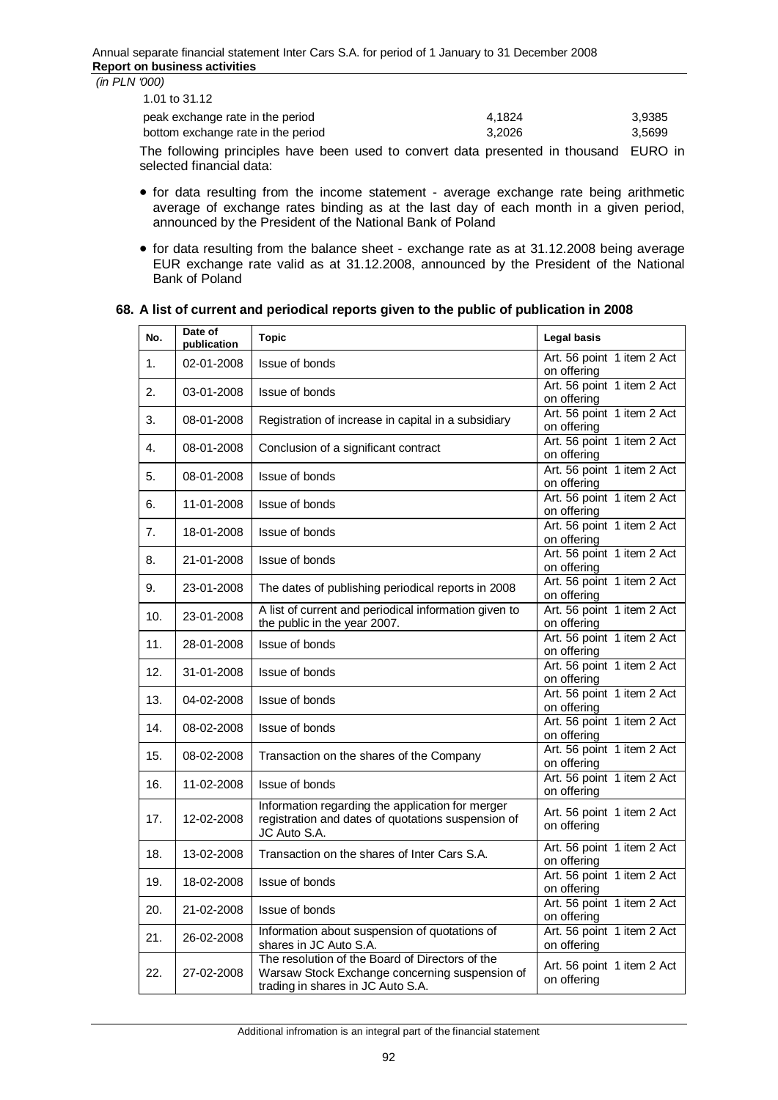| (in PLN '000) |  |  |  |
|---------------|--|--|--|
|               |  |  |  |

|                                    |        | -----  |
|------------------------------------|--------|--------|
| bottom exchange rate in the period | 3.2026 | 3.5699 |
| peak exchange rate in the period   | 4.1824 | 3.9385 |
| 1.01 to 31.12                      |        |        |

The following principles have been used to convert data presented in thousand EURO in selected financial data:

- for data resulting from the income statement average exchange rate being arithmetic average of exchange rates binding as at the last day of each month in a given period, announced by the President of the National Bank of Poland
- for data resulting from the balance sheet exchange rate as at 31.12.2008 being average EUR exchange rate valid as at 31.12.2008, announced by the President of the National Bank of Poland

# **68. A list of current and periodical reports given to the public of publication in 2008**

| No. | Date of<br>publication | <b>Topic</b>                                                                                                                           | Legal basis                               |
|-----|------------------------|----------------------------------------------------------------------------------------------------------------------------------------|-------------------------------------------|
| 1.  | 02-01-2008             | Issue of bonds                                                                                                                         | Art. 56 point 1 item 2 Act<br>on offering |
| 2.  | 03-01-2008             | <b>Issue of bonds</b>                                                                                                                  | Art. 56 point 1 item 2 Act<br>on offering |
| 3.  | 08-01-2008             | Registration of increase in capital in a subsidiary                                                                                    | Art. 56 point 1 item 2 Act<br>on offering |
| 4.  | 08-01-2008             | Conclusion of a significant contract                                                                                                   | Art. 56 point 1 item 2 Act<br>on offering |
| 5.  | 08-01-2008             | Issue of bonds                                                                                                                         | Art. 56 point 1 item 2 Act<br>on offering |
| 6.  | 11-01-2008             | <b>Issue of bonds</b>                                                                                                                  | Art. 56 point 1 item 2 Act<br>on offering |
| 7.  | 18-01-2008             | <b>Issue of bonds</b>                                                                                                                  | Art. 56 point 1 item 2 Act<br>on offering |
| 8.  | 21-01-2008             | <b>Issue of bonds</b>                                                                                                                  | Art. 56 point 1 item 2 Act<br>on offering |
| 9.  | 23-01-2008             | The dates of publishing periodical reports in 2008                                                                                     | Art. 56 point 1 item 2 Act<br>on offering |
| 10. | 23-01-2008             | A list of current and periodical information given to<br>the public in the year 2007.                                                  | Art. 56 point 1 item 2 Act<br>on offering |
| 11. | 28-01-2008             | <b>Issue of bonds</b>                                                                                                                  | Art. 56 point 1 item 2 Act<br>on offering |
| 12. | 31-01-2008             | <b>Issue of bonds</b>                                                                                                                  | Art. 56 point 1 item 2 Act<br>on offering |
| 13. | 04-02-2008             | Issue of bonds                                                                                                                         | Art. 56 point 1 item 2 Act<br>on offering |
| 14. | 08-02-2008             | Issue of bonds                                                                                                                         | Art. 56 point 1 item 2 Act<br>on offering |
| 15. | 08-02-2008             | Transaction on the shares of the Company                                                                                               | Art. 56 point 1 item 2 Act<br>on offering |
| 16. | 11-02-2008             | <b>Issue of bonds</b>                                                                                                                  | Art. 56 point 1 item 2 Act<br>on offering |
| 17. | 12-02-2008             | Information regarding the application for merger<br>registration and dates of quotations suspension of<br>JC Auto S.A.                 | Art. 56 point 1 item 2 Act<br>on offering |
| 18. | 13-02-2008             | Transaction on the shares of Inter Cars S.A.                                                                                           | Art. 56 point 1 item 2 Act<br>on offering |
| 19. | 18-02-2008             | Issue of bonds                                                                                                                         | Art. 56 point 1 item 2 Act<br>on offering |
| 20. | 21-02-2008             | Issue of bonds                                                                                                                         | Art. 56 point 1 item 2 Act<br>on offering |
| 21. | 26-02-2008             | Information about suspension of quotations of<br>shares in JC Auto S.A.                                                                | Art. 56 point 1 item 2 Act<br>on offering |
| 22. | 27-02-2008             | The resolution of the Board of Directors of the<br>Warsaw Stock Exchange concerning suspension of<br>trading in shares in JC Auto S.A. | Art. 56 point 1 item 2 Act<br>on offering |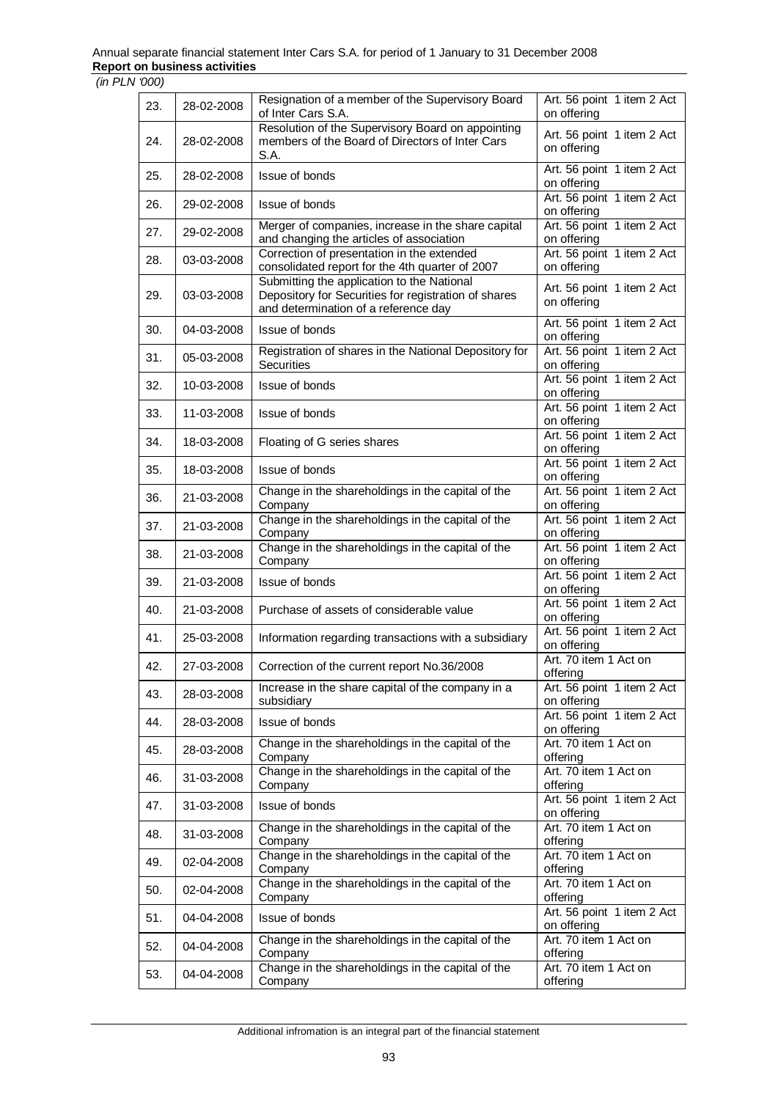| 23. | 28-02-2008 | Resignation of a member of the Supervisory Board<br>of Inter Cars S.A.                                                                     | Art. 56 point 1 item 2 Act<br>on offering |
|-----|------------|--------------------------------------------------------------------------------------------------------------------------------------------|-------------------------------------------|
| 24. | 28-02-2008 | Resolution of the Supervisory Board on appointing<br>members of the Board of Directors of Inter Cars<br>S.A.                               | Art. 56 point 1 item 2 Act<br>on offering |
| 25. | 28-02-2008 | Issue of bonds                                                                                                                             | Art. 56 point 1 item 2 Act<br>on offering |
| 26. | 29-02-2008 | Issue of bonds                                                                                                                             | Art. 56 point 1 item 2 Act<br>on offering |
| 27. | 29-02-2008 | Merger of companies, increase in the share capital<br>and changing the articles of association                                             | Art. 56 point 1 item 2 Act<br>on offering |
| 28. | 03-03-2008 | Correction of presentation in the extended<br>consolidated report for the 4th quarter of 2007                                              | Art. 56 point 1 item 2 Act<br>on offering |
| 29. | 03-03-2008 | Submitting the application to the National<br>Depository for Securities for registration of shares<br>and determination of a reference day | Art. 56 point 1 item 2 Act<br>on offering |
| 30. | 04-03-2008 | Issue of bonds                                                                                                                             | Art. 56 point 1 item 2 Act<br>on offering |
| 31. | 05-03-2008 | Registration of shares in the National Depository for<br>Securities                                                                        | Art. 56 point 1 item 2 Act<br>on offering |
| 32. | 10-03-2008 | Issue of bonds                                                                                                                             | Art. 56 point 1 item 2 Act<br>on offering |
| 33. | 11-03-2008 | Issue of bonds                                                                                                                             | Art. 56 point 1 item 2 Act<br>on offering |
| 34. | 18-03-2008 | Floating of G series shares                                                                                                                | Art. 56 point 1 item 2 Act<br>on offering |
| 35. | 18-03-2008 | Issue of bonds                                                                                                                             | Art. 56 point 1 item 2 Act<br>on offering |
| 36. | 21-03-2008 | Change in the shareholdings in the capital of the<br>Company                                                                               | Art. 56 point 1 item 2 Act<br>on offering |
| 37. | 21-03-2008 | Change in the shareholdings in the capital of the<br>Company                                                                               | Art. 56 point 1 item 2 Act<br>on offering |
| 38. | 21-03-2008 | Change in the shareholdings in the capital of the<br>Company                                                                               | Art. 56 point 1 item 2 Act<br>on offering |
| 39. | 21-03-2008 | Issue of bonds                                                                                                                             | Art. 56 point 1 item 2 Act<br>on offering |
| 40. | 21-03-2008 | Purchase of assets of considerable value                                                                                                   | Art. 56 point 1 item 2 Act<br>on offering |
| 41. | 25-03-2008 | Information regarding transactions with a subsidiary                                                                                       | Art. 56 point 1 item 2 Act<br>on offering |
| 42. | 27-03-2008 | Correction of the current report No.36/2008                                                                                                | Art. 70 item 1 Act on<br>offerina         |
| 43. | 28-03-2008 | Increase in the share capital of the company in a<br>subsidiary                                                                            | Art. 56 point 1 item 2 Act<br>on offering |
| 44. | 28-03-2008 | Issue of bonds                                                                                                                             | Art. 56 point 1 item 2 Act<br>on offering |
| 45. | 28-03-2008 | Change in the shareholdings in the capital of the<br>Company                                                                               | Art. 70 item 1 Act on<br>offering         |
| 46. | 31-03-2008 | Change in the shareholdings in the capital of the<br>Company                                                                               | Art. 70 item 1 Act on<br>offering         |
| 47. | 31-03-2008 | Issue of bonds                                                                                                                             | Art. 56 point 1 item 2 Act<br>on offering |
| 48. | 31-03-2008 | Change in the shareholdings in the capital of the<br>Company                                                                               | Art. 70 item 1 Act on<br>offering         |
| 49. | 02-04-2008 | Change in the shareholdings in the capital of the<br>Company                                                                               | Art. 70 item 1 Act on<br>offering         |
| 50. | 02-04-2008 | Change in the shareholdings in the capital of the<br>Company                                                                               | Art. 70 item 1 Act on<br>offering         |
| 51. | 04-04-2008 | Issue of bonds                                                                                                                             | Art. 56 point 1 item 2 Act<br>on offering |
| 52. | 04-04-2008 | Change in the shareholdings in the capital of the<br>Company                                                                               | Art. 70 item 1 Act on<br>offering         |
| 53. | 04-04-2008 | Change in the shareholdings in the capital of the<br>Company                                                                               | Art. 70 item 1 Act on<br>offering         |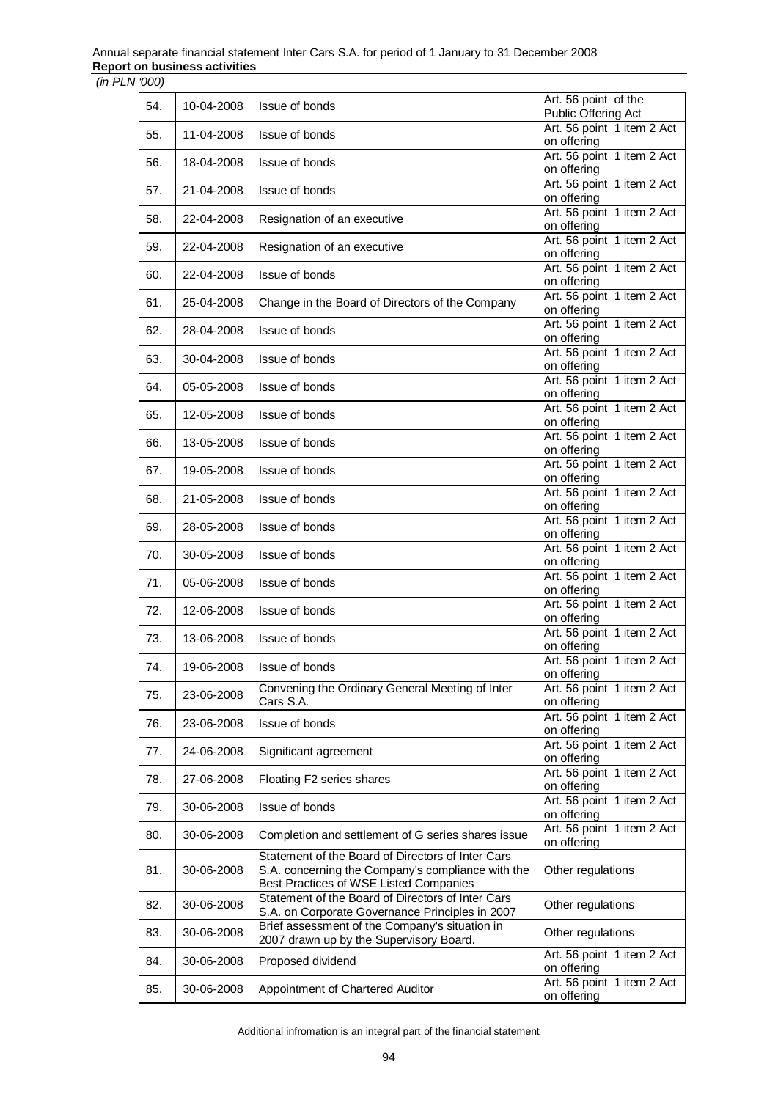| 54. | 10-04-2008 | Issue of bonds                                                                                                                                   | Art. 56 point of the<br>Public Offering Act |
|-----|------------|--------------------------------------------------------------------------------------------------------------------------------------------------|---------------------------------------------|
| 55. | 11-04-2008 | Issue of bonds                                                                                                                                   | Art. 56 point 1 item 2 Act<br>on offering   |
| 56. | 18-04-2008 | Issue of bonds                                                                                                                                   | Art. 56 point 1 item 2 Act                  |
| 57. | 21-04-2008 | Issue of bonds                                                                                                                                   | on offering<br>Art. 56 point 1 item 2 Act   |
| 58. | 22-04-2008 | Resignation of an executive                                                                                                                      | on offering<br>Art. 56 point 1 item 2 Act   |
|     |            |                                                                                                                                                  | on offering<br>Art. 56 point 1 item 2 Act   |
| 59. | 22-04-2008 | Resignation of an executive                                                                                                                      | on offering<br>Art. 56 point 1 item 2 Act   |
| 60. | 22-04-2008 | Issue of bonds                                                                                                                                   | on offering                                 |
| 61. | 25-04-2008 | Change in the Board of Directors of the Company                                                                                                  | Art. 56 point 1 item 2 Act<br>on offering   |
| 62. | 28-04-2008 | Issue of bonds                                                                                                                                   | Art. 56 point 1 item 2 Act<br>on offering   |
| 63. | 30-04-2008 | Issue of bonds                                                                                                                                   | Art. 56 point 1 item 2 Act<br>on offering   |
| 64. | 05-05-2008 | Issue of bonds                                                                                                                                   | Art. 56 point 1 item 2 Act<br>on offering   |
| 65. | 12-05-2008 | Issue of bonds                                                                                                                                   | Art. 56 point 1 item 2 Act<br>on offering   |
| 66. | 13-05-2008 | Issue of bonds                                                                                                                                   | Art. 56 point 1 item 2 Act                  |
| 67. | 19-05-2008 | Issue of bonds                                                                                                                                   | on offering<br>Art. 56 point 1 item 2 Act   |
|     |            |                                                                                                                                                  | on offering<br>Art. 56 point 1 item 2 Act   |
| 68. | 21-05-2008 | Issue of bonds                                                                                                                                   | on offering<br>Art. 56 point 1 item 2 Act   |
| 69. | 28-05-2008 | Issue of bonds                                                                                                                                   | on offering                                 |
| 70. | 30-05-2008 | Issue of bonds                                                                                                                                   | Art. 56 point 1 item 2 Act<br>on offering   |
| 71. | 05-06-2008 | Issue of bonds                                                                                                                                   | Art. 56 point 1 item 2 Act<br>on offering   |
| 72. | 12-06-2008 | Issue of bonds                                                                                                                                   | Art. 56 point 1 item 2 Act<br>on offering   |
| 73. | 13-06-2008 | Issue of bonds                                                                                                                                   | Art. 56 point 1 item 2 Act<br>on offering   |
| 74. | 19-06-2008 | Issue of bonds                                                                                                                                   | Art. 56 point 1 item 2 Act                  |
| 75. | 23-06-2008 | Convening the Ordinary General Meeting of Inter                                                                                                  | on offering<br>Art. 56 point 1 item 2 Act   |
|     |            | Cars S.A.                                                                                                                                        | on offering<br>Art. 56 point 1 item 2 Act   |
| 76. | 23-06-2008 | Issue of bonds                                                                                                                                   | on offering<br>Art. 56 point 1 item 2 Act   |
| 77. | 24-06-2008 | Significant agreement                                                                                                                            | on offering                                 |
| 78. | 27-06-2008 | Floating F2 series shares                                                                                                                        | Art. 56 point 1 item 2 Act<br>on offering   |
| 79. | 30-06-2008 | Issue of bonds                                                                                                                                   | Art. 56 point 1 item 2 Act<br>on offering   |
| 80. | 30-06-2008 | Completion and settlement of G series shares issue                                                                                               | Art. 56 point 1 item 2 Act<br>on offering   |
| 81. | 30-06-2008 | Statement of the Board of Directors of Inter Cars<br>S.A. concerning the Company's compliance with the<br>Best Practices of WSE Listed Companies | Other regulations                           |
| 82. | 30-06-2008 | Statement of the Board of Directors of Inter Cars<br>S.A. on Corporate Governance Principles in 2007                                             | Other regulations                           |
| 83. | 30-06-2008 | Brief assessment of the Company's situation in<br>2007 drawn up by the Supervisory Board.                                                        | Other regulations                           |
| 84. | 30-06-2008 | Proposed dividend                                                                                                                                | Art. 56 point 1 item 2 Act<br>on offering   |
| 85. | 30-06-2008 | Appointment of Chartered Auditor                                                                                                                 | Art. 56 point 1 item 2 Act<br>on offering   |

Additional infromation is an integral part of the financial statement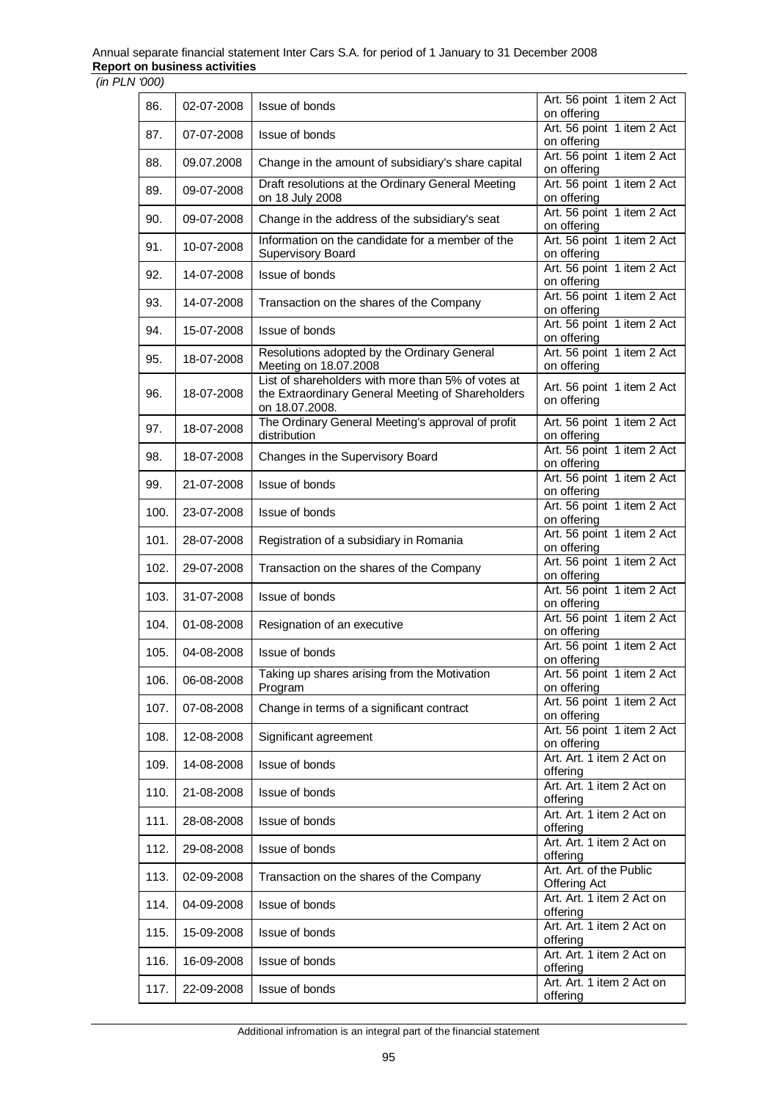| 86.  | 02-07-2008 | Issue of bonds                                                                                                            | Art. 56 point 1 item 2 Act                     |
|------|------------|---------------------------------------------------------------------------------------------------------------------------|------------------------------------------------|
|      |            |                                                                                                                           | on offering                                    |
| 87.  | 07-07-2008 | Issue of bonds                                                                                                            | Art. 56 point 1 item 2 Act<br>on offering      |
| 88.  | 09.07.2008 | Change in the amount of subsidiary's share capital                                                                        | Art. 56 point 1 item 2 Act<br>on offering      |
| 89.  | 09-07-2008 | Draft resolutions at the Ordinary General Meeting<br>on 18 July 2008                                                      | Art. 56 point 1 item 2 Act<br>on offering      |
| 90.  | 09-07-2008 | Change in the address of the subsidiary's seat                                                                            | Art. 56 point 1 item 2 Act<br>on offering      |
| 91.  | 10-07-2008 | Information on the candidate for a member of the<br><b>Supervisory Board</b>                                              | Art. 56 point 1 item 2 Act<br>on offering      |
| 92.  | 14-07-2008 | Issue of bonds                                                                                                            | Art. 56 point 1 item 2 Act<br>on offering      |
| 93.  | 14-07-2008 | Transaction on the shares of the Company                                                                                  | Art. 56 point 1 item 2 Act<br>on offering      |
| 94.  | 15-07-2008 | Issue of bonds                                                                                                            | Art. 56 point 1 item 2 Act<br>on offering      |
| 95.  | 18-07-2008 | Resolutions adopted by the Ordinary General<br>Meeting on 18.07.2008                                                      | Art. 56 point 1 item 2 Act<br>on offering      |
| 96.  | 18-07-2008 | List of shareholders with more than 5% of votes at<br>the Extraordinary General Meeting of Shareholders<br>on 18.07.2008. | Art. 56 point 1 item 2 Act<br>on offering      |
| 97.  | 18-07-2008 | The Ordinary General Meeting's approval of profit<br>distribution                                                         | Art. 56 point 1 item 2 Act<br>on offering      |
| 98.  | 18-07-2008 | Changes in the Supervisory Board                                                                                          | Art. 56 point 1 item 2 Act<br>on offering      |
| 99.  | 21-07-2008 | Issue of bonds                                                                                                            | Art. 56 point 1 item 2 Act<br>on offering      |
| 100. | 23-07-2008 | Issue of bonds                                                                                                            | Art. 56 point 1 item 2 Act<br>on offering      |
| 101. | 28-07-2008 | Registration of a subsidiary in Romania                                                                                   | Art. 56 point 1 item 2 Act<br>on offering      |
| 102. | 29-07-2008 | Transaction on the shares of the Company                                                                                  | Art. 56 point 1 item 2 Act<br>on offering      |
| 103. | 31-07-2008 | Issue of bonds                                                                                                            | Art. 56 point 1 item 2 Act<br>on offering      |
| 104. | 01-08-2008 | Resignation of an executive                                                                                               | Art. 56 point 1 item 2 Act<br>on offering      |
| 105. | 04-08-2008 | Issue of bonds                                                                                                            | Art. 56 point 1 item 2 Act<br>on offering      |
| 106. | 06-08-2008 | Taking up shares arising from the Motivation<br>Program                                                                   | Art. 56 point 1 item 2 Act<br>on offering      |
| 107. | 07-08-2008 | Change in terms of a significant contract                                                                                 | Art. 56 point 1 item 2 Act<br>on offering      |
| 108. | 12-08-2008 | Significant agreement                                                                                                     | Art. 56 point 1 item 2 Act<br>on offering      |
| 109. | 14-08-2008 | Issue of bonds                                                                                                            | Art. Art. 1 item 2 Act on<br>offering          |
| 110. | 21-08-2008 | Issue of bonds                                                                                                            | Art. Art. 1 item 2 Act on<br>offering          |
| 111. | 28-08-2008 | Issue of bonds                                                                                                            | Art. Art. 1 item 2 Act on<br>offering          |
| 112. | 29-08-2008 | Issue of bonds                                                                                                            | Art. Art. 1 item 2 Act on<br>offering          |
| 113. | 02-09-2008 | Transaction on the shares of the Company                                                                                  | Art. Art. of the Public<br><b>Offering Act</b> |
| 114. | 04-09-2008 | Issue of bonds                                                                                                            | Art. Art. 1 item 2 Act on<br>offering          |
| 115. | 15-09-2008 | Issue of bonds                                                                                                            | Art. Art. 1 item 2 Act on<br>offering          |
| 116. | 16-09-2008 | Issue of bonds                                                                                                            | Art. Art. 1 item 2 Act on<br>offering          |
| 117. | 22-09-2008 | Issue of bonds                                                                                                            | Art. Art. 1 item 2 Act on<br>offering          |

Additional infromation is an integral part of the financial statement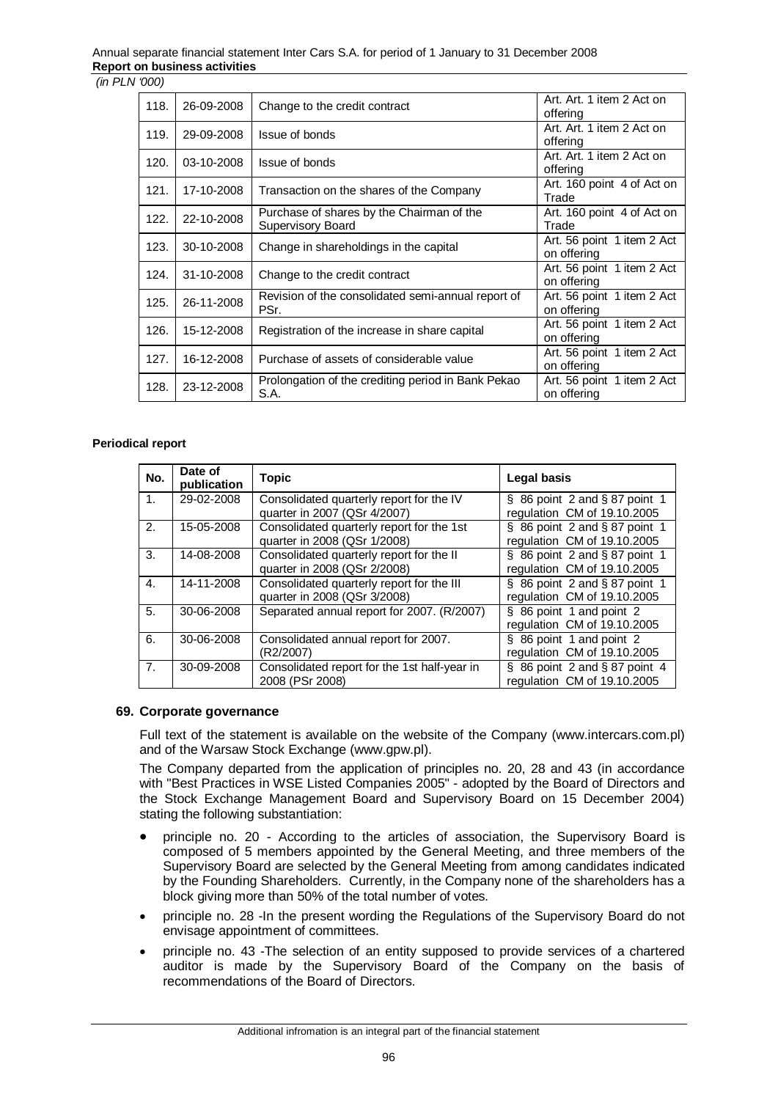| 118. | 26-09-2008 | Change to the credit contract                                  | Art. Art. 1 item 2 Act on<br>offering     |
|------|------------|----------------------------------------------------------------|-------------------------------------------|
| 119. | 29-09-2008 | Issue of bonds                                                 | Art. Art. 1 item 2 Act on<br>offering     |
| 120. | 03-10-2008 | Issue of bonds                                                 | Art. Art. 1 item 2 Act on<br>offering     |
| 121. | 17-10-2008 | Transaction on the shares of the Company                       | Art. 160 point 4 of Act on<br>Trade       |
| 122. | 22-10-2008 | Purchase of shares by the Chairman of the<br>Supervisory Board | Art. 160 point 4 of Act on<br>Trade       |
| 123. | 30-10-2008 | Change in shareholdings in the capital                         | Art. 56 point 1 item 2 Act<br>on offering |
| 124. | 31-10-2008 | Change to the credit contract                                  | Art. 56 point 1 item 2 Act<br>on offering |
| 125. | 26-11-2008 | Revision of the consolidated semi-annual report of<br>PSr.     | Art. 56 point 1 item 2 Act<br>on offering |
| 126. | 15-12-2008 | Registration of the increase in share capital                  | Art. 56 point 1 item 2 Act<br>on offering |
| 127. | 16-12-2008 | Purchase of assets of considerable value                       | Art. 56 point 1 item 2 Act<br>on offering |
| 128. | 23-12-2008 | Prolongation of the crediting period in Bank Pekao<br>S.A.     | Art. 56 point 1 item 2 Act<br>on offering |

#### **Periodical report**

| No.            | Date of<br>publication | <b>Topic</b>                                 | Legal basis                         |
|----------------|------------------------|----------------------------------------------|-------------------------------------|
| 1.             | 29-02-2008             | Consolidated quarterly report for the IV     | $\S$ 86 point 2 and $\S$ 87 point 1 |
|                |                        | quarter in 2007 (QSr 4/2007)                 | regulation CM of 19.10.2005         |
| 2.             | 15-05-2008             | Consolidated quarterly report for the 1st    | $\S$ 86 point 2 and $\S$ 87 point 1 |
|                |                        | quarter in 2008 (QSr 1/2008)                 | regulation CM of 19.10.2005         |
| 3.             | 14-08-2008             | Consolidated quarterly report for the II     | $\S$ 86 point 2 and $\S$ 87 point 1 |
|                |                        | quarter in 2008 (QSr 2/2008)                 | regulation CM of 19.10.2005         |
| 4.             | 14-11-2008             | Consolidated quarterly report for the III    | $\S$ 86 point 2 and $\S$ 87 point 1 |
|                |                        | quarter in 2008 (QSr 3/2008)                 | regulation CM of 19.10.2005         |
| 5.             | 30-06-2008             | Separated annual report for 2007. (R/2007)   | § 86 point 1 and point 2            |
|                |                        |                                              | regulation CM of 19.10.2005         |
| 6.             | 30-06-2008             | Consolidated annual report for 2007.         | § 86 point 1 and point 2            |
|                |                        | (R2/2007)                                    | regulation CM of 19.10.2005         |
| 7 <sub>1</sub> | 30-09-2008             | Consolidated report for the 1st half-year in | $\S$ 86 point 2 and $\S$ 87 point 4 |
|                |                        | 2008 (PSr 2008)                              | regulation CM of 19.10.2005         |

#### **69. Corporate governance**

Full text of the statement is available on the website of the Company (www.intercars.com.pl) and of the Warsaw Stock Exchange (www.gpw.pl).

The Company departed from the application of principles no. 20, 28 and 43 (in accordance with "Best Practices in WSE Listed Companies 2005" - adopted by the Board of Directors and the Stock Exchange Management Board and Supervisory Board on 15 December 2004) stating the following substantiation:

- principle no. 20 According to the articles of association, the Supervisory Board is composed of 5 members appointed by the General Meeting, and three members of the Supervisory Board are selected by the General Meeting from among candidates indicated by the Founding Shareholders. Currently, in the Company none of the shareholders has a block giving more than 50% of the total number of votes.
- principle no. 28 -In the present wording the Regulations of the Supervisory Board do not envisage appointment of committees.
- principle no. 43 -The selection of an entity supposed to provide services of a chartered auditor is made by the Supervisory Board of the Company on the basis of recommendations of the Board of Directors.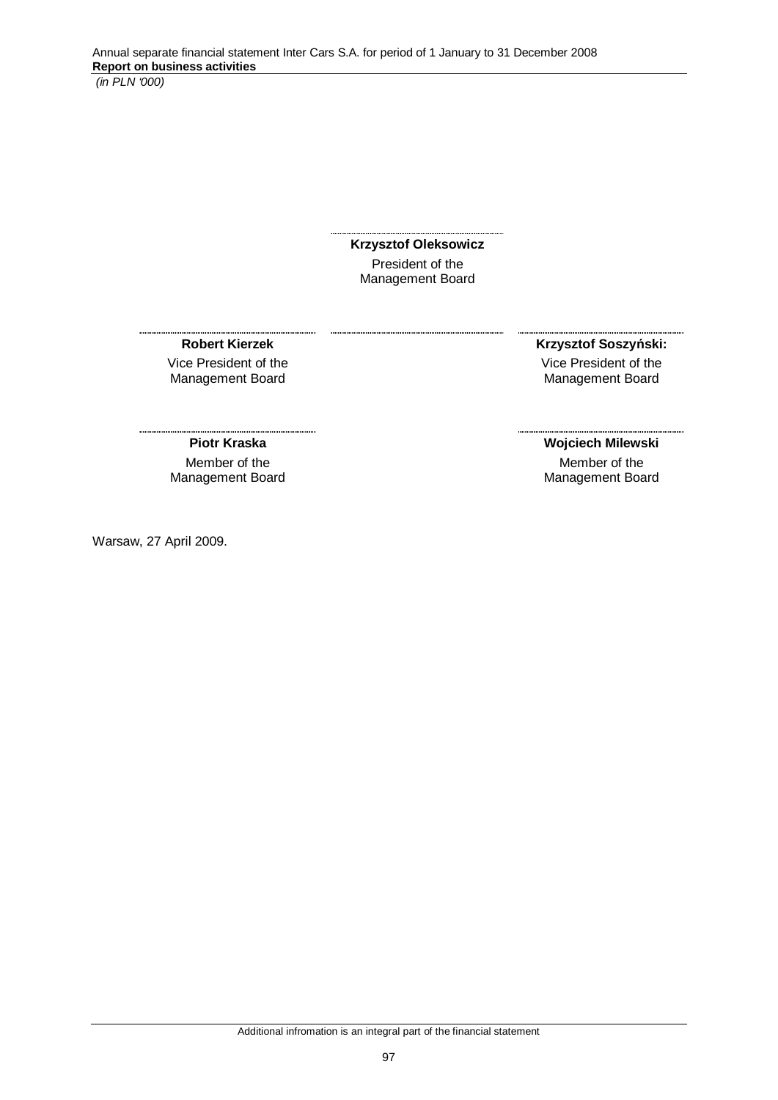**Krzysztof Oleksowicz**  President of the Management Board

**Robert Kierzek**  Vice President of the Management Board

**Krzysztof Soszyński:** Vice President of the Management Board

# **Piotr Kraska**

Member of the Management Board

Warsaw, 27 April 2009.

# **Wojciech Milewski**

Member of the Management Board